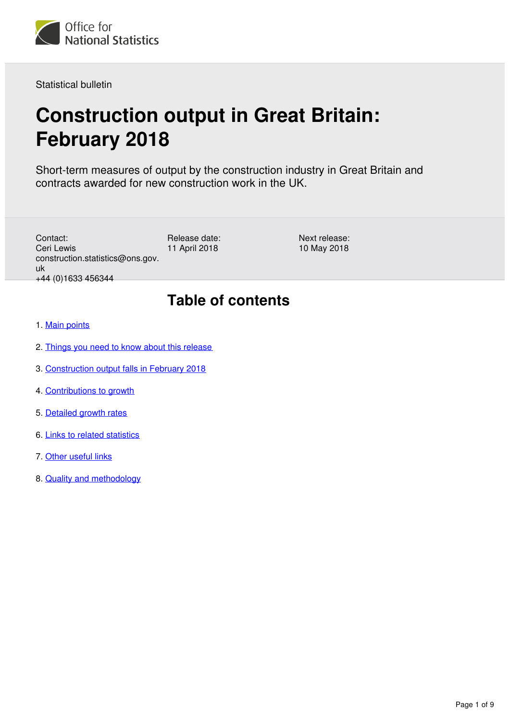

Statistical bulletin

# **Construction output in Great Britain: February 2018**

Short-term measures of output by the construction industry in Great Britain and contracts awarded for new construction work in the UK.

Contact: Ceri Lewis construction.statistics@ons.gov. uk +44 (0)1633 456344

Release date: 11 April 2018

Next release: 10 May 2018

## **Table of contents**

- 1. [Main points](#page-1-0)
- 2. [Things you need to know about this release](#page-1-1)
- 3. [Construction output falls in February 2018](#page-2-0)
- 4. [Contributions to growth](#page-4-0)
- 5. [Detailed growth rates](#page-6-0)
- 6. [Links to related statistics](#page-8-0)
- 7. [Other useful links](#page-8-1)
- 8. [Quality and methodology](#page-8-2)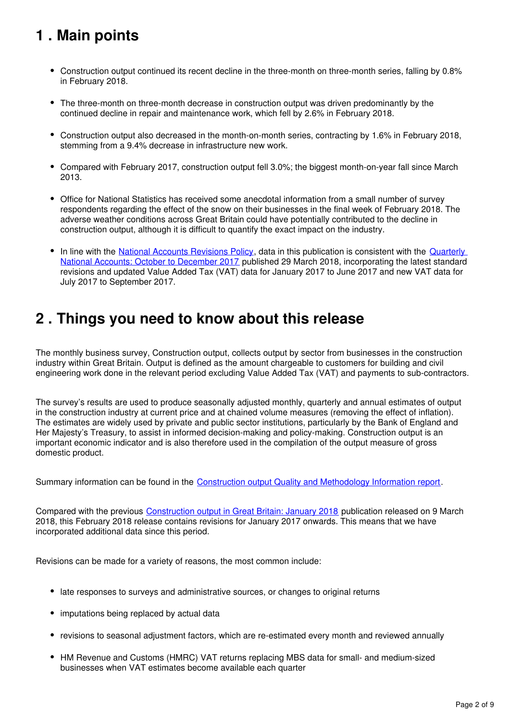## <span id="page-1-0"></span>**1 . Main points**

- Construction output continued its recent decline in the three-month on three-month series, falling by 0.8% in February 2018.
- The three-month on three-month decrease in construction output was driven predominantly by the continued decline in repair and maintenance work, which fell by 2.6% in February 2018.
- Construction output also decreased in the month-on-month series, contracting by 1.6% in February 2018, stemming from a 9.4% decrease in infrastructure new work.
- Compared with February 2017, construction output fell 3.0%; the biggest month-on-year fall since March 2013.
- Office for National Statistics has received some anecdotal information from a small number of survey respondents regarding the effect of the snow on their businesses in the final week of February 2018. The adverse weather conditions across Great Britain could have potentially contributed to the decline in construction output, although it is difficult to quantify the exact impact on the industry.
- In line with the [National Accounts Revisions Policy](https://www.ons.gov.uk/methodology/methodologytopicsandstatisticalconcepts/revisions/revisionspoliciesforeconomicstatistics/nationalaccountsrevisionspolicyupdateddecember2017), data in this publication is consistent with the Quarterly [National Accounts: October to December 2017](https://www.ons.gov.uk/economy/grossdomesticproductgdp/bulletins/quarterlynationalaccounts/octobertodecember2017) published 29 March 2018, incorporating the latest standard revisions and updated Value Added Tax (VAT) data for January 2017 to June 2017 and new VAT data for July 2017 to September 2017.

## <span id="page-1-1"></span>**2 . Things you need to know about this release**

The monthly business survey, Construction output, collects output by sector from businesses in the construction industry within Great Britain. Output is defined as the amount chargeable to customers for building and civil engineering work done in the relevant period excluding Value Added Tax (VAT) and payments to sub-contractors.

The survey's results are used to produce seasonally adjusted monthly, quarterly and annual estimates of output in the construction industry at current price and at chained volume measures (removing the effect of inflation). The estimates are widely used by private and public sector institutions, particularly by the Bank of England and Her Majesty's Treasury, to assist in informed decision-making and policy-making. Construction output is an important economic indicator and is also therefore used in the compilation of the output measure of gross domestic product.

Summary information can be found in the [Construction output Quality and Methodology Information report.](https://www.ons.gov.uk/businessindustryandtrade/constructionindustry/qmis/constructionoutputqmi)

Compared with the previous [Construction output in Great Britain: January 2018](https://www.ons.gov.uk/businessindustryandtrade/constructionindustry/bulletins/constructionoutputingreatbritain/january2018andnewordersoctobertodecember2017) publication released on 9 March 2018, this February 2018 release contains revisions for January 2017 onwards. This means that we have incorporated additional data since this period.

Revisions can be made for a variety of reasons, the most common include:

- late responses to surveys and administrative sources, or changes to original returns
- imputations being replaced by actual data
- revisions to seasonal adjustment factors, which are re-estimated every month and reviewed annually
- HM Revenue and Customs (HMRC) VAT returns replacing MBS data for small- and medium-sized businesses when VAT estimates become available each quarter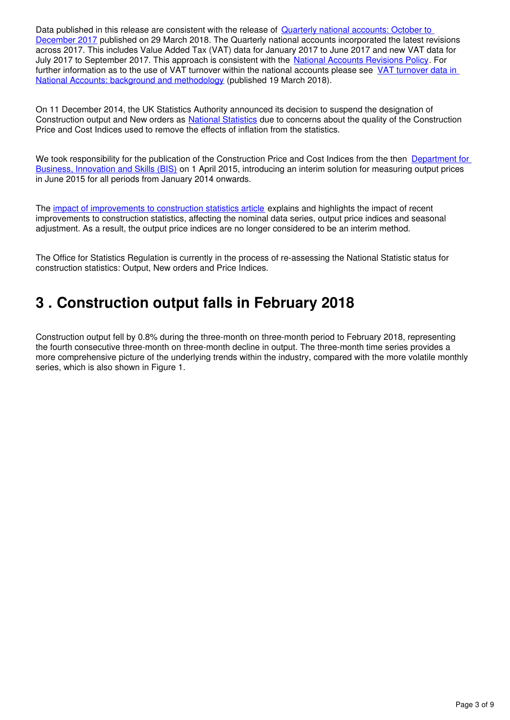Data published in this release are consistent with the release of **Quarterly national accounts: October to** [December 2017](https://www.ons.gov.uk/economy/grossdomesticproductgdp/bulletins/quarterlynationalaccounts/octobertodecember2017) published on 29 March 2018. The Quarterly national accounts incorporated the latest revisions across 2017. This includes Value Added Tax (VAT) data for January 2017 to June 2017 and new VAT data for July 2017 to September 2017[.](https://www.ons.gov.uk/methodology/methodologytopicsandstatisticalconcepts/revisions/revisionspoliciesforeconomicstatistics/nationalaccountsrevisionspolicyupdateddecember2017) This approach is consistent with the [National Accounts Revisions Policy](https://www.ons.gov.uk/methodology/methodologytopicsandstatisticalconcepts/revisions/revisionspoliciesforeconomicstatistics/nationalaccountsrevisionspolicyupdateddecember2017). For further information as to the use of VAT turnover within the national accounts please see VAT turnover data in [National Accounts: background and methodology](https://www.ons.gov.uk/economy/grossdomesticproductgdp/methodologies/vatturnoverdatainnationalaccountsbackgroundandmethodology) (published 19 March 2018).

On 11 December 2014, the UK Statistics Authority announced its decision to suspend the designation of Construction output and New orders as [National Statistics](https://www.statisticsauthority.gov.uk/about-the-authority/uk-statistical-system/types-of-official-statistics/) due to concerns about the quality of the Construction Price and Cost Indices used to remove the effects of inflation from the statistics.

We took responsibility for the publication of the Construction Price and Cost Indices from the then Department for [Business, Innovation and Skills \(BIS\)](https://www.gov.uk/government/organisations/department-for-business-energy-and-industrial-strategy) on 1 April 2015, introducing an interim solution for measuring output prices in June 2015 for all periods from January 2014 onwards.

The [impact of improvements to construction statistics article](https://www.ons.gov.uk/businessindustryandtrade/constructionindustry/articles/constructiondevelopment/impactofimprovementstoconstructionstatistics) explains and highlights the impact of recent improvements to construction statistics, affecting the nominal data series, output price indices and seasonal adjustment. As a result, the output price indices are no longer considered to be an interim method.

The Office for Statistics Regulation is currently in the process of re-assessing the National Statistic status for construction statistics: Output, New orders and Price Indices.

## <span id="page-2-0"></span>**3 . Construction output falls in February 2018**

Construction output fell by 0.8% during the three-month on three-month period to February 2018, representing the fourth consecutive three-month on three-month decline in output. The three-month time series provides a more comprehensive picture of the underlying trends within the industry, compared with the more volatile monthly series, which is also shown in Figure 1.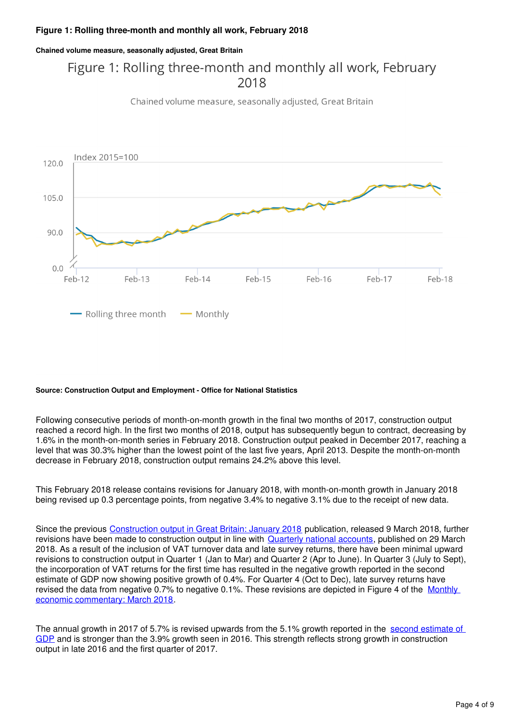#### **Chained volume measure, seasonally adjusted, Great Britain**

### Figure 1: Rolling three-month and monthly all work, February 2018

Chained volume measure, seasonally adjusted, Great Britain



#### **Source: Construction Output and Employment - Office for National Statistics**

Following consecutive periods of month-on-month growth in the final two months of 2017, construction output reached a record high. In the first two months of 2018, output has subsequently begun to contract, decreasing by 1.6% in the month-on-month series in February 2018. Construction output peaked in December 2017, reaching a level that was 30.3% higher than the lowest point of the last five years, April 2013. Despite the month-on-month decrease in February 2018, construction output remains 24.2% above this level.

This February 2018 release contains revisions for January 2018, with month-on-month growth in January 2018 being revised up 0.3 percentage points, from negative 3.4% to negative 3.1% due to the receipt of new data.

Since the previous [Construction output in Great Britain: January 2018](https://www.ons.gov.uk/businessindustryandtrade/constructionindustry/bulletins/constructionoutputingreatbritain/january2018andnewordersoctobertodecember2017) publication, released 9 March 2018, further revisions have been made to construction output in line with Quarterly national accounts[,](https://www.ons.gov.uk/economy/grossdomesticproductgdp/bulletins/quarterlynationalaccounts/octobertodecember2017) published on 29 March 2018. As a result of the inclusion of VAT turnover data and late survey returns, there have been minimal upward revisions to construction output in Quarter 1 (Jan to Mar) and Quarter 2 (Apr to June). In Quarter 3 (July to Sept), the incorporation of VAT returns for the first time has resulted in the negative growth reported in the second estimate of GDP now showing positive growth of 0.4%. For Quarter 4 (Oct to Dec), late survey returns have revised the data from negative 0.7% to negative 0.1%. These revisions are depicted in Figure 4 of the Monthly [economic commentary: March 2018.](https://www.ons.gov.uk/economy/nationalaccounts/uksectoraccounts/articles/monthlyeconomiccommentary/march2018)

The annual growth in 2017 of 5.7% is revised upwards from the 5.1% growth reported in the second estimate of [GDP](https://www.ons.gov.uk/economy/grossdomesticproductgdp/bulletins/secondestimateofgdp/octobertodecember2017) and is stronger than the 3.9% growth seen in 2016. This strength reflects strong growth in construction output in late 2016 and the first quarter of 2017.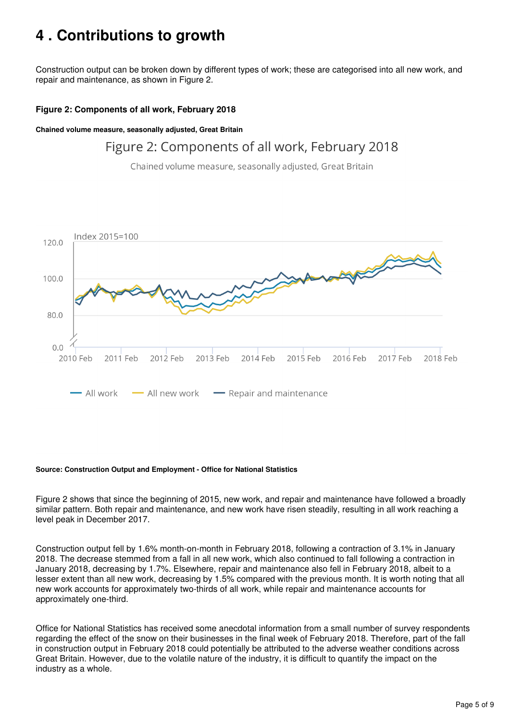## <span id="page-4-0"></span>**4 . Contributions to growth**

Construction output can be broken down by different types of work; these are categorised into all new work, and repair and maintenance, as shown in Figure 2.

#### **Figure 2: Components of all work, February 2018**

**Chained volume measure, seasonally adjusted, Great Britain**

#### Figure 2: Components of all work, February 2018

Chained volume measure, seasonally adjusted, Great Britain



#### **Source: Construction Output and Employment - Office for National Statistics**

Figure 2 shows that since the beginning of 2015, new work, and repair and maintenance have followed a broadly similar pattern. Both repair and maintenance, and new work have risen steadily, resulting in all work reaching a level peak in December 2017.

Construction output fell by 1.6% month-on-month in February 2018, following a contraction of 3.1% in January 2018. The decrease stemmed from a fall in all new work, which also continued to fall following a contraction in January 2018, decreasing by 1.7%. Elsewhere, repair and maintenance also fell in February 2018, albeit to a lesser extent than all new work, decreasing by 1.5% compared with the previous month. It is worth noting that all new work accounts for approximately two-thirds of all work, while repair and maintenance accounts for approximately one-third.

Office for National Statistics has received some anecdotal information from a small number of survey respondents regarding the effect of the snow on their businesses in the final week of February 2018. Therefore, part of the fall in construction output in February 2018 could potentially be attributed to the adverse weather conditions across Great Britain. However, due to the volatile nature of the industry, it is difficult to quantify the impact on the industry as a whole.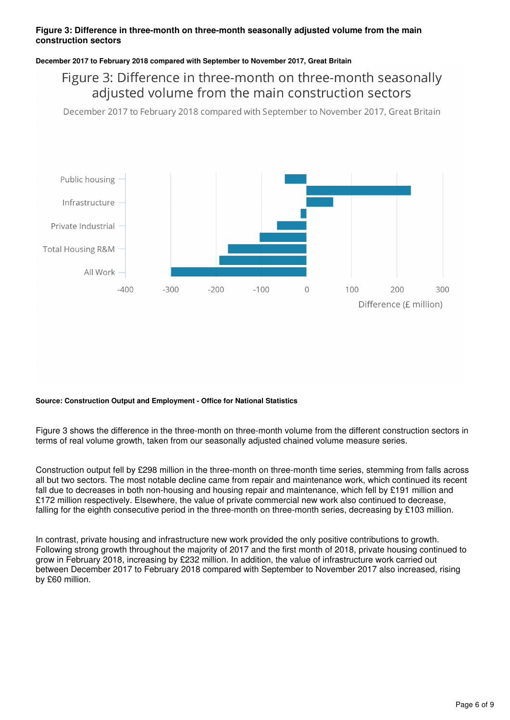#### **Figure 3: Difference in three-month on three-month seasonally adjusted volume from the main construction sectors**

#### **December 2017 to February 2018 compared with September to November 2017, Great Britain**

#### Figure 3: Difference in three-month on three-month seasonally adjusted volume from the main construction sectors

December 2017 to February 2018 compared with September to November 2017, Great Britain



#### **Source: Construction Output and Employment - Office for National Statistics**

Figure 3 shows the difference in the three-month on three-month volume from the different construction sectors in terms of real volume growth, taken from our seasonally adjusted chained volume measure series.

Construction output fell by £298 million in the three-month on three-month time series, stemming from falls across all but two sectors. The most notable decline came from repair and maintenance work, which continued its recent fall due to decreases in both non-housing and housing repair and maintenance, which fell by £191 million and £172 million respectively. Elsewhere, the value of private commercial new work also continued to decrease, falling for the eighth consecutive period in the three-month on three-month series, decreasing by £103 million.

In contrast, private housing and infrastructure new work provided the only positive contributions to growth. Following strong growth throughout the majority of 2017 and the first month of 2018, private housing continued to grow in February 2018, increasing by £232 million. In addition, the value of infrastructure work carried out between December 2017 to February 2018 compared with September to November 2017 also increased, rising by £60 million.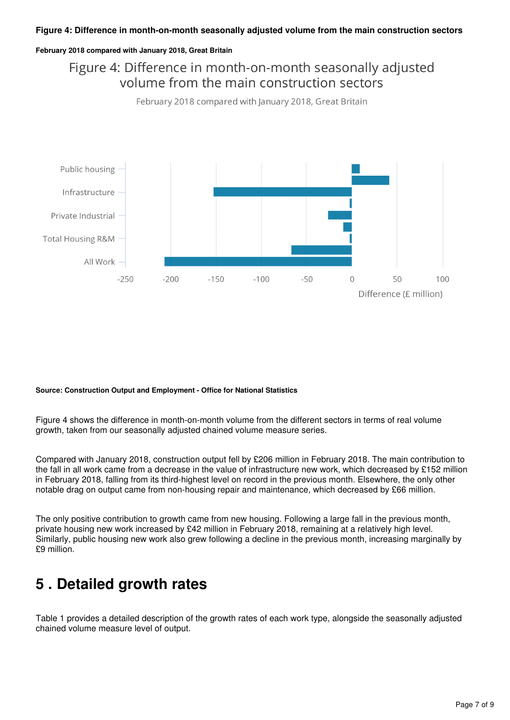#### **Figure 4: Difference in month-on-month seasonally adjusted volume from the main construction sectors**

#### **February 2018 compared with January 2018, Great Britain**

Figure 4: Difference in month-on-month seasonally adjusted volume from the main construction sectors



#### **Source: Construction Output and Employment - Office for National Statistics**

Figure 4 shows the difference in month-on-month volume from the different sectors in terms of real volume growth, taken from our seasonally adjusted chained volume measure series.

Compared with January 2018, construction output fell by £206 million in February 2018. The main contribution to the fall in all work came from a decrease in the value of infrastructure new work, which decreased by £152 million in February 2018, falling from its third-highest level on record in the previous month. Elsewhere, the only other notable drag on output came from non-housing repair and maintenance, which decreased by £66 million.

The only positive contribution to growth came from new housing. Following a large fall in the previous month, private housing new work increased by £42 million in February 2018, remaining at a relatively high level. Similarly, public housing new work also grew following a decline in the previous month, increasing marginally by £9 million.

## <span id="page-6-0"></span>**5 . Detailed growth rates**

Table 1 provides a detailed description of the growth rates of each work type, alongside the seasonally adjusted chained volume measure level of output.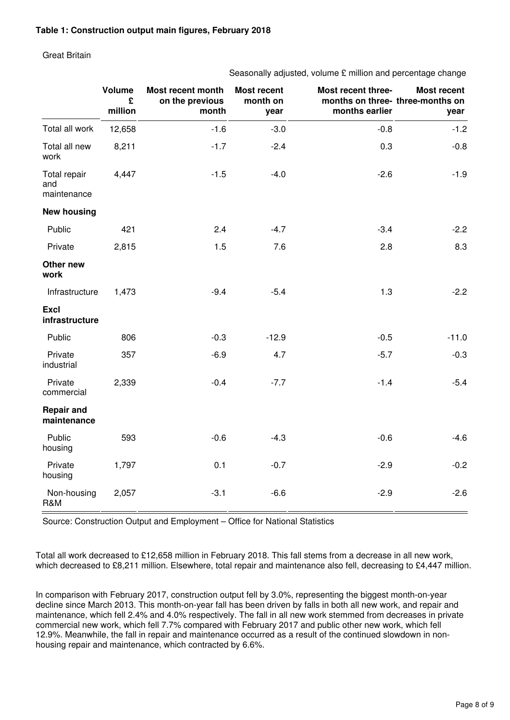#### Great Britain

Seasonally adjusted, volume £ million and percentage change

|                                    | <b>Volume</b><br>£<br>million | Most recent month<br>on the previous<br>month | <b>Most recent</b><br>month on<br>year | Most recent three-<br>months on three-three-months on<br>months earlier | <b>Most recent</b><br>year |
|------------------------------------|-------------------------------|-----------------------------------------------|----------------------------------------|-------------------------------------------------------------------------|----------------------------|
| Total all work                     | 12,658                        | $-1.6$                                        | $-3.0$                                 | $-0.8$                                                                  | $-1.2$                     |
| Total all new<br>work              | 8,211                         | $-1.7$                                        | $-2.4$                                 | 0.3                                                                     | $-0.8$                     |
| Total repair<br>and<br>maintenance | 4,447                         | $-1.5$                                        | $-4.0$                                 | $-2.6$                                                                  | $-1.9$                     |
| <b>New housing</b>                 |                               |                                               |                                        |                                                                         |                            |
| Public                             | 421                           | 2.4                                           | $-4.7$                                 | $-3.4$                                                                  | $-2.2$                     |
| Private                            | 2,815                         | 1.5                                           | 7.6                                    | 2.8                                                                     | 8.3                        |
| Other new<br>work                  |                               |                                               |                                        |                                                                         |                            |
| Infrastructure                     | 1,473                         | $-9.4$                                        | $-5.4$                                 | 1.3                                                                     | $-2.2$                     |
| <b>Excl</b><br>infrastructure      |                               |                                               |                                        |                                                                         |                            |
| Public                             | 806                           | $-0.3$                                        | $-12.9$                                | $-0.5$                                                                  | $-11.0$                    |
| Private<br>industrial              | 357                           | $-6.9$                                        | 4.7                                    | $-5.7$                                                                  | $-0.3$                     |
| Private<br>commercial              | 2,339                         | $-0.4$                                        | $-7.7$                                 | $-1.4$                                                                  | $-5.4$                     |
| <b>Repair and</b><br>maintenance   |                               |                                               |                                        |                                                                         |                            |
| Public<br>housing                  | 593                           | $-0.6$                                        | $-4.3$                                 | $-0.6$                                                                  | $-4.6$                     |
| Private<br>housing                 | 1,797                         | 0.1                                           | $-0.7$                                 | $-2.9$                                                                  | $-0.2$                     |
| Non-housing<br>R&M                 | 2,057                         | $-3.1$                                        | $-6.6$                                 | $-2.9$                                                                  | $-2.6$                     |

Source: Construction Output and Employment – Office for National Statistics

Total all work decreased to £12,658 million in February 2018. This fall stems from a decrease in all new work, which decreased to £8,211 million. Elsewhere, total repair and maintenance also fell, decreasing to £4,447 million.

In comparison with February 2017, construction output fell by 3.0%, representing the biggest month-on-year decline since March 2013. This month-on-year fall has been driven by falls in both all new work, and repair and maintenance, which fell 2.4% and 4.0% respectively. The fall in all new work stemmed from decreases in private commercial new work, which fell 7.7% compared with February 2017 and public other new work, which fell 12.9%. Meanwhile, the fall in repair and maintenance occurred as a result of the continued slowdown in nonhousing repair and maintenance, which contracted by 6.6%.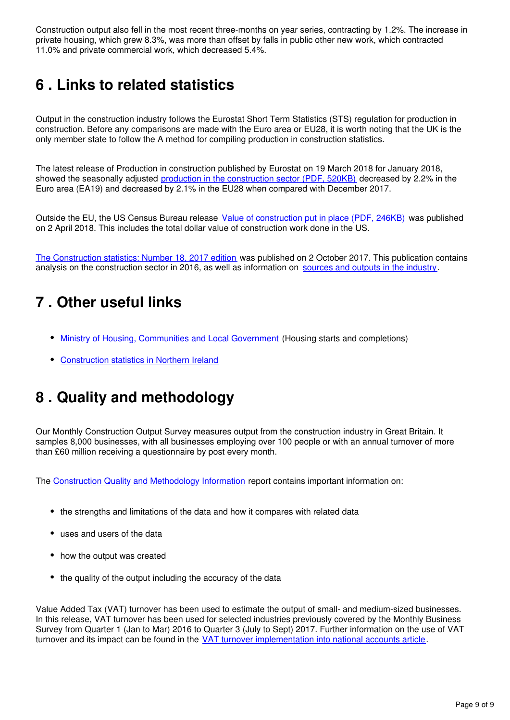Construction output also fell in the most recent three-months on year series, contracting by 1.2%. The increase in private housing, which grew 8.3%, was more than offset by falls in public other new work, which contracted 11.0% and private commercial work, which decreased 5.4%.

## <span id="page-8-0"></span>**6 . Links to related statistics**

Output in the construction industry follows the Eurostat Short Term Statistics (STS) regulation for production in construction. Before any comparisons are made with the Euro area or EU28, it is worth noting that the UK is the only member state to follow the A method for compiling production in construction statistics.

The latest release of Production in construction published by Eurostat on 19 March 2018 for January 2018, showed the seasonally adjusted [production in the construction sector \(PDF, 520KB\)](http://ec.europa.eu/eurostat/documents/2995521/8746371/4-19032018-AP-EN.pdf/78077ef3-138d-454b-9f8a-24e5c2403f00) decreased by 2.2% in the Euro area (EA19) and decreased by 2.1% in the EU28 when compared with December 2017.

Outside the EU, the US Census Bureau release [Value of construction put in place \(PDF, 246KB\)](https://www.census.gov/construction/c30/pdf/release.pdf) was published on 2 April 2018. This includes the total dollar value of construction work done in the US.

[The Construction statistics: Number 18, 2017 edition](https://www.ons.gov.uk/businessindustryandtrade/constructionindustry/articles/constructionstatistics/number182017edition) was published on 2 October 2017. This publication contains analysis on the construction sector in 2016, as well as information on sources and outputs in the industry[.](https://www.ons.gov.uk/businessindustryandtrade/constructionindustry/methodologies/constructionstatisticssourcesandoutputs)

## <span id="page-8-1"></span>**7 . Other useful links**

- [Ministry of Housing, Communities and Local Government](https://www.gov.uk/government/organisations/department-for-communities-and-local-government) (Housing starts and completions)
- [Construction statistics in Northern Ireland](https://www.economy-ni.gov.uk/articles/construction-output-statistics)

## <span id="page-8-2"></span>**8 . Quality and methodology**

Our Monthly Construction Output Survey measures output from the construction industry in Great Britain. It samples 8,000 businesses, with all businesses employing over 100 people or with an annual turnover of more than £60 million receiving a questionnaire by post every month.

The [Construction Quality and Methodology Information](https://www.ons.gov.uk/businessindustryandtrade/constructionindustry/qmis/constructionoutputqmi) report contains important information on:

- the strengths and limitations of the data and how it compares with related data
- uses and users of the data
- how the output was created
- the quality of the output including the accuracy of the data

Value Added Tax (VAT) turnover has been used to estimate the output of small- and medium-sized businesses. In this release, VAT turnover has been used for selected industries previously covered by the Monthly Business Survey from Quarter 1 (Jan to Mar) 2016 to Quarter 3 (July to Sept) 2017. Further information on the use of VAT turnover and its impact can be found in the [VAT turnover implementation into national accounts article.](https://www.ons.gov.uk/economy/grossdomesticproductgdp/articles/vatturnoverinitialresearchanalysisuk/december)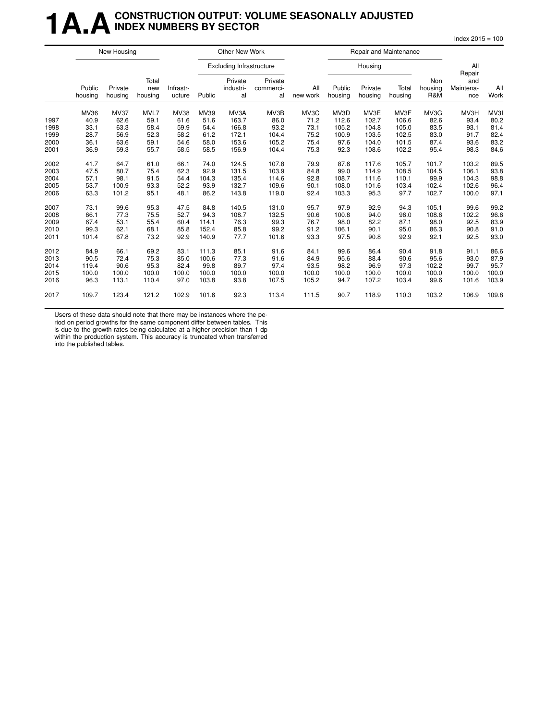### **1 A.A.** CONSTRUCTION OUTPUT: VOLUME SEASONALLY ADJUSTED **INDEX NUMBERS BY SECTOR**

 $Index 2015 = 100$ 

|      | New Housing       |                    |                         |                     |        | Other New Work                  |                            |                 |                   | Repair and Maintenance |                  |                       |                         |             |
|------|-------------------|--------------------|-------------------------|---------------------|--------|---------------------------------|----------------------------|-----------------|-------------------|------------------------|------------------|-----------------------|-------------------------|-------------|
|      |                   |                    |                         |                     |        | <b>Excluding Infrastructure</b> |                            |                 |                   | Housing                |                  |                       | All<br>Repair           |             |
|      | Public<br>housing | Private<br>housing | Total<br>new<br>housing | Infrastr-<br>ucture | Public | Private<br>industri-<br>al      | Private<br>commerci-<br>al | All<br>new work | Public<br>housing | Private<br>housing     | Total<br>housing | Non<br>housing<br>R&M | and<br>Maintena-<br>nce | All<br>Work |
|      | MV36              | <b>MV37</b>        | MVL7                    | <b>MV38</b>         | MV39   | MV3A                            | MV3B                       | MV3C            | MV3D              | MV3E                   | MV3F             | MV3G                  | MV3H                    | MV3I        |
| 1997 | 40.9              | 62.6               | 59.1                    | 61.6                | 51.6   | 163.7                           | 86.0                       | 71.2            | 112.6             | 102.7                  | 106.6            | 82.6                  | 93.4                    | 80.2        |
| 1998 | 33.1              | 63.3               | 58.4                    | 59.9                | 54.4   | 166.8                           | 93.2                       | 73.1            | 105.2             | 104.8                  | 105.0            | 83.5                  | 93.1                    | 81.4        |
| 1999 | 28.7              | 56.9               | 52.3                    | 58.2                | 61.2   | 172.1                           | 104.4                      | 75.2            | 100.9             | 103.5                  | 102.5            | 83.0                  | 91.7                    | 82.4        |
| 2000 | 36.1              | 63.6               | 59.1                    | 54.6                | 58.0   | 153.6                           | 105.2                      | 75.4            | 97.6              | 104.0                  | 101.5            | 87.4                  | 93.6                    | 83.2        |
| 2001 | 36.9              | 59.3               | 55.7                    | 58.5                | 58.5   | 156.9                           | 104.4                      | 75.3            | 92.3              | 108.6                  | 102.2            | 95.4                  | 98.3                    | 84.6        |
| 2002 | 41.7              | 64.7               | 61.0                    | 66.1                | 74.0   | 124.5                           | 107.8                      | 79.9            | 87.6              | 117.6                  | 105.7            | 101.7                 | 103.2                   | 89.5        |
| 2003 | 47.5              | 80.7               | 75.4                    | 62.3                | 92.9   | 131.5                           | 103.9                      | 84.8            | 99.0              | 114.9                  | 108.5            | 104.5                 | 106.1                   | 93.8        |
| 2004 | 57.1              | 98.1               | 91.5                    | 54.4                | 104.3  | 135.4                           | 114.6                      | 92.8            | 108.7             | 111.6                  | 110.1            | 99.9                  | 104.3                   | 98.8        |
| 2005 | 53.7              | 100.9              | 93.3                    | 52.2                | 93.9   | 132.7                           | 109.6                      | 90.1            | 108.0             | 101.6                  | 103.4            | 102.4                 | 102.6                   | 96.4        |
| 2006 | 63.3              | 101.2              | 95.1                    | 48.1                | 86.2   | 143.8                           | 119.0                      | 92.4            | 103.3             | 95.3                   | 97.7             | 102.7                 | 100.0                   | 97.1        |
| 2007 | 73.1              | 99.6               | 95.3                    | 47.5                | 84.8   | 140.5                           | 131.0                      | 95.7            | 97.9              | 92.9                   | 94.3             | 105.1                 | 99.6                    | 99.2        |
| 2008 | 66.1              | 77.3               | 75.5                    | 52.7                | 94.3   | 108.7                           | 132.5                      | 90.6            | 100.8             | 94.0                   | 96.0             | 108.6                 | 102.2                   | 96.6        |
| 2009 | 67.4              | 53.1               | 55.4                    | 60.4                | 114.1  | 76.3                            | 99.3                       | 76.7            | 98.0              | 82.2                   | 87.1             | 98.0                  | 92.5                    | 83.9        |
| 2010 | 99.3              | 62.1               | 68.1                    | 85.8                | 152.4  | 85.8                            | 99.2                       | 91.2            | 106.1             | 90.1                   | 95.0             | 86.3                  | 90.8                    | 91.0        |
| 2011 | 101.4             | 67.8               | 73.2                    | 92.9                | 140.9  | 77.7                            | 101.6                      | 93.3            | 97.5              | 90.8                   | 92.9             | 92.1                  | 92.5                    | 93.0        |
| 2012 | 84.9              | 66.1               | 69.2                    | 83.1                | 111.3  | 85.1                            | 91.6                       | 84.1            | 99.6              | 86.4                   | 90.4             | 91.8                  | 91.1                    | 86.6        |
| 2013 | 90.5              | 72.4               | 75.3                    | 85.0                | 100.6  | 77.3                            | 91.6                       | 84.9            | 95.6              | 88.4                   | 90.6             | 95.6                  | 93.0                    | 87.9        |
| 2014 | 119.4             | 90.6               | 95.3                    | 82.4                | 99.8   | 89.7                            | 97.4                       | 93.5            | 98.2              | 96.9                   | 97.3             | 102.2                 | 99.7                    | 95.7        |
| 2015 | 100.0             | 100.0              | 100.0                   | 100.0               | 100.0  | 100.0                           | 100.0                      | 100.0           | 100.0             | 100.0                  | 100.0            | 100.0                 | 100.0                   | 100.0       |
| 2016 | 96.3              | 113.1              | 110.4                   | 97.0                | 103.8  | 93.8                            | 107.5                      | 105.2           | 94.7              | 107.2                  | 103.4            | 99.6                  | 101.6                   | 103.9       |
| 2017 | 109.7             | 123.4              | 121.2                   | 102.9               | 101.6  | 92.3                            | 113.4                      | 111.5           | 90.7              | 118.9                  | 110.3            | 103.2                 | 106.9                   | 109.8       |

Users of these data should note that there may be instances where the pe-

riod on period growths for the same component differ between tables. This

is due to the growth rates being calculated at a higher precision than 1 dp within the production system. This accuracy is truncated when transferred into the published tables.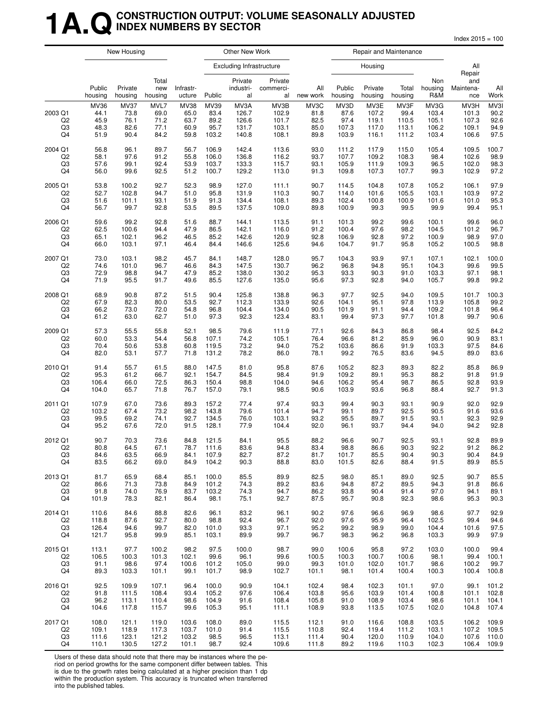### **1A.QCONSTRUCTION OUTPUT: VOLUME SEASONALLY ADJUSTED INDEX NUMBERS BY SECTOR**

Index 2015 = 100

|                                       | New Housing                          |                                             |                                      | Other New Work                              |                                       |                                          | Repair and Maintenance                   |                                      |                                        |                                          |                                         |                                          |                                          |                                      |
|---------------------------------------|--------------------------------------|---------------------------------------------|--------------------------------------|---------------------------------------------|---------------------------------------|------------------------------------------|------------------------------------------|--------------------------------------|----------------------------------------|------------------------------------------|-----------------------------------------|------------------------------------------|------------------------------------------|--------------------------------------|
|                                       |                                      |                                             |                                      |                                             |                                       | <b>Excluding Infrastructure</b>          |                                          |                                      |                                        | Housing                                  |                                         |                                          | All<br>Repair                            |                                      |
|                                       | Public<br>housing                    | Private<br>housing                          | Total<br>new<br>housing              | Infrastr-<br>ucture                         | Public                                | Private<br>industri-<br>al               | Private<br>commerci-<br>al               | All<br>new work                      | Public<br>housing                      | Private<br>housing                       | Total<br>housing                        | Non<br>housing<br>R&M                    | and<br>Maintena-<br>nce                  | All<br>Work                          |
| 2003 Q1<br>Q <sub>2</sub><br>Q3<br>Q4 | MV36<br>44.1<br>45.9<br>48.3<br>51.9 | <b>MV37</b><br>73.8<br>76.1<br>82.6<br>90.4 | MVL7<br>69.0<br>71.2<br>77.1<br>84.2 | <b>MV38</b><br>65.0<br>63.7<br>60.9<br>59.8 | MV39<br>83.4<br>89.2<br>95.7<br>103.2 | MV3A<br>126.7<br>126.6<br>131.7<br>140.8 | MV3B<br>102.9<br>101.7<br>103.1<br>108.1 | MV3C<br>81.8<br>82.5<br>85.0<br>89.8 | MV3D<br>87.6<br>97.4<br>107.3<br>103.9 | MV3E<br>107.2<br>119.1<br>117.0<br>116.1 | MV3F<br>99.4<br>110.5<br>113.1<br>111.2 | MV3G<br>103.4<br>105.1<br>106.2<br>103.4 | MV3H<br>101.3<br>107.3<br>109.1<br>106.6 | MV3I<br>90.2<br>92.6<br>94.9<br>97.5 |
| 2004 Q1                               | 56.8                                 | 96.1                                        | 89.7                                 | 56.7                                        | 106.9                                 | 142.4                                    | 113.6                                    | 93.0                                 | 111.2                                  | 117.9                                    | 115.0                                   | 105.4                                    | 109.5                                    | 100.7                                |
| Q2                                    | 58.1                                 | 97.6                                        | 91.2                                 | 55.8                                        | 106.0                                 | 136.8                                    | 116.2                                    | 93.7                                 | 107.7                                  | 109.2                                    | 108.3                                   | 98.4                                     | 102.6                                    | 98.9                                 |
| Q3                                    | 57.6                                 | 99.1                                        | 92.4                                 | 53.9                                        | 103.7                                 | 133.3                                    | 115.7                                    | 93.1                                 | 105.9                                  | 111.9                                    | 109.3                                   | 96.5                                     | 102.0                                    | 98.3                                 |
| Q4                                    | 56.0                                 | 99.6                                        | 92.5                                 | 51.2                                        | 100.7                                 | 129.2                                    | 113.0                                    | 91.3                                 | 109.8                                  | 107.3                                    | 107.7                                   | 99.3                                     | 102.9                                    | 97.2                                 |
| 2005 Q1                               | 53.8                                 | 100.2                                       | 92.7                                 | 52.3                                        | 98.9                                  | 127.0                                    | 111.1                                    | 90.7                                 | 114.5                                  | 104.8                                    | 107.8                                   | 105.2                                    | 106.1                                    | 97.9                                 |
| Q <sub>2</sub>                        | 52.7                                 | 102.8                                       | 94.7                                 | 51.0                                        | 95.8                                  | 131.9                                    | 110.3                                    | 90.7                                 | 114.0                                  | 101.6                                    | 105.5                                   | 103.1                                    | 103.9                                    | 97.2                                 |
| Q3                                    | 51.6                                 | 101.1                                       | 93.1                                 | 51.9                                        | 91.3                                  | 134.4                                    | 108.1                                    | 89.3                                 | 102.4                                  | 100.8                                    | 100.9                                   | 101.6                                    | 101.0                                    | 95.3                                 |
| Q4                                    | 56.7                                 | 99.7                                        | 92.8                                 | 53.5                                        | 89.5                                  | 137.5                                    | 109.0                                    | 89.8                                 | 100.9                                  | 99.3                                     | 99.5                                    | 99.9                                     | 99.4                                     | 95.1                                 |
| 2006 Q1                               | 59.6                                 | 99.2                                        | 92.8                                 | 51.6                                        | 88.7                                  | 144.1                                    | 113.5                                    | 91.1                                 | 101.3                                  | 99.2                                     | 99.6                                    | 100.1                                    | 99.6                                     | 96.0                                 |
| Q <sub>2</sub>                        | 62.5                                 | 100.6                                       | 94.4                                 | 47.9                                        | 86.5                                  | 142.1                                    | 116.0                                    | 91.2                                 | 100.4                                  | 97.6                                     | 98.2                                    | 104.5                                    | 101.2                                    | 96.7                                 |
| Q3                                    | 65.1                                 | 102.1                                       | 96.2                                 | 46.5                                        | 85.2                                  | 142.6                                    | 120.9                                    | 92.8                                 | 106.9                                  | 92.8                                     | 97.2                                    | 100.9                                    | 98.9                                     | 97.0                                 |
| Q4                                    | 66.0                                 | 103.1                                       | 97.1                                 | 46.4                                        | 84.4                                  | 146.6                                    | 125.6                                    | 94.6                                 | 104.7                                  | 91.7                                     | 95.8                                    | 105.2                                    | 100.5                                    | 98.8                                 |
| 2007 Q1                               | 73.0                                 | 103.1                                       | 98.2                                 | 45.7                                        | 84.1                                  | 148.7                                    | 128.0                                    | 95.7                                 | 104.3                                  | 93.9                                     | 97.1                                    | 107.1                                    | 102.1                                    | 100.0                                |
| Q2                                    | 74.6                                 | 101.0                                       | 96.7                                 | 46.6                                        | 84.3                                  | 147.5                                    | 130.7                                    | 96.2                                 | 96.8                                   | 94.8                                     | 95.1                                    | 104.3                                    | 99.6                                     | 99.5                                 |
| Q3                                    | 72.9                                 | 98.8                                        | 94.7                                 | 47.9                                        | 85.2                                  | 138.0                                    | 130.2                                    | 95.3                                 | 93.3                                   | 90.3                                     | 91.0                                    | 103.3                                    | 97.1                                     | 98.1                                 |
| Q4                                    | 71.9                                 | 95.5                                        | 91.7                                 | 49.6                                        | 85.5                                  | 127.6                                    | 135.0                                    | 95.6                                 | 97.3                                   | 92.8                                     | 94.0                                    | 105.7                                    | 99.8                                     | 99.2                                 |
| 2008 Q1                               | 68.9                                 | 90.8                                        | 87.2                                 | 51.5                                        | 90.4                                  | 125.8                                    | 138.8                                    | 96.3                                 | 97.7                                   | 92.5                                     | 94.0                                    | 109.5                                    | 101.7                                    | 100.3                                |
| Q <sub>2</sub>                        | 67.9                                 | 82.3                                        | 80.0                                 | 53.5                                        | 92.7                                  | 112.3                                    | 133.9                                    | 92.6                                 | 104.1                                  | 95.1                                     | 97.8                                    | 113.9                                    | 105.8                                    | 99.2                                 |
| Q3                                    | 66.2                                 | 73.0                                        | 72.0                                 | 54.8                                        | 96.8                                  | 104.4                                    | 134.0                                    | 90.5                                 | 101.9                                  | 91.1                                     | 94.4                                    | 109.2                                    | 101.8                                    | 96.4                                 |
| Q4                                    | 61.2                                 | 63.0                                        | 62.7                                 | 51.0                                        | 97.3                                  | 92.3                                     | 123.4                                    | 83.1                                 | 99.4                                   | 97.3                                     | 97.7                                    | 101.8                                    | 99.7                                     | 90.6                                 |
| 2009 Q1                               | 57.3                                 | 55.5                                        | 55.8                                 | 52.1                                        | 98.5                                  | 79.6                                     | 111.9                                    | 77.1                                 | 92.6                                   | 84.3                                     | 86.8                                    | 98.4                                     | 92.5                                     | 84.2                                 |
| Q <sub>2</sub>                        | 60.0                                 | 53.3                                        | 54.4                                 | 56.8                                        | 107.1                                 | 74.2                                     | 105.1                                    | 76.4                                 | 96.6                                   | 81.2                                     | 85.9                                    | 96.0                                     | 90.9                                     | 83.1                                 |
| Q3                                    | 70.4                                 | 50.6                                        | 53.8                                 | 60.8                                        | 119.5                                 | 73.2                                     | 94.0                                     | 75.2                                 | 103.6                                  | 86.6                                     | 91.9                                    | 103.3                                    | 97.5                                     | 84.6                                 |
| Q4                                    | 82.0                                 | 53.1                                        | 57.7                                 | 71.8                                        | 131.2                                 | 78.2                                     | 86.0                                     | 78.1                                 | 99.2                                   | 76.5                                     | 83.6                                    | 94.5                                     | 89.0                                     | 83.6                                 |
| 2010 Q1                               | 91.4                                 | 55.7                                        | 61.5                                 | 88.0                                        | 147.5                                 | 81.0                                     | 95.8                                     | 87.6                                 | 105.2                                  | 82.3                                     | 89.3                                    | 82.2                                     | 85.8                                     | 86.9                                 |
| Q2                                    | 95.3                                 | 61.2                                        | 66.7                                 | 92.1                                        | 154.7                                 | 84.5                                     | 98.4                                     | 91.9                                 | 109.2                                  | 89.1                                     | 95.3                                    | 88.2                                     | 91.8                                     | 91.9                                 |
| Q3                                    | 106.4                                | 66.0                                        | 72.5                                 | 86.3                                        | 150.4                                 | 98.8                                     | 104.0                                    | 94.6                                 | 106.2                                  | 95.4                                     | 98.7                                    | 86.5                                     | 92.8                                     | 93.9                                 |
| Q4                                    | 104.0                                | 65.7                                        | 71.8                                 | 76.7                                        | 157.0                                 | 79.1                                     | 98.5                                     | 90.6                                 | 103.9                                  | 93.6                                     | 96.8                                    | 88.4                                     | 92.7                                     | 91.3                                 |
| 2011 Q1                               | 107.9                                | 67.0                                        | 73.6                                 | 89.3                                        | 157.2                                 | 77.4                                     | 97.4                                     | 93.3                                 | 99.4                                   | 90.3                                     | 93.1                                    | 90.9                                     | 92.0                                     | 92.9                                 |
| Q <sub>2</sub>                        | 103.2                                | 67.4                                        | 73.2                                 | 98.2                                        | 143.8                                 | 79.6                                     | 101.4                                    | 94.7                                 | 99.1                                   | 89.7                                     | 92.5                                    | 90.5                                     | 91.6                                     | 93.6                                 |
| Q3                                    | 99.5                                 | 69.2                                        | 74.1                                 | 92.7                                        | 134.5                                 | 76.0                                     | 103.1                                    | 93.2                                 | 95.5                                   | 89.7                                     | 91.5                                    | 93.1                                     | 92.3                                     | 92.9                                 |
| Q4                                    | 95.2                                 | 67.6                                        | 72.0                                 | 91.5                                        | 128.1                                 | 77.9                                     | 104.4                                    | 92.0                                 | 96.1                                   | 93.7                                     | 94.4                                    | 94.0                                     | 94.2                                     | 92.8                                 |
| 2012 Q1                               | 90.7                                 | 70.3                                        | 73.6                                 | 84.8                                        | 121.5                                 | 84.1                                     | 95.5                                     | 88.2                                 | 96.6                                   | 90.7                                     | 92.5                                    | 93.1                                     | 92.8                                     | 89.9                                 |
| Q2                                    | 80.8                                 | 64.5                                        | 67.1                                 | 78.7                                        | 111.6                                 | 83.6                                     | 94.8                                     | 83.4                                 | 98.8                                   | 86.6                                     | 90.3                                    | 92.2                                     | 91.2                                     | 86.2                                 |
| Q3                                    | 84.6                                 | 63.5                                        | 66.9                                 | 84.1                                        | 107.9                                 | 82.7                                     | 87.2                                     | 81.7                                 | 101.7                                  | 85.5                                     | 90.4                                    | 90.3                                     | 90.4                                     | 84.9                                 |
| Q4                                    | 83.5                                 | 66.2                                        | 69.0                                 | 84.9                                        | 104.2                                 | 90.3                                     | 88.8                                     | 83.0                                 | 101.5                                  | 82.6                                     | 88.4                                    | 91.5                                     | 89.9                                     | 85.5                                 |
| 2013 Q1                               | 81.7                                 | 65.9                                        | 68.4                                 | 85.1                                        | 100.0                                 | 85.5                                     | 89.9                                     | 82.5                                 | 98.0                                   | 85.1                                     | 89.0                                    | 92.5                                     | 90.7                                     | 85.5                                 |
| Q2                                    | 86.6                                 | 71.3                                        | 73.8                                 | 84.9                                        | 101.2                                 | 74.3                                     | 89.2                                     | 83.6                                 | 94.8                                   | 87.2                                     | 89.5                                    | 94.3                                     | 91.8                                     | 86.6                                 |
| Q3                                    | 91.8                                 | 74.0                                        | 76.9                                 | 83.7                                        | 103.2                                 | 74.3                                     | 94.7                                     | 86.2                                 | 93.8                                   | 90.4                                     | 91.4                                    | 97.0                                     | 94.1                                     | 89.1                                 |
| Q4                                    | 101.9                                | 78.3                                        | 82.1                                 | 86.4                                        | 98.1                                  | 75.1                                     | 92.7                                     | 87.5                                 | 95.7                                   | 90.8                                     | 92.3                                    | 98.6                                     | 95.3                                     | 90.3                                 |
| 2014 Q1                               | 110.6                                | 84.6                                        | 88.8                                 | 82.6                                        | 96.1                                  | 83.2                                     | 96.1                                     | 90.2                                 | 97.6                                   | 96.6                                     | 96.9                                    | 98.6                                     | 97.7                                     | 92.9                                 |
| Q <sub>2</sub>                        | 118.8                                | 87.6                                        | 92.7                                 | 80.0                                        | 98.8                                  | 92.4                                     | 96.7                                     | 92.0                                 | 97.6                                   | 95.9                                     | 96.4                                    | 102.5                                    | 99.4                                     | 94.6                                 |
| Q3                                    | 126.4                                | 94.6                                        | 99.7                                 | 82.0                                        | 101.0                                 | 93.3                                     | 97.1                                     | 95.2                                 | 99.2                                   | 98.9                                     | 99.0                                    | 104.4                                    | 101.6                                    | 97.5                                 |
| Q4                                    | 121.7                                | 95.8                                        | 99.9                                 | 85.1                                        | 103.1                                 | 89.9                                     | 99.7                                     | 96.7                                 | 98.3                                   | 96.2                                     | 96.8                                    | 103.3                                    | 99.9                                     | 97.9                                 |
| 2015 Q1                               | 113.1                                | 97.7                                        | 100.2                                | 98.2                                        | 97.5                                  | 100.0                                    | 98.7                                     | 99.0                                 | 100.6                                  | 95.8                                     | 97.2                                    | 103.0                                    | 100.0                                    | 99.4                                 |
| Q2                                    | 106.5                                | 100.3                                       | 101.3                                | 102.1                                       | 99.6                                  | 96.1                                     | 99.6                                     | 100.5                                | 100.3                                  | 100.7                                    | 100.6                                   | 98.1                                     | 99.4                                     | 100.1                                |
| Q3                                    | 91.1                                 | 98.6                                        | 97.4                                 | 100.6                                       | 101.2                                 | 105.0                                    | 99.0                                     | 99.3                                 | 101.0                                  | 102.0                                    | 101.7                                   | 98.6                                     | 100.2                                    | 99.7                                 |
| Q4                                    | 89.3                                 | 103.3                                       | 101.1                                | 99.1                                        | 101.7                                 | 98.9                                     | 102.7                                    | 101.1                                | 98.1                                   | 101.4                                    | 100.4                                   | 100.3                                    | 100.4                                    | 100.8                                |
| 2016 Q1                               | 92.5                                 | 109.9                                       | 107.1                                | 96.4                                        | 100.0                                 | 90.9                                     | 104.1                                    | 102.4                                | 98.4                                   | 102.3                                    | 101.1                                   | 97.0                                     | 99.1                                     | 101.2                                |
| Q2                                    | 91.8                                 | 111.5                                       | 108.4                                | 93.4                                        | 105.2                                 | 97.6                                     | 106.4                                    | 103.8                                | 95.6                                   | 103.9                                    | 101.4                                   | 100.8                                    | 101.1                                    | 102.8                                |
| Q3                                    | 96.2                                 | 113.1                                       | 110.4                                | 98.6                                        | 104.9                                 | 91.6                                     | 108.4                                    | 105.8                                | 91.0                                   | 108.9                                    | 103.4                                   | 98.6                                     | 101.1                                    | 104.1                                |
| Q4                                    | 104.6                                | 117.8                                       | 115.7                                | 99.6                                        | 105.3                                 | 95.1                                     | 111.1                                    | 108.9                                | 93.8                                   | 113.5                                    | 107.5                                   | 102.0                                    | 104.8                                    | 107.4                                |
| 2017 Q1                               | 108.0                                | 121.1                                       | 119.0                                | 103.6                                       | 108.0                                 | 89.0                                     | 115.5                                    | 112.1                                | 91.0                                   | 116.6                                    | 108.8                                   | 103.5                                    | 106.2                                    | 109.9                                |
| Q <sub>2</sub>                        | 109.1                                | 118.9                                       | 117.3                                | 103.7                                       | 101.0                                 | 91.4                                     | 115.5                                    | 110.8                                | 92.4                                   | 119.4                                    | 111.2                                   | 103.1                                    | 107.2                                    | 109.5                                |
| Q3                                    | 111.6                                | 123.1                                       | 121.2                                | 103.2                                       | 98.5                                  | 96.5                                     | 113.1                                    | 111.4                                | 90.4                                   | 120.0                                    | 110.9                                   | 104.0                                    | 107.6                                    | 110.0                                |
| Q4                                    | 110.1                                | 130.5                                       | 127.2                                | 101.1                                       | 98.7                                  | 92.4                                     | 109.6                                    | 111.8                                | 89.2                                   | 119.6                                    | 110.3                                   | 102.3                                    | 106.4                                    | 109.9                                |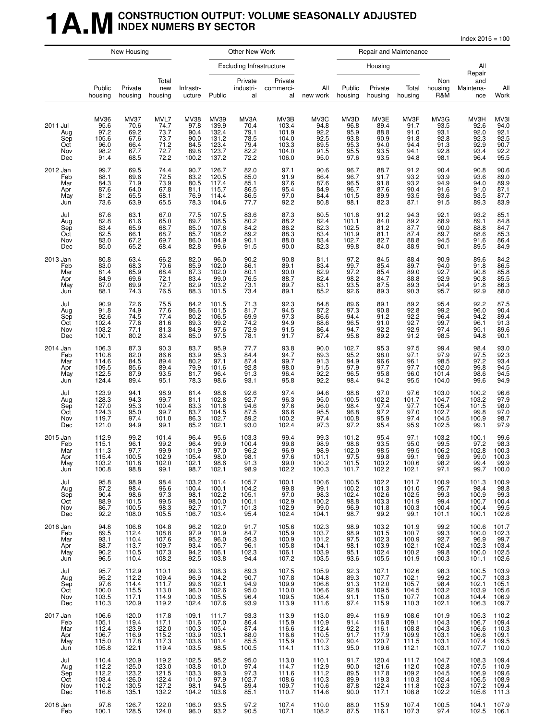#### **1 A.M** CONSTRUCTION OUTPUT: VOLUME SEASONALLY ADJUSTED **INDEX NUMERS BY SECTOR**

 $Index 2015 = 100$ 

|                                             | New Housing                                                  |                                                             |                                                      |                                                       | Other New Work                                             |                                                      |                                                            | Repair and Maintenance                                                                      |                                                      |                                                      |                                                      |                                                      |                                                                             |                                                             |
|---------------------------------------------|--------------------------------------------------------------|-------------------------------------------------------------|------------------------------------------------------|-------------------------------------------------------|------------------------------------------------------------|------------------------------------------------------|------------------------------------------------------------|---------------------------------------------------------------------------------------------|------------------------------------------------------|------------------------------------------------------|------------------------------------------------------|------------------------------------------------------|-----------------------------------------------------------------------------|-------------------------------------------------------------|
|                                             |                                                              |                                                             |                                                      |                                                       |                                                            | <b>Excluding Infrastructure</b>                      |                                                            |                                                                                             |                                                      | Housing                                              |                                                      |                                                      | All<br>Repair                                                               |                                                             |
|                                             | Public<br>housing                                            | Private<br>housing                                          | Total<br>new<br>housing                              | Infrastr-<br>ucture                                   | Public                                                     | Private<br>industri-<br>al                           | Private<br>commerci-<br>al                                 | All<br>new work                                                                             | Public<br>housing                                    | Private<br>housing                                   | Total<br>housing                                     | Non<br>housing<br>R&M                                | and<br>Maintena-<br>nce                                                     | All<br>Work                                                 |
| 2011 Jul<br>Aug<br>Sep<br>Oct<br>Nov<br>Dec | MV36<br>95.6<br>$\frac{97.2}{105.6}$<br>96.0<br>98.2<br>91.4 | <b>MV37</b><br>70.6<br>69.2<br>67.6<br>66.4<br>67.7<br>68.5 | MVL7<br>74.7<br>73.7<br>73.7<br>71.2<br>72.7<br>72.2 | MV38<br>97.8<br>90.4<br>90.0<br>84.5<br>89.8<br>100.2 | MV39<br>139.9<br>132.4<br>131.2<br>123.4<br>123.7<br>137.2 | MV3A<br>70.4<br>79.1<br>78.5<br>79.4<br>82.2<br>72.2 | MV3B<br>103.4<br>101.9<br>104.0<br>103.3<br>104.0<br>106.0 | MV3C<br>94.8<br>92.2<br>92.5<br>89.5<br>91.5<br>95.0                                        | MV3D<br>96.8<br>95.9<br>93.8<br>95.3<br>95.5<br>97.6 | MV3E<br>89.4<br>88.8<br>90.9<br>94.0<br>93.5<br>93.5 | MV3F<br>91.7<br>91.0<br>91.8<br>94.4<br>94.1<br>94.8 | MV3G<br>93.5<br>93.1<br>92.8<br>91.3<br>92.8<br>98.1 | MV3H<br>92.6<br>92.0<br>92.3<br>92.9<br>93.4<br>96.4                        | MV3I<br>94.0<br>92.1<br>92.5<br>90.7<br>92.2<br>95.5        |
| 2012 Jan<br>Feb<br>Mar<br>Apr<br>May<br>Jun | 99.7<br>88.1<br>84.3<br>87.6<br>81.2<br>73.6                 | 69.5<br>69.6<br>71.9<br>64.0<br>65.5<br>63.9                | 74.4<br>72.5<br>73.9<br>67.8<br>68.1<br>65.5         | 90.7<br>83.2<br>80.5<br>81.1<br>76.9<br>78.3          | 126.7<br>120.5<br>117.4<br>115.7<br>114.4<br>104.6         | 82.0<br>85.0<br>85.1<br>86.5<br>86.5<br>77.7         | 97.1<br>91.9<br>97.6<br>95.4<br>97.0<br>92.2               | 90.6<br>86.4<br>87.6<br>84.9<br>84.4<br>80.8                                                | 96.7<br>96.7<br>96.5<br>96.7<br>101.5<br>98.1        | 88.7<br>91.7<br>91.8<br>87.6<br>89.9<br>82.3         | 91.2<br>93.2<br>93.2<br>90.4<br>93.5<br>87.1         | 90.4<br>93.9<br>94.9<br>91.6<br>93.6<br>91.5         | 90.8<br>93.6<br>94.0<br>91.0<br>93.5<br>89.3                                | 90.6<br>89.0<br>89.9<br>87.1<br>87.7<br>83.9                |
| Jul<br>Aug<br>Sep<br>Oct<br>Nov<br>Dec      | 87.6<br>82.8<br>83.4<br>82.5<br>83.0<br>85.0                 | 63.1<br>61.6<br>65.9<br>66.1<br>67.2<br>65.2                | 67.0<br>65.0<br>68.7<br>68.7<br>69.7<br>68.4         | 77.5<br>89.7<br>85.0<br>85.7<br>86.0<br>82.8          | 107.5<br>108.5<br>107.6<br>108.2<br>104.9<br>99.6          | 83.6<br>80.2<br>84.2<br>89.2<br>90.1<br>91.5         | 87.3<br>88.2<br>86.2<br>88.3<br>88.0<br>90.0               | 80.5<br>82.4<br>82.3<br>83.4<br>83.4<br>82.3                                                | 101.6<br>101.1<br>102.5<br>101.9<br>102.7<br>99.8    | 91.2<br>84.0<br>81.2<br>81.1<br>82.7<br>84.0         | 94.3<br>89.2<br>87.7<br>87.4<br>88.8<br>88.9         | 92.1<br>88.9<br>$\frac{90.0}{89.7}$<br>94.5<br>90.1  | 93.2<br>89.1<br>$88.8$<br>$88.6$<br>91.6<br>89.5                            | 85.1<br>84.8<br>84.7<br>85.3<br>86.4<br>84.9                |
| 2013 Jan<br>Feb<br>Mar<br>Apr<br>May<br>Jun | 80.8<br>83.0<br>81.4<br>84.9<br>87.0<br>88.1                 | 63.4<br>68.3<br>65.9<br>69.6<br>69.9<br>74.3                | 66.2<br>70.6<br>68.4<br>72.1<br>72.7<br>76.5         | 82.0<br>85.9<br>87.3<br>83.4<br>82.9<br>88.3          | 96.0<br>102.0<br>102.0<br>99.0<br>103.2<br>101.5           | 90.2<br>86.1<br>80.1<br>76.5<br>73.1<br>73.4         | 90.8<br>89.1<br>90.0<br>88.7<br>89.7<br>89.1               | 81.1<br>83.4<br>82.9<br>82.4<br>83.1<br>85.2                                                | 97.2<br>99.7<br>97.2<br>98.2<br>93.5<br>92.6         | 84.5<br>85.4<br>85.4<br>84.7<br>87.5<br>89.3         | 88.4<br>89.7<br>89.0<br>88.8<br>89.3<br>90.3         | 90.9<br>94.0<br>92.7<br>92.9<br>94.4<br>95.7         | 89.6<br>$\begin{array}{c} 91.8 \\ 90.8 \end{array}$<br>90.8<br>91.8<br>92.9 | 84.2<br>86.5<br>85.8<br>85.5<br>86.3<br>88.0                |
| Jul<br>Aug<br>Sep<br>Oct<br>Nov<br>Dec      | $90.9$<br>$91.8$<br>92.6<br>102.4<br>103.2<br>100.1          | 72.6<br>74.9<br>74.5<br>77.6<br>77.1<br>80.2                | 75.5<br>77.6<br>77.4<br>81.6<br>81.3<br>83.4         | 84.2<br>86.6<br>80.2<br>89.3<br>84.9<br>85.0          | 101.5<br>101.5<br>106.5<br>99.2<br>97.6<br>97.5            | $71.3$<br>81.7<br>69.9<br>74.2<br>72.9<br>78.1       | 92.3<br>94.5<br>97.3<br>94.9<br>91.5<br>91.7               | 84.8<br>87.2<br>86.6<br>88.6<br>86.4<br>87.4                                                | 89.6<br>97.3<br>94.4<br>96.5<br>94.7<br>95.8         | 89.1<br>90.8<br>91.2<br>91.0<br>92.2<br>89.2         | 89.2<br>92.8<br>92.2<br>92.7<br>92.9<br>91.2         | 95.4<br>99.2<br>96.4<br>99.7<br>97.4<br>98.5         | 92.2<br>96.0<br>94.2<br>96.1<br>95.1<br>94.8                                | 87.5<br>90.4<br>89.4<br>91.3<br>89.6<br>90.1                |
| 2014 Jan<br>Feb<br>Mar<br>Apr<br>May<br>Jun | 106.3<br>110.8<br>114.6<br>109.5<br>122.5<br>124.4           | 87.3<br>82.0<br>84.5<br>85.6<br>87.9<br>89.4                | 90.3<br>86.6<br>89.4<br>89.4<br>93.5<br>95.1         | 83.7<br>83.9<br>80.2<br>79.9<br>81.7<br>78.3          | 95.9<br>95.3<br>97.1<br>101.6<br>96.4<br>98.6              | 77.7<br>84.4<br>87.4<br>92.8<br>91.3<br>93.1         | 93.8<br>94.7<br>99.7<br>98.0<br>96.4<br>95.8               | 90.0<br>89.3<br>91.3<br>91.5<br>92.2<br>92.2                                                | 102.7<br>95.2<br>94.9<br>97.9<br>96.5<br>98.4        | 95.3<br>98.0<br>96.6<br>97.7<br>95.8<br>94.2         | 97.5<br>97.1<br>96.1<br>97.7<br>96.0<br>95.5         | 99.4<br>97.9<br>98.5<br>102.0<br>101.4<br>104.0      | 98.4<br>97.5<br>97.2<br>99.8<br>98.6<br>99.6                                | 93.0<br>92.3<br>93.4<br>94.5<br>94.5<br>94.9                |
| Jul<br>Aug<br>Sep<br>Oct<br>Nov<br>Dec      | 123.9<br>128.3<br>127.0<br>124.3<br>119.7<br>121.0           | 94.1<br>94.3<br>95.3<br>95.0<br>97.4<br>94.9                | 98.9<br>99.7<br>100.4<br>99.7<br>101.0<br>99.1       | 81.4<br>81.1<br>83.3<br>83.7<br>86.3<br>85.2          | 98.6<br>102.8<br>101.6<br>104.5<br>102.7<br>102.1          | 92.6<br>92.7<br>94.6<br>87.5<br>89.2<br>93.0         | 97.4<br>96.3<br>97.6<br>96.6<br>100.2<br>102.4             | 94.6<br>95.0<br>96.0<br>95.5<br>97.4<br>97.3                                                | 98.8<br>100.5<br>98.4<br>96.8<br>100.8<br>97.2       | 97.0<br>102.2<br>97.4<br>97.2<br>95.9<br>95.4        | 97.6<br>101.7<br>97.7<br>97.0<br>97.4<br>95.9        | 103.0<br>104.7<br>105.4<br>102.7<br>104.5<br>102.5   | 100.2<br>103.2<br>101.5<br>99.8<br>100.9<br>99.1                            | 96.6<br>97.9<br>98.0<br>97.0<br>98.7<br>97.9                |
| 2015 Jan<br>Feb<br>Mar<br>Apr<br>May<br>Jun | 112.9<br>115.1<br>111.3<br>115.4<br>103.2<br>100.8           | 99.2<br>96.1<br>97.7<br>100.5<br>101.8<br>98.8              | 101.4<br>99.2<br>99.9<br>102.9<br>102.0<br>99.1      | 96.4<br>96.4<br>101.9<br>105.4<br>102.1<br>98.7       | 95.6<br>99.9<br>97.0<br>98.0<br>98.6<br>102.1              | 103.3<br>100.4<br>96.2<br>98.1<br>91.3<br>98.9       | 99.4<br>99.8<br>96.9<br>97.6<br>99.0<br>102.2              | 99.3<br>98.9<br>98.9<br>101.1<br>100.2<br>100.3                                             | 101.2<br>98.6<br>102.0<br>97.5<br>101.5<br>101.7     | 95.4<br>93.5<br>98.5<br>99.8<br>100.2<br>102.2       | 97.1<br>95.0<br>99.5<br>99.1<br>100.6<br>102.1       | 103.2<br>99.5<br>106.2<br>98.9<br>98.2<br>97.1       | 100.1<br>97.2<br>102.8<br>99.0<br>99.4<br>99.7                              | 99.6<br>98.3<br>100.3<br>100.3<br>99.9<br>100.0             |
| Jul<br>Aug<br>Sep<br>Oct<br>Nov<br>Dec      | 95.8<br>87.2<br>90.4<br>88.9<br>86.7<br>92.2                 | 98.9<br>98.4<br>98.6<br>101.5<br>100.5<br>108.0             | 98.4<br>96.6<br>97.3<br>99.5<br>98.3<br>105.5        | 103.2<br>100.4<br>98.1<br>98.0<br>92.7<br>106.7       | 101.4<br>100.1<br>102.2<br>100.0<br>101.7<br>103.4         | 105.7<br>104.2<br>105.1<br>100.1<br>101.3<br>95.4    | 100.1<br>99.8<br>$97.0$<br>102.9<br>102.9<br>102.4         | 100.6<br>99.1<br>98.3<br>100.2<br>99.0<br>104.1                                             | 100.5<br>100.2<br>102.4<br>98.8<br>96.9<br>98.7      | 102.2<br>101.3<br>102.6<br>103.3<br>101.8<br>99.2    | 101.7<br>101.0<br>102.5<br>101.9<br>100.3<br>99.1    | 100.9<br>95.7<br>99.3<br>99.4<br>100.4<br>101.1      | 101.3<br>98.4<br>100.9<br>100.7<br>100.4<br>100.1                           | 100.9<br>98.8<br>99.3<br>100.4<br>99.5<br>102.6             |
| 2016 Jan<br>Feb<br>Mar<br>Apr<br>May<br>Jun | 94.8<br>89.5<br>93.1<br>88.7<br>90.2<br>96.5                 | 106.8<br>112.4<br>110.4<br>113.7<br>110.5<br>110.4          | 104.8<br>108.8<br>107.6<br>109.7<br>107.3<br>108.2   | 96.2<br>97.9<br>95.2<br>93.4<br>94.2<br>92.5          | 102.0<br>101.9<br>96.0<br>105.7<br>106.1<br>103.8          | 91.7<br>84.7<br>96.3<br>96.1<br>102.3<br>94.4        | 105.6<br>105.9<br>100.9<br>105.8<br>106.1<br>107.2         | 102.3<br>103.7<br>101.2<br>104.1<br>103.9<br>103.5                                          | 98.9<br>98.9<br>97.5<br>98.1<br>95.1<br>93.6         | 103.2<br>101.5<br>102.3<br>103.9<br>102.4<br>105.5   | 101.9<br>100.7<br>100.9<br>102.1<br>100.2<br>101.9   | 99.2<br>99.3<br>92.7<br>102.4<br>99.8<br>100.3       | 100.6<br>100.0<br>96.9<br>102.3<br>100.0<br>101.1                           | 101.7<br>$102.3$<br>$99.7$<br>$103.4$<br>$102.5$<br>$102.6$ |
| Jul<br>Aug<br>Sep<br>Oct<br>Nov<br>Dec      | 95.7<br>95.2<br>97.6<br>100.0<br>103.5<br>110.3              | 112.9<br>112.2<br>114.4<br>115.5<br>117.1<br>120.9          | 110.1<br>109.4<br>111.7<br>113.0<br>114.9<br>119.2   | 99.3<br>96.9<br>99.6<br>$96.0$<br>100.6<br>102.4      | 108.3<br>104.2<br>102.1<br>102.6<br>105.5<br>107.6         | 89.3<br>90.7<br>94.9<br>95.0<br>96.4<br>93.9         | 107.5<br>107.8<br>109.9<br>110.0<br>109.5<br>113.9         | 105.9<br>104.8<br>106.8<br>106.6<br>108.4<br>111.6                                          | 92.3<br>89.3<br>91.3<br>92.8<br>91.1<br>97.4         | 107.1<br>107.7<br>112.0<br>109.5<br>115.0<br>115.9   | 102.6<br>102.1<br>105.7<br>104.5<br>107.7<br>110.3   | 98.3<br>99.2<br>98.4<br>103.2<br>100.8<br>102.1      | 100.5<br>100.7<br>102.1<br>103.9<br>104.4<br>106.3                          | 103.9<br>103.3<br>$105.1$<br>$105.6$<br>$106.9$<br>109.7    |
| 2017 Jan<br>Feb<br>Mar<br>Apr<br>May<br>Jun | 106.6<br>105.1<br>112.4<br>106.7<br>115.0<br>105.8           | 120.0<br>119.4<br>123.9<br>116.9<br>117.8<br>122.1          | 117.8<br>117.1<br>122.0<br>115.2<br>117.3<br>119.4   | 109.1<br>101.6<br>100.3<br>103.9<br>103.6<br>103.5    | 111.7<br>107.0<br>105.4<br>103.1<br>101.4<br>98.5          | 93.3<br>86.4<br>87.4<br>88.0<br>85.5<br>100.5        | 113.9<br>115.9<br>116.6<br>116.6<br>115.9<br>114.1         | $\begin{array}{c} 113.0 \\ 110.9 \\ 112.4 \\ 110.5 \\ \vdots \end{array}$<br>110.7<br>111.3 | 89.4<br>91.4<br>92.2<br>91.7<br>90.4<br>95.0         | 116.9<br>116.8<br>116.1<br>117.9<br>120.7<br>119.6   | 108.6<br>109.1<br>108.8<br>109.9<br>111.5<br>112.1   | 101.9<br>104.3<br>104.3<br>103.1<br>103.1<br>103.1   | $105.3$<br>$106.7$<br>106.6<br>106.6<br>107.4<br>107.7                      | $110.2$<br>$109.4$<br>110.3<br>109.1<br>109.5<br>110.0      |
| Jul<br>Aug<br>Sep<br>Oct<br>Nov<br>Dec      | 110.4<br>112.2<br>112.2<br>103.4<br>110.2<br>116.8           | 120.9<br>125.0<br>123.2<br>126.0<br>130.5<br>135.1          | 119.2<br>123.0<br>121.5<br>122.4<br>127.2<br>132.2   | 102.5<br>103.8<br>103.3<br>101.0<br>98.1<br>104.2     | 95.2<br>101.0<br>99.3<br>97.9<br>94.5<br>103.6             | 95.0<br>97.4<br>97.3<br>102.7<br>89.4<br>85.1        | 113.0<br>114.7<br>111.6<br>108.6<br>109.7<br>110.7         | 110.1<br>112.9<br>111.2<br>110.3<br>110.6<br>114.6                                          | 91.7<br>90.0<br>89.5<br>89.9<br>87.8<br>90.0         | 120.4<br>121.6<br>117.8<br>119.3<br>122.4<br>117.1   | 111.7<br>112.0<br>109.2<br>110.3<br>111.8<br>108.8   | 104.7<br>102.8<br>104.5<br>102.4<br>102.3<br>102.2   | 108.3<br>107.5<br>106.9<br>106.5<br>107.2<br>105.6                          | 109.4<br>110.9<br>109.6<br>108.9<br>109.4<br>111.3          |
| 2018 Jan<br>Feb                             | 97.8<br>100.1                                                | 126.7<br>128.5                                              | 122.0<br>124.0                                       | 106.0<br>96.0                                         | 93.5<br>93.2                                               | 97.2<br>90.5                                         | 107.4<br>107.1                                             | 110.0<br>108.2                                                                              | 88.0<br>87.5                                         | 115.9<br>116.1                                       | 107.4<br>107.3                                       | 100.5<br>97.4                                        | 104.1<br>102.5                                                              | 107.9<br>106.1                                              |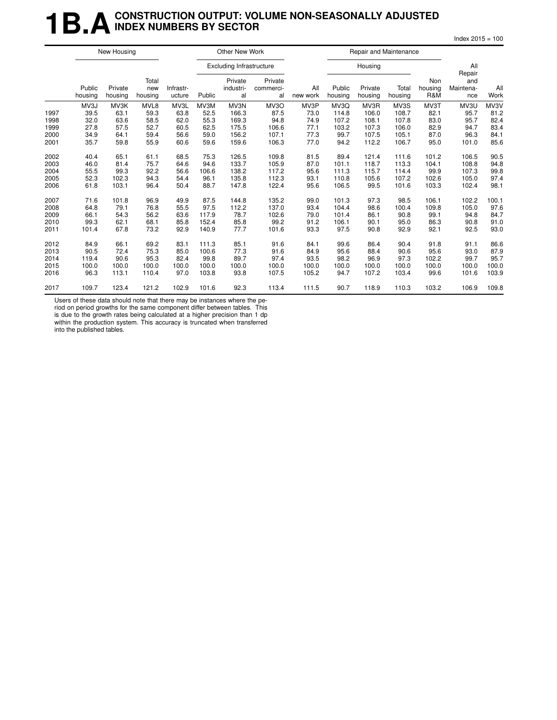### **1B.A** CONSTRUCTION OUTPUT: VOLUME NON-SEASONALLY ADJUSTED **INDEX NUMBERS BY SECTOR**

 $Index 2015 = 100$ 

|      |                   | New Housing        |                         |                     |        | Other New Work                  |                            |                 |                   | Repair and Maintenance |                  |                       |                                   |             |
|------|-------------------|--------------------|-------------------------|---------------------|--------|---------------------------------|----------------------------|-----------------|-------------------|------------------------|------------------|-----------------------|-----------------------------------|-------------|
|      |                   |                    |                         |                     |        | <b>Excluding Infrastructure</b> |                            |                 |                   | Housing                |                  |                       | All                               |             |
|      | Public<br>housing | Private<br>housing | Total<br>new<br>housing | Infrastr-<br>ucture | Public | Private<br>industri-<br>al      | Private<br>commerci-<br>al | All<br>new work | Public<br>housing | Private<br>housing     | Total<br>housing | Non<br>housing<br>R&M | Repair<br>and<br>Maintena-<br>nce | All<br>Work |
|      | MV3J              | MV3K               | MVL8                    | MV3L                | MV3M   | MV3N                            | MV3O                       | MV3P            | MV3Q              | MV3R                   | MV3S             | MV3T                  | MV3U                              | MV3V        |
| 1997 | 39.5              | 63.1               | 59.3                    | 63.8                | 52.5   | 166.3                           | 87.5                       | 73.0            | 114.8             | 106.0                  | 108.7            | 82.1                  | 95.7                              | 81.2        |
| 1998 | 32.0              | 63.6               | 58.5                    | 62.0                | 55.3   | 169.3                           | 94.8                       | 74.9            | 107.2             | 108.1                  | 107.8            | 83.0                  | 95.7                              | 82.4        |
| 1999 | 27.8              | 57.5               | 52.7                    | 60.5                | 62.5   | 175.5                           | 106.6                      | 77.1            | 103.2             | 107.3                  | 106.0            | 82.9                  | 94.7                              | 83.4        |
| 2000 | 34.9              | 64.1               | 59.4                    | 56.6                | 59.0   | 156.2                           | 107.1                      | 77.3            | 99.7              | 107.5                  | 105.1            | 87.0                  | 96.3                              | 84.1        |
| 2001 | 35.7              | 59.8               | 55.9                    | 60.6                | 59.6   | 159.6                           | 106.3                      | 77.0            | 94.2              | 112.2                  | 106.7            | 95.0                  | 101.0                             | 85.6        |
| 2002 | 40.4              | 65.1               | 61.1                    | 68.5                | 75.3   | 126.5                           | 109.8                      | 81.5            | 89.4              | 121.4                  | 111.6            | 101.2                 | 106.5                             | 90.5        |
| 2003 | 46.0              | 81.4               | 75.7                    | 64.6                | 94.6   | 133.7                           | 105.9                      | 87.0            | 101.1             | 118.7                  | 113.3            | 104.1                 | 108.8                             | 94.8        |
| 2004 | 55.5              | 99.3               | 92.2                    | 56.6                | 106.6  | 138.2                           | 117.2                      | 95.6            | 111.3             | 115.7                  | 114.4            | 99.9                  | 107.3                             | 99.8        |
| 2005 | 52.3              | 102.3              | 94.3                    | 54.4                | 96.1   | 135.8                           | 112.3                      | 93.1            | 110.8             | 105.6                  | 107.2            | 102.6                 | 105.0                             | 97.4        |
| 2006 | 61.8              | 103.1              | 96.4                    | 50.4                | 88.7   | 147.8                           | 122.4                      | 95.6            | 106.5             | 99.5                   | 101.6            | 103.3                 | 102.4                             | 98.1        |
| 2007 | 71.6              | 101.8              | 96.9                    | 49.9                | 87.5   | 144.8                           | 135.2                      | 99.0            | 101.3             | 97.3                   | 98.5             | 106.1                 | 102.2                             | 100.1       |
| 2008 | 64.8              | 79.1               | 76.8                    | 55.5                | 97.5   | 112.2                           | 137.0                      | 93.4            | 104.4             | 98.6                   | 100.4            | 109.8                 | 105.0                             | 97.6        |
| 2009 | 66.1              | 54.3               | 56.2                    | 63.6                | 117.9  | 78.7                            | 102.6                      | 79.0            | 101.4             | 86.1                   | 90.8             | 99.1                  | 94.8                              | 84.7        |
| 2010 | 99.3              | 62.1               | 68.1                    | 85.8                | 152.4  | 85.8                            | 99.2                       | 91.2            | 106.1             | 90.1                   | 95.0             | 86.3                  | 90.8                              | 91.0        |
| 2011 | 101.4             | 67.8               | 73.2                    | 92.9                | 140.9  | 77.7                            | 101.6                      | 93.3            | 97.5              | 90.8                   | 92.9             | 92.1                  | 92.5                              | 93.0        |
| 2012 | 84.9              | 66.1               | 69.2                    | 83.1                | 111.3  | 85.1                            | 91.6                       | 84.1            | 99.6              | 86.4                   | 90.4             | 91.8                  | 91.1                              | 86.6        |
| 2013 | 90.5              | 72.4               | 75.3                    | 85.0                | 100.6  | 77.3                            | 91.6                       | 84.9            | 95.6              | 88.4                   | 90.6             | 95.6                  | 93.0                              | 87.9        |
| 2014 | 119.4             | 90.6               | 95.3                    | 82.4                | 99.8   | 89.7                            | 97.4                       | 93.5            | 98.2              | 96.9                   | 97.3             | 102.2                 | 99.7                              | 95.7        |
| 2015 | 100.0             | 100.0              | 100.0                   | 100.0               | 100.0  | 100.0                           | 100.0                      | 100.0           | 100.0             | 100.0                  | 100.0            | 100.0                 | 100.0                             | 100.0       |
| 2016 | 96.3              | 113.1              | 110.4                   | 97.0                | 103.8  | 93.8                            | 107.5                      | 105.2           | 94.7              | 107.2                  | 103.4            | 99.6                  | 101.6                             | 103.9       |
| 2017 | 109.7             | 123.4              | 121.2                   | 102.9               | 101.6  | 92.3                            | 113.4                      | 111.5           | 90.7              | 118.9                  | 110.3            | 103.2                 | 106.9                             | 109.8       |

Users of these data should note that there may be instances where the pe-

riod on period growths for the same component differ between tables. This is due to the growth rates being calculated at a higher precision than 1 dp

within the production system. This accuracy is truncated when transferred

into the published tables.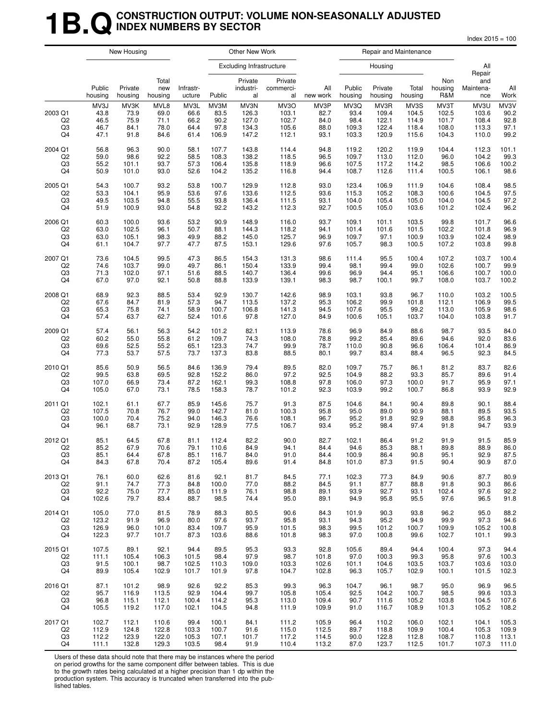### **1B.Q** CONSTRUCTION OUTPUT: VOLUME NON-SEASONALLY ADJUSTED **INDEX NUMBERS BY SECTOR**

 $Index 2015 = 100$ 

|                                       |                                      | New Housing                          |                                      |                                      |                                       | Other New Work                           |                                          |                                      |                                        | Repair and Maintenance                   |                                          |                                          |                                          |                                      |
|---------------------------------------|--------------------------------------|--------------------------------------|--------------------------------------|--------------------------------------|---------------------------------------|------------------------------------------|------------------------------------------|--------------------------------------|----------------------------------------|------------------------------------------|------------------------------------------|------------------------------------------|------------------------------------------|--------------------------------------|
|                                       |                                      |                                      |                                      |                                      |                                       | <b>Excluding Infrastructure</b>          |                                          |                                      |                                        | Housing                                  |                                          |                                          | All<br>Repair                            |                                      |
|                                       | Public<br>housing                    | Private<br>housing                   | Total<br>new<br>housing              | Infrastr-<br>ucture                  | Public                                | Private<br>industri-<br>al               | Private<br>commerci-<br>al               | All<br>new work                      | Public<br>housing                      | Private<br>housing                       | Total<br>housing                         | Non<br>housing<br>R&M                    | and<br>Maintena-<br>nce                  | All<br>Work                          |
| 2003 Q1<br>Q <sub>2</sub><br>Q3<br>Q4 | MV3J<br>43.8<br>46.5<br>46.7<br>47.1 | MV3K<br>73.9<br>75.9<br>84.1<br>91.8 | MVL8<br>69.0<br>71.1<br>78.0<br>84.6 | MV3L<br>66.6<br>66.2<br>64.4<br>61.4 | MV3M<br>83.5<br>90.2<br>97.8<br>106.9 | MV3N<br>126.3<br>127.0<br>134.3<br>147.2 | MV3O<br>103.1<br>102.7<br>105.6<br>112.1 | MV3P<br>82.7<br>84.0<br>88.0<br>93.1 | MV3Q<br>93.4<br>98.4<br>109.3<br>103.3 | MV3R<br>109.4<br>122.1<br>122.4<br>120.9 | MV3S<br>104.5<br>114.9<br>118.4<br>115.6 | MV3T<br>102.5<br>101.7<br>108.0<br>104.3 | MV3U<br>103.6<br>108.4<br>113.3<br>110.0 | MV3V<br>90.2<br>92.8<br>97.1<br>99.2 |
| 2004 Q1                               | 56.8                                 | 96.3                                 | 90.0                                 | 58.1                                 | 107.7                                 | 143.8                                    | 114.4                                    | 94.8                                 | 119.2                                  | 120.2                                    | 119.9                                    | 104.4                                    | 112.3                                    | 101.1                                |
| Q <sub>2</sub>                        | 59.0                                 | 98.6                                 | 92.2                                 | 58.5                                 | 108.3                                 | 138.2                                    | 118.5                                    | 96.5                                 | 109.7                                  | 113.0                                    | 112.0                                    | 96.0                                     | 104.2                                    | 99.3                                 |
| Q3                                    | 55.2                                 | 101.1                                | 93.7                                 | 57.3                                 | 106.4                                 | 135.8                                    | 118.9                                    | 96.6                                 | 107.5                                  | 117.2                                    | 114.2                                    | 98.5                                     | 106.6                                    | 100.2                                |
| Q4                                    | 50.9                                 | 101.0                                | 93.0                                 | 52.6                                 | 104.2                                 | 135.2                                    | 116.8                                    | 94.4                                 | 108.7                                  | 112.6                                    | 111.4                                    | 100.5                                    | 106.1                                    | 98.6                                 |
| 2005 Q1                               | 54.3                                 | 100.7                                | 93.2                                 | 53.8                                 | 100.7                                 | 129.9                                    | 112.8                                    | 93.0                                 | 123.4                                  | 106.9                                    | 111.9                                    | 104.6                                    | 108.4                                    | 98.5                                 |
| Q <sub>2</sub>                        | 53.3                                 | 104.1                                | 95.9                                 | 53.6                                 | 97.6                                  | 133.6                                    | 112.5                                    | 93.6                                 | 115.3                                  | 105.2                                    | 108.3                                    | 100.6                                    | 104.5                                    | 97.5                                 |
| Q3                                    | 49.5                                 | 103.5                                | 94.8                                 | 55.5                                 | 93.8                                  | 136.4                                    | 111.5                                    | 93.1                                 | 104.0                                  | 105.4                                    | 105.0                                    | 104.0                                    | 104.5                                    | 97.2                                 |
| Q4                                    | 51.9                                 | 100.9                                | 93.0                                 | 54.8                                 | 92.2                                  | 143.2                                    | 112.3                                    | 92.7                                 | 100.5                                  | 105.0                                    | 103.6                                    | 101.2                                    | 102.4                                    | 96.2                                 |
| 2006 Q1                               | 60.3                                 | 100.0                                | 93.6                                 | 53.2                                 | 90.9                                  | 148.9                                    | 116.0                                    | 93.7                                 | 109.1                                  | 101.1                                    | 103.5                                    | 99.8                                     | 101.7                                    | 96.6                                 |
| Q <sub>2</sub>                        | 63.0                                 | 102.5                                | 96.1                                 | 50.7                                 | 88.1                                  | 144.3                                    | 118.2                                    | 94.1                                 | 101.4                                  | 101.6                                    | 101.5                                    | 102.2                                    | 101.8                                    | 96.9                                 |
| Q3                                    | 63.0                                 | 105.1                                | 98.3                                 | 49.9                                 | 88.2                                  | 145.0                                    | 125.7                                    | 96.9                                 | 109.7                                  | 97.1                                     | 100.9                                    | 103.9                                    | 102.4                                    | 98.9                                 |
| Q4                                    | 61.1                                 | 104.7                                | 97.7                                 | 47.7                                 | 87.5                                  | 153.1                                    | 129.6                                    | 97.6                                 | 105.7                                  | 98.3                                     | 100.5                                    | 107.2                                    | 103.8                                    | 99.8                                 |
| 2007 Q1                               | 73.6                                 | 104.5                                | 99.5                                 | 47.3                                 | 86.5                                  | 154.3                                    | 131.3                                    | 98.6                                 | 111.4                                  | 95.5                                     | 100.4                                    | 107.2                                    | 103.7                                    | 100.4                                |
| Q <sub>2</sub>                        | 74.6                                 | 103.7                                | 99.0                                 | 49.7                                 | 86.1                                  | 150.4                                    | 133.9                                    | 99.4                                 | 98.1                                   | 99.4                                     | 99.0                                     | 102.6                                    | 100.7                                    | 99.9                                 |
| Q3                                    | 71.3                                 | 102.0                                | 97.1                                 | 51.6                                 | 88.5                                  | 140.7                                    | 136.4                                    | 99.6                                 | 96.9                                   | 94.4                                     | 95.1                                     | 106.6                                    | 100.7                                    | 100.0                                |
| Q4                                    | 67.0                                 | 97.0                                 | 92.1                                 | 50.8                                 | 88.8                                  | 133.9                                    | 139.1                                    | 98.3                                 | 98.7                                   | 100.1                                    | 99.7                                     | 108.0                                    | 103.7                                    | 100.2                                |
| 2008 Q1                               | 68.9                                 | 92.3                                 | 88.5                                 | 53.4                                 | 92.9                                  | 130.7                                    | 142.6                                    | 98.9                                 | 103.1                                  | 93.8                                     | 96.7                                     | 110.0                                    | 103.2                                    | 100.5                                |
| Q2                                    | 67.6                                 | 84.7                                 | 81.9                                 | 57.3                                 | 94.7                                  | 113.5                                    | 137.2                                    | 95.3                                 | 106.2                                  | 99.9                                     | 101.8                                    | 112.1                                    | 106.9                                    | 99.5                                 |
| Q3                                    | 65.3                                 | 75.8                                 | 74.1                                 | 58.9                                 | 100.7                                 | 106.8                                    | 141.3                                    | 94.5                                 | 107.6                                  | 95.5                                     | 99.2                                     | 113.0                                    | 105.9                                    | 98.6                                 |
| Q4                                    | 57.4                                 | 63.7                                 | 62.7                                 | 52.4                                 | 101.6                                 | 97.8                                     | 127.0                                    | 84.9                                 | 100.6                                  | 105.1                                    | 103.7                                    | 104.0                                    | 103.8                                    | 91.7                                 |
| 2009 Q1                               | 57.4                                 | 56.1                                 | 56.3                                 | 54.2                                 | 101.2                                 | 82.1                                     | 113.9                                    | 78.6                                 | 96.9                                   | 84.9                                     | 88.6                                     | 98.7                                     | 93.5                                     | 84.0                                 |
| Q <sub>2</sub>                        | 60.2                                 | 55.0                                 | 55.8                                 | 61.2                                 | 109.7                                 | 74.3                                     | 108.0                                    | 78.8                                 | 99.2                                   | 85.4                                     | 89.6                                     | 94.6                                     | 92.0                                     | 83.6                                 |
| Q3                                    | 69.6                                 | 52.5                                 | 55.2                                 | 65.1                                 | 123.3                                 | 74.7                                     | 99.9                                     | 78.7                                 | 110.0                                  | 90.8                                     | 96.6                                     | 106.4                                    | 101.4                                    | 86.9                                 |
| Q4                                    | 77.3                                 | 53.7                                 | 57.5                                 | 73.7                                 | 137.3                                 | 83.8                                     | 88.5                                     | 80.1                                 | 99.7                                   | 83.4                                     | 88.4                                     | 96.5                                     | 92.3                                     | 84.5                                 |
| 2010 Q1                               | 85.6                                 | 50.9                                 | 56.5                                 | 84.6                                 | 136.9                                 | 79.4                                     | 89.5                                     | 82.0                                 | 109.7                                  | 75.7                                     | 86.1                                     | 81.2                                     | 83.7                                     | 82.6                                 |
| Q <sub>2</sub>                        | 99.5                                 | 63.8                                 | 69.5                                 | 92.8                                 | 152.2                                 | 86.0                                     | 97.2                                     | 92.5                                 | 104.9                                  | 88.2                                     | 93.3                                     | 85.7                                     | 89.6                                     | 91.4                                 |
| Q3                                    | 107.0                                | 66.9                                 | 73.4                                 | 87.2                                 | 162.1                                 | 99.3                                     | 108.8                                    | 97.8                                 | 106.0                                  | 97.3                                     | 100.0                                    | 91.7                                     | 95.9                                     | 97.1                                 |
| Q4                                    | 105.0                                | 67.0                                 | 73.1                                 | 78.5                                 | 158.3                                 | 78.7                                     | 101.2                                    | 92.3                                 | 103.9                                  | 99.2                                     | 100.7                                    | 86.8                                     | 93.9                                     | 92.9                                 |
| 2011 Q1                               | 102.1                                | 61.1                                 | 67.7                                 | 85.9                                 | 145.6                                 | 75.7                                     | 91.3                                     | 87.5                                 | 104.6                                  | 84.1                                     | 90.4                                     | 89.8                                     | 90.1                                     | 88.4                                 |
| Q2                                    | 107.5                                | 70.8                                 | 76.7                                 | 99.0                                 | 142.7                                 | 81.0                                     | 100.3                                    | 95.8                                 | 95.0                                   | 89.0                                     | 90.9                                     | 88.1                                     | 89.5                                     | 93.5                                 |
| Q3                                    | 100.0                                | 70.4                                 | 75.2                                 | 94.0                                 | 146.3                                 | 76.6                                     | 108.1                                    | 96.7                                 | 95.2                                   | 91.8                                     | 92.9                                     | 98.8                                     | 95.8                                     | 96.3                                 |
| Q4                                    | 96.1                                 | 68.7                                 | 73.1                                 | 92.9                                 | 128.9                                 | 77.5                                     | 106.7                                    | 93.4                                 | 95.2                                   | 98.4                                     | 97.4                                     | 91.8                                     | 94.7                                     | 93.9                                 |
| 2012 Q1                               | 85.1                                 | 64.5                                 | 67.8                                 | 81.1                                 | 112.4                                 | 82.2                                     | 90.0                                     | 82.7                                 | 102.1                                  | 86.4                                     | 91.2                                     | 91.9                                     | 91.5                                     | 85.9                                 |
| Q2                                    | 85.2                                 | 67.9                                 | 70.6                                 | 79.1                                 | 110.6                                 | 84.9                                     | 94.1                                     | 84.4                                 | 94.6                                   | 85.3                                     | 88.1                                     | 89.8                                     | 88.9                                     | 86.0                                 |
| Q3                                    | 85.1                                 | 64.4                                 | 67.8                                 | 85.1                                 | 116.7                                 | 84.0                                     | 91.0                                     | 84.4                                 | 100.9                                  | 86.4                                     | 90.8                                     | 95.1                                     | 92.9                                     | 87.5                                 |
| Q4                                    | 84.3                                 | 67.8                                 | 70.4                                 | 87.2                                 | 105.4                                 | 89.6                                     | 91.4                                     | 84.8                                 | 101.0                                  | 87.3                                     | 91.5                                     | 90.4                                     | 90.9                                     | 87.0                                 |
| 2013 Q1                               | 76.1                                 | 60.0                                 | 62.6                                 | 81.6                                 | 92.1                                  | 81.7                                     | 84.5                                     | 77.1                                 | 102.3                                  | 77.3                                     | 84.9                                     | 90.6                                     | 87.7                                     | 80.9                                 |
| Q2                                    | 91.1                                 | 74.7                                 | 77.3                                 | 84.8                                 | 100.0                                 | 77.0                                     | 88.2                                     | 84.5                                 | 91.1                                   | 87.7                                     | 88.8                                     | 91.8                                     | 90.3                                     | 86.6                                 |
| Q3                                    | 92.2                                 | 75.0                                 | 77.7                                 | 85.0                                 | 111.9                                 | 76.1                                     | 98.8                                     | 89.1                                 | 93.9                                   | 92.7                                     | 93.1                                     | 102.4                                    | 97.6                                     | 92.2                                 |
| Q4                                    | 102.6                                | 79.7                                 | 83.4                                 | 88.7                                 | 98.5                                  | 74.4                                     | 95.0                                     | 89.1                                 | 94.9                                   | 95.8                                     | 95.5                                     | 97.6                                     | 96.5                                     | 91.8                                 |
| 2014 Q1                               | 105.0                                | 77.0                                 | 81.5                                 | 78.9                                 | 88.3                                  | 80.5                                     | 90.6                                     | 84.3                                 | 101.9                                  | 90.3                                     | 93.8                                     | 96.2                                     | 95.0                                     | 88.2                                 |
| Q <sub>2</sub>                        | 123.2                                | 91.9                                 | 96.9                                 | 80.0                                 | 97.6                                  | 93.7                                     | 95.8                                     | 93.1                                 | 94.3                                   | 95.2                                     | 94.9                                     | 99.9                                     | 97.3                                     | 94.6                                 |
| $_{\rm Q3}$                           | 126.9                                | 96.0                                 | 101.0                                | 83.4                                 | 109.7                                 | 95.9                                     | 101.5                                    | 98.3                                 | 99.5                                   | 101.2                                    | 100.7                                    | 109.9                                    | 105.2                                    | 100.8                                |
| Q4                                    | 122.3                                | 97.7                                 | 101.7                                | 87.3                                 | 103.6                                 | 88.6                                     | 101.8                                    | 98.3                                 | 97.0                                   | 100.8                                    | 99.6                                     | 102.7                                    | 101.1                                    | 99.3                                 |
| 2015 Q1                               | 107.5                                | 89.1                                 | 92.1                                 | 94.4                                 | 89.5                                  | 95.3                                     | 93.3                                     | 92.8                                 | 105.6                                  | 89.4                                     | 94.4                                     | 100.4                                    | 97.3                                     | 94.4                                 |
| Q2                                    | 111.1                                | 105.4                                | 106.3                                | 101.5                                | 98.4                                  | 97.9                                     | 98.7                                     | 101.8                                | 97.0                                   | 100.3                                    | 99.3                                     | 95.8                                     | 97.6                                     | 100.3                                |
| Q3                                    | 91.5                                 | 100.1                                | 98.7                                 | 102.5                                | 110.3                                 | 109.0                                    | 103.3                                    | 102.6                                | 101.1                                  | 104.6                                    | 103.5                                    | 103.7                                    | 103.6                                    | 103.0                                |
| Q4                                    | 89.9                                 | 105.4                                | 102.9                                | 101.7                                | 101.9                                 | 97.8                                     | 104.7                                    | 102.8                                | 96.3                                   | 105.7                                    | 102.9                                    | 100.1                                    | 101.5                                    | 102.3                                |
| 2016 Q1                               | 87.1                                 | 101.2                                | 98.9                                 | 92.6                                 | 92.2                                  | 85.3                                     | 99.3                                     | 96.3                                 | 104.7                                  | 96.1                                     | 98.7                                     | 95.0                                     | 96.9                                     | 96.5                                 |
| Q2                                    | 95.7                                 | 116.9                                | 113.5                                | 92.9                                 | 104.4                                 | 99.7                                     | 105.8                                    | 105.4                                | 92.5                                   | 104.2                                    | 100.7                                    | 98.5                                     | 99.6                                     | 103.3                                |
| Q3                                    | 96.8                                 | 115.1                                | 112.1                                | 100.4                                | 114.2                                 | 95.3                                     | 113.0                                    | 109.4                                | 90.7                                   | 111.6                                    | 105.2                                    | 103.8                                    | 104.5                                    | 107.6                                |
| Q4                                    | 105.5                                | 119.2                                | 117.0                                | 102.1                                | 104.5                                 | 94.8                                     | 111.9                                    | 109.9                                | 91.0                                   | 116.7                                    | 108.9                                    | 101.3                                    | 105.2                                    | 108.2                                |
| 2017 Q1                               | 102.7                                | 112.1                                | 110.6                                | 99.4                                 | 100.1                                 | 84.1                                     | 111.2                                    | 105.9                                | 96.4                                   | 110.2                                    | 106.0                                    | 102.1                                    | 104.1                                    | 105.3                                |
| Q <sub>2</sub>                        | 112.9                                | 124.8                                | 122.8                                | 103.3                                | 100.7                                 | 91.6                                     | 115.0                                    | 112.5                                | 89.7                                   | 118.8                                    | 109.9                                    | 100.4                                    | 105.3                                    | 109.9                                |
| $_{\rm Q3}$                           | 112.2                                | 123.9                                | 122.0                                | 105.3                                | 107.1                                 | 101.7                                    | 117.2                                    | 114.5                                | 90.0                                   | 122.8                                    | 112.8                                    | 108.7                                    | 110.8                                    | 113.1                                |
| Q4                                    | 111.1                                | 132.8                                | 129.3                                | 103.5                                | 98.4                                  | 91.9                                     | 110.4                                    | 113.2                                | 87.0                                   | 123.7                                    | 112.5                                    | 101.7                                    | 107.3                                    | 111.0                                |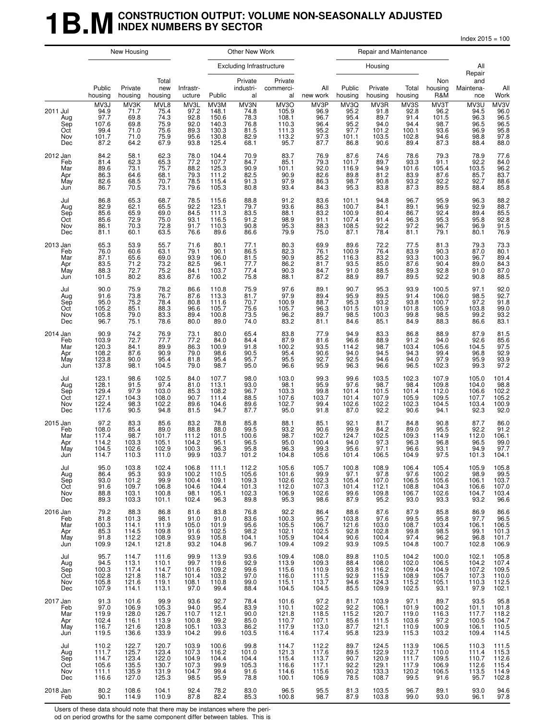### **1B.M** CONSTRUCTION OUTPUT: VOLUME NON-SEASONALLY ADJUSTED **INDEX NUMBERS BY SECTOR**

Index 2015 = 100

|                                             | New Housing                                               |                                                         |                                                      | Other New Work                                          |                                                            |                                                      | Repair and Maintenance                                    |                                                      |                                                       |                                                        |                                                        |                                                                                         |                                                                                  |                                                        |
|---------------------------------------------|-----------------------------------------------------------|---------------------------------------------------------|------------------------------------------------------|---------------------------------------------------------|------------------------------------------------------------|------------------------------------------------------|-----------------------------------------------------------|------------------------------------------------------|-------------------------------------------------------|--------------------------------------------------------|--------------------------------------------------------|-----------------------------------------------------------------------------------------|----------------------------------------------------------------------------------|--------------------------------------------------------|
|                                             |                                                           |                                                         |                                                      |                                                         |                                                            | Excluding Infrastructure                             |                                                           |                                                      |                                                       | Housing                                                |                                                        |                                                                                         | All<br>Repair                                                                    |                                                        |
|                                             | Public<br>housing                                         | Private<br>housing                                      | Total<br>new<br>housing                              | Infrastr-<br>ucture                                     | Public                                                     | Private<br>industri-<br>al                           | Private<br>commerci-<br>al                                | All<br>new work                                      | Public<br>housing                                     | Private<br>housing                                     | Total<br>housing                                       | Non<br>housing<br>R&M                                                                   | and<br>Maintena-<br>nce                                                          | All<br>Work                                            |
| 2011 Jul<br>Aug<br>Sep<br>Oct<br>Nov<br>Dec | MV3J<br>94.9<br>97.7<br>107.6<br>99.4<br>101.7<br>87.2    | MV3K<br>71.7<br>69.8<br>69.8<br>71.0<br>71.0<br>64.2    | MVL8<br>75.4<br>74.3<br>75.9<br>75.6<br>75.9<br>67.9 | MV3L<br>97.2<br>92.8<br>92.0<br>89.3<br>95.6<br>93.8    | MV3M<br>148.1<br>150.6<br>140.3<br>130.3<br>130.8<br>125.4 | MV3N<br>74.8<br>78.3<br>76.8<br>81.5<br>82.9<br>68.1 | MV3O<br>105.9<br>108.1<br>110.3<br>111.3<br>113.2<br>95.7 | MV3P<br>96.9<br>96.7<br>96.4<br>95.2<br>97.3<br>87.7 | MV3Q<br>95.2<br>95.4<br>95.2<br>97.7<br>101.1<br>86.8 | MV3R<br>91.8<br>89.7<br>94.0<br>101.2<br>103.5<br>90.6 | MV3S<br>92.8<br>91.4<br>94.4<br>100.1<br>102.8<br>89.4 | MV3T<br>96.2<br>101.5<br>98.7<br>93.6<br>94.6<br>87.3                                   | MV3U<br>94.5<br>96.3<br>96.5<br>96.9<br>98.8<br>88.4                             | MV3V<br>96.0<br>96.5<br>96.5<br>95.8<br>97.8<br>88.0   |
| 2012 Jan<br>Feb<br>Mar<br>Apr<br>May<br>Jun | 84.2<br>81.4<br>89.6<br>86.3<br>82.6<br>86.7              | 58.1<br>62.3<br>73.1<br>64.6<br>68.5<br>70.5            | 62.3<br>65.3<br>75.7<br>68.1<br>70.7<br>73.1         | 78.0<br>77.2<br>88.2<br>79.3<br>78.5<br>79.6            | 104.4<br>107.7<br>125.3<br>111.2<br>115.4<br>105.3         | 70.9<br>84.7<br>90.9<br>82.5<br>91.3<br>80.8         | 83.7<br>85.1<br>101.1<br>90.9<br>97.9<br>93.4             | 76.9<br>79.3<br>92.0<br>82.6<br>86.3<br>84.3         | 87.6<br>101.7<br>116.9<br>89.8<br>98.7<br>95.3        | 74.6<br>89.7<br>94.9<br>81.2<br>90.8<br>83.8           | 78.6<br>93.3<br>101.6<br>83.9<br>93.2<br>87.3          | 79.3<br>91.1<br>105.4<br>87.6<br>92.2<br>89.5                                           | 78.9<br>$92.2$<br>103.5<br>85.7<br>92.7<br>88.4                                  | 77.6<br>84.0<br>96.2<br>83.7<br>88.6<br>85.8           |
| Jul<br>Aug<br>Sep<br>Oct<br>Nov<br>Dec      | 86.8<br>82.9<br>85.6<br>85.6<br>86.1<br>81.1              | 65.3<br>62.1<br>65.9<br>72.9<br>70.3<br>60.1            | 68.7<br>65.5<br>69.0<br>75.0<br>72.8<br>63.5         | 78.5<br>92.2<br>84.5<br>93.1<br>91.7<br>76.6            | 115.6<br>123.1<br>111.3<br>116.5<br>110.3<br>89.6          | 88.8<br>79.7<br>$\frac{83.5}{91.2}$<br>90.8<br>86.6  | 91.2<br>93.6<br>88.1<br>98.9<br>95.3<br>79.9              | 83.6<br>86.3<br>83.2<br>91.1<br>88.3<br>75.0         | 101.1<br>100.7<br>100.9<br>107.4<br>108.5<br>87.1     | 94.8<br>84.1<br>80.4<br>91.4<br>92.2<br>78.4           | 96.7<br>89.1<br>86.7<br>96.3<br>97.2<br>81.1           | 95.9<br>96.9<br>92.4<br>95.3<br>96.7<br>79.1                                            | 96.3<br>92.9<br>89.4<br>95.8<br>96.9<br>80.1                                     | 88.2<br>88.7<br>85.5<br>92.8<br>91.5<br>76.9           |
| 2013 Jan<br>Feb<br>Mar<br>Apr<br>May<br>Jun | 65.3<br>76.0<br>87.1<br>83.5<br>88.3<br>101.5             | 53.9<br>60.6<br>65.6<br>71.2<br>72.7<br>80.2            | 55.7<br>63.1<br>69.0<br>73.2<br>75.2<br>83.6         | 71.6<br>79.1<br>93.9<br>82.5<br>84.1<br>87.6            | 80.1<br>90.1<br>106.0<br>96.1<br>103.7<br>100.2            | 77.1<br>86.5<br>81.5<br>77.7<br>77.4<br>75.8         | 80.3<br>82.3<br>90.9<br>86.2<br>90.3<br>88.1              | 69.9<br>76.1<br>85.2<br>81.7<br>84.7<br>87.2         | 89.6<br>100.9<br>116.3<br>93.5<br>91.0<br>88.9        | 72.2<br>76.4<br>83.2<br>85.0<br>88.5<br>89.7           | 77.5<br>83.9<br>93.3<br>87.6<br>89.3<br>89.5           | 81.3<br>90.3<br>100.3<br>90.4<br>92.8<br>92.2                                           | 79.3<br>87.0<br>96.7<br>89.0<br>91.0<br>90.8                                     | 73.3<br>80.1<br>89.4<br>84.3<br>87.0<br>88.5           |
| Jul<br>Aug<br>Sep<br>Oct<br>Nov<br>Dec      | 90.0<br>91.6<br>95.0<br>105.2<br>105.8<br>96.7            | 75.9<br>73.8<br>75.2<br>85.1<br>79.0<br>75.1            | 78.2<br>76.7<br>78.4<br>88.3<br>83.3<br>78.6         | 86.6<br>87.6<br>80.8<br>96.6<br>89.4<br>80.0            | 110.8<br>113.3<br>111.6<br>105.7<br>100.8<br>89.0          | 75.9<br>81.7<br>70.7<br>75.6<br>73.5<br>74.0         | 97.6<br>97.9<br>100.9<br>105.7<br>96.2<br>83.2            | 89.1<br>89.4<br>88.7<br>96.3<br>89.7<br>81.1         | 90.7<br>95.9<br>95.3<br>101.5<br>$98.\bar{5}$<br>84.6 | 95.3<br>89.5<br>93.2<br>101.9<br>100.3<br>85.1         | 93.9<br>91.4<br>93.8<br>101.8<br>99.8<br>84.9          | 100.5<br>106.0<br>100.7<br>105.9<br>98.5<br>88.3                                        | 97.1<br>98.5<br>97.2<br>103.8<br>99.2<br>86.6                                    | 92.0<br>92.7<br>91.8<br>99.0<br>93.2<br>83.1           |
| 2014 Jan<br>Feb<br>Mar<br>Apr<br>May<br>Jun | 90.9<br>103.9<br>120.3<br>108.2<br>123.8<br>137.8         | 74.2<br>72.7<br>84.1<br>87.6<br>90.0<br>98.1            | 76.9<br>77.7<br>89.9<br>90.9<br>95.4<br>104.5        | 73.1<br>77.2<br>86.3<br>79.0<br>81.8<br>79.0            | 80.0<br>84.0<br>100.9<br>98.6<br>95.4<br>98.7              | 65.4<br>84.4<br>91.8<br>90.5<br>95.7<br>95.0         | 83.8<br>87.9<br>100.2<br>95.4<br>95.5<br>96.6             | 77.9<br>81.6<br>93.5<br>90.6<br>92.7<br>95.9         | 94.9<br>96.6<br>114.2<br>94.0<br>92.5<br>96.3         | 83.3<br>88.9<br>98.7<br>94.5<br>94.6<br>96.6           | 86.8<br>91.2<br>103.4<br>94.3<br>94.0<br>96.5          | 88.9<br>94.0<br>105.6<br>99.4<br>97.9<br>102.3                                          | 87.9<br>92.6<br>104.5<br>96.8<br>95.9<br>99.3                                    | 81.5<br>85.6<br>97.5<br>92.9<br>93.9<br>97.2           |
| Jul<br>Aug<br>Sep<br>Oct<br>Nov<br>Dec      | 123.1<br>128.1<br>129.4<br>127.1<br>122.4<br>117.6        | 98.6<br>91.5<br>97.9<br>104.3<br>98.3<br>90.5           | 102.5<br>97.4<br>103.0<br>108.0<br>102.2<br>94.8     | 84.0<br>81.0<br>85.3<br>90.7<br>89.6<br>81.5            | 107.7<br>113.1<br>108.2<br>111.4<br>104.6<br>94.7          | 98.0<br>93.0<br>96.7<br>88.5<br>89.6<br>87.7         | 103.0<br>98.1<br>103.3<br>107.6<br>102.7<br>95.0          | 99.3<br>95.9<br>99.8<br>103.7<br>99.4<br>91.8        | 99.6<br>97.6<br>101.4<br>101.4<br>102.6<br>87.0       | 103.5<br>98.7<br>101.5<br>107.9<br>102.2<br>92.2       | 102.3<br>98.4<br>101.4<br>105.9<br>102.3<br>90.6       | 107.9<br>109.8<br>112.0<br>109.5<br>104.5<br>94.1                                       | 105.0<br>104.0<br>106.6<br>107.7<br>103.4<br>92.3                                | 101.4<br>98.8<br>102.2<br>105.2<br>100.9<br>92.0       |
| 2015 Jan<br>Feb<br>Mar<br>Apr<br>May<br>Jun | 97.2<br>108.0<br>117.4<br>114.2<br>104.5<br>114. <i>l</i> | 83.3<br>85.4<br>98.7<br>103.3<br>102.6<br>110.3         | 85.6<br>89.0<br>101.7<br>105.1<br>102.9<br>111.0     | 83.2<br>88.8<br>111.2<br>104.2<br>100.3<br>99.9         | 78.8<br>88.0<br>101.5<br>95.1<br>96.3<br>103.7             | 85.8<br>$99.5$<br>100.6<br>96.5<br>95.8<br>101.2     | 88.1<br>93.2<br>98.7<br>95.0<br>96.3<br>104.8             | 85.1<br>90.6<br>102.7<br>100.4<br>99.3<br>105.6      | 92.1<br>99.9<br>124.7<br>94.0<br>95.6<br>101.4        | 81.7<br>84.2<br>102.5<br>97.3<br>97.1<br>106.5         | 84.8<br>89.0<br>109.3<br>96.3<br>96.6<br>104.9         | 90.8<br>95.5<br>114.9<br>96.8<br>93.1<br>97.5                                           | 87.7<br>92.2<br>112.0<br>96.5<br>94.9<br>101.3                                   | 86.0<br>91.2<br>106.1<br>99.0<br>97.7<br>104.1         |
| Jul<br>Aug<br>Sep<br>Oct<br>Nov<br>Dec      | 95.0<br>86.4<br>93.0<br>$\frac{91.6}{88.8}$<br>89.3       | 103.8<br>95.3<br>101.2<br>$109.7$<br>$103.1$<br>$103.3$ | 102.4<br>93.9<br>99.9<br>106.8<br>100.8<br>101.1     | 106.8<br>100.2<br>100.4<br>104.6<br>98.1<br>102.4       | 111.1<br>110.5<br>109.1<br>104.4<br>105.1<br>96.3          | 112.2<br>105.6<br>109.3<br>101.3<br>102.3<br>89.8    | 105.6<br>101.6<br>102.6<br>112.0<br>106.9<br>95.3         | 105.7<br>99.9<br>102.3<br>107.3<br>102.6<br>98.6     | 100.8<br>97.1<br>105.4<br>101.4<br>99.6<br>87.9       | 108.9<br>97.8<br>107.0<br>112.1<br>109.8<br>95.2       | 106.4<br>97.6<br>106.5<br>108.8<br>106.7<br>93.0       | 105.4<br>100.2<br>$\begin{array}{r}\n 105.6 \\  104.3 \\  102.6 \\  93.3\n \end{array}$ | 105.9<br>98.9<br>106.1<br>106.6<br>104.7<br>93.2                                 | 105.8<br>99.5<br>103.7<br>$107.0$<br>$103.4$<br>$96.6$ |
| 2016 Jan<br>Feb<br>Mar<br>Apr<br>May<br>Jun | 79.2<br>81.8<br>100.3<br>85.3<br>91.8<br>109.9            | 88.3<br>101.3<br>114.1<br>114.5<br>112.2<br>124.1       | 86.8<br>98.1<br>111.9<br>109.8<br>108.9<br>121.8     | 81.6<br>91.0<br>105.0<br>91.6<br>93.9<br>93.2           | 83.8<br>91.0<br>101.9<br>102.5<br>105.8<br>104.8           | 76.8<br>83.6<br>95.6<br>98.2<br>104.1<br>96.7        | 92.2<br>100.3<br>105.5<br>102.1<br>105.9<br>109.4         | 86.4<br>95.7<br>106.7<br>102.5<br>104.4<br>109.2     | 88.6<br>103.8<br>121.6<br>92.8<br>90.6<br>93.9        | 87.6<br>97.6<br>103.0<br>102.8<br>100.4<br>109.5       | 87.9<br>99.5<br>108.7<br>99.8<br>97.4<br>104.8         | 85.8<br>$95.8$<br>$103.4$<br>$98.5$<br>$96.2$<br>100.7                                  | 86.9<br>97.7<br>106.1<br>99.1<br>96.8<br>102.8                                   | 86.6<br>96.5<br>106.5<br>101.3<br>101.7<br>106.9       |
| Jul<br>Aug<br>Sep<br>Oct<br>Nov<br>Dec      | 95.7<br>$94.5$<br>$100.3$<br>$102.8$<br>105.8<br>107.9    | 114.7<br>113.1<br>117.4<br>121.8<br>121.6<br>114.1      | 111.6<br>110.1<br>114.7<br>118.7<br>119.1<br>113.1   | 99.9<br>99.7<br>101.6<br>101.4<br>108.1<br>97.0         | 113.9<br>119.6<br>109.2<br>103.2<br>110.8<br>99.4          | 93.6<br>92.9<br>99.6<br>97.0<br>99.0<br>88.4         | 109.4<br>113.9<br>115.6<br>116.0<br>115.1<br>104.5        | 108.0<br>109.3<br>110.9<br>111.5<br>113.7<br>104.5   | 89.8<br>88.4<br>93.8<br>92.9<br>94.6<br>85.5          | 110.5<br>108.0<br>116.2<br>115.9<br>124.3<br>109.9     | 104.2<br>102.0<br>109.4<br>108.9<br>115.2<br>102.5     | 100.0<br>$\begin{array}{c} 106.5 \\ 104.9 \\ 105.7 \\ 105.1 \\ 93.1 \end{array}$        | 102.1<br>$\begin{array}{c} 104.2 \\ 107.2 \\ 107.3 \end{array}$<br>110.3<br>97.9 | 105.8<br>107.4<br>109.5<br>110.0<br>112.5<br>102.1     |
| 2017 Jan<br>Feb<br>Mar<br>Apr<br>May<br>Jun | 91.3<br>97.0<br>119.9<br>102.4<br>116.7<br>119.5          | 101.6<br>106.9<br>128.0<br>116.1<br>121.6<br>136.6      | 99.9<br>105.3<br>126.7<br>113.9<br>120.8<br>133.9    | 93.6<br>94.0<br>110.7<br>100.8<br>105.1<br>104.2        | 92.7<br>95.4<br>112.1<br>99.2<br>103.3<br>99.6             | 78.4<br>83.9<br>90.0<br>85.0<br>86.2<br>103.5        | 101.6<br>110.1<br>121.8<br>110.7<br>117.9<br>116.4        | 97.2<br>102.2<br>118.5<br>107.1<br>113.0<br>117.4    | 81.7<br>92.2<br>115.2<br>85.6<br>87.7<br>95.8         | 103.9<br>106.1<br>120.7<br>111.5<br>121.1<br>123.9     | 97.1<br>101.9<br>119.0<br>103.6<br>110.9<br>115.3      | 89.7<br>100.2<br>116.3<br>97.2<br>100.9<br>103.2                                        | 93.5<br>101.1<br>117.7<br>100.5<br>106.1<br>109.4                                | 95.8<br>101.8<br>118.2<br>110.5<br>110.5<br>114.5      |
| Jul<br>Aug<br>Sep<br>Oct<br>Nov<br>Dec      | 110.2<br>111.7<br>114.7<br>105.6<br>111.1<br>116.6        | 122.7<br>125.7<br>123.4<br>135.5<br>135.9<br>127.0      | 120.7<br>123.4<br>122.0<br>130.7<br>131.9<br>125.3   | 103.9<br>$107.3$<br>$104.9$<br>$107.3$<br>104.7<br>98.5 | 100.6<br>116.2<br>104.4<br>99.9<br>99.4<br>95.9            | 99.8<br>101.0<br>104.4<br>105.3<br>91.6<br>78.8      | 114.7<br>121.3<br>115.4<br>116.6<br>114.6<br>100.1        | 112.2<br>117.6<br>113.7<br>117.1<br>115.6<br>106.9   | 89.7<br>89.5<br>90.7<br>92.2<br>90.2<br>78.5          | 124.5<br>122.9<br>120.9<br>129.1<br>133.3<br>108.7     | 113.9<br>112.7<br>111.7<br>117.9<br>120.2<br>99.5      | 106.5<br>110.0<br>109.5<br>106.9<br>106.5<br>91.6                                       | 110.3<br>111.4<br>110.7<br>112.6<br>113.5<br>95.7                                | 111.5<br>115.3<br>112.6<br>115.4<br>114.9<br>102.8     |
| 2018 Jan<br>Feb                             | 80.2<br>90.1                                              | 108.6<br>114.9                                          | 104.1<br>110.9                                       | 92.4<br>87.8                                            | 78.2<br>82.4                                               | 83.0<br>85.3                                         | 96.5<br>100.8                                             | 95.5<br>98.7                                         | 81.3<br>87.9                                          | 103.5<br>103.8                                         | 96.7<br>99.0                                           | 89.1<br>93.0                                                                            | 93.0<br>96.1                                                                     | 94.6<br>97.8                                           |

Users of these data should note that there may be instances where the peri-

od on period growths for the same component differ between tables. This is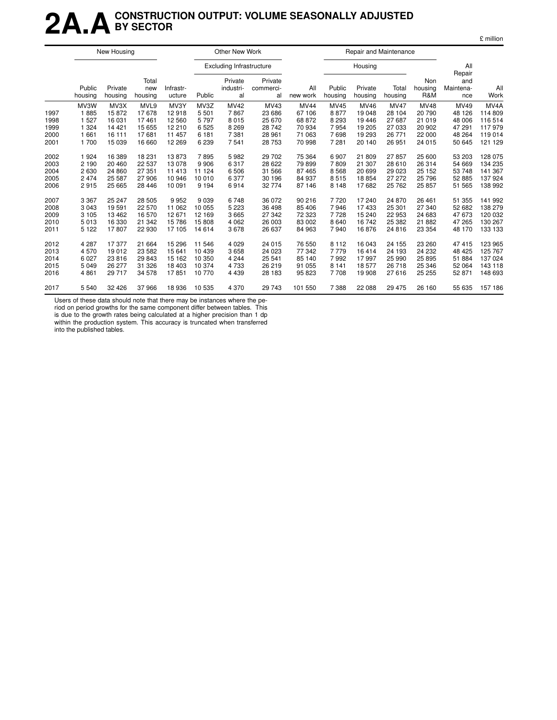### **2A.ACONSTRUCTION OUTPUT: VOLUME SEASONALLY ADJUSTED BY SECTOR**

|--|

|                                      |                                                      | New Housing                                             |                                                     |                                                        |                                                  | Other New Work                                         |                                                        |                                                               |                                                  |                                                       | Repair and Maintenance                                        |                                                               |                                                        |                                                            |
|--------------------------------------|------------------------------------------------------|---------------------------------------------------------|-----------------------------------------------------|--------------------------------------------------------|--------------------------------------------------|--------------------------------------------------------|--------------------------------------------------------|---------------------------------------------------------------|--------------------------------------------------|-------------------------------------------------------|---------------------------------------------------------------|---------------------------------------------------------------|--------------------------------------------------------|------------------------------------------------------------|
|                                      |                                                      |                                                         |                                                     |                                                        |                                                  | <b>Excluding Infrastructure</b>                        |                                                        |                                                               |                                                  | Housing                                               |                                                               |                                                               | All<br>Repair                                          |                                                            |
|                                      | Public<br>housing                                    | Private<br>housing                                      | Total<br>new<br>housing                             | Infrastr-<br>ucture                                    | Public                                           | Private<br>industri-<br>al                             | Private<br>commerci-<br>al                             | All<br>new work                                               | Public<br>housing                                | Private<br>housing                                    | Total<br>housing                                              | Non<br>housing<br>R&M                                         | and<br>Maintena-<br>nce                                | All<br>Work                                                |
| 1997<br>1998<br>1999<br>2000<br>2001 | MV3W<br>1885<br>1 5 2 7<br>1 3 2 4<br>1 661<br>1 700 | MV3X<br>15872<br>16 031<br>14 4 21<br>16 111<br>15 0 39 | MVL9<br>17678<br>17461<br>15 655<br>17681<br>16 660 | MV3Y<br>12918<br>12 5 60<br>12 210<br>11 457<br>12 269 | MV3Z<br>5501<br>5797<br>6525<br>6 181<br>6 2 3 9 | <b>MV42</b><br>7867<br>8015<br>8 2 6 9<br>7381<br>7541 | MV43<br>23 686<br>25 670<br>28 742<br>28 961<br>28 753 | <b>MV44</b><br>67 106<br>68 872<br>70 934<br>71 063<br>70 998 | MV45<br>8877<br>8 2 9 3<br>7954<br>7698<br>7 281 | MV46<br>19 048<br>19446<br>19 205<br>19 293<br>20 140 | <b>MV47</b><br>28 104<br>27 687<br>27 033<br>26 771<br>26 951 | <b>MV48</b><br>20 790<br>21 019<br>20 902<br>22 000<br>24 015 | MV49<br>48 126<br>48 006<br>47 291<br>48 264<br>50 645 | MV4A<br>114 809<br>116 514<br>117979<br>119 014<br>121 129 |
| 2002<br>2003<br>2004<br>2005<br>2006 | 1924<br>2 1 9 0<br>2630<br>2 4 7 4<br>2915           | 16 389<br>20 460<br>24 860<br>25 587<br>25 665          | 18 231<br>22 537<br>27 351<br>27906<br>28 4 46      | 13873<br>13 078<br>11 413<br>10 946<br>10 091          | 7895<br>9906<br>11 124<br>10 010<br>9 1 9 4      | 5982<br>6317<br>6506<br>6377<br>6914                   | 29 702<br>28 622<br>31 566<br>30 196<br>32 774         | 75 364<br>79 899<br>87 465<br>84 937<br>87 146                | 6 9 0 7<br>7809<br>8568<br>8515<br>8 1 4 8       | 21 809<br>21 307<br>20 699<br>18854<br>17682          | 27857<br>28 610<br>29 0 23<br>27 27 2<br>25 7 62              | 25 600<br>26 314<br>25 152<br>25 796<br>25 857                | 53 203<br>54 669<br>53 748<br>52 885<br>51 565         | 128 075<br>134 235<br>141 367<br>137 924<br>138 992        |
| 2007<br>2008<br>2009<br>2010<br>2011 | 3 3 6 7<br>3 0 4 3<br>3 1 0 5<br>5013<br>5 1 2 2     | 25 247<br>19591<br>13 4 62<br>16 330<br>17807           | 28 505<br>22 570<br>16 570<br>21 342<br>22 930      | 9952<br>11 062<br>12 671<br>15 786<br>17 105           | 9039<br>10 055<br>12 169<br>15808<br>14 614      | 6748<br>5 2 2 3<br>3665<br>4 0 6 2<br>3678             | 36 072<br>36 498<br>27 342<br>26 003<br>26 637         | 90 216<br>85 406<br>72 323<br>83 002<br>84 963                | 7720<br>7946<br>7728<br>8 6 4 0<br>7940          | 17 240<br>17433<br>15 240<br>16742<br>16876           | 24 870<br>25 301<br>22 953<br>25 382<br>24 816                | 26 461<br>27 340<br>24 683<br>21 882<br>23 354                | 51 355<br>52 682<br>47 673<br>47 265<br>48 170         | 141 992<br>138 279<br>120 032<br>130 267<br>133 133        |
| 2012<br>2013<br>2014<br>2015<br>2016 | 4 2 8 7<br>4570<br>6 0 27<br>5 0 4 9<br>4 8 6 1      | 17377<br>19 012<br>23 816<br>26 277<br>29 717           | 21 664<br>23 5 82<br>29 843<br>31 326<br>34 578     | 15 29 6<br>15 641<br>15 162<br>18 403<br>17851         | 11 546<br>10 439<br>10 350<br>10 374<br>10770    | 4 0 2 9<br>3658<br>4 2 4 4<br>4733<br>4 4 3 9          | 24 015<br>24 0 23<br>25 541<br>26 219<br>28 183        | 76 550<br>77 342<br>85 140<br>91 055<br>95 823                | 8 1 1 2<br>7779<br>7992<br>8 1 4 1<br>7708       | 16 043<br>16414<br>17997<br>18577<br>19 908           | 24 155<br>24 193<br>25 990<br>26 718<br>27 616                | 23 260<br>24 232<br>25 8 95<br>25 346<br>25 25 5              | 47 415<br>48 4 25<br>51 884<br>52 064<br>52 871        | 123 965<br>125 767<br>137 024<br>143 118<br>148 693        |
| 2017                                 | 5 5 4 0                                              | 32 4 26                                                 | 37966                                               | 18 936                                                 | 10535                                            | 4 3 7 0                                                | 29 743                                                 | 101 550                                                       | 7 3 8 8                                          | 22 088                                                | 29 4 7 5                                                      | 26 160                                                        | 55 635                                                 | 157 186                                                    |

Users of these data should note that there may be instances where the pe-

riod on period growths for the same component differ between tables. This is due to the growth rates being calculated at a higher precision than 1 dp

within the production system. This accuracy is truncated when transferred into the published tables.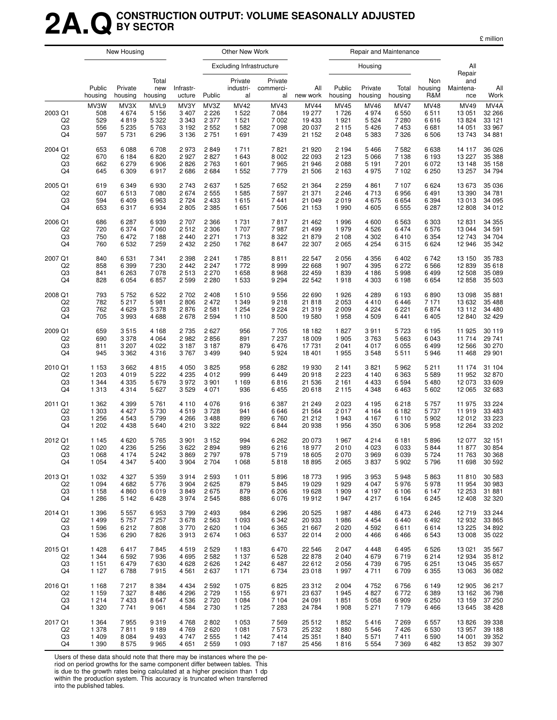### **2A.QCONSTRUCTION OUTPUT: VOLUME SEASONALLY ADJUSTED BY SECTOR**

|  | million |
|--|---------|
|  |         |

|                                       |                                  | New Housing                                |                                               |                                                  |                                               | Other New Work                                       |                                               |                                                     |                                                   |                                                      | Repair and Maintenance                                  |                                             |                                                   |                                               |
|---------------------------------------|----------------------------------|--------------------------------------------|-----------------------------------------------|--------------------------------------------------|-----------------------------------------------|------------------------------------------------------|-----------------------------------------------|-----------------------------------------------------|---------------------------------------------------|------------------------------------------------------|---------------------------------------------------------|---------------------------------------------|---------------------------------------------------|-----------------------------------------------|
|                                       |                                  |                                            |                                               |                                                  |                                               | <b>Excluding Infrastructure</b>                      |                                               |                                                     |                                                   | Housing                                              |                                                         |                                             | All<br>Repair                                     |                                               |
|                                       | Public<br>housing                | Private<br>housing                         | Total<br>new<br>housing                       | Infrastr-<br>ucture                              | Public                                        | Private<br>industri-<br>al                           | Private<br>commerci-<br>al                    | All<br>new work                                     | Public<br>housing                                 | Private<br>housing                                   | Total<br>housing                                        | Non<br>housing<br>R&M                       | and<br>Maintena-<br>nce                           | All<br>Work                                   |
| 2003 Q1<br>Q <sub>2</sub><br>Q3<br>Q4 | MV3W<br>508<br>529<br>556<br>597 | MV3X<br>4674<br>4819<br>5 2 3 5<br>5 7 3 1 | MVL9<br>5 1 5 6<br>5 3 2 2<br>5763<br>6 2 9 6 | MV3Y<br>3 4 0 7<br>3 3 4 3<br>3 1 9 2<br>3 1 3 6 | MV3Z<br>2 2 2 6<br>2 3 7 7<br>2 5 5 2<br>2751 | <b>MV42</b><br>1 5 2 2<br>1 5 2 1<br>1 5 8 2<br>1691 | MV43<br>7 0 8 4<br>7 0 0 2<br>7 0 9 8<br>7439 | <b>MV44</b><br>19 277<br>19 433<br>20 037<br>21 152 | <b>MV45</b><br>1726<br>1921<br>2 1 1 5<br>2 0 4 8 | <b>MV46</b><br>4 9 7 4<br>5 5 2 4<br>5426<br>5 3 8 3 | <b>MV47</b><br>6 5 5 0<br>7 2 8 0<br>7 4 5 3<br>7 3 2 6 | <b>MV48</b><br>6511<br>6616<br>6681<br>6506 | <b>MV49</b><br>13 051<br>13824<br>14 051<br>13743 | MV4A<br>32 266<br>33 1 21<br>33 967<br>34 881 |
| 2004 Q1                               | 653                              | 6 0 8 8                                    | 6708                                          | 2973                                             | 2849                                          | 1 7 1 1                                              | 7821                                          | 21 920                                              | 2 1 9 4                                           | 5 4 6 6                                              | 7582                                                    | 6638                                        | 14 117                                            | 36 0 26                                       |
| Q <sub>2</sub>                        | 670                              | 6 1 8 4                                    | 6820                                          | 2927                                             | 2827                                          | 1 643                                                | 8 0 0 2                                       | 22 093                                              | 2 1 2 3                                           | 5 0 6 6                                              | 7 1 3 8                                                 | 6 1 9 3                                     | 13 227                                            | 35 388                                        |
| Q3                                    | 662                              | 6279                                       | 6906                                          | 2826                                             | 2763                                          | 1 601                                                | 7965                                          | 21 946                                              | 2088                                              | 5 1 9 1                                              | 7 201                                                   | 6072                                        | 13 148                                            | 35 158                                        |
| Q4                                    | 645                              | 6 3 0 9                                    | 6917                                          | 2686                                             | 2684                                          | 1 5 5 2                                              | 7779                                          | 21 506                                              | 2 163                                             | 4975                                                 | 7 102                                                   | 6 2 5 0                                     | 13 257                                            | 34 794                                        |
| 2005 Q1                               | 619                              | 6 3 4 9                                    | 6930                                          | 2 7 4 3                                          | 2637                                          | 1 5 2 5                                              | 7652                                          | 21 3 64                                             | 2 2 5 9                                           | 4 8 6 1                                              | 7 107                                                   | 6624                                        | 13 673                                            | 35 036                                        |
| Q <sub>2</sub>                        | 607                              | 6513                                       | 7 0 8 0                                       | 2674                                             | 2 5 5 5                                       | 1 5 8 5                                              | 7 5 9 7                                       | 21 371                                              | 2 2 4 6                                           | 4 7 1 3                                              | 6956                                                    | 6491                                        | 13 390                                            | 34 781                                        |
| Q3                                    | 594                              | 6409                                       | 6963                                          | 2 7 2 4                                          | 2 4 3 3                                       | 1615                                                 | 7441                                          | 21 049                                              | 2019                                              | 4 6 7 5                                              | 6654                                                    | 6 3 9 4                                     | 13 013                                            | 34 095                                        |
| Q4                                    | 653                              | 6317                                       | 6934                                          | 2805                                             | 2 3 8 5                                       | 1651                                                 | 7 506                                         | 21 153                                              | 1 9 9 0                                           | 4 6 0 5                                              | 6 5 5 5                                                 | 6 2 8 7                                     | 12 808                                            | 34 012                                        |
| 2006 Q1                               | 686                              | 6 2 8 7                                    | 6939                                          | 2707                                             | 2 3 6 6                                       | 1 7 3 1                                              | 7817                                          | 21 4 6 2                                            | 1996                                              | 4 600                                                | 6 5 6 3                                                 | 6 3 0 3                                     | 12 831                                            | 34 355                                        |
| Q <sub>2</sub>                        | 720                              | 6 3 7 4                                    | 7 0 6 0                                       | 2512                                             | 2 3 0 6                                       | 1 707                                                | 7987                                          | 21 499                                              | 1979                                              | 4526                                                 | 6474                                                    | 6576                                        | 13 044                                            | 34 591                                        |
| Q3                                    | 750                              | 6472                                       | 7 188                                         | 2 4 4 0                                          | 2 2 7 1                                       | 1713                                                 | 8 3 2 2                                       | 21 879                                              | 2 108                                             | 4 3 0 2                                              | 6410                                                    | 6 3 5 4                                     | 12743                                             | 34 704                                        |
| Q4                                    | 760                              | 6 5 3 2                                    | 7 259                                         | 2 4 3 2                                          | 2 2 5 0                                       | 1762                                                 | 8647                                          | 22 307                                              | 2 0 6 5                                           | 4 2 5 4                                              | 6315                                                    | 6624                                        | 12 946                                            | 35 342                                        |
| 2007 Q1                               | 840                              | 6531                                       | 7 3 4 1                                       | 2 3 9 8                                          | 2 2 4 1                                       | 1785                                                 | 8811                                          | 22 547                                              | 2056                                              | 4 3 5 6                                              | 6 4 0 2                                                 | 6742                                        | 13 150                                            | 35 783                                        |
| Q <sub>2</sub>                        | 858                              | 6 3 9 9                                    | 7 2 3 0                                       | 2442                                             | 2 2 4 7                                       | 1 7 7 2                                              | 8999                                          | 22 668                                              | 1 907                                             | 4 3 9 5                                              | 6 272                                                   | 6566                                        | 12 839                                            | 35 618                                        |
| Q3                                    | 841                              | 6 2 6 3                                    | 7078                                          | 2513                                             | 2 2 7 0                                       | 1658                                                 | 8968                                          | 22 459                                              | 1839                                              | 4 186                                                | 5998                                                    | 6499                                        | 12 508                                            | 35 089                                        |
| Q4                                    | 828                              | 6 0 5 4                                    | 6857                                          | 2 5 9 9                                          | 2 2 8 0                                       | 1 5 3 3                                              | 9 2 9 4                                       | 22 542                                              | 1918                                              | 4 3 0 3                                              | 6 1 9 8                                                 | 6654                                        | 12 858                                            | 35 503                                        |
| 2008 Q1                               | 793                              | 5 7 5 2                                    | 6522                                          | 2702                                             | 2 4 0 8                                       | 1510                                                 | 9556                                          | 22 690                                              | 1926                                              | 4 2 8 9                                              | 6 1 9 3                                                 | 6890                                        | 13 098                                            | 35 881                                        |
| Q <sub>2</sub>                        | 782                              | 5 2 1 7                                    | 5981                                          | 2806                                             | 2472                                          | 1 3 4 9                                              | 9 2 1 8                                       | 21 818                                              | 2 0 5 3                                           | 4 4 1 0                                              | 6446                                                    | 7 1 7 1                                     | 13 632                                            | 35 4 88                                       |
| Q3                                    | 762                              | 4 6 2 9                                    | 5 3 7 8                                       | 2876                                             | 2581                                          | 1 2 5 4                                              | 9 2 2 4                                       | 21 319                                              | 2 0 0 9                                           | 4 2 2 4                                              | 6 2 2 1                                                 | 6874                                        | 13 112                                            | 34 480                                        |
| Q4                                    | 705                              | 3993                                       | 4688                                          | 2678                                             | 2 5 9 4                                       | 1 1 1 0                                              | 8 5 0 0                                       | 19580                                               | 1958                                              | 4 5 0 9                                              | 6441                                                    | 6405                                        | 12 840                                            | 32 4 29                                       |
| 2009 Q1                               | 659                              | 3515                                       | 4 1 6 8                                       | 2 7 3 5                                          | 2627                                          | 956                                                  | 7705                                          | 18 182                                              | 1827                                              | 3911                                                 | 5723                                                    | 6 1 9 5                                     | 11 925                                            | 30 119                                        |
| Q <sub>2</sub>                        | 690                              | 3 3 7 8                                    | 4 0 64                                        | 2982                                             | 2856                                          | 891                                                  | 7 2 3 7                                       | 18 009                                              | 1 905                                             | 3763                                                 | 5 6 6 3                                                 | 6043                                        | 11 714                                            | 29 741                                        |
| Q3                                    | 811                              | 3 2 0 7                                    | 4 0 2 2                                       | 3 1 8 7                                          | 3 1 8 7                                       | 879                                                  | 6476                                          | 17 731                                              | 2 041                                             | 4 0 1 7                                              | 6 0 5 5                                                 | 6499                                        | 12 5 66                                           | 30 270                                        |
| Q4                                    | 945                              | 3 3 6 2                                    | 4 3 1 6                                       | 3767                                             | 3 4 9 9                                       | 940                                                  | 5924                                          | 18 401                                              | 1955                                              | 3548                                                 | 5511                                                    | 5946                                        | 11 468                                            | 29 901                                        |
| 2010 Q1                               | 1 1 5 3                          | 3662                                       | 4815                                          | 4 0 5 0                                          | 3825                                          | 958                                                  | 6 2 8 2                                       | 19 930                                              | 2 1 4 1                                           | 3821                                                 | 5962                                                    | 5211                                        | 11 174                                            | 31 104                                        |
| Q <sub>2</sub>                        | 1 203                            | 4 0 1 9                                    | 5 2 2 2                                       | 4 2 3 5                                          | 4012                                          | 999                                                  | 6449                                          | 20 918                                              | 2 2 2 3                                           | 4 140                                                | 6 3 6 3                                                 | 5589                                        | 11 952                                            | 32 870                                        |
| Q3                                    | 1 3 4 4                          | 4 3 3 5                                    | 5679                                          | 3972                                             | 3901                                          | 1 1 6 9                                              | 6816                                          | 21 536                                              | 2 1 6 1                                           | 4 4 3 3                                              | 6 5 9 4                                                 | 5480                                        | 12 073                                            | 33 609                                        |
| Q4                                    | 1 3 1 3                          | 4 3 1 4                                    | 5 6 27                                        | 3529                                             | 4 0 7 1                                       | 936                                                  | 6 4 5 5                                       | 20 618                                              | 2 1 1 5                                           | 4 3 4 8                                              | 6463                                                    | 5602                                        | 12 065                                            | 32 683                                        |
| 2011 Q1                               | 1 3 6 2                          | 4 3 9 9                                    | 5761                                          | 4 1 1 0                                          | 4 0 7 6                                       | 916                                                  | 6 3 8 7                                       | 21 249                                              | 2 0 2 3                                           | 4 1 9 5                                              | 6218                                                    | 5757                                        | 11 975                                            | 33 2 24                                       |
| Q <sub>2</sub>                        | 1 303                            | 4 4 2 7                                    | 5730                                          | 4519                                             | 3728                                          | 941                                                  | 6646                                          | 21 5 64                                             | 2017                                              | 4 1 6 4                                              | 6 182                                                   | 5737                                        | 11919                                             | 33 4 83                                       |
| Q3                                    | 1 2 5 6                          | 4 5 4 3                                    | 5799                                          | 4 2 6 6                                          | 3488                                          | 899                                                  | 6760                                          | 21 21 2                                             | 1943                                              | 4 1 6 7                                              | 6 1 1 0                                                 | 5902                                        | 12012                                             | 33 2 23                                       |
| Q4                                    | 1 202                            | 4 4 3 8                                    | 5 640                                         | 4 2 1 0                                          | 3 3 2 2                                       | 922                                                  | 6844                                          | 20 938                                              | 1956                                              | 4 3 5 0                                              | 6 3 0 6                                                 | 5958                                        | 12 264                                            | 33 202                                        |
| 2012 Q1                               | 1 1 4 5                          | 4 6 20                                     | 5765                                          | 3 901                                            | 3 1 5 2                                       | 994                                                  | 6 2 6 2                                       | 20 073                                              | 1967                                              | 4 2 1 4                                              | 6 181                                                   | 5896                                        | 12 077                                            | 32 151                                        |
| Q2                                    | 1 0 2 0                          | 4 2 3 6                                    | 5 2 5 6                                       | 3622                                             | 2894                                          | 989                                                  | 6216                                          | 18 977                                              | 2010                                              | 4 0 23                                               | 6 0 3 3                                                 | 5844                                        | 11 877                                            | 30 854                                        |
| Q3                                    | 1 0 6 8                          | 4 174                                      | 5 2 4 2                                       | 3869                                             | 2 797                                         | 978                                                  | 5 7 1 9                                       | 18 605                                              | 2 0 7 0                                           | 3969                                                 | 6 0 3 9                                                 | 5724                                        | 11 763                                            | 30 368                                        |
| Q4                                    | 1 0 5 4                          | 4 3 4 7                                    | 5400                                          | 3 9 0 4                                          | 2 7 0 4                                       | 1 0 6 8                                              | 5818                                          | 18 8 95                                             | 2 0 6 5                                           | 3837                                                 | 5 9 0 2                                                 | 5796                                        | 11 698                                            | 30 592                                        |
| 2013 Q1                               | 1 0 3 2                          | 4 3 2 7                                    | 5 3 5 9                                       | 3914                                             | 2 5 9 3                                       | 1011                                                 | 5896                                          | 18 773                                              | 1995                                              | 3953                                                 | 5948                                                    | 5863                                        | 11810                                             | 30 583                                        |
| Q <sub>2</sub>                        | 1 0 9 4                          | 4 6 8 2                                    | 5776                                          | 3 9 0 4                                          | 2625                                          | 879                                                  | 5845                                          | 19 0 29                                             | 1929                                              | 4 0 4 7                                              | 5976                                                    | 5978                                        | 11 954                                            | 30 983                                        |
| Q3                                    | 1 1 5 8                          | 4 8 6 0                                    | 6019                                          | 3849                                             | 2675                                          | 879                                                  | 6 20 6                                        | 19 628                                              | 1 909                                             | 4 197                                                | 6 10 6                                                  | 6 1 4 7                                     | 12 253                                            | 31 881                                        |
| Q4                                    | 1 2 8 6                          | 5 1 4 2                                    | 6428                                          | 3974                                             | 2545                                          | 888                                                  | 6 0 7 6                                       | 19912                                               | 1947                                              | 4 2 1 7                                              | 6 1 6 4                                                 | 6245                                        | 12 408                                            | 32 3 20                                       |
| 2014 Q1                               | 1 3 9 6                          | 5 5 5 7                                    | 6953                                          | 3799                                             | 2 4 9 3                                       | 984                                                  | 6 2 9 6                                       | 20 5 25                                             | 1987                                              | 4 4 8 6                                              | 6473                                                    | 6246                                        | 12719                                             | 33 244                                        |
| Q <sub>2</sub>                        | 1499                             | 5 7 5 7                                    | 7 257                                         | 3678                                             | 2 5 6 3                                       | 1 0 9 3                                              | 6 3 4 2                                       | 20 933                                              | 1986                                              | 4 4 5 4                                              | 6440                                                    | 6492                                        | 12 932                                            | 33 865                                        |
| Q3                                    | 1596                             | 6 2 1 2                                    | 7808                                          | 3770                                             | 2620                                          | 1 1 0 4                                              | 6 3 6 5                                       | 21 667                                              | 2 0 2 0                                           | 4 5 9 2                                              | 6611                                                    | 6614                                        | 13 2 25                                           | 34 892                                        |
| Q4                                    | 1 5 3 6                          | 6 2 9 0                                    | 7826                                          | 3913                                             | 2674                                          | 1 0 6 3                                              | 6537                                          | 22 014                                              | 2 000                                             | 4 4 6 6                                              | 6466                                                    | 6543                                        | 13 008                                            | 35 0 22                                       |
| 2015 Q1                               | 1 4 2 8                          | 6417                                       | 7845                                          | 4519                                             | 2 5 2 9                                       | 1 1 8 3                                              | 6470                                          | 22 546                                              | 2 0 4 7                                           | 4 4 4 8                                              | 6495                                                    | 6526                                        | 13 0 21                                           | 35 567                                        |
| Q <sub>2</sub>                        | 1 3 4 4                          | 6 5 9 2                                    | 7936                                          | 4 6 9 5                                          | 2582                                          | 1 1 3 7                                              | 6528                                          | 22 878                                              | 2 0 4 0                                           | 4 6 7 9                                              | 6719                                                    | 6214                                        | 12 934                                            | 35 812                                        |
| Q3                                    | 1 1 5 1                          | 6479                                       | 7630                                          | 4 6 28                                           | 2626                                          | 1 2 4 2                                              | 6487                                          | 22 612                                              | 2056                                              | 4 7 3 9                                              | 6795                                                    | 6 2 5 1                                     | 13 045                                            | 35 657                                        |
| Q4                                    | 1 1 2 7                          | 6788                                       | 7915                                          | 4561                                             | 2637                                          | 1 1 7 1                                              | 6734                                          | 23 018                                              | 1997                                              | 4 7 1 1                                              | 6709                                                    | 6 3 5 5                                     | 13 063                                            | 36 082                                        |
| 2016 Q1                               | 1 1 6 8                          | 7 217                                      | 8 3 8 4                                       | 4 4 3 4                                          | 2 5 9 2                                       | 1 0 7 5                                              | 6825                                          | 23 312                                              | 2 0 0 4                                           | 4 7 5 2                                              | 6756                                                    | 6 1 4 9                                     | 12 905                                            | 36 217                                        |
| Q <sub>2</sub>                        | 1 1 5 9                          | 7 3 2 7                                    | 8486                                          | 4 2 9 6                                          | 2729                                          | 1 1 5 5                                              | 6971                                          | 23 637                                              | 1945                                              | 4 8 27                                               | 6772                                                    | 6389                                        | 13 162                                            | 36 798                                        |
| Q3                                    | 1 2 1 4                          | 7 4 3 3                                    | 8647                                          | 4536                                             | 2720                                          | 1 0 8 4                                              | 7 104                                         | 24 091                                              | 1851                                              | 5 0 5 8                                              | 6909                                                    | 6 2 5 0                                     | 13 159                                            | 37 250                                        |
| Q4                                    | 1 3 2 0                          | 7 7 4 1                                    | 9 0 61                                        | 4 5 8 4                                          | 2730                                          | 1 1 2 5                                              | 7 2 8 3                                       | 24 784                                              | 1 908                                             | 5 2 7 1                                              | 7 1 7 9                                                 | 6466                                        | 13 645                                            | 38 4 28                                       |
| 2017 Q1                               | 1 3 6 4                          | 7955                                       | 9319                                          | 4768                                             | 2 8 0 2                                       | 1 0 5 3                                              | 7 5 6 9                                       | 25 512                                              | 1852                                              | 5416                                                 | 7 2 6 9                                                 | 6557                                        | 13826                                             | 39 338                                        |
| Q <sub>2</sub>                        | 1 378                            | 7811                                       | 9 1 8 9                                       | 4769                                             | 2620                                          | 1 0 8 1                                              | 7573                                          | 25 232                                              | 1880                                              | 5 5 4 6                                              | 7426                                                    | 6530                                        | 13 957                                            | 39 188                                        |
| Q3                                    | 1 4 0 9                          | 8 0 8 4                                    | 9493                                          | 4 7 4 7                                          | 2 5 5 5                                       | 1 1 4 2                                              | 7414                                          | 25 351                                              | 1840                                              | 5571                                                 | 7411                                                    | 6590                                        | 14 001                                            | 39 352                                        |
| Q4                                    | 1 3 9 0                          | 8575                                       | 9965                                          | 4 6 5 1                                          | 2 5 5 9                                       | 1 0 9 3                                              | 7 1 8 7                                       | 25 4 56                                             | 1816                                              | 5 5 5 4                                              | 7 3 6 9                                                 | 6482                                        | 13 852                                            | 39 307                                        |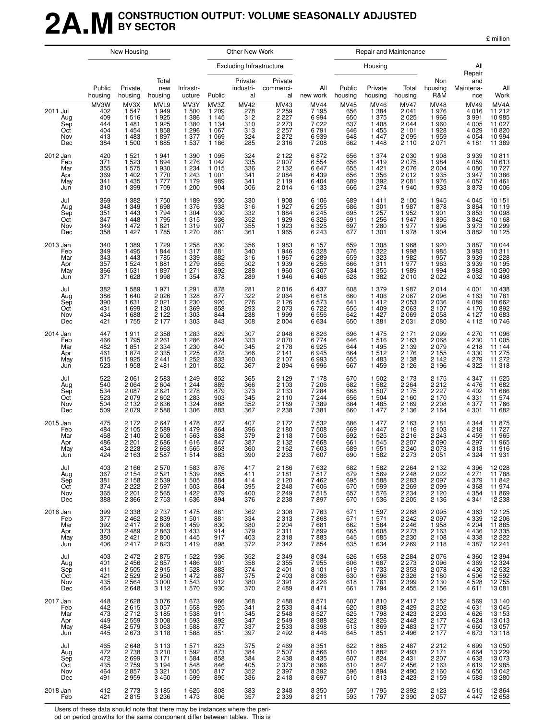### **2A.MCONSTRUCTION OUTPUT: VOLUME SEASONALLY ADJUSTED BY SECTOR**

|                                                    | New Housing                                    |                                                                |                                                                | Other New Work                                                     |                                                                  |                                                       | Repair and Maintenance                                                   |                                                                     |                                                             |                                                                         |                                                                          |                                                                       |                                                                  |                                                                               |
|----------------------------------------------------|------------------------------------------------|----------------------------------------------------------------|----------------------------------------------------------------|--------------------------------------------------------------------|------------------------------------------------------------------|-------------------------------------------------------|--------------------------------------------------------------------------|---------------------------------------------------------------------|-------------------------------------------------------------|-------------------------------------------------------------------------|--------------------------------------------------------------------------|-----------------------------------------------------------------------|------------------------------------------------------------------|-------------------------------------------------------------------------------|
|                                                    |                                                |                                                                |                                                                |                                                                    |                                                                  | <b>Excluding Infrastructure</b>                       |                                                                          |                                                                     |                                                             | Housing                                                                 |                                                                          |                                                                       | All<br>Repair                                                    |                                                                               |
|                                                    | Public<br>housing                              | Private<br>housing                                             | Total<br>new<br>housing                                        | Infrastr-<br>ucture                                                | Public                                                           | Private<br>industri-<br>al                            | Private<br>commerci-<br>al                                               | All<br>new work                                                     | Public<br>housing                                           | Private<br>housing                                                      | Total<br>housing                                                         | Non<br>housing<br>R&M                                                 | and<br>Maintena-<br>nce                                          | All<br>Work                                                                   |
| 2011 Jul<br>Aug<br>Sep<br>Oct<br>Nov<br>Dec        | MV3W<br>402<br>409<br>444<br>404<br>413<br>384 | MV3X<br>1 5 4 7<br>1516<br>1481<br>1454<br>1 4 8 3<br>1 500    | MVL9<br>1949<br>1925<br>1925<br>1858<br>1897<br>1885           | MV3Y<br>1 500<br>1 3 8 6<br>1 3 8 0<br>1 2 9 6<br>1 377<br>1 5 3 7 | MV3Z<br>1 209<br>1 1 4 5<br>1 134<br>1 067<br>1 0 6 9<br>1 1 8 6 | <b>MV42</b><br>278<br>312<br>310<br>313<br>324<br>285 | MV43<br>$2259$<br>2227<br>2 273<br>2 257<br>2 2 7 2<br>2 3 1 6           | <b>MV44</b><br>7 1 9 5<br>6994<br>7 0 2 2<br>6 791<br>6939<br>7 208 | $\overline{MV45}$<br>656<br>650<br>637<br>646<br>648<br>662 | <b>MV46</b><br>1 3 8 4<br>1 375<br>1 408<br>1 455<br>1 4 4 7<br>1 4 4 8 | <b>MV47</b><br>2041<br>2 0 2 5<br>2 0 4 4<br>2 101<br>2 0 9 5<br>2 1 1 0 | MV48<br>1976<br>$1966$<br>$1960$<br>$1928$<br>$1959$<br>2071          | MV49<br>4 0 1 6<br>3991<br>4 0 0 5<br>4029<br>4 0 5 4<br>4 1 8 1 | MV <sub>4</sub> A<br>11 212<br>10 985<br>11 027<br>10 820<br>10 994<br>11 389 |
| 2012 Jan<br>Feb<br>Mar<br>Apr<br>May<br>Jun        | 420<br>371<br>355<br>369<br>341<br>310         | 1 5 2 1<br>1 5 2 3<br>1 575<br>1402<br>1 435<br>1 399          | 1941<br>1894<br>1 930<br>1770<br>1 7 7 7<br>1709               | 1 3 9 0<br>1 276<br>1 2 3 4<br>1 2 4 3<br>1 1 7 9<br>1 200         | 1 0 9 5<br>1 0 4 2<br>1015<br>1 0 0 1<br>989<br>904              | 324<br>335<br>336<br>341<br>341<br>306                | 2 1 2 2<br>2 007<br>2 132<br>2 0 8 4<br>2 119<br>2 014                   | 6872<br>6 5 5 4<br>6 647<br>6439<br>6 4 0 4<br>6 1 3 3              | 656<br>656<br>655<br>656<br>689<br>666                      | 1 3 7 4<br>1 419<br>1 421<br>1356<br>1 392<br>1 274                     | 2 0 3 0<br>2 075<br>2 076<br>2012<br>2 0 8 1<br>1 940                    | 1 908<br>1 984<br>2 004<br>1935<br>1976<br>1976                       | 3939<br>4 059<br>4 080<br>3947<br>4 057<br>3 873                 | 10811<br>10 613<br>10 727<br>10 386<br>10 461<br>10 006                       |
| Jul<br>Aug<br>Sep<br>Oct<br>Nov<br>Dec             | 369<br>348<br>351<br>347<br>349<br>358         | 1 3 8 2<br>1 3 4 9<br>1 4 4 3<br>1 4 4 8<br>1 472<br>1 4 2 7   | 1750<br>1698<br>1794<br>1795<br>1821<br>1785                   | 1 1 8 9<br>1 376<br>1 3 0 4<br>1 315<br>1 319<br>1 270             | 930<br>938<br>930<br>936<br>907<br>861                           | 330<br>316<br>332<br>352<br>355<br>361                | 1 908<br>1927<br>1884<br>1929<br>1923<br>1965                            | 6 10 6<br>6 255<br>6 2 4 5<br>6 326<br>6 325<br>6 2 4 3             | 689<br>686<br>695<br>691<br>697<br>677                      | 1411<br>1 301<br>1 2 5 7<br>1 2 5 6<br>1 2 8 0<br>1 3 0 1               | 2 100<br>1987<br>1952<br>1947<br>1977<br>1978                            | 1945<br>1878<br>1901<br>1895<br>1996<br>1 9 0 4                       | 4 0 4 5<br>3864<br>3853<br>3842<br>3973<br>3882                  | 10 151<br>10 119<br>10 098<br>10 168<br>10 299<br>10 125                      |
| 2013 Jan<br>Feb<br>Mar<br>Apr<br>May<br>Jun        | 340<br>349<br>343<br>357<br>366<br>371         | 1 3 8 9<br>1 4 9 5<br>1 4 4 3<br>1524<br>1 5 3 1<br>1 6 2 8    | 1729<br>1844<br>1785<br>1881<br>1897<br>1998                   | 1 2 5 8<br>1 3 1 7<br>1 339<br>1 279<br>1 2 7 1<br>1 3 5 4         | 830<br>881<br>882<br>855<br>892<br>878                           | 356<br>340<br>316<br>302<br>288<br>289                | 1983<br>1946<br>1967<br>1939<br>1 960<br>1946                            | 6 157<br>$6328$<br>$6289$<br>$6256$<br>6 3 0 7<br>6466              | 659<br>676<br>659<br>666<br>634<br>628                      | 1 308<br>1 3 2 2<br>1 323<br>1 311<br>1 3 5 5<br>1 3 8 2                | 1968<br>1 9 9 8<br>1982<br>1977<br>1989<br>2010                          | 1920<br>1985<br>$1957$<br>$1963$<br>$1994$<br>2022                    | 3887<br>3983<br>3939<br>3939<br>3983<br>4 0 3 2                  | 10 044<br>$10\,311$<br>$10\,228$<br>$10\,195$<br>10 290<br>10 498             |
| Jul<br>Aug<br>Sep<br>Oct<br>Nov<br>Dec             | 382<br>386<br>390<br>431<br>434<br>421         | 1589<br>1 640<br>1631<br>1699<br>1688<br>1755                  | 1971<br>2 0 2 6<br>2021<br>2 1 3 0<br>2 122<br>2 177           | 1 2 9 1<br>1 3 2 8<br>1230<br>1 3 6 9<br>1 3 0 3<br>1303           | 878<br>877<br>920<br>858<br>844<br>843                           | 281<br>322<br>276<br>293<br>288<br>308                | 2016<br>2 064<br>2 126<br>2 073<br>1 999<br>2 004                        | 6437<br>6618<br>6573<br>6722<br>6 5 5 6<br>6634                     | 608<br>660<br>641<br>655<br>642<br>650                      | 1 379<br>1 4 0 6<br>1412<br>1 4 0 9<br>1 4 2 7<br>1 3 8 1               | 1987<br>2 0 6 7<br>2053<br>2 0 6 3<br>2 0 6 9<br>2 0 3 1                 | 2014<br>2 096<br>2 036<br>2 107<br>2 058<br>2 080                     | 4 0 0 1<br>4 1 6 3<br>4 0 8 9<br>4 1 7 0<br>4 1 2 7<br>4 1 1 2   | 10 438<br>10 781<br>10 662<br>10 892<br>10 683<br>10 746                      |
| 2014 Jan<br>Feb<br>Mar<br>Apr<br>May<br>Jun        | 447<br>466<br>482<br>461<br>515<br>523         | 1911<br>1795<br>1851<br>1874<br>1925<br>1958                   | 2 358<br>2 261<br>2 3 3 4<br>2 3 3 5<br>2441<br>2 4 8 1        | 1 2 8 3<br>$1\,286$<br>1 2 3 0<br>1 225<br>1 252<br>1 201          | 829<br>824<br>840<br>878<br>833<br>852                           | 307<br>333<br>345<br>366<br>360<br>367                | 2 0 4 8<br>2 0 7 0<br>2 1 7 8<br>2 1 4 1<br>$\frac{1}{2}$ 107<br>2 0 9 4 | 6826<br>6774<br>6925<br>6945<br>6993<br>6996                        | 696<br>646<br>644<br>664<br>655<br>667                      | 1 4 7 5<br>1 5 1 6<br>1 4 9 5<br>1512<br>1 4 8 3<br>1 4 5 9             | 2 1 7 1<br>2 1 6 3<br>2 1 3 9<br>2 1 7 6<br>2 1 3 8<br>2 1 2 6           | 2 099<br>2 068<br>2 079<br>$\frac{2155}{2142}$<br>2 1 9 6             | 4 270<br>4 230<br>4 2 1 8<br>4 330<br>4 279<br>4 3 2 2           | 11 096<br>11 005<br>11 144<br>11 275<br>11 272<br>11 318                      |
| Jul<br>Aug<br>Sep<br>Oct<br>Nov<br>Dec             | 522<br>540<br>534<br>523<br>504<br>509         | 2 0 6 1<br>2 0 6 4<br>2 0 8 7<br>2 0 7 9<br>2 1 3 2<br>2 0 7 9 | 2 5 8 3<br>2 6 0 4<br>2621<br>2 602<br>2636<br>2588            | 1 2 4 9<br>1 2 4 4<br>1 2 7 8<br>1 2 8 3<br>1 3 2 4<br>1 3 0 6     | 852<br>889<br>879<br>903<br>888<br>883                           | 365<br>366<br>373<br>345<br>352<br>367                | 2 1 2 9<br>2 1 0 3<br>2 133<br>2 110<br>2 1 8 9<br>2 2 3 8               | 7 1 7 8<br>7 206<br>7 2 8 4<br>7 244<br>7 3 8 9<br>7 3 8 1          | 670<br>682<br>668<br>656<br>684<br>660                      | 1 502<br>1582<br>$1\,507$<br>$1\,504$<br>1 4 8 5<br>1 477               | 2 1 7 3<br>2 2 6 4<br>2 1 7 5<br>2 1 6 0<br>2 1 6 9<br>2 1 3 6           | 2 175<br>2 212<br>2 227<br>2 170<br>2 2 0 8<br>2 1 6 4                | 4 3 4 7<br>4 4 7 6<br>4 4 0 2<br>4 3 3 1<br>4 3 7 7<br>4 3 0 1   | 11 525<br>11 682<br>11 686<br>11 574<br>11 766<br>11 682                      |
| 2015 Jan<br>Feb<br>Mar<br>Apr<br>May<br>Jun        | 475<br>484<br>468<br>486<br>434<br>424         | 2 1 7 2<br>2 1 0 5<br>2 140<br>2 2 0 1<br>2 2 2 8<br>2 1 6 3   | 2 6 4 7<br>2 589<br>2 608<br>2686<br>2663<br>2 5 8 7           | 1 478<br>1479<br>1563<br>1 6 1 6<br>1 5 6 5<br>1514                | 827<br>864<br>838<br>847<br>853<br>883                           | 407<br>396<br>379<br>387<br>360<br>390                | 2 1 7 2<br>2 180<br>2 118<br>2 1 3 2<br>2 1 6 2<br>2 2 3 3               | 7 5 3 2<br>7 508<br>7 506<br>7668<br>7 603<br>7607                  | 686<br>669<br>692<br>661<br>689<br>690                      | 1 477<br>$\frac{1447}{1525}$<br>1525<br>1 551<br>1 582                  | 2 1 6 3<br>2 116<br>2 216<br>2 207<br>2 240<br>2 273                     | 2 1 8 1<br>$\frac{2103}{2243}$<br>$\frac{2090}{2050}$<br>2073<br>2051 | 4 3 4 4<br>4 218<br>4 459<br>4 2 9 7<br>4313<br>4 3 2 4          | 11 875<br>11 727<br>11 965<br>11 965<br>11916<br>11 931                       |
| Jul<br>Aug<br>Sep<br>Oct<br>Nov<br>Dec             | 403<br>367<br>381<br>374<br>365<br>388         | 2 166<br>2 154<br>2 1 5 8<br>2222<br>2 2 0 1<br>2 3 6 6        | 2 570<br>2 521<br>2 5 3 9<br>2 597<br>2 565<br>2 7 5 3         | 1 583<br>1 539<br>1 5 0 5<br>1 503<br>1 422<br>1 6 3 6             | 876<br>865<br>884<br>864<br>879<br>894                           | 417<br>411<br>414<br>395<br>400<br>376                | 2 186<br>2 181<br>2 120<br>2 248<br>2 249<br>2 2 3 8                     | 7632<br>7517<br>7462<br>7606<br>7515<br>7897                        | 682<br>679<br>695<br>670<br>657<br>670                      | 1 5 8 2<br>1569<br>1 5 8 8<br>1 599<br>1 576<br>1 5 3 6                 | 2 264<br>2 248<br>2 283<br>2 269<br>2 234<br>2 2 0 5                     | 2 132<br>2 022<br>2 0 9 7<br>2099<br>2120<br>2 1 3 6                  | 4 396<br>4 271<br>4 3 7 9<br>4 368<br>4 354<br>4 3 4 1           | 12 028<br>11 788<br>11 842<br>11 974<br>11 869<br>12 238                      |
| 2016 Jan<br>Feb<br>Mar<br>Apr<br>May<br>Jun        | 399<br>377<br>392<br>373<br>380<br>406         | 2 3 3 8<br>2 4 6 2<br>2 417<br>2 489<br>2 4 2 1<br>2417        | 2 7 3 7<br>2839<br>2808<br>2863<br>2800<br>2823                | 1 4 7 5<br>1 501<br>1 459<br>1 433<br>1445<br>1419                 | 881<br>881<br>830<br>914<br>917<br>898                           | 362<br>334<br>380<br>379<br>403<br>372                | 2 3 0 8<br>2 313<br>2 204<br>2 311<br>2 3 1 8<br>2 3 4 2                 | 7763<br>7868<br>7681<br>7899<br>7883<br>7854                        | 671<br>671<br>662<br>665<br>645<br>635                      | 1 597<br>1 571<br>1 584<br>1 608<br>1 5 8 5<br>1 6 3 4                  | 2 2 6 8<br>2 2 4 2<br>2 246<br>2 273<br>2 2 3 0<br>2 2 6 9               | 2 095<br>2 097<br>$\frac{1}{1}$ 958<br>2 163<br>2108<br>2 1 1 8       | 4 3 6 3<br>$4339$<br>$4204$<br>$4436$<br>4 3 3 8<br>4 3 8 7      | 12 125<br>12 206<br>11 885<br>12 335<br>12 222<br>12 241                      |
| Jul<br>Aug<br>Sep<br>Oct<br>Nov<br>Dec             | 403<br>401<br>411<br>421<br>435<br>464         | 2 4 7 2<br>$2456$<br>2505<br>2 5 2 9<br>2 5 6 4<br>2648        | 2875<br>2857<br>2915<br>2950<br>3 000<br>3 112                 | 1 5 2 2<br>1 4 8 6<br>1 5 2 8<br>1 472<br>1 543<br>1 570           | 936<br>901<br>883<br>887<br>912<br>930                           | 352<br>358<br>374<br>375<br>380<br>370                | 2 3 4 9<br>2 355<br>2 401<br>2 4 0 3<br>2 391<br>2 489                   | 8 0 3 4<br>7955<br>8101<br>8 0 8 6<br>8 226<br>8 471                | 626<br>606<br>619<br>630<br>618<br>661                      | 1658<br>1 6 6 7<br>1 733<br>1 6 9 6<br>1 781<br>1 794                   | 2 284<br>2 273<br>2 353<br>2 3 2 6<br>2 399<br>2 455                     | 2076<br>2096<br>2078<br>2 180<br>2 130<br>2 130<br>2 156              | 4 3 6 0<br>4 369<br>4 4 30<br>4506<br>4528<br>4611               | 12 3 94<br>12 324<br>12 532<br>12 592<br>12 755<br>13 081                     |
| 2017 <u>Jan</u><br>Feb<br>Mar<br>Apr<br>May<br>Jun | 448<br>442<br>473<br>449<br>484<br>445         | 2628<br>2615<br>2712<br>2 559<br>2 579<br>2673                 | 3 076<br>3 057<br>3 1 8 5<br>3 0 0 8<br>3063<br>3 1 1 8        | 1 673<br>1 558<br>1 5 3 8<br>1 593<br>1 588<br>1588                | 966<br>925<br>911<br>892<br>877<br>851                           | 368<br>341<br>345<br>347<br>337<br>397                | 2 488<br>2 533<br>2 5 4 8<br>2 549<br>2 533<br>2 492                     | 8 571<br>8 414<br>8 5 27<br>8 388<br>8 398<br>8 4 4 6               | 607<br>620<br>625<br>622<br>613<br>645                      | 1810<br>1808<br>1798<br>1826<br>1869<br>1851                            | 2 417<br>2 429<br>2 4 2 3<br>2 4 4 8<br>2483<br>2 4 9 6                  | 2 152<br>2 202<br>2 2 0 3<br>2 177<br>2 177<br>2 177                  | 4569<br>4631<br>4 6 2 6<br>4 624<br>4 660<br>4673                | 13 140<br>13 045<br>13 153<br>13 013<br>13 057<br>13 118                      |
| Jul<br>Aug<br>Sep<br>Oct<br>Nov<br>Dec             | 465<br>472<br>472<br>435<br>464<br>491         | 2648<br>2 7 3 8<br>2699<br>2759<br>2857<br>2959                | 3 1 1 3<br>3 2 1 0<br>3 1 7 1<br>3 1 9 4<br>3 3 2 1<br>3 4 5 0 | 1 571<br>1 5 9 2<br>1 584<br>1 548<br>1 5 0 5<br>1 5 9 9           | 823<br>873<br>858<br>846<br>817<br>895                           | 375<br>384<br>384<br>405<br>352<br>336                | 2 4 6 9<br>2 5 0 7<br>2 438<br>2 373<br>2 3 9 7<br>2418                  | 8 3 5 1<br>8 5 6 6<br>8 435<br>8 366<br>8 3 9 2<br>8697             | 622<br>610<br>607<br>610<br>596<br>610                      | 1865<br>1882<br>1824<br>1847<br>1894<br>1813                            | 2 4 8 7<br>2 4 9 3<br>2 4 3 1<br>2 4 5 6<br>2 4 9 0<br>2423              | 2212<br>2 1 7 1<br>2 207<br>2 163<br>2 1 6 0<br>2 1 5 9               | 4699<br>4 6 6 4<br>4638<br>4619<br>4650<br>4583                  | 13 050<br>13 229<br>13073<br>12985<br>13042<br>13 280                         |
| 2018 Jan                                           | 412                                            | 2 7 7 3                                                        | 3 1 8 5                                                        | 1 6 2 5                                                            | 808                                                              | 383                                                   | 2 3 4 8                                                                  | 8 3 5 0                                                             | 597                                                         | 1795                                                                    | 2 3 9 2                                                                  | 2 1 2 3                                                               |                                                                  | 4 5 15 12 8 64                                                                |

Feb 421 2 815 3 236 1 473 806 357 2 339 8 211 593 1 797 2 390 2 057 4 447 12 658

Users of these data should note that there may be instances where the peri-

od on period growths for the same component differ between tables. This is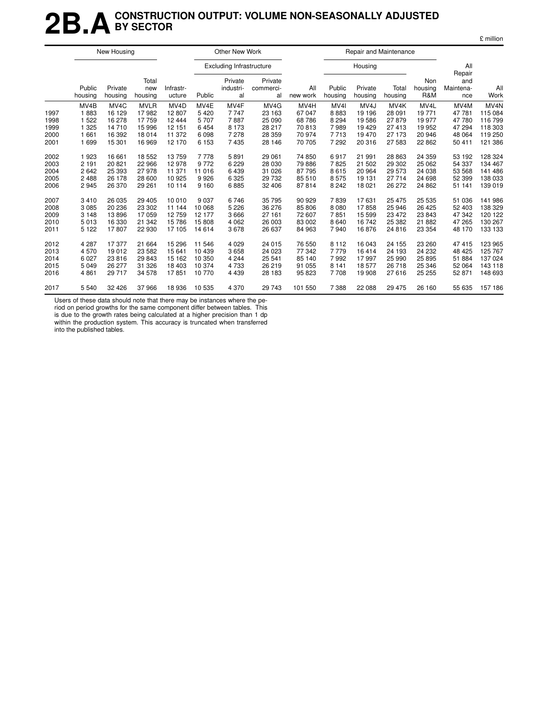### **2B.ACONSTRUCTION OUTPUT: VOLUME NON-SEASONALLY ADJUSTED BY SECTOR**

|      |                   | New Housing        |                         |                     |         | Other New Work                  |                            |                 |                   |                    | Repair and Maintenance |                       |                                   |                  |
|------|-------------------|--------------------|-------------------------|---------------------|---------|---------------------------------|----------------------------|-----------------|-------------------|--------------------|------------------------|-----------------------|-----------------------------------|------------------|
|      |                   |                    |                         |                     |         | <b>Excluding Infrastructure</b> |                            |                 |                   | Housing            |                        |                       | All                               |                  |
|      | Public<br>housing | Private<br>housing | Total<br>new<br>housing | Infrastr-<br>ucture | Public  | Private<br>industri-<br>al      | Private<br>commerci-<br>al | All<br>new work | Public<br>housing | Private<br>housing | Total<br>housing       | Non<br>housing<br>R&M | Repair<br>and<br>Maintena-<br>nce | All<br>Work      |
|      | MV <sub>4</sub> B | MV <sub>4</sub> C  | <b>MVLR</b>             | MV <sub>4</sub> D   | MV4E    | MV4F                            | MV <sub>4</sub> G          | MV4H            | MV <sub>4</sub>   | MV <sub>4</sub> J  | MV <sub>4</sub> K      | MV4L                  | MV <sub>4</sub> M                 | MV <sub>4N</sub> |
| 1997 | 1883              | 16 129             | 17982                   | 12807               | 5420    | 7747                            | 23 163                     | 67 047          | 8883              | 19 19 6            | 28 091                 | 19771                 | 47 781                            | 115 084          |
| 1998 | 1 5 2 2           | 16 278             | 17759                   | 12 4 44             | 5707    | 7887                            | 25 090                     | 68 786          | 8 2 9 4           | 19586              | 27879                  | 19 977                | 47 780                            | 116 799          |
| 1999 | 1 3 2 5           | 14710              | 15 9 96                 | 12 151              | 6454    | 8 1 7 3                         | 28 217                     | 70813           | 7989              | 19 4 29            | 27 413                 | 19 952                | 47 294                            | 118 303          |
| 2000 | 1 661             | 16 392             | 18 0 14                 | 11 372              | 6098    | 7 2 7 8                         | 28 359                     | 70 974          | 7713              | 19470              | 27 173                 | 20 946                | 48 064                            | 119 250          |
| 2001 | 1 6 9 9           | 15 301             | 16 969                  | 12 170              | 6 1 5 3 | 7435                            | 28 146                     | 70 705          | 7 2 9 2           | 20 316             | 27 583                 | 22 8 62               | 50 411                            | 121 386          |
| 2002 | 1923              | 16 661             | 18 552                  | 13759               | 7778    | 5891                            | 29 061                     | 74 850          | 6917              | 21 991             | 28 863                 | 24 35 9               | 53 192                            | 128 324          |
| 2003 | 2 1 9 1           | 20 821             | 22 966                  | 12 978              | 9772    | 6 2 2 9                         | 28 030                     | 79 886          | 7825              | 21 502             | 29 302                 | 25 062                | 54 337                            | 134 467          |
| 2004 | 2642              | 25 393             | 27978                   | 11 371              | 11 016  | 6439                            | 31 0 26                    | 87 795          | 8615              | 20 964             | 29 573                 | 24 038                | 53 568                            | 141 486          |
| 2005 | 2 4 8 8           | 26 178             | 28 600                  | 10 925              | 9926    | 6 3 2 5                         | 29 732                     | 85 510          | 8575              | 19 131             | 27 714                 | 24 698                | 52 399                            | 138 033          |
| 2006 | 2945              | 26 370             | 29 261                  | 10 114              | 9 1 6 0 | 6885                            | 32 406                     | 87814           | 8 2 4 2           | 18 0 21            | 26 272                 | 24 862                | 51 141                            | 139 019          |
| 2007 | 3410              | 26 035             | 29 4 05                 | 10 010              | 9 0 3 7 | 6746                            | 35 795                     | 90 929          | 7839              | 17631              | 25 475                 | 25 5 35               | 51 036                            | 141 986          |
| 2008 | 3 0 8 5           | 20 236             | 23 30 2                 | 11 144              | 10 068  | 5 2 2 6                         | 36 276                     | 85 806          | 8 0 8 0           | 17858              | 25 946                 | 26 4 25               | 52 403                            | 138 329          |
| 2009 | 3 1 4 8           | 13896              | 17059                   | 12759               | 12 177  | 3666                            | 27 161                     | 72 607          | 7851              | 15 5 9 9           | 23 472                 | 23 843                | 47 342                            | 120 122          |
| 2010 | 5013              | 16 330             | 21 342                  | 15 786              | 15808   | 4 0 6 2                         | 26 003                     | 83 002          | 8640              | 16742              | 25 382                 | 21 882                | 47 265                            | 130 267          |
| 2011 | 5 1 2 2           | 17807              | 22 930                  | 17 105              | 14 6 14 | 3678                            | 26 637                     | 84 963          | 7940              | 16876              | 24 816                 | 23 354                | 48 170                            | 133 133          |
| 2012 | 4 2 8 7           | 17377              | 21 664                  | 15 29 6             | 11 546  | 4 0 2 9                         | 24 015                     | 76 550          | 8 1 1 2           | 16 043             | 24 155                 | 23 260                | 47 415                            | 123 965          |
| 2013 | 4570              | 19 012             | 23 5 82                 | 15 641              | 10439   | 3658                            | 24 0 23                    | 77 342          | 7 7 7 9           | 16414              | 24 193                 | 24 232                | 48 4 25                           | 125 767          |
| 2014 | 6 0 27            | 23 816             | 29 843                  | 15 162              | 10 350  | 4 2 4 4                         | 25 541                     | 85 140          | 7992              | 17997              | 25 990                 | 25 8 95               | 51 884                            | 137 024          |
| 2015 | 5 0 4 9           | 26 277             | 31 326                  | 18 403              | 10 374  | 4733                            | 26 219                     | 91 055          | 8 1 4 1           | 18577              | 26 718                 | 25 346                | 52 064                            | 143 118          |
| 2016 | 4 8 6 1           | 29 717             | 34 578                  | 17851               | 10770   | 4 4 3 9                         | 28 183                     | 95 823          | 7708              | 19 908             | 27 616                 | 25 25 5               | 52 871                            | 148 693          |
| 2017 | 5 5 4 0           | 32 4 26            | 37966                   | 18 936              | 10535   | 4 3 7 0                         | 29 743                     | 101 550         | 7 3 8 8           | 22 088             | 29 475                 | 26 160                | 55 635                            | 157 186          |

Users of these data should note that there may be instances where the pe-

riod on period growths for the same component differ between tables. This is due to the growth rates being calculated at a higher precision than 1 dp

within the production system. This accuracy is truncated when transferred into the published tables.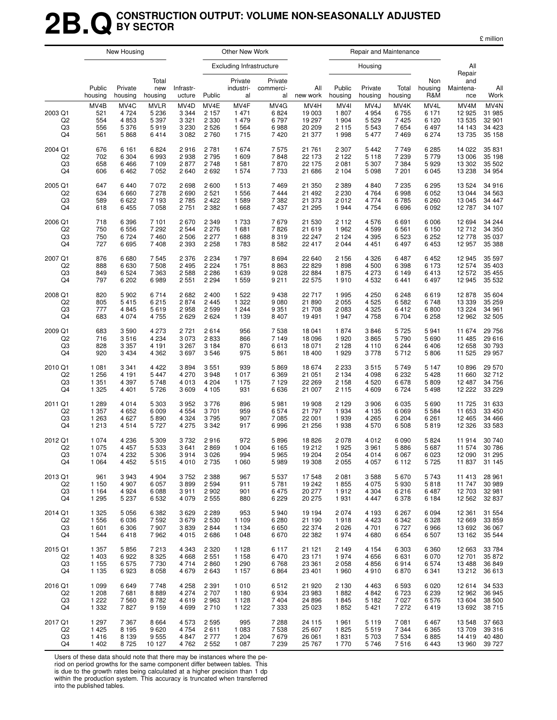### **2B.QCONSTRUCTION OUTPUT: VOLUME NON-SEASONALLY ADJUSTED BY SECTOR**

£ million

|                                       |                                          | New Housing                                |                                                   |                                                  |                                               | Other New Work                          |                                      |                                              |                                                     | Repair and Maintenance                                        |                                      |                                                  |                                               |                                                            |
|---------------------------------------|------------------------------------------|--------------------------------------------|---------------------------------------------------|--------------------------------------------------|-----------------------------------------------|-----------------------------------------|--------------------------------------|----------------------------------------------|-----------------------------------------------------|---------------------------------------------------------------|--------------------------------------|--------------------------------------------------|-----------------------------------------------|------------------------------------------------------------|
|                                       |                                          |                                            |                                                   |                                                  |                                               | <b>Excluding Infrastructure</b>         |                                      |                                              |                                                     | Housing                                                       |                                      |                                                  | All<br>Repair                                 |                                                            |
|                                       | Public<br>housing                        | Private<br>housing                         | Total<br>new<br>housing                           | Infrastr-<br>ucture                              | Public                                        | Private<br>industri-<br>al              | Private<br>commerci-<br>al           | All<br>new work                              | Public<br>housing                                   | Private<br>housing                                            | Total<br>housing                     | Non<br>housing<br>R&M                            | and<br>Maintena-<br>nce                       | All<br>Work                                                |
| 2003 Q1<br>Q <sub>2</sub><br>Q3<br>Q4 | MV4B<br>521<br>554<br>556<br>561         | MV4C<br>4 7 2 4<br>4853<br>5 3 7 6<br>5868 | <b>MVLR</b><br>5 2 3 6<br>5 3 9 7<br>5919<br>6414 | MV4D<br>3 3 4 4<br>3 3 2 1<br>3 2 3 0<br>3 0 8 2 | MV4E<br>2 1 5 7<br>2 3 3 0<br>2 5 2 6<br>2760 | MV4F<br>1471<br>1479<br>1 5 6 4<br>1715 | MV4G<br>6824<br>6797<br>6988<br>7420 | MV4H<br>19 003<br>19 297<br>20 209<br>21 377 | MV <sub>4</sub><br>1807<br>1 904<br>2 1 1 5<br>1998 | MV <sub>4</sub> J<br>4 9 5 4<br>5 5 2 9<br>5 5 4 3<br>5 4 7 7 | MV4K<br>6755<br>7425<br>7654<br>7469 | MV4L<br>6 1 7 1<br>6 1 2 0<br>6 4 9 7<br>6 2 7 4 | MV4M<br>12 925<br>13 535<br>14 143<br>13 7 35 | MV <sub>4</sub> N<br>31 985<br>32 901<br>34 4 23<br>35 158 |
| 2004 Q1                               | 676                                      | 6 1 6 1                                    | 6824                                              | 2916                                             | 2 7 8 1                                       | 1674                                    | 7575                                 | 21 761                                       | 2 3 0 7                                             | 5442                                                          | 7749                                 | 6 2 8 5                                          | 14 022                                        | 35 831                                                     |
| Q2                                    | 702                                      | 6 3 0 4                                    | 6993                                              | 2938                                             | 2795                                          | 1609                                    | 7848                                 | 22 173                                       | 2 1 2 2                                             | 5 1 1 8                                                       | 7 2 3 9                              | 5779                                             | 13 006                                        | 35 198                                                     |
| Q3                                    | 658                                      | 6466                                       | 7 109                                             | 2877                                             | 2 7 4 8                                       | 1581                                    | 7870                                 | 22 175                                       | 2081                                                | 5 307                                                         | 7 3 8 4                              | 5929                                             | 13 302                                        | 35 502                                                     |
| Q4                                    | 606                                      | 6462                                       | 7 0 5 2                                           | 2640                                             | 2692                                          | 1574                                    | 7733                                 | 21 686                                       | 2 1 0 4                                             | 5 0 9 8                                                       | 7 201                                | 6 0 4 5                                          | 13 238                                        | 34 954                                                     |
| 2005 Q1                               | 647                                      | 6440                                       | 7 0 7 2                                           | 2698                                             | 2 600                                         | 1513                                    | 7469                                 | 21 350                                       | 2 3 8 9                                             | 4840                                                          | 7 2 3 5                              | 6 2 9 5                                          | 13 5 24                                       | 34 916                                                     |
| Q2                                    | 634                                      | 6660                                       | 7 2 7 8                                           | 2690                                             | 2 5 21                                        | 1556                                    | 7444                                 | 21 492                                       | 2 2 3 0                                             | 4764                                                          | 6998                                 | 6 0 5 2                                          | 13 044                                        | 34 563                                                     |
| Q3                                    | 589                                      | 6622                                       | 7 1 9 3                                           | 2785                                             | 2 4 2 2                                       | 1589                                    | 7 3 8 2                              | 21 373                                       | 2012                                                | 4 7 7 4                                                       | 6785                                 | 6 2 6 0                                          | 13 045                                        | 34 447                                                     |
| Q4                                    | 618                                      | 6455                                       | 7 0 5 8                                           | 2751                                             | 2 3 8 2                                       | 1668                                    | 7437                                 | 21 295                                       | 1944                                                | 4 7 5 4                                                       | 6696                                 | 6 0 9 2                                          | 12787                                         | 34 107                                                     |
| 2006 Q1                               | 718                                      | 6 3 9 6                                    | 7 101                                             | 2670                                             | 2 3 4 9                                       | 1733                                    | 7679                                 | 21 530                                       | 2 1 1 2                                             | 4576                                                          | 6691                                 | 6 0 0 6                                          | 12 694                                        | 34 244                                                     |
| Q <sub>2</sub>                        | 750                                      | 6556                                       | 7 2 9 2                                           | 2544                                             | 2 2 7 6                                       | 1681                                    | 7826                                 | 21 619                                       | 1962                                                | 4599                                                          | 6561                                 | 6 150                                            | 12712                                         | 34 350                                                     |
| Q3                                    | 750                                      | 6724                                       | 7460                                              | 2506                                             | 2 2 7 7                                       | 1688                                    | 8319                                 | 22 247                                       | 2 1 2 4                                             | 4 3 9 5                                                       | 6523                                 | 6 2 5 2                                          | 12778                                         | 35 037                                                     |
| Q4                                    | 727                                      | 6695                                       | 7 4 0 8                                           | 2 3 9 3                                          | 2 2 5 8                                       | 1783                                    | 8582                                 | 22 417                                       | 2044                                                | 4 4 5 1                                                       | 6497                                 | 6453                                             | 12 957                                        | 35 388                                                     |
| 2007 Q1                               | 876                                      | 6680                                       | 7545                                              | 2 3 7 6                                          | 2 2 3 4                                       | 1797                                    | 8694                                 | 22 640                                       | 2 1 5 6                                             | 4 3 2 6                                                       | 6487                                 | 6452                                             | 12 945                                        | 35 597                                                     |
| Q2                                    | 888                                      | 6630                                       | 7508                                              | 2 4 9 5                                          | 2 2 2 4                                       | 1751                                    | 8863                                 | 22 8 29                                      | 1898                                                | 4 500                                                         | 6 3 9 8                              | 6 1 7 3                                          | 12 574                                        | 35 403                                                     |
| Q3                                    | 849                                      | 6524                                       | 7 3 6 3                                           | 2588                                             | 2 2 8 6                                       | 1 6 3 9                                 | 9028                                 | 22 884                                       | 1875                                                | 4 2 7 3                                                       | 6 1 4 9                              | 6413                                             | 12 572                                        | 35 455                                                     |
| Q4                                    | 797                                      | 6 20 2                                     | 6989                                              | 2551                                             | 2 2 9 4                                       | 1559                                    | 9 2 1 1                              | 22 575                                       | 1910                                                | 4532                                                          | 6441                                 | 6 4 9 7                                          | 12 945                                        | 35 532                                                     |
| 2008 Q1                               | 820                                      | 5902                                       | 6714                                              | 2682                                             | 2 4 0 0                                       | 1522                                    | 9438                                 | 22 717                                       | 1995                                                | 4 250                                                         | 6248                                 | 6619                                             | 12878                                         | 35 604                                                     |
| Q2                                    | 805                                      | 5415                                       | 6215                                              | 2874                                             | 2 4 4 5                                       | 1 3 2 2                                 | 9 0 8 0                              | 21 890                                       | 2055                                                | 4525                                                          | 6582                                 | 6748                                             | 13 339                                        | 35 259                                                     |
| Q3                                    | 777                                      | 4845                                       | 5619                                              | 2958                                             | 2 5 9 9                                       | 1 2 4 4                                 | 9 3 5 1                              | 21 708                                       | 2083                                                | 4 3 2 5                                                       | 6412                                 | 6800                                             | 13 2 24                                       | 34 961                                                     |
| Q4                                    | 683                                      | 4 0 7 4                                    | 4755                                              | 2629                                             | 2 6 2 4                                       | 1 1 3 9                                 | 8 4 0 7                              | 19 491                                       | 1947                                                | 4758                                                          | 6704                                 | 6 2 5 8                                          | 12 962                                        | 32 505                                                     |
| 2009 Q1                               | 683                                      | 3590                                       | 4 2 7 3                                           | 2721                                             | 2614                                          | 956                                     | 7538                                 | 18 041                                       | 1874                                                | 3846                                                          | 5725                                 | 5941                                             | 11 674                                        | 29 756                                                     |
| Q <sub>2</sub>                        | 716                                      | 3516                                       | 4 2 3 4                                           | 3073                                             | 2833                                          | 866                                     | 7 1 4 9                              | 18 096                                       | 1920                                                | 3865                                                          | 5790                                 | 5 6 9 0                                          | 11 485                                        | 29 616                                                     |
| Q3                                    | 828                                      | 3 3 5 7                                    | 4 1 9 1                                           | 3 2 6 7                                          | 3 1 8 4                                       | 870                                     | 6613                                 | 18 071                                       | 2 1 2 8                                             | 4 1 1 0                                                       | 6 2 4 4                              | 6406                                             | 12 658                                        | 30 793                                                     |
| Q4                                    | 920                                      | 3 4 3 4                                    | 4 3 6 2                                           | 3697                                             | 3546                                          | 975                                     | 5861                                 | 18 400                                       | 1929                                                | 3778                                                          | 5712                                 | 5806                                             | 11 525                                        | 29 957                                                     |
| 2010 Q1                               | 1 0 8 1                                  | 3 3 4 1                                    | 4 4 2 2                                           | 3894                                             | 3 5 5 1                                       | 939                                     | 5869                                 | 18 674                                       | 2 2 3 3                                             | 3515                                                          | 5749                                 | 5 1 4 7                                          | 10896                                         | 29 570                                                     |
| Q2                                    | 1 2 5 6                                  | 4 1 9 1                                    | 5 4 4 7                                           | 4 2 7 0                                          | 3948                                          | 1017                                    | 6 3 6 9                              | 21 051                                       | 2 1 3 4                                             | 4 0 9 8                                                       | 6 2 3 2                              | 5 4 28                                           | 11 660                                        | 32712                                                      |
| Q3                                    | 1 3 5 1                                  | 4 3 9 7                                    | 5748                                              | 4013                                             | 4 204                                         | 1 1 7 5                                 | 7 1 2 9                              | 22 269                                       | 2 1 5 8                                             | 4 5 20                                                        | 6678                                 | 5809                                             | 12 487                                        | 34 756                                                     |
| Q4                                    | 1 3 2 5                                  | 4 4 0 1                                    | 5726                                              | 3609                                             | 4 1 0 5                                       | 931                                     | 6636                                 | 21 007                                       | 2 1 1 5                                             | 4 609                                                         | 6724                                 | 5498                                             | 12 222                                        | 33 229                                                     |
| 2011 Q1                               | 1 2 8 9                                  | 4014                                       | 5 3 0 3                                           | 3952                                             | 3776                                          | 896                                     | 5981                                 | 19 908                                       | 2 1 2 9                                             | 3 9 0 6                                                       | 6 0 3 5                              | 5 6 9 0                                          | 11 725                                        | 31 633                                                     |
| Q2                                    | 1 3 5 7                                  | 4 6 5 2                                    | 6 0 0 9                                           | 4 5 5 4                                          | 3701                                          | 959                                     | 6574                                 | 21 797                                       | 1934                                                | 4 1 3 5                                                       | 6069                                 | 5 5 8 4                                          | 11 653                                        | 33 450                                                     |
| Q3                                    | 1 2 6 3                                  | 4 6 27                                     | 5890                                              | 4 3 2 4                                          | 3795                                          | 907                                     | 7 0 8 5                              | 22 001                                       | 1939                                                | 4 2 6 5                                                       | 6 2 0 4                              | 6 2 6 1                                          | 12 4 65                                       | 34 4 66                                                    |
| Q4                                    | 1 2 1 3                                  | 4514                                       | 5727                                              | 4 2 7 5                                          | 3 3 4 2                                       | 917                                     | 6996                                 | 21 256                                       | 1938                                                | 4570                                                          | 6508                                 | 5819                                             | 12 3 26                                       | 33 583                                                     |
| 2012 Q1<br>Q <sub>2</sub><br>Q3<br>Q4 | 1 0 7 4<br>1 0 7 5<br>1 0 7 4<br>1 0 6 4 | 4 2 3 6<br>4 4 5 7<br>4 2 3 2<br>4 4 5 2   | 5 3 0 9<br>5 5 3 3<br>5 3 0 6<br>5515             | 3732<br>3641<br>3914<br>4010                     | 2916<br>2869<br>3 0 2 6<br>2 7 3 5            | 972<br>1 0 0 4<br>994<br>1 0 6 0        | 5896<br>6 1 6 5<br>5965<br>5989      | 18826<br>19 212<br>19 204<br>19 308          | 2078<br>1925<br>2054<br>2055                        | 4 0 1 2<br>3961<br>4014<br>4 0 5 7                            | 6090<br>5886<br>6 0 6 7<br>6 1 1 2   | 5824<br>5687<br>6 0 23<br>5 7 2 5                | 11 914<br>11 574                              | 30 740<br>30 786<br>12 090 31 295<br>11 837 31 145         |
| 2013 Q1                               | 961                                      | 3943                                       | 4 9 0 4                                           | 3752                                             | 2 3 8 8                                       | 967                                     | 5 5 3 7                              | 17 548                                       | 2081                                                | 3588                                                          | 5670                                 | 5743                                             | 11 413                                        | 28 961                                                     |
| Q <sub>2</sub>                        | 1 1 5 0                                  | 4 9 0 7                                    | 6 0 5 7                                           | 3899                                             | 2 5 9 4                                       | 911                                     | 5781                                 | 19 242                                       | 1855                                                | 4 0 7 5                                                       | 5930                                 | 5818                                             | 11 747                                        | 30 989                                                     |
| Q3                                    | 1 1 6 4                                  | 4924                                       | 6 0 8 8                                           | 3911                                             | 2 9 0 2                                       | 901                                     | 6475                                 | 20 277                                       | 1912                                                | 4 3 0 4                                                       | 6216                                 | 6487                                             | 12 703                                        | 32 981                                                     |
| Q4                                    | 1 2 9 5                                  | 5 2 3 7                                    | 6 5 3 2                                           | 4 0 7 9                                          | 2 5 5 5                                       | 880                                     | 6 2 2 9                              | 20 275                                       | 1931                                                | 4 4 4 7                                                       | 6378                                 | 6 1 8 4                                          | 12 562                                        | 32 837                                                     |
| 2014 Q1                               | 1 3 2 5                                  | 5056                                       | 6 3 8 2                                           | 3629                                             | 2 2 8 9                                       | 953                                     | 5940                                 | 19 194                                       | 2074                                                | 4 1 9 3                                                       | 6 2 6 7                              | 6 0 9 4                                          | 12 3 61                                       | 31 554                                                     |
| Q <sub>2</sub>                        | 1 5 5 6                                  | 6036                                       | 7592                                              | 3679                                             | 2 5 3 0                                       | 1 1 0 9                                 | 6 2 8 0                              | 21 190                                       | 1918                                                | 4 4 2 3                                                       | 6 3 4 2                              | 6 3 28                                           | 12 669                                        | 33 859                                                     |
| Q3                                    | 1 601                                    | 6 3 0 6                                    | 7907                                              | 3839                                             | 2844                                          | 1 1 3 4                                 | 6650                                 | 22 374                                       | 2026                                                | 4 701                                                         | 6727                                 | 6966                                             | 13 692                                        | 36 067                                                     |
| Q4                                    | 1 5 4 4                                  | 6418                                       | 7962                                              | 4015                                             | 2686                                          | 1 0 4 8                                 | 6670                                 | 22 382                                       | 1974                                                | 4680                                                          | 6654                                 | 6 5 0 7                                          | 13 162                                        | 35 544                                                     |
| 2015 Q1                               | 1 3 5 7                                  | 5856                                       | 7 2 1 3                                           | 4 3 4 3                                          | 2 3 2 0                                       | 1 1 2 8                                 | 6 1 1 7                              | 21 121                                       | 2 1 4 9                                             | 4 1 5 4                                                       | 6 3 0 3                              | 6 3 6 0                                          | 12 663                                        | 33 784                                                     |
| Q2                                    | 1 4 0 3                                  | 6922                                       | 8 3 2 5                                           | 4668                                             | 2 5 5 1                                       | 1 1 5 8                                 | 6470                                 | 23 171                                       | 1974                                                | 4656                                                          | 6631                                 | 6 0 7 0                                          | 12 701                                        | 35 872                                                     |
| Q3                                    | 1 1 5 5                                  | 6575                                       | 7730                                              | 4714                                             | 2860                                          | 1 2 9 0                                 | 6768                                 | 23 361                                       | 2058                                                | 4856                                                          | 6914                                 | 6574                                             | 13 4 8 8                                      | 36 849                                                     |
| Q4                                    | 1 1 3 5                                  | 6923                                       | 8 0 5 8                                           | 4679                                             | 2643                                          | 1 1 5 7                                 | 6864                                 | 23 401                                       | 1960                                                | 4910                                                          | 6870                                 | 6 3 4 1                                          | 13 21 2                                       | 36 613                                                     |
| 2016 Q1                               | 1 0 9 9                                  | 6649                                       | 7748                                              | 4 2 5 8                                          | 2 3 9 1                                       | 1010                                    | 6512                                 | 21 920                                       | 2 1 3 0                                             | 4 4 6 3                                                       | 6593                                 | 6 0 20                                           | 12614                                         | 34 533                                                     |
| Q <sub>2</sub>                        | 1 208                                    | 7681                                       | 8889                                              | 4 2 7 4                                          | 2 7 0 7                                       | 1 1 8 0                                 | 6934                                 | 23 983                                       | 1882                                                | 4 8 4 2                                                       | 6723                                 | 6 2 3 9                                          | 12 962                                        | 36 945                                                     |
| Q3                                    | 1 2 2 2                                  | 7560                                       | 8782                                              | 4619                                             | 2963                                          | 1 1 2 8                                 | 7404                                 | 24 896                                       | 1845                                                | 5 1 8 2                                                       | 7027                                 | 6576                                             | 13 604                                        | 38 500                                                     |
| Q4                                    | 1 3 3 2                                  | 7827                                       | 9 1 5 9                                           | 4699                                             | 2710                                          | 1 1 2 2                                 | 7 3 3 3                              | 25 0 23                                      | 1852                                                | 5421                                                          | 7 272                                | 6419                                             | 13 692                                        | 38715                                                      |
| 2017 Q1<br>Q <sub>2</sub><br>Q3<br>Q4 | 1 2 9 7<br>1 4 2 5<br>1416<br>1 4 0 2    | 7 3 6 7<br>8 1 9 5<br>8 1 3 9<br>8725      | 8 6 6 4<br>9620<br>9555<br>10 127                 | 4573<br>4 7 5 4<br>4847                          | 2 5 9 5<br>2611<br>2 7 7 7<br>4 762 2 552     | 995<br>1 0 8 3<br>1 2 0 4<br>1 0 8 7    | 7 2 8 8<br>7538<br>7679<br>7 2 3 9   | 24 115<br>25 607<br>26 061<br>25 767         | 1961<br>1825<br>1831<br>1 7 7 0                     | 5 1 1 9<br>5519<br>5703<br>5746                               | 7081<br>7 3 4 4<br>7534<br>7516      | 6467<br>6 3 6 5<br>6885<br>6443                  | 13 548<br>13709<br>14 4 19<br>13 960          | 37 663<br>39 316<br>40 480<br>39 7 27                      |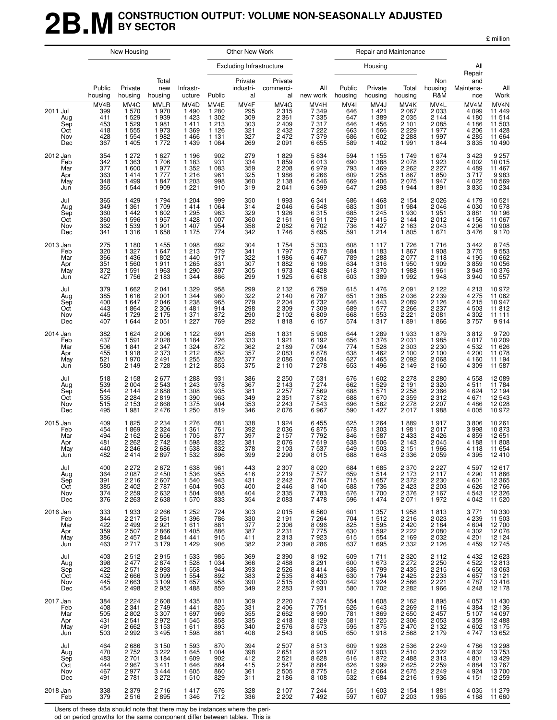### **2B.MCONSTRUCTION OUTPUT: VOLUME NON-SEASONALLY ADJUSTED BY SECTOR**

£ million

|                                             |                                                | New Housing                                                                |                                                                |                                                                     |                                                                        | Other New Work                                 |                                                                           |                                                               |                                                           |                                                                                | Repair and Maintenance                                                 |                                                             |                                                               |                                                                  |
|---------------------------------------------|------------------------------------------------|----------------------------------------------------------------------------|----------------------------------------------------------------|---------------------------------------------------------------------|------------------------------------------------------------------------|------------------------------------------------|---------------------------------------------------------------------------|---------------------------------------------------------------|-----------------------------------------------------------|--------------------------------------------------------------------------------|------------------------------------------------------------------------|-------------------------------------------------------------|---------------------------------------------------------------|------------------------------------------------------------------|
|                                             |                                                |                                                                            |                                                                |                                                                     |                                                                        | <b>Excluding Infrastructure</b>                |                                                                           |                                                               |                                                           | Housing                                                                        |                                                                        |                                                             | All<br>Repair                                                 |                                                                  |
|                                             | Public<br>housing                              | Private<br>housing                                                         | Total<br>new<br>housing                                        | Infrastr-<br>ucture                                                 | Public                                                                 | Private<br>industri-<br>al                     | Private<br>commerci-<br>al                                                | All<br>new work                                               | Public<br>housing                                         | Private<br>housing                                                             | Total<br>housing                                                       | Non<br>housing<br>R&M                                       | and<br>Maintena-<br>nce                                       | All<br>Work                                                      |
| 2011 Jul<br>Aug<br>Sep<br>Oct<br>Nov<br>Dec | MV4B<br>399<br>411<br>453<br>418<br>428<br>367 | MV <sub>4</sub> C<br>1570<br>1529<br>1529<br>1 5 5 5<br>1 5 5 4<br>1 4 0 5 | <b>MVLR</b><br>1970<br>1939<br>1981<br>1973<br>1982<br>1772    | MV4D<br>1 4 9 0<br>1 4 2 3<br>1411<br>1 3 6 9<br>1 4 6 6<br>1 4 3 9 | MV4E<br>1 2 8 0<br>1 3 0 2<br>1 2 1 3<br>1 1 2 6<br>1 1 3 1<br>1 0 8 4 | MV4F<br>295<br>309<br>303<br>321<br>327<br>269 | MV4G<br>2 3 1 5<br>2 3 6 1<br>2 4 0 9<br>2 4 3 2<br>2472<br>2091          | MV4H<br>7 3 4 9<br>7 3 3 5<br>7317<br>7 2 2 2<br>7379<br>6655 | MV <sub>4</sub><br>646<br>647<br>646<br>663<br>686<br>589 | MV <sub>4</sub> J<br>1 4 2 1<br>1 3 8 9<br>1 4 5 6<br>1566<br>1 602<br>1 4 0 2 | MV4K<br>2 0 6 7<br>2 0 3 5<br>2 1 0 1<br>2 2 2 9<br>2 2 8 8<br>1 9 9 1 | MV4L<br>2033<br>2 1 4 4<br>2 085<br>1 977<br>1997<br>1844   | MV4M<br>4 0 9 9<br>4 180<br>4 186<br>4 206<br>4 2 8 5<br>3835 | MV4N<br>11 449<br>11 514<br>11 503<br>11 428<br>11 664<br>10 490 |
| 2012 Jan<br>Feb<br>Mar<br>Apr<br>May<br>Jun | 354<br>342<br>377<br>363<br>348<br>365         | 1 2 7 2<br>1 3 6 3<br>1600<br>1414<br>1499<br>1 5 4 4                      | 1 6 2 7<br>1706<br>1977<br>1 7 7 7<br>1847<br>1 9 0 9          | 1 1 9 6<br>1 1 8 3<br>1 3 5 2<br>1 2 1 6<br>1 203<br>1 2 2 1        | 902<br>931<br>1 083<br>961<br>998<br>910                               | 279<br>334<br>359<br>325<br>360<br>319         | 1829<br>1859<br>2 2 0 8<br>1986<br>2 1 3 8<br>2041                        | 5834<br>6013<br>6979<br>6 2 6 6<br>6546<br>6399               | 594<br>690<br>793<br>609<br>669<br>647                    | 1 1 5 5<br>1 3 8 8<br>1 4 6 9<br>1 2 5 8<br>1 4 0 6<br>1 2 9 8                 | 1749<br>2078<br>2 2 6 2<br>1867<br>2 0 7 5<br>1944                     | 1674<br>1923<br>2227<br>1850<br>1947<br>1891                | 3 4 2 3<br>4 0 0 2<br>4 4 8 9<br>3717<br>4 0 2 2<br>3835      | 9 2 5 7<br>10 015<br>11 467<br>9 983<br>10 569<br>10 234         |
| Jul<br>Aug<br>Sep<br>Oct<br>Nov<br>Dec      | 365<br>349<br>360<br>360<br>362<br>341         | 1429<br>1 3 6 1<br>1442<br>1596<br>1539<br>1316                            | 1794<br>1709<br>1802<br>1957<br>1 901<br>1658                  | 1 204<br>1414<br>1295<br>1428<br>1 407<br>1 1 7 5                   | 999<br>1 0 6 4<br>963<br>1 0 0 7<br>954<br>774                         | 350<br>314<br>329<br>360<br>358<br>342         | 1993<br>2046<br>1926<br>2 1 6 1<br>2082<br>1746                           | 6 3 4 1<br>6548<br>6315<br>6911<br>6702<br>5695               | 686<br>683<br>685<br>729<br>736<br>591                    | 1468<br>1 3 0 1<br>1 2 4 5<br>1415<br>1 4 2 7<br>1 2 1 4                       | 2 1 5 4<br>1984<br>1 9 3 0<br>2 1 4 4<br>2 1 6 3<br>1805               | 2026<br>2046<br>1951<br>2012<br>2043<br>1671                | 4 179<br>4 0 3 0<br>3881<br>4 1 5 6<br>4 206<br>3 4 7 6       | 10 521<br>10 578<br>10 196<br>11 067<br>10 908<br>9 170          |
| 2013 Jan<br>Feb<br>Mar<br>Apr<br>May<br>Jun | 275<br>320<br>366<br>351<br>372<br>427         | 1 1 8 0<br>1 3 2 7<br>1436<br>1560<br>1591<br>1756                         | 1 4 5 5<br>1 647<br>1802<br>1911<br>1963<br>2 1 8 3            | 1 0 9 8<br>1 2 1 3<br>1 4 4 0<br>1 2 6 5<br>1 2 9 0<br>1 3 4 4      | 692<br>779<br>917<br>831<br>897<br>866                                 | 304<br>341<br>322<br>307<br>305<br>299         | 1754<br>1797<br>1986<br>1882<br>1973<br>1925                              | 5 3 0 3<br>5778<br>6467<br>6 1 9 6<br>6428<br>6618            | 608<br>684<br>789<br>634<br>618<br>603                    | 1 1 1 7<br>1 1 8 3<br>1 2 8 8<br>1 3 1 6<br>1 370<br>1 3 8 9                   | 1726<br>1867<br>2 0 7 7<br>1 950<br>1988<br>1 9 9 2                    | 1716<br>1908<br>2118<br>1909<br>1961<br>1948                | 3 4 4 2<br>3775<br>4 1 9 5<br>3859<br>3949<br>3940            | 8745<br>9553<br>10662<br>10056<br>10376<br>10 557                |
| Jul<br>Aug<br>Sep<br>Oct<br>Nov<br>Dec      | 379<br>385<br>400<br>443<br>445<br>407         | 1662<br>1616<br>1647<br>1864<br>1729<br>1 644                              | 2 0 4 1<br>2 0 0 1<br>2 0 4 6<br>2 3 0 6<br>2 1 7 5<br>2 0 5 1 | 1 3 2 9<br>1 3 4 4<br>1 2 3 8<br>1 4 8 1<br>1 371<br>1 2 2 7        | 958<br>980<br>965<br>914<br>872<br>769                                 | 299<br>322<br>279<br>298<br>290<br>292         | 2 1 3 2<br>2 1 4 0<br>2 2 0 4<br>2 3 0 9<br>2 1 0 2<br>1818               | 6759<br>6787<br>6732<br>7 3 0 9<br>6809<br>6 157              | 615<br>651<br>646<br>689<br>668<br>574                    | 1 4 7 6<br>1 3 8 5<br>1443<br>1 577<br>1 5 5 3<br>1 3 1 7                      | 2 0 9 1<br>2 0 3 6<br>2 0 8 9<br>2 2 6 6<br>2 2 2 1<br>1891            | 2 1 2 2<br>2 239<br>2 126<br>2 2 3 7<br>2 0 8 1<br>1866     | 4 2 1 3<br>4 275<br>$4\bar{2}15$<br>4 503<br>4 302<br>3757    | 10 972<br>11 062<br>10 947<br>11 812<br>11 111<br>9 9 14         |
| 2014 Jan<br>Feb<br>Mar<br>Apr<br>May<br>Jun | 382<br>437<br>506<br>455<br>521<br>580         | 1 6 2 4<br>1 5 9 1<br>1841<br>1918<br>1970<br>2 1 4 9                      | 2 0 0 6<br>2 0 2 8<br>2 3 4 7<br>2 3 7 3<br>2 4 9 1<br>2728    | 1 1 2 2<br>1 1 8 4<br>1324<br>1 2 1 2<br>1 2 5 5<br>1 2 1 2         | 691<br>726<br>872<br>852<br>825<br>853                                 | 258<br>333<br>362<br>357<br>377<br>375         | 1831<br>1921<br>2 1 8 9<br>2083<br>2086<br>2 1 1 0                        | 5908<br>6 1 9 2<br>7094<br>6878<br>7034<br>7 2 7 8            | 644<br>656<br>774<br>638<br>627<br>653                    | 1 2 8 9<br>1 376<br>1 5 2 8<br>1 4 6 2<br>1465<br>1496                         | 1933<br>2 0 3 1<br>2 3 0 3<br>2 100<br>2 0 9 2<br>2 1 4 9              | 1879<br>1985<br>2 2 3 0<br>2 100<br>2068<br>2 1 6 0         | 3812<br>4 017<br>4 5 3 2<br>4 200<br>4 160<br>4 3 0 9         | 9 720<br>10 209<br>11 626<br>11 078<br>11 194<br>11 587          |
| Jul<br>Aug<br>Sep<br>Oct<br>Nov<br>Dec      | 518<br>539<br>544<br>535<br>515<br>495         | 2 1 5 8<br>2 0 0 4<br>2 1 4 4<br>2 2 8 4<br>2 1 5 3<br>1981                | 2677<br>2 5 4 3<br>2688<br>2819<br>2668<br>2 4 7 6             | 1 2 8 8<br>1 2 4 3<br>1 308<br>1 3 9 0<br>1 375<br>1 250            | 931<br>978<br>935<br>963<br>904<br>819                                 | 386<br>367<br>381<br>349<br>353<br>346         | 2 2 5 0<br>2 1 4 3<br>2 2 5 7<br>2 3 5 1<br>2 2 4 3<br>2076               | 7531<br>7 2 7 4<br>7569<br>7872<br>7543<br>6967               | 676<br>662<br>688<br>688<br>696<br>590                    | 1 602<br>1 5 2 9<br>1 571<br>1670<br>1 5 8 2<br>1 4 2 7                        | 2 2 7 8<br>2 1 9 1<br>2 2 5 8<br>2 3 5 9<br>2 2 7 8<br>2017            | 2 2 8 0<br>2 3 2 0<br>2 3 6 6<br>2 3 1 2<br>2 2 0 7<br>1988 | 4558<br>4511<br>4 6 24<br>4671<br>4 4 8 6<br>4 0 0 5          | 12 089<br>11 784<br>12 194<br>12 543<br>12 028<br>10 972         |
| 2015 Jan<br>Feb<br>Mar<br>Apr<br>May<br>Jun | 409<br>454<br>494<br>481<br>440<br>482         | 1825<br>1869<br>2 1 6 2<br>2 2 6 2<br>2 2 4 6<br>2414                      | 2 2 3 4<br>2 3 2 4<br>2 6 5 6<br>2 7 4 2<br>2686<br>2 897      | 1 2 7 6<br>1 3 6 1<br>1 705<br>1598<br>1 5 3 8<br>1 532             | 681<br>761<br>877<br>822<br>832<br>896                                 | 338<br>392<br>397<br>381<br>378<br>399         | 1924<br>2036<br>2 1 5 7<br>2076<br>2 1 0 3<br>2 290                       | 6455<br>6875<br>7792<br>7619<br>7537<br>8015                  | 625<br>678<br>846<br>638<br>649<br>688                    | 1 2 6 4<br>1 303<br>1587<br>1 506<br>1 503<br>1 648                            | 1889<br>1981<br>2 4 3 3<br>2 1 4 3<br>2 1 5 1<br>2 336                 | 1917<br>2017<br>$\frac{2}{2}$ 426<br>2045<br>1966<br>2 059  | 3806<br>3 9 9 8<br>4859<br>4 188<br>4 1 1 8<br>4 395          | 10 261<br>10 873<br>12 651<br>11 808<br>11 654<br>12410          |
| Jul<br>Aug<br>Sep<br>Oct<br>Nov<br>Dec      | 400<br>364<br>391<br>385<br>374<br>376         | 2 272<br>2 087<br>2 2 1 6<br>2 402<br>2 259<br>2 2 6 3                     | 2 672<br>2 450<br>2 607<br>2787<br>2632<br>2638                | 1638<br>1 5 3 6<br>1 540<br>1 604<br>1 504<br>1 570                 | 961<br>955<br>943<br>903<br>908<br>833                                 | 443<br>416<br>431<br>400<br>404<br>354         | 2 307<br>2 219<br>2242<br>2 446<br>2 335<br>2083                          | 8 0 2 0 7 5 7 7<br>7764<br>8 140<br>7 783<br>7 478            | 684<br>659<br>715<br>688<br>676<br>596                    | 1685<br>1514<br>$1657$<br>$1736$<br>$1700$<br>$1474$                           | 2 370<br>2 173<br>2 3 7 2<br>2 423<br>2 376<br>2 0 7 1                 | 2 2 2 7<br>2 1 1 7<br>2 230<br>2 203<br>2 167<br>1 972      | 4 597<br>4 290<br>4 601<br>4 626<br>4 543<br>4 0 4 2          | 12 617<br>11 866<br>12 365<br>12 766<br>12 326<br>11 520         |
| 2016 Jan<br>Feb<br>Mar<br>Apr<br>May<br>Jun | 333<br>344<br>422<br>359<br>386<br>463         | 1933<br>2 2 1 7<br>2 499<br>2 507<br>2 4 5 7<br>2717                       | 2 2 6 6<br>2 5 6 1<br>2 921<br>2 866<br>2844<br>3 1 7 9        | 1 252<br>1 3 9 6<br>1611<br>1 4 0 5<br>1441<br>1 4 2 9              | 724<br>786<br>881<br>886<br>915<br>906                                 | 303<br>330<br>377<br>387<br>411<br>382         | 2015<br>2 191<br>$\frac{2}{2}$ 306<br>2.231<br>$\frac{2}{2}$ 313<br>2 390 | 6 560<br>7 264<br>8 0 9 6 7 7 7 5<br>$\frac{7}{8}$<br>8 286   | 601<br>704<br>825<br>630<br>615<br>637                    | 1 357<br>1 512<br>1 595<br>1 592<br>1 554<br>1 6 9 5                           | 1958<br>2 216<br>2 420<br>2 222<br>2 1 6 9<br>2 3 3 2                  | 1813<br>2023<br>2 184<br>2 080<br>2 032<br>2 126            | 3 7 7 1<br>4 239<br>4 604<br>4302<br>4 201<br>4 4 5 9         | 10 330<br>11 503<br>12 700<br>12 076<br>12 124<br>12745          |
| Jul<br>Aug<br>Sep<br>Oct<br>Nov<br>Dec      | 403<br>398<br>422<br>432<br>445<br>454         | 2512<br>2 477<br>2 571<br>2 6 6 6<br>2663<br>2498                          | 2915<br>2874<br>2 993<br>3 0 9 9<br>3109<br>2952               | 1 5 3 3<br>1 528<br>1 558<br>1 5 5 4<br>1657<br>1488                | 985<br>1 0 3 4<br>944<br>892<br>958<br>859                             | 369<br>366<br>393<br>383<br>390<br>349         | 2 390<br>2 488<br>2 526<br>2 535<br>2 515<br>2 283                        | 8 192<br>8 291<br>8 414<br>8 4 6 3<br>8 630<br>7 931          | 609<br>600<br>636<br>630<br>642<br>580                    | 1 711<br>1 673<br>1 799<br>1 794<br>1 924<br>1 702                             | 2 320<br>2 272<br>2 435<br>2 4 2 5<br>2 566<br>2 282                   | 2 112<br>2 250<br>2 215<br>2 233<br>2 221<br>1 966          | 4 432<br>4 522<br>4 650<br>4 6 5 7<br>4 787<br>4 248          | 12 623<br>12 813<br>13 063<br>13 121<br>13 416<br>12 178         |
| 2017 Jan<br>Feb<br>Mar<br>Apr<br>May<br>Jun | 384<br>408<br>505<br>431<br>491<br>503         | 2 224<br>2 341<br>2 802<br>2 541<br>2 662<br>2992                          | 2 608<br>2 749<br>3 3 0 7<br>2 972<br>3 153<br>3 4 9 5         | 1 4 3 5<br>1441<br>1697<br>1 5 4 5<br>1611<br>1598                  | 801<br>825<br>969<br>858<br>893<br>861                                 | 309<br>331<br>355<br>335<br>340<br>408         | 2 2 2 0<br>2 4 0 6<br>2 6 6 2<br>2418<br>2576<br>2543                     | 7 374<br>7 751<br>8 990<br>8 129<br>8 573<br>8 9 0 5          | 554<br>626<br>781<br>581<br>595<br>650                    | 1 608<br>1 643<br>1 869<br>1 725<br>1 875<br>1918                              | 2 162<br>2 269<br>2 650<br>2 306<br>2 470<br>2 5 6 8                   | 1895<br>2116<br>2457<br>2053<br>2132<br>2179                | 4 057<br>4 384<br>5 107<br>4 359<br>4 602<br>4747             | 11 430<br>12 136<br>14 097<br>12 488<br>13 175<br>13 652         |
| Jul<br>Aug<br>Sep<br>Oct<br>Nov<br>Dec      | 464<br>470<br>483<br>444<br>467<br>491         | 2 686<br>2 752<br>2701<br>2967<br>2977<br>2781                             | 3 1 5 0<br>3 2 2 2<br>3 1 8 4<br>3411<br>3 4 4 4<br>3 2 7 2    | 1 593<br>1 645<br>1 609<br>1 646<br>1 605<br>1510                   | 870<br>1004<br>902<br>864<br>860<br>829                                | 394<br>398<br>412<br>415<br>361<br>311         | 2 507<br>2 651<br>2 521<br>2 547<br>2 5 0 5<br>2 1 8 6                    | 8 513<br>8 921<br>8 628<br>8 884<br>8 775<br>8 1 0 8          | 609<br>607<br>616<br>626<br>612<br>532                    | 1928<br>1903<br>1872<br>1999<br>2 0 6 4<br>1684                                | 2 536<br>2 510<br>2 488<br>2 625<br>2675<br>2 2 1 6                    | 2 249<br>2 322<br>2 313<br>2 259<br>2 2 4 9<br>1936         | 4786<br>$4832$<br>$4801$<br>$4884$<br>4 9 24<br>4 151         | 13 298<br>13 753<br>13 429<br>13 767<br>13 700<br>12 259         |
| 2018 Jan<br>Feb                             | 338<br>379                                     | 2 3 7 9<br>2516                                                            | 2716<br>2895                                                   | 1417<br>1 3 4 6                                                     | 676<br>712                                                             | 328<br>336                                     | 2 1 0 7<br>2 2 0 2                                                        | 7 244<br>7 492                                                | 551<br>597                                                | 1 603<br>1 607                                                                 | 2 1 5 4<br>2 2 0 3                                                     | 1881<br>1965                                                | 4 0 3 5<br>4 1 6 8                                            | 11 279<br>11 660                                                 |

Users of these data should note that there may be instances where the peri-

od on period growths for the same component differ between tables. This is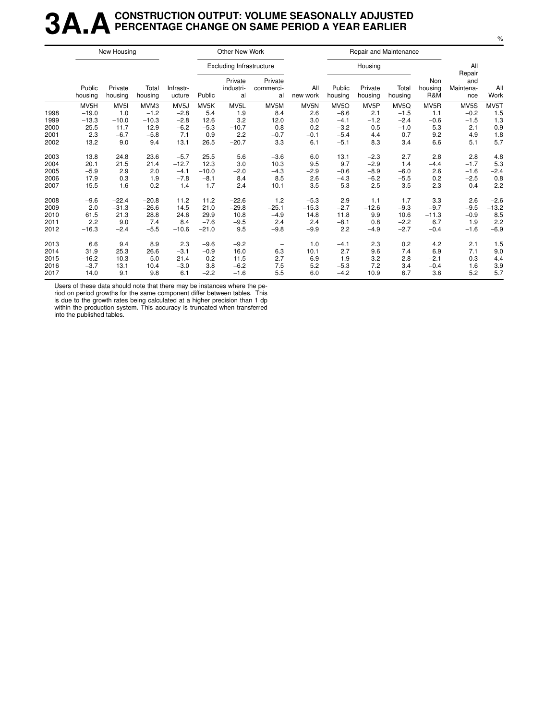### **3A.ACONSTRUCTION OUTPUT: VOLUME SEASONALLY ADJUSTED PERCENTAGE CHANGE ON SAME PERIOD A YEAR EARLIER**

|      |                   | New Housing        |                  |                     |         | Other New Work                  |                            |                 |                   | Repair and Maintenance |                  |                       |                         |             |
|------|-------------------|--------------------|------------------|---------------------|---------|---------------------------------|----------------------------|-----------------|-------------------|------------------------|------------------|-----------------------|-------------------------|-------------|
|      |                   |                    |                  |                     |         | <b>Excluding Infrastructure</b> |                            |                 |                   | Housing                |                  |                       | All<br>Repair           |             |
|      | Public<br>housing | Private<br>housing | Total<br>housing | Infrastr-<br>ucture | Public  | Private<br>industri-<br>al      | Private<br>commerci-<br>al | All<br>new work | Public<br>housing | Private<br>housing     | Total<br>housing | Non<br>housing<br>R&M | and<br>Maintena-<br>nce | All<br>Work |
|      | MV5H              | MV <sub>5I</sub>   | MVM3             | MV <sub>5</sub> J   | MV5K    | MV5L                            | MV5M                       | MV5N            | MV <sub>5</sub> O | MV5P                   | MV5Q             | MV5R                  | MV5S                    | MV5T        |
| 1998 | $-19.0$           | 1.0                | $-1.2$           | $-2.8$              | 5.4     | 1.9                             | 8.4                        | 2.6             | $-6.6$            | 2.1                    | $-1.5$           | 1.1                   | $-0.2$                  | 1.5         |
| 1999 | $-13.3$           | $-10.0$            | $-10.3$          | $-2.8$              | 12.6    | 3.2                             | 12.0                       | 3.0             | $-4.1$            | $-1.2$                 | $-2.4$           | $-0.6$                | $-1.5$                  | 1.3         |
| 2000 | 25.5              | 11.7               | 12.9             | $-6.2$              | $-5.3$  | $-10.7$                         | 0.8                        | 0.2             | $-3.2$            | 0.5                    | $-1.0$           | 5.3                   | 2.1                     | 0.9         |
| 2001 | 2.3               | $-6.7$             | $-5.8$           | 7.1                 | 0.9     | 2.2                             | $-0.7$                     | $-0.1$          | $-5.4$            | 4.4                    | 0.7              | 9.2                   | 4.9                     | 1.8         |
| 2002 | 13.2              | 9.0                | 9.4              | 13.1                | 26.5    | $-20.7$                         | 3.3                        | 6.1             | $-5.1$            | 8.3                    | 3.4              | 6.6                   | 5.1                     | 5.7         |
| 2003 | 13.8              | 24.8               | 23.6             | $-5.7$              | 25.5    | 5.6                             | $-3.6$                     | 6.0             | 13.1              | $-2.3$                 | 2.7              | 2.8                   | 2.8                     | 4.8         |
| 2004 | 20.1              | 21.5               | 21.4             | $-12.7$             | 12.3    | 3.0                             | 10.3                       | 9.5             | 9.7               | $-2.9$                 | 1.4              | $-4.4$                | $-1.7$                  | 5.3         |
| 2005 | $-5.9$            | 2.9                | 2.0              | $-4.1$              | $-10.0$ | $-2.0$                          | $-4.3$                     | $-2.9$          | $-0.6$            | $-8.9$                 | $-6.0$           | 2.6                   | $-1.6$                  | $-2.4$      |
| 2006 | 17.9              | 0.3                | 1.9              | $-7.8$              | $-8.1$  | 8.4                             | 8.5                        | 2.6             | $-4.3$            | $-6.2$                 | $-5.5$           | 0.2                   | $-2.5$                  | 0.8         |
| 2007 | 15.5              | $-1.6$             | 0.2              | $-1.4$              | $-1.7$  | $-2.4$                          | 10.1                       | 3.5             | $-5.3$            | $-2.5$                 | $-3.5$           | 2.3                   | $-0.4$                  | 2.2         |
| 2008 | $-9.6$            | $-22.4$            | $-20.8$          | 11.2                | 11.2    | $-22.6$                         | 1.2                        | $-5.3$          | 2.9               | 1.1                    | 1.7              | 3.3                   | 2.6                     | $-2.6$      |
| 2009 | 2.0               | $-31.3$            | $-26.6$          | 14.5                | 21.0    | $-29.8$                         | $-25.1$                    | $-15.3$         | $-2.7$            | $-12.6$                | $-9.3$           | $-9.7$                | $-9.5$                  | $-13.2$     |
| 2010 | 61.5              | 21.3               | 28.8             | 24.6                | 29.9    | 10.8                            | $-4.9$                     | 14.8            | 11.8              | 9.9                    | 10.6             | $-11.3$               | $-0.9$                  | 8.5         |
| 2011 | 2.2               | 9.0                | 7.4              | 8.4                 | $-7.6$  | $-9.5$                          | 2.4                        | 2.4             | $-8.1$            | 0.8                    | $-2.2$           | 6.7                   | 1.9                     | 2.2         |
| 2012 | $-16.3$           | $-2.4$             | $-5.5$           | $-10.6$             | $-21.0$ | 9.5                             | $-9.8$                     | $-9.9$          | 2.2               | $-4.9$                 | $-2.7$           | $-0.4$                | $-1.6$                  | $-6.9$      |
| 2013 | 6.6               | 9.4                | 8.9              | 2.3                 | $-9.6$  | $-9.2$                          |                            | 1.0             | $-4.1$            | 2.3                    | 0.2              | 4.2                   | 2.1                     | 1.5         |
| 2014 | 31.9              | 25.3               | 26.6             | $-3.1$              | $-0.9$  | 16.0                            | 6.3                        | 10.1            | 2.7               | 9.6                    | 7.4              | 6.9                   | 7.1                     | 9.0         |
| 2015 | $-16.2$           | 10.3               | 5.0              | 21.4                | 0.2     | 11.5                            | 2.7                        | 6.9             | 1.9               | 3.2                    | 2.8              | $-2.1$                | 0.3                     | 4.4         |
| 2016 | $-3.7$            | 13.1               | 10.4             | $-3.0$              | 3.8     | $-6.2$                          | 7.5                        | 5.2             | $-5.3$            | 7.2                    | 3.4              | $-0.4$                | 1.6                     | 3.9         |
| 2017 | 14.0              | 9.1                | 9.8              | 6.1                 | $-2.2$  | $-1.6$                          | 5.5                        | 6.0             | $-4.2$            | 10.9                   | 6.7              | 3.6                   | 5.2                     | 5.7         |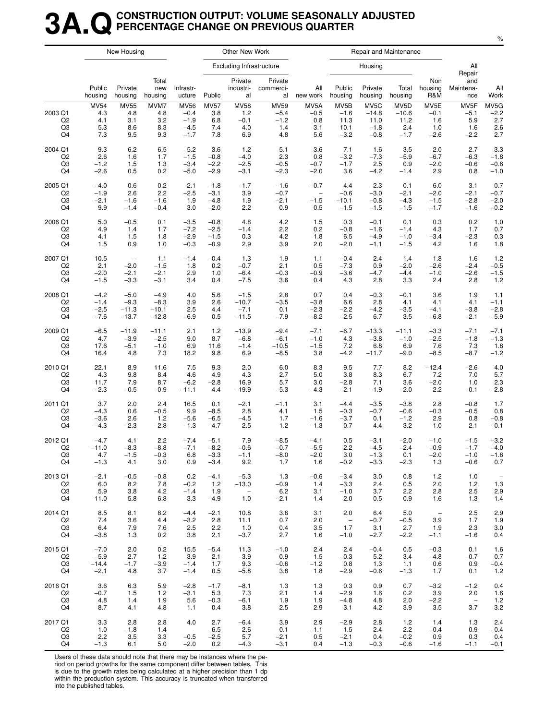### **3A.QCONSTRUCTION OUTPUT: VOLUME SEASONALLY ADJUSTED PERCENTAGE CHANGE ON PREVIOUS QUARTER**

|                                       |                                         | New Housing                             |                                  |                                                     |                                         | Other New Work                             |                                               |                                     |                                                       |                                             | Repair and Maintenance                                |                                        |                                        |                                     |
|---------------------------------------|-----------------------------------------|-----------------------------------------|----------------------------------|-----------------------------------------------------|-----------------------------------------|--------------------------------------------|-----------------------------------------------|-------------------------------------|-------------------------------------------------------|---------------------------------------------|-------------------------------------------------------|----------------------------------------|----------------------------------------|-------------------------------------|
|                                       |                                         |                                         |                                  |                                                     |                                         | Excluding Infrastructure                   |                                               |                                     |                                                       | Housing                                     |                                                       |                                        | All<br>Repair                          |                                     |
|                                       | Public<br>housing                       | Private<br>housing                      | Total<br>new<br>housing          | Infrastr-<br>ucture                                 | Public                                  | Private<br>industri-<br>al                 | Private<br>commerci-<br>al                    | All<br>new work                     | Public<br>housing                                     | Private<br>housing                          | Total<br>housing                                      | Non<br>housing<br>R&M                  | and<br>Maintena-<br>nce                | All<br>Work                         |
| 2003 Q1<br>Q <sub>2</sub><br>Q3<br>Q4 | <b>MV54</b><br>4.3<br>4.1<br>5.3<br>7.3 | <b>MV55</b><br>4.8<br>3.1<br>8.6<br>9.5 | MVM7<br>4.8<br>3.2<br>8.3<br>9.3 | <b>MV56</b><br>$-0.4$<br>$-1.9$<br>$-4.5$<br>$-1.7$ | <b>MV57</b><br>3.8<br>6.8<br>7.4<br>7.8 | <b>MV58</b><br>1.2<br>$-0.1$<br>4.0<br>6.9 | <b>MV59</b><br>$-5.4$<br>$-1.2$<br>1.4<br>4.8 | MV5A<br>$-0.5$<br>0.8<br>3.1<br>5.6 | MV <sub>5</sub> B<br>$-1.6$<br>11.3<br>10.1<br>$-3.2$ | MV5C<br>$-14.8$<br>11.0<br>$-1.8$<br>$-0.8$ | MV <sub>5</sub> D<br>$-10.6$<br>11.2<br>2.4<br>$-1.7$ | MV5E<br>$-0.1$<br>1.6<br>1.0<br>$-2.6$ | MV5F<br>$-5.1$<br>5.9<br>1.6<br>$-2.2$ | MV5G<br>$-2.2$<br>2.7<br>2.6<br>2.7 |
| 2004 Q1                               | 9.3                                     | 6.2                                     | 6.5                              | $-5.2$                                              | 3.6                                     | 1.2                                        | 5.1                                           | 3.6                                 | 7.1                                                   | 1.6                                         | 3.5                                                   | 2.0                                    | 2.7                                    | 3.3                                 |
| Q <sub>2</sub>                        | 2.6                                     | 1.6                                     | 1.7                              | $-1.5$                                              | $-0.8$                                  | $-4.0$                                     | 2.3                                           | 0.8                                 | $-3.2$                                                | $-7.3$                                      | $-5.9$                                                | $-6.7$                                 | $-6.3$                                 | $-1.8$                              |
| Q3                                    | $-1.2$                                  | 1.5                                     | 1.3                              | $-3.4$                                              | $-2.2$                                  | $-2.5$                                     | $-0.5$                                        | $-0.7$                              | $-1.7$                                                | 2.5                                         | 0.9                                                   | $-2.0$                                 | $-0.6$                                 | $-0.6$                              |
| Q4                                    | $-2.6$                                  | 0.5                                     | 0.2                              | $-5.0$                                              | $-2.9$                                  | $-3.1$                                     | $-2.3$                                        | $-2.0$                              | 3.6                                                   | $-4.2$                                      | $-1.4$                                                | 2.9                                    | 0.8                                    | $-1.0$                              |
| 2005 Q1                               | $-4.0$                                  | 0.6                                     | 0.2                              | 2.1                                                 | $-1.8$                                  | $-1.7$                                     | $-1.6$                                        | $-0.7$                              | 4.4                                                   | $-2.3$                                      | 0.1                                                   | 6.0                                    | 3.1                                    | 0.7                                 |
| Q2                                    | $-1.9$                                  | 2.6                                     | 2.2                              | $-2.5$                                              | $-3.1$                                  | 3.9                                        | $-0.7$                                        | $\overline{\phantom{a}}$            | $-0.6$                                                | $-3.0$                                      | $-2.1$                                                | $-2.0$                                 | $-2.1$                                 | $-0.7$                              |
| Q3                                    | $-2.1$                                  | $-1.6$                                  | $-1.6$                           | 1.9                                                 | $-4.8$                                  | 1.9                                        | $-2.1$                                        | $-1.5$                              | $-10.1$                                               | $-0.8$                                      | $-4.3$                                                | $-1.5$                                 | $-2.8$                                 | $-2.0$                              |
| Q4                                    | 9.9                                     | $-1.4$                                  | $-0.4$                           | 3.0                                                 | $-2.0$                                  | 2.2                                        | 0.9                                           | 0.5                                 | $-1.5$                                                | $-1.5$                                      | $-1.5$                                                | $-1.7$                                 | $-1.6$                                 | $-0.2$                              |
| 2006 Q1                               | 5.0                                     | $-0.5$                                  | 0.1                              | $-3.5$                                              | $-0.8$                                  | 4.8                                        | 4.2                                           | 1.5                                 | 0.3                                                   | $-0.1$                                      | 0.1                                                   | 0.3                                    | 0.2                                    | 1.0                                 |
| Q <sub>2</sub>                        | 4.9                                     | 1.4                                     | 1.7                              | $-7.2$                                              | $-2.5$                                  | $-1.4$                                     | 2.2                                           | 0.2                                 | $-0.8$                                                | $-1.6$                                      | $-1.4$                                                | 4.3                                    | 1.7                                    | 0.7                                 |
| Q3                                    | 4.1                                     | 1.5                                     | 1.8                              | $-2.9$                                              | $-1.5$                                  | 0.3                                        | 4.2                                           | 1.8                                 | 6.5                                                   | $-4.9$                                      | $-1.0$                                                | $-3.4$                                 | $-2.3$                                 | 0.3                                 |
| Q4                                    | 1.5                                     | 0.9                                     | 1.0                              | $-0.3$                                              | $-0.9$                                  | 2.9                                        | 3.9                                           | 2.0                                 | $-2.0$                                                | $-1.1$                                      | $-1.5$                                                | 4.2                                    | 1.6                                    | 1.8                                 |
| 2007 Q1                               | 10.5                                    | $\overline{\phantom{0}}$                | 1.1                              | $-1.4$                                              | $-0.4$                                  | 1.3                                        | 1.9                                           | 1.1                                 | $-0.4$                                                | 2.4                                         | 1.4                                                   | 1.8                                    | 1.6                                    | 1.2                                 |
| Q <sub>2</sub>                        | 2.1                                     | $-2.0$                                  | $-1.5$                           | 1.8                                                 | 0.2                                     | $-0.7$                                     | 2.1                                           | 0.5                                 | $-7.3$                                                | 0.9                                         | $-2.0$                                                | $-2.6$                                 | $-2.4$                                 | $-0.5$                              |
| Q3                                    | $-2.0$                                  | $-2.1$                                  | $-2.1$                           | 2.9                                                 | 1.0                                     | $-6.4$                                     | $-0.3$                                        | $-0.9$                              | $-3.6$                                                | $-4.7$                                      | $-4.4$                                                | $-1.0$                                 | $-2.6$                                 | $-1.5$                              |
| Q4                                    | $-1.5$                                  | $-3.3$                                  | $-3.1$                           | 3.4                                                 | 0.4                                     | $-7.5$                                     | 3.6                                           | 0.4                                 | 4.3                                                   | 2.8                                         | 3.3                                                   | 2.4                                    | 2.8                                    | 1.2                                 |
| 2008 Q1                               | $-4.2$                                  | $-5.0$                                  | $-4.9$                           | 4.0                                                 | 5.6                                     | $-1.5$                                     | 2.8                                           | 0.7                                 | 0.4                                                   | $-0.3$                                      | $-0.1$                                                | 3.6                                    | 1.9                                    | 1.1                                 |
| Q2                                    | $-1.4$                                  | $-9.3$                                  | $-8.3$                           | 3.9                                                 | 2.6                                     | $-10.7$                                    | $-3.5$                                        | $-3.8$                              | 6.6                                                   | 2.8                                         | 4.1                                                   | 4.1                                    | 4.1                                    | $-1.1$                              |
| Q3                                    | $-2.5$                                  | $-11.3$                                 | $-10.1$                          | 2.5                                                 | 4.4                                     | $-7.1$                                     | 0.1                                           | $-2.3$                              | $-2.2$                                                | $-4.2$                                      | $-3.5$                                                | $-4.1$                                 | $-3.8$                                 | $-2.8$                              |
| Q4                                    | $-7.6$                                  | $-13.7$                                 | $-12.8$                          | $-6.9$                                              | 0.5                                     | $-11.5$                                    | $-7.9$                                        | $-8.2$                              | $-2.5$                                                | 6.7                                         | 3.5                                                   | $-6.8$                                 | $-2.1$                                 | $-5.9$                              |
| 2009 Q1                               | $-6.5$                                  | $-11.9$                                 | $-11.1$                          | 2.1                                                 | 1.2                                     | $-13.9$                                    | $-9.4$                                        | $-7.1$                              | $-6.7$                                                | $-13.3$                                     | $-11.1$                                               | $-3.3$                                 | $-7.1$                                 | $-7.1$                              |
| Q <sub>2</sub>                        | 4.7                                     | $-3.9$                                  | $-2.5$                           | 9.0                                                 | 8.7                                     | $-6.8$                                     | $-6.1$                                        | $-1.0$                              | 4.3                                                   | $-3.8$                                      | $-1.0$                                                | $-2.5$                                 | $-1.8$                                 | $-1.3$                              |
| Q3                                    | 17.6                                    | $-5.1$                                  | $-1.0$                           | 6.9                                                 | 11.6                                    | $-1.4$                                     | $-10.5$                                       | $-1.5$                              | 7.2                                                   | 6.8                                         | 6.9                                                   | 7.6                                    | 7.3                                    | 1.8                                 |
| Q4                                    | 16.4                                    | 4.8                                     | 7.3                              | 18.2                                                | 9.8                                     | 6.9                                        | $-8.5$                                        | 3.8                                 | $-4.2$                                                | $-11.7$                                     | $-9.0$                                                | $-8.5$                                 | $-8.7$                                 | $-1.2$                              |
| 2010 Q1                               | 22.1                                    | 8.9                                     | 11.6                             | 7.5                                                 | 9.3                                     | 2.0                                        | 6.0                                           | 8.3                                 | 9.5                                                   | 7.7                                         | 8.2                                                   | $-12.4$                                | $-2.6$                                 | 4.0                                 |
| Q <sub>2</sub>                        | 4.3                                     | 9.8                                     | 8.4                              | 4.6                                                 | 4.9                                     | 4.3                                        | 2.7                                           | 5.0                                 | 3.8                                                   | 8.3                                         | 6.7                                                   | 7.2                                    | 7.0                                    | 5.7                                 |
| Q3                                    | 11.7                                    | 7.9                                     | 8.7                              | $-6.2$                                              | $-2.8$                                  | 16.9                                       | 5.7                                           | 3.0                                 | $-2.8$                                                | 7.1                                         | 3.6                                                   | $-2.0$                                 | 1.0                                    | 2.3                                 |
| Q4                                    | $-2.3$                                  | $-0.5$                                  | $-0.9$                           | $-11.1$                                             | 4.4                                     | $-19.9$                                    | $-5.3$                                        | $-4.3$                              | $-2.1$                                                | $-1.9$                                      | $-2.0$                                                | 2.2                                    | $-0.1$                                 | $-2.8$                              |
| 2011 Q1                               | 3.7                                     | 2.0                                     | 2.4                              | 16.5                                                | 0.1                                     | $-2.1$                                     | $-1.1$                                        | 3.1                                 | $-4.4$                                                | $-3.5$                                      | $-3.8$                                                | 2.8                                    | $-0.8$                                 | 1.7                                 |
| Q2                                    | $-4.3$                                  | 0.6                                     | $-0.5$                           | 9.9                                                 | $-8.5$                                  | 2.8                                        | 4.1                                           | 1.5                                 | $-0.3$                                                | $-0.7$                                      | $-0.6$                                                | $-0.3$                                 | $-0.5$                                 | 0.8                                 |
| Q3                                    | $-3.6$                                  | 2.6                                     | 1.2                              | $-5.6$                                              | $-6.5$                                  | $-4.5$                                     | 1.7                                           | $-1.6$                              | $-3.7$                                                | 0.1                                         | $-1.2$                                                | 2.9                                    | 0.8                                    | $-0.8$                              |
| Q4                                    | $-4.3$                                  | $-2.3$                                  | $-2.8$                           | $-1.3$                                              | $-4.7$                                  | 2.5                                        | 1.2                                           | $-1.3$                              | 0.7                                                   | 4.4                                         | 3.2                                                   | 1.0                                    | 2.1                                    | $-0.1$                              |
| 2012 Q1                               | $-4.7$                                  | 4.1                                     | 2.2                              | $-7.4$                                              | $-5.1$                                  | 7.9                                        | $-8.5$                                        | $-4.1$                              | 0.5                                                   | $-3.1$                                      | $-2.0$                                                | $-1.0$                                 | $-1.5$                                 | $-3.2$                              |
| Q <sub>2</sub>                        | $-11.0$                                 | $-8.3$                                  | $-8.8$                           | $-7.1$                                              | $-8.2$                                  | $-0.6$                                     | $-0.7$                                        | $-5.5$                              | 2.2                                                   | $-4.5$                                      | $-2.4$                                                | $-0.9$                                 | $-1.7$                                 | $-4.0$                              |
| Q3                                    | 4.7                                     | $-1.5$                                  | $-0.3$                           | 6.8                                                 | $-3.3$                                  | $-1.1$                                     | $-8.0$                                        | $-2.0$                              | 3.0                                                   | $-1.3$                                      | 0.1                                                   | $-2.0$                                 | $-1.0$                                 | $-1.6$                              |
| Q4                                    | $-1.3$                                  | 4.1                                     | 3.0                              | 0.9                                                 | $-3.4$                                  | 9.2                                        | 1.7                                           | 1.6                                 | $-0.2$                                                | $-3.3$                                      | $-2.3$                                                | 1.3                                    | $-0.6$                                 | 0.7                                 |
| 2013 Q1                               | $-2.1$                                  | $-0.5$                                  | $-0.8$                           | 0.2                                                 | $-4.1$                                  | $-5.3$                                     | 1.3                                           | $-0.6$                              | $-3.4$                                                | 3.0                                         | 0.8                                                   | 1.2                                    | 1.0                                    | $\overline{\phantom{a}}$            |
| Q2                                    | 6.0                                     | 8.2                                     | 7.8                              | $-0.2$                                              | 1.2                                     | $-13.0$                                    | $-0.9$                                        | 1.4                                 | $-3.3$                                                | 2.4                                         | 0.5                                                   | 2.0                                    | 1.2                                    | 1.3                                 |
| Q3                                    | 5.9                                     | 3.8                                     | 4.2                              | $-1.4$                                              | 1.9                                     | $\hspace{0.1mm}-\hspace{0.1mm}$            | 6.2                                           | 3.1                                 | $-1.0$                                                | 3.7                                         | 2.2                                                   | 2.8                                    | 2.5                                    | 2.9                                 |
| Q4                                    | 11.0                                    | 5.8                                     | 6.8                              | 3.3                                                 | $-4.9$                                  | 1.0                                        | $-2.1$                                        | 1.4                                 | 2.0                                                   | 0.5                                         | 0.9                                                   | 1.6                                    | 1.3                                    | $1.4$                               |
| 2014 Q1                               | 8.5                                     | 8.1                                     | 8.2                              | $-4.4$                                              | $-2.1$                                  | 10.8                                       | 3.6                                           | 3.1                                 | 2.0                                                   | 6.4                                         | 5.0                                                   | $\sim$                                 | 2.5                                    | 2.9                                 |
| Q2                                    | 7.4                                     | 3.6                                     | 4.4                              | $-3.2$                                              | 2.8                                     | 11.1                                       | 0.7                                           | 2.0                                 | $\hspace{0.1mm}-\hspace{0.1mm}$                       | $-0.7$                                      | $-0.5$                                                | 3.9                                    | 1.7                                    | 1.9                                 |
| Q3                                    | 6.4                                     | 7.9                                     | 7.6                              | 2.5                                                 | 2.2                                     | 1.0                                        | 0.4                                           | 3.5                                 | 1.7                                                   | 3.1                                         | 2.7                                                   | 1.9                                    | 2.3                                    | 3.0                                 |
| Q4                                    | $-3.8$                                  | 1.3                                     | 0.2                              | 3.8                                                 | 2.1                                     | $-3.7$                                     | 2.7                                           | 1.6                                 | $-1.0$                                                | $-2.7$                                      | $-2.2$                                                | $-1.1$                                 | $-1.6$                                 | 0.4                                 |
| 2015 Q1                               | $-7.0$                                  | 2.0                                     | 0.2                              | 15.5                                                | $-5.4$                                  | 11.3                                       | $-1.0$                                        | 2.4                                 | 2.4                                                   | $-0.4$                                      | 0.5                                                   | $-0.3$                                 | 0.1                                    | 1.6                                 |
| Q2                                    | $-5.9$                                  | 2.7                                     | 1.2                              | 3.9                                                 | 2.1                                     | $-3.9$                                     | 0.9                                           | 1.5                                 | $-0.3$                                                | 5.2                                         | 3.4                                                   | $-4.8$                                 | $-0.7$                                 | 0.7                                 |
| Q3                                    | $-14.4$                                 | $-1.7$                                  | $-3.9$                           | $-1.4$                                              | 1.7                                     | 9.3                                        | $-0.6$                                        | $-1.2$                              | 0.8                                                   | 1.3                                         | 1.1                                                   | 0.6                                    | 0.9                                    | $-0.4$                              |
| Q4                                    | $-2.1$                                  | 4.8                                     | 3.7                              | $-1.4$                                              | 0.5                                     | $-5.8$                                     | 3.8                                           | 1.8                                 | $-2.9$                                                | $-0.6$                                      | $-1.3$                                                | 1.7                                    | 0.1                                    | 1.2                                 |
| 2016 Q1                               | 3.6                                     | 6.3                                     | 5.9                              | $-2.8$                                              | $-1.7$                                  | $-8.1$                                     | 1.3                                           | 1.3                                 | 0.3                                                   | 0.9                                         | 0.7                                                   | $-3.2$                                 | $-1.2$                                 | 0.4                                 |
| Q2                                    | $-0.7$                                  | 1.5                                     | $1.2$                            | $-3.1$                                              | 5.3                                     | 7.3                                        | 2.1                                           | 1.4                                 | $-2.9$                                                | 1.6                                         | 0.2                                                   | 3.9                                    | 2.0                                    | 1.6                                 |
| Q3                                    | 4.8                                     | 1.4                                     | 1.9                              | 5.6                                                 | $-0.3$                                  | $-6.1$                                     | 1.9                                           | 1.9                                 | $-4.8$                                                | 4.8                                         | 2.0                                                   | $-2.2$                                 | $\sim$                                 | 1.2                                 |
| Q4                                    | 8.7                                     | 4.1                                     | 4.8                              | 1.1                                                 | 0.4                                     | 3.8                                        | 2.5                                           | 2.9                                 | 3.1                                                   | 4.2                                         | 3.9                                                   | 3.5                                    | 3.7                                    | 3.2                                 |
| 2017 Q1                               | 3.3                                     | 2.8                                     | 2.8                              | 4.0                                                 | 2.7                                     | $-6.4$                                     | 3.9                                           | 2.9                                 | $-2.9$                                                | 2.8                                         | 1.2                                                   | 1.4                                    | 1.3                                    | 2.4                                 |
| Q2                                    | 1.0                                     | $-1.8$                                  | $-1.4$                           | $\overline{\phantom{a}}$                            | $-6.5$                                  | 2.6                                        | 0.1                                           | $-1.1$                              | 1.5                                                   | 2.4                                         | 2.2                                                   | $-0.4$                                 | 0.9                                    | $-0.4$                              |
| Q3                                    | 2.2                                     | 3.5                                     | 3.3                              | $-0.5$                                              | $-2.5$                                  | 5.7                                        | $-2.1$                                        | 0.5                                 | $-2.1$                                                | 0.4                                         | $-0.2$                                                | 0.9                                    | 0.3                                    | 0.4                                 |
| Q4                                    | $-1.3$                                  | 6.1                                     | 5.0                              | $-2.0$                                              | 0.2                                     | $-4.3$                                     | $-3.1$                                        | 0.4                                 | $-1.3$                                                | $-0.3$                                      | $-0.6$                                                | $-1.6$                                 | $-1.1$                                 | $-0.1$                              |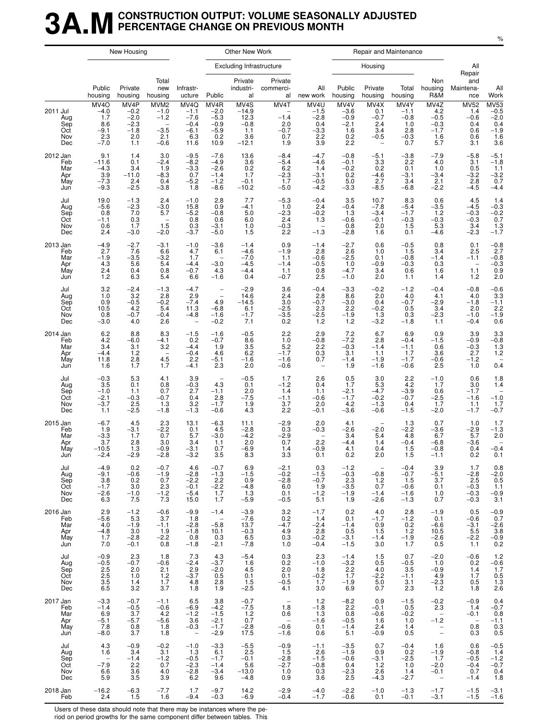### **3A.MCONSTRUCTION OUTPUT: VOLUME SEASONALLY ADJUSTED PERCENTAGE CHANGE ON PREVIOUS MONTH**

|                                             |                                                                      | New Housing                                                |                                                                                      |                                                                      |                                                                                           | Other New Work                                             |                                                                       |                                                                      |                                                               |                                                                           | Repair and Maintenance                                  |                                                               |                                                               |                                                                                        |
|---------------------------------------------|----------------------------------------------------------------------|------------------------------------------------------------|--------------------------------------------------------------------------------------|----------------------------------------------------------------------|-------------------------------------------------------------------------------------------|------------------------------------------------------------|-----------------------------------------------------------------------|----------------------------------------------------------------------|---------------------------------------------------------------|---------------------------------------------------------------------------|---------------------------------------------------------|---------------------------------------------------------------|---------------------------------------------------------------|----------------------------------------------------------------------------------------|
|                                             |                                                                      |                                                            |                                                                                      |                                                                      |                                                                                           | <b>Excluding Infrastructure</b>                            |                                                                       |                                                                      |                                                               | Housing                                                                   |                                                         |                                                               | All<br>Repair                                                 |                                                                                        |
|                                             | Public<br>housing                                                    | Private<br>housing                                         | Total<br>new<br>housing                                                              | Infrastr-<br>ucture                                                  | Public                                                                                    | Private<br>industri-<br>al                                 | Private<br>commerci-<br>al                                            | All<br>new work                                                      | Public<br>housing                                             | Private<br>housing                                                        | Total<br>housing                                        | Non<br>housing<br>R&M                                         | and<br>Maintena-<br>nce                                       | All<br>Work                                                                            |
| 2011 Jul<br>Aug<br>Sep<br>Oct<br>Nov<br>Dec | MV <sub>4</sub> O<br>$-4.0$<br>1.7<br>8.6<br>$-9.1$<br>2.3<br>$-7.0$ | MV4P<br>$-0.2$<br>$-2.0$<br>$-2.3$<br>$-1.8$<br>2.0<br>1.1 | MVM <sub>2</sub><br>$-1.0$<br>$-1.2$<br>$\qquad \qquad -$<br>$-3.5$<br>2.1<br>$-0.6$ | MV4Q<br>$-1.1$<br>$-7.6$<br>$-0.4$<br>$-6.1$<br>6.3<br>11.6          | MV4R<br>$-2.0$<br>$-5.3$<br>$-0.9$<br>$-5.9$<br>0.2<br>10.9                               | MV4S<br>$-14.9$<br>12.3<br>$-0.8$<br>1.1<br>3.6<br>$-12.1$ | MV4T<br>$-1.4$<br>2.0<br>$-0.7$<br>0.7<br>1.9                         | MV4U<br>$-1.5$<br>$-2.8$<br>0.4<br>$-3.3$<br>2.2<br>3.9              | MV4V<br>$-3.6$<br>$-0.9$<br>$-2.1$<br>1.6<br>0.2<br>2.2       | MV4X<br>0.1<br>$-0.7$<br>2.4<br>3.4<br>$-0.5$<br>$\overline{\phantom{0}}$ | MV4Y<br>$-1.1$<br>$-0.8$<br>1.0<br>2.8<br>$-0.3$<br>0.7 | MV4Z<br>4.2<br>$-0.5$<br>$-0.3$<br>$-1.7$<br>1.6<br>5.7       | <b>MV52</b><br>1.4<br>$-0.6$<br>0.4<br>0.6<br>0.6<br>3.1      | $MV53$<br>$-0.5$<br>$-2.0$<br>$\begin{array}{c} 0.4 \\ -1.9 \\ 1.6 \end{array}$<br>3.6 |
| 2012 Jan<br>Feb<br>Mar<br>Apr<br>May<br>Jun | 9.1<br>$-11.6$<br>$-4.3$<br>3.9<br>$-7.3$<br>$-9.3$                  | 1.4<br>0.1<br>3.4<br>$-11.0$<br>$2.4\,$<br>$-2.5$          | 3.0<br>$-2.4$<br>1.9<br>$-8.3$<br>0.4<br>$-3.8$                                      | $-9.5$<br>$-8.2$<br>$-3.3$<br>0.7<br>$-5.2$<br>1.8                   | $-7.6$<br>$-4.9$<br>$-2.6$<br>$-1.4$<br>$-1.2$<br>$-8.6$                                  | 13.6<br>3.6<br>0.2<br>1.7<br>$-0.1$<br>$-10.2$             | $-8.4$<br>$-5.4$<br>6.2<br>$-2.3$<br>1.7<br>$-5.0$                    | $-4.7$<br>$-4.6$<br>1.4<br>$-3.1$<br>$-0.5$<br>$-4.2$                | $-0.8$<br>$-0.1$<br>$-0.2$<br>0.2<br>5.0<br>$-3.3$            | $-5.1$<br>3.3<br>0.2<br>$-4.6$<br>2.7<br>$-8.5$                           | $-3.8$<br>2.2<br>0.1<br>$-3.1$<br>3.4<br>$-6.8$         | $-7.9$<br>4.0<br>1.0<br>$-3.4$<br>2.1<br>$-2.2$               | $-5.8$<br>3.1<br>0.5<br>$-3.2$<br>2.8<br>$-4.5$               | $-5.1$<br>$-1.8$<br>$1.1 - 3.2$<br>0.7<br>$-4.4$                                       |
| Jul<br>Aug<br>Sep<br>Oct<br>Nov<br>Dec      | 19.0<br>$-5.6$<br>0.8<br>$-1.1$<br>0.6<br>2.4                        | $-1.3$<br>$-2.3$<br>7.0<br>0.3<br>1.7<br>$-3.0$            | 2.4<br>$-3.0$<br>5.7<br>$\overline{\phantom{0}}$<br>1.5<br>$-2.0$                    | $-1.0$<br>15.8<br>$-5.2$<br>0.8<br>0.3<br>$-3.7$                     | 2.8<br>0.9<br>$-0.8$<br>0.6<br>$-3.1$<br>$-5.0$                                           | 7.7<br>$-4.1$<br>5.0<br>6.0<br>1.0<br>1.5                  | $-5.3$<br>1.0<br>$-2.3$<br>2.4<br>$-0.3$<br>2.2                       | $-0.4$<br>2.4<br>$-0.2$<br>1.3<br>$\overline{\phantom{a}}$<br>$-1.3$ | 3.5<br>$-0.4$<br>1.3<br>$-0.6$<br>0.8<br>$-2.8$               | 10.7<br>$-7.8$<br>$-3.4$<br>$-0.1$<br>2.0<br>1.6                          | 8.3<br>$-5.4$<br>$-1.7$<br>$-0.3$<br>1.5<br>0.1         | 0.6<br>$-3.5$<br>1.2<br>$-0.3$<br>5.3<br>$-4.6$               | 4.5<br>$-4.5$<br>$-0.\overline{3}$<br>$-0.3$<br>3.4<br>$-2.3$ | $-0.3$<br>$-0.2$<br>$0.7$<br>$1.3$<br>$-1.7$                                           |
| 2013 Jan<br>Feb<br>Mar<br>Apr<br>May<br>Jun | $-4.9$<br>2.7<br>$-1.9$<br>4.3<br>2.4<br>1.2                         | $-2.7$<br>7.6<br>$-3.5$<br>5.6<br>0.4<br>6.3               | $-3.1$<br>6.6<br>$-3.2$<br>5.4<br>0.8<br>5.4                                         | $-1.0$<br>4.7<br>1.7<br>$-4.4$<br>$-0.7$<br>6.6                      | $-3.6$<br>6.1<br>$\overline{\phantom{a}}$<br>$-3.0$<br>4.3<br>$-1.6$                      | $-1.4$<br>$-4.6$<br>$-7.0$<br>$-4.5$<br>$-4.4$<br>0.4      | 0.9<br>$-1.9$<br>1.1<br>$-1.4$<br>1.1<br>$-0.7$                       | $-1.4$<br>2.8<br>$-0.6$<br>$-0.5$<br>0.8<br>2.5                      | $-2.7$<br>2.6<br>$-2.5$<br>1.0<br>$-4.7$<br>$-1.0$            | 0.6<br>1.0<br>0.1<br>$-0.9$<br>3.4<br>2.0                                 | $-0.5$<br>1.5<br>$-0.8$<br>$-0.3$<br>0.6<br>1.1         | 0.8<br>3.4<br>$-1.4$<br>0.3<br>1.6<br>1.4                     | 0.1<br>2.5<br>$-1.1$<br>1.1<br>1.2                            | $-0.8$<br>2.7<br>$-0.8$<br>$-0.3$<br>0.9<br>2.0                                        |
| Jul<br>Aug<br>Sep<br>Oct<br>Nov<br>Dec      | 3.2<br>1.0<br>$0.9$<br>10.5<br>0.8<br>$-3.0$                         | $-2.4$<br>3.2<br>$-0.5$<br>4.2<br>$-0.7$<br>4.0            | $-1.3$<br>2.8<br>$-0.2$<br>5.4<br>$-0.4$<br>2.6                                      | $-4.7$<br>2.9<br>$-7.4$<br>11.3<br>$-4.8$                            | $\overline{\phantom{a}}$<br>$\overline{\phantom{0}}$<br>4.9<br>$-6.8$<br>$-1.6$<br>$-0.2$ | $-2.9$<br>14.6<br>$-14.5$<br>6.1<br>$-1.7$<br>7.1          | 3.6<br>2.4<br>3.0<br>$-2.5$<br>$-3.5$<br>0.2                          | $-0.4$<br>2.8<br>$-0.7$<br>2.3<br>$-2.5$<br>$1.2$                    | $-3.3$<br>8.6<br>$-3.0$<br>2.2<br>$-1.9$<br>1.2               | $-0.2$<br>2.0<br>0.4<br>$-0.2$<br>1.3<br>$-3.2$                           | $-1.2$<br>4.0<br>$-0.7$<br>0.5<br>0.3<br>$-1.8$         | $-0.4$<br>4.1<br>$-2.9$<br>3.4<br>$-2.3$<br>1.1               | $-0.8$<br>4.0<br>$-1.8$<br>2.0<br>$-1.0$<br>$-0.4$            | $-0.6$<br>3.3<br>$-1.1$<br>2.2<br>$^{-1.9}_{0.6}$                                      |
| 2014 Jan<br>Feb<br>Mar<br>Apr<br>May<br>Jun | 6.2<br>4.2<br>3.4<br>$-4.4$<br>11.8<br>1.6                           | 8.8<br>$-6.0$<br>3.1<br>1.2<br>2.8<br>1.7                  | 8.3<br>$-4.1$<br>3.2<br>$\overline{\phantom{a}}$<br>4.5<br>1.7                       | $-1.5$<br>0.2<br>$-4.4$<br>$-0.4$<br>2.2<br>$-4.1$                   | $-1.6$<br>$-0.7$<br>1.9<br>4.6<br>$-5.1$<br>2.3                                           | $-0.5$<br>8.6<br>3.5<br>6.2<br>$-1.6$<br>2.0               | 2.2<br>1.0<br>5.2<br>$-1.7$<br>$-1.6$<br>$-0.6$                       | 2.9<br>$-0.8$<br>2.2<br>0.3<br>0.7<br>$\overline{\phantom{a}}$       | 7.2<br>$-7.2$<br>$-0.3$<br>3.1<br>$-1.4$<br>1.9               | 6.7<br>2.8<br>$-1.4$<br>1.1<br>$-1.9$<br>$-1.6$                           | 6.9<br>$-0.4$<br>$-1.1$<br>1.7<br>$-1.7$<br>$-0.6$      | 0.9<br>$-1.5$<br>0.6<br>3.6<br>$-0.6$<br>2.5                  | 3.9<br>$-0.9$<br>$-0.3$<br>2.7<br>$-1.2$<br>1.0               | $\frac{3.3}{-0.8}$<br>$\overline{1.3}$<br>1.2<br>0.4                                   |
| Jul<br>Aug<br>Sep<br>Oct<br>Nov<br>Dec      | $-0.3$<br>3.5<br>$-1.0$<br>$-2.1$<br>$-3.7$<br>1.1                   | 5.3<br>0.1<br>1.1<br>$-0.3$<br>2.5<br>$-2.5$               | 4.1<br>0.8<br>0.7<br>$-0.7$<br>1.3<br>$-1.8$                                         | 3.9<br>$-0.3$<br>2.7<br>0.4<br>3.2<br>$-1.3$                         | $\overline{\phantom{a}}$<br>4.3<br>$-1.1$<br>2.8<br>$-1.7$<br>$-0.6$                      | $-0.5$<br>0.1<br>2.0<br>$-7.5$<br>1.9<br>4.3               | 1.7<br>$-1.2$<br>1.4<br>$-1.1$<br>3.7<br>2.2                          | 2.6<br>0.4<br>1.1<br>$-0.6$<br>2.0<br>$-0.1$                         | 0.5<br>1.7<br>$-2.1$<br>$-1.7$<br>4.2<br>$-3.6$               | 3.0<br>5.3<br>$-4.7$<br>$-0.2$<br>$-1.3$<br>$-0.6$                        | 2.2<br>4.2<br>$-3.9$<br>$-0.7$<br>0.4<br>$-1.5$         | $-1.0$<br>1.7<br>0.6<br>$-2.5$<br>1.7<br>$-2.0$               | 0.6<br>3.0<br>$-1.7$<br>$-1.6$<br>1.1<br>$-1.7$               | 1.8<br>1.4<br>$-1.0$<br>1.7<br>$-0.7$                                                  |
| 2015 Jan<br>Feb<br>Mar<br>Apr<br>May<br>Jun | $-6.7$<br>1.9<br>$-3.3$<br>3.7<br>$-10.5$<br>$-2.4$                  | 4.5<br>$-3.1$<br>1.7<br>2.8<br>1.3<br>$-2.9$               | 2.3<br>$-2.2$<br>0.7<br>3.0<br>$-0.9$<br>$-2.8$                                      | 13.1<br>0.1<br>5.7<br>3.4<br>$-3.1$<br>$-3.2$                        | $-6.3$<br>4.5<br>$-3.0$<br>1.1<br>0.7<br>3.5                                              | 11.1<br>$-2.8$<br>$-4.2$<br>2.0<br>$-6.9$<br>8.3           | $-2.9$<br>0.3<br>$-2.9$<br>0.7<br>1.4<br>3.3                          | 2.0<br>$-0.3$<br>$\qquad \qquad -$<br>2.2<br>$-0.9$<br>0.1           | 4.1<br>$-2.6$<br>3.4<br>$-4.4$<br>4.1<br>0.2                  | $\overline{\phantom{0}}$<br>$-2.0$<br>5.4<br>1.4<br>0.4<br>2.0            | 1.3<br>$-2.2$<br>4.8<br>$-0.4$<br>1.5<br>1.5            | 0.7<br>$-3.6$<br>6.7<br>$-6.8$<br>$-0.8$<br>$-1.1$            | 1.0<br>$-2.9$<br>5.7<br>$-3.6$<br>0.4<br>0.2                  | 1.7<br>$-1.3$<br>2.0<br>$\qquad \qquad -$<br>$-0.4$<br>0.1                             |
| Jul<br>Aug<br>Sep<br>Oct<br>Nov<br>Dec      | $-4.9$<br>$-9.1$<br>3.8<br>$-1.7$<br>$-2.6$<br>6.3                   | 0.2<br>$-0.6$<br>0.2<br>3.0<br>$-1.0$<br>7.5               | $-0.7$<br>$-1.9$<br>0.7<br>2.3<br>$-1.\overline{2}$<br>7.3                           | 4.6<br>$-2.8$<br>$-2.2$<br>$-0.1$<br>$-5.4$<br>15.0                  | $-0.7$<br>$-1.3$<br>2.2<br>$-2.2$<br>1.7<br>1.7                                           | 6.9<br>$-1.5$<br>0.9<br>$-4.8$<br>1.3<br>$-5.9$            | $-2.1$<br>$-0.2$<br>$-2.8$<br>6.0<br>0.1<br>$-0.5$                    | 0.3<br>$-1.5$<br>$-0.7$<br>1.9<br>$-1.2$<br>5.1                      | $-1.2$<br>$-0.3$<br>2.3<br>$-3.5$<br>$-1.\overline{9}$<br>1.9 | $-0.8$<br>$1.2$<br>0.7<br>$-1.4$<br>$-2.6$                                | $-0.4$<br>$-0.7$<br>1.5<br>$-0.6$<br>$-1.6$<br>$-1.3$   | 3.9<br>$-5.1$<br>3.7<br>0.1<br>1.0<br>0.7                     | 1.7<br>$-2.8$<br>2.5<br>$-0.3$<br>$-0.3$<br>$-0.3$            | $0.8 - 2.0$<br>$\overline{0.5}$<br>$1.1 - 0.9$<br>3.1                                  |
| 2016 Jan<br>Feb<br>Mar<br>Apr<br>May<br>Jun | 2.9<br>$-5.6$<br>4.0<br>$-4.8$<br>1.7<br>7.0                         | $-1.2$<br>5.3<br>$-1.9$<br>3.0<br>$-2.8$<br>$-0.1$         | $-0.6$<br>3.7<br>$-1.1$<br>1.9<br>$-2.2$<br>0.8                                      | $-9.9$<br>1.8<br>$-2.8$<br>$-1.8$<br>0.8<br>$-1.8$                   | $-1.4$<br>$\sim$ $-$<br>$-5.8$<br>10.1<br>0.3<br>$-2.1$                                   | $-3.9$<br>$-7.6$<br>13.7<br>$-0.3$<br>6.5<br>$-7.8$        | 3.2<br>0.2<br>$-4.7$<br>4.9<br>0.3<br>1.0                             | $-1.7$<br>1.4<br>$-2.4$<br>2.8<br>$-0.2$<br>$-0.4$                   | 0.2<br>0.1<br>$-1.4$<br>0.5<br>$-3.1$<br>$-1.5$               | 4.0<br>$-1.7$<br>0.9<br>1.5<br>$-1.4$<br>3.0                              | 2.8<br>$-1.2$<br>0.2<br>1.2<br>$-1.9$<br>1.7            | $-1.9$<br>0.1<br>$-6.6$<br>10.5<br>$-2.6$<br>0.5              | 0.5<br>$-0.6$<br>$-3.1$<br>5.5<br>$-2.2$<br>1.1               | $-0.9$<br>0.7<br>$-2.6$<br>3.8<br>$-0.9$<br>0.2                                        |
| Jul<br>Aug<br>Sep<br>Oct<br>Nov<br>Dec      | $-0.9$<br>$-0.5$<br>$2.5$<br>$2.5$<br>$3.5$<br>$6.5$                 | 2.3<br>$-0.7$<br>2.0<br>1.0<br>1.4<br>3.2                  | 1.8<br>$-0.6$<br>2.1<br>1.2<br>1.7<br>3.7                                            | 7.3<br>$-2.4$<br>2.9<br>$-3.7$<br>4.8<br>1.8                         | 4.3<br>$-3.7$<br>$-2.0$<br>0.5<br>2.8<br>1.9                                              | $-5.4$<br>1.6<br>4.5<br>0.1<br>$1.5 - 2.5$                 | 0.3<br>0.2<br>2.0<br>0.1<br>$-0.5$<br>4.1                             | 2.3<br>$-1.0$<br>1.8<br>$-0.2$<br>1.7<br>3.0                         | $-1.4$<br>$-3.2$<br>2.2<br>$1.\overline{7}$<br>$-1.9$<br>6.9  | 1.5<br>0.5<br>4.0<br>$-2.2$<br>5.0<br>0.7                                 | 0.7<br>$-0.5$<br>3.5<br>$-1.1$<br>3.1<br>2.3            | $-2.0$<br>1.0<br>$-0.9$<br>4.9<br>$-2.3$<br>1.2               | $-0.6$<br>0.2<br>$\frac{1}{1.7}$<br>0.5<br>1.8                | 1.2<br>$-0.6$<br>1.7<br>$\frac{0.5}{1.3}$<br>2.6                                       |
| 2017 Jan<br>Feb<br>Mar<br>Apr<br>May<br>Jun | $-3.3$<br>$-1.4$<br>6.9<br>$-5.1$<br>7.8<br>$-8.0$                   | $-0.7$<br>$-0.5$<br>3.7<br>$-5.7$<br>0.8<br>3.7            | $-1.1$<br>$-0.6$<br>4.2<br>$-5.6$<br>1.8<br>1.8                                      | 6.5<br>$-6.9$<br>$-1.2$<br>3.6<br>$-0.3$<br>$\overline{\phantom{a}}$ | 3.8<br>$-4.2$<br>$-1.5$<br>$-2.1$<br>$-1.7$<br>$-2.9$                                     | $-0.7 - 7.5$<br>1.2<br>0.7<br>$-2.8$<br>17.5               | $\overline{\phantom{a}}$<br>1.8<br>0.6<br>$-0.\overline{6}$<br>$-1.6$ | 1.2<br>$-1.8$<br>1.3<br>$-1.6$<br>0.1<br>0.6                         | $-8.2$<br>2.2<br>0.8<br>$-0.5$<br>$-1.4$<br>5.1               | 0.9<br>$-0.1$<br>$-0.6$<br>1.6<br>2.4<br>$-0.9$                           | $-1.5$<br>0.5<br>$-0.2$<br>1.0<br>1.4<br>0.5            | $-0.2$<br>2.3<br>$\sim$<br>$-1.2$<br>$\bar{a}$                | $-0.9$<br>1.4<br>$-0.1$<br>$-$<br>0.8<br>0.3                  | 0.4<br>$-0.7$<br>0.8<br>$-1.1$<br>0.3<br>0.5                                           |
| Jul<br>Aug<br>Sep<br>Oct<br>Nov<br>Dec      | 4.3<br>1.6<br>$-7.9$<br>6.6<br>5.9                                   | $-0.9$<br>3.4<br>$-1.4$<br>2.2<br>3.6<br>3.5               | $-0.2$<br>3.1<br>$-1.2$<br>0.7<br>4.0<br>3.9                                         | $-1.0$<br>1.3<br>$-0.5$<br>$-2.3$<br>$-2.8$<br>6.2                   | $-3.3$<br>6.1<br>$-1.7$<br>$-1.4$<br>$-3.4$<br>9.6                                        | $-5.5$<br>2.5<br>$-0.1$<br>5.6<br>$-13.0$<br>$-4.8$        | $-0.9$<br>1.5<br>$-2.8$<br>$-2.7$<br>1.0<br>0.9                       | $-1.1$<br>2.6<br>$-1.5$<br>$-0.8$<br>0.3<br>3.6                      | $-3.5$<br>$-1.9$<br>$-0.6$<br>0.4<br>$-2.3$<br>2.5            | 0.7<br>0.9<br>$-3.1$<br>1.2<br>2.6<br>$-4.3$                              | $-0.4$<br>0.2<br>$-2.5$<br>1.0<br>1.4<br>$-2.7$         | 1.6<br>$-1.9$<br>1.7<br>$-2.0$<br>$-0.1$<br>$\qquad \qquad -$ | 0.6<br>$-0.8$<br>$-0.5$<br>$-0.4$<br>0.7<br>$-1.4$            | $-0.5$<br>1.4<br>$-1.2$<br>$-0.7$<br>$0.4$<br>1.8                                      |
| 2018 Jan<br>Feb                             | $-16.2$<br>2.4                                                       | $-6.3$<br>1.5                                              | $-7.7$<br>1.6                                                                        | 1.7<br>$-9.4$                                                        | $-9.7$<br>$-0.3$                                                                          | 14.2<br>$-6.9$                                             | $-2.9$<br>$-0.4$                                                      | $-4.0$<br>$-1.7$                                                     | $-2.2$<br>$-0.6$                                              | $-1.0$<br>0.1                                                             | $-1.3$<br>$-0.1$                                        | $-1.7$<br>$-3.1$                                              | $-1.5$<br>$-1.5$                                              | $-3.1$<br>$-1.6$                                                                       |

Users of these data should note that there may be instances where the pe-

riod on period growths for the same component differ between tables. This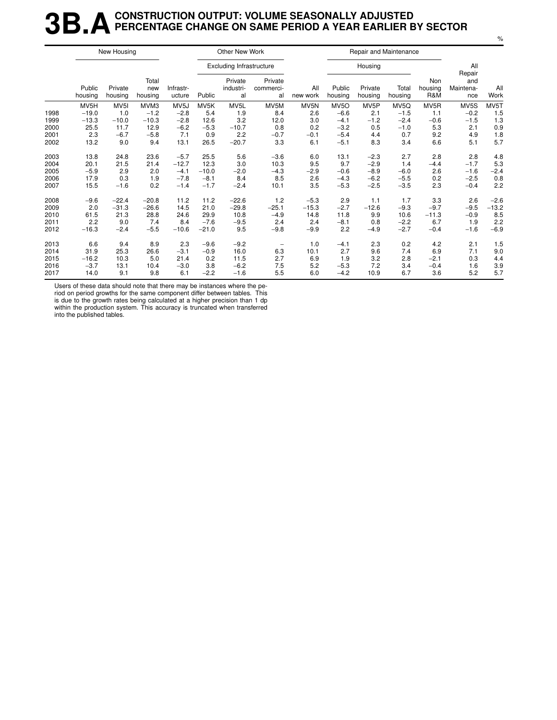### **3B.A** CONSTRUCTION OUTPUT: VOLUME SEASONALLY ADJUSTED<br>**3B.A** PERCENTAGE CHANGE ON SAME PERIOD A YEAR EARLIER E **PERCENTAGE CHANGE ON SAME PERIOD A YEAR EARLIER BY SECTOR**

|      |                   | New Housing        |                         |                     |         | Other New Work                  |                            |                 |                   | Repair and Maintenance |                  |                       |                                   |             |
|------|-------------------|--------------------|-------------------------|---------------------|---------|---------------------------------|----------------------------|-----------------|-------------------|------------------------|------------------|-----------------------|-----------------------------------|-------------|
|      |                   |                    |                         |                     |         | <b>Excluding Infrastructure</b> |                            |                 |                   | Housing                |                  |                       | All                               |             |
|      | Public<br>housing | Private<br>housing | Total<br>new<br>housing | Infrastr-<br>ucture | Public  | Private<br>industri-<br>al      | Private<br>commerci-<br>al | All<br>new work | Public<br>housing | Private<br>housing     | Total<br>housing | Non<br>housing<br>R&M | Repair<br>and<br>Maintena-<br>nce | All<br>Work |
|      | MV5H              | MV <sub>5</sub>    | MVM3                    | MV <sub>5</sub> J   | MV5K    | MV5L                            | MV5M                       | MV5N            | MV <sub>50</sub>  | MV <sub>5</sub> P      | MV5Q             | MV <sub>5</sub> R     | MV5S                              | MV5T        |
| 1998 | $-19.0$           | 1.0                | $-1.2$                  | $-2.8$              | 5.4     | 1.9                             | 8.4                        | 2.6             | $-6.6$            | 2.1                    | $-1.5$           | 1.1                   | $-0.2$                            | 1.5         |
| 1999 | $-13.3$           | $-10.0$            | $-10.3$                 | $-2.8$              | 12.6    | 3.2                             | 12.0                       | 3.0             | $-4.1$            | $-1.2$                 | $-2.4$           | $-0.6$                | $-1.5$                            | 1.3         |
| 2000 | 25.5              | 11.7               | 12.9                    | $-6.2$              | $-5.3$  | $-10.7$                         | 0.8                        | 0.2             | $-3.2$            | 0.5                    | $-1.0$           | 5.3                   | 2.1                               | 0.9         |
| 2001 | 2.3               | $-6.7$             | $-5.8$                  | 7.1                 | 0.9     | 2.2                             | $-0.7$                     | $-0.1$          | $-5.4$            | 4.4                    | 0.7              | 9.2                   | 4.9                               | 1.8         |
| 2002 | 13.2              | 9.0                | 9.4                     | 13.1                | 26.5    | $-20.7$                         | 3.3                        | 6.1             | $-5.1$            | 8.3                    | 3.4              | 6.6                   | 5.1                               | 5.7         |
| 2003 | 13.8              | 24.8               | 23.6                    | $-5.7$              | 25.5    | 5.6                             | $-3.6$                     | 6.0             | 13.1              | $-2.3$                 | 2.7              | 2.8                   | 2.8                               | 4.8         |
| 2004 | 20.1              | 21.5               | 21.4                    | $-12.7$             | 12.3    | 3.0                             | 10.3                       | 9.5             | 9.7               | $-2.9$                 | 1.4              | $-4.4$                | $-1.7$                            | 5.3         |
| 2005 | $-5.9$            | 2.9                | 2.0                     | $-4.1$              | $-10.0$ | $-2.0$                          | $-4.3$                     | $-2.9$          | $-0.6$            | $-8.9$                 | $-6.0$           | 2.6                   | $-1.6$                            | $-2.4$      |
| 2006 | 17.9              | 0.3                | 1.9                     | $-7.8$              | $-8.1$  | 8.4                             | 8.5                        | 2.6             | $-4.3$            | $-6.2$                 | $-5.5$           | 0.2                   | $-2.5$                            | 0.8         |
| 2007 | 15.5              | $-1.6$             | 0.2                     | $-1.4$              | $-1.7$  | $-2.4$                          | 10.1                       | 3.5             | $-5.3$            | $-2.5$                 | $-3.5$           | 2.3                   | $-0.4$                            | 2.2         |
| 2008 | $-9.6$            | $-22.4$            | $-20.8$                 | 11.2                | 11.2    | $-22.6$                         | 1.2                        | $-5.3$          | 2.9               | 1.1                    | 1.7              | 3.3                   | 2.6                               | $-2.6$      |
| 2009 | 2.0               | $-31.3$            | $-26.6$                 | 14.5                | 21.0    | $-29.8$                         | $-25.1$                    | $-15.3$         | $-2.7$            | $-12.6$                | $-9.3$           | $-9.7$                | $-9.5$                            | $-13.2$     |
| 2010 | 61.5              | 21.3               | 28.8                    | 24.6                | 29.9    | 10.8                            | $-4.9$                     | 14.8            | 11.8              | 9.9                    | 10.6             | $-11.3$               | $-0.9$                            | 8.5         |
| 2011 | 2.2               | 9.0                | 7.4                     | 8.4                 | $-7.6$  | $-9.5$                          | 2.4                        | 2.4             | $-8.1$            | 0.8                    | $-2.2$           | 6.7                   | 1.9                               | 2.2         |
| 2012 | $-16.3$           | $-2.4$             | $-5.5$                  | $-10.6$             | $-21.0$ | 9.5                             | $-9.8$                     | $-9.9$          | 2.2               | $-4.9$                 | $-2.7$           | $-0.4$                | $-1.6$                            | $-6.9$      |
| 2013 | 6.6               | 9.4                | 8.9                     | 2.3                 | $-9.6$  | $-9.2$                          |                            | 1.0             | $-4.1$            | 2.3                    | 0.2              | 4.2                   | 2.1                               | 1.5         |
| 2014 | 31.9              | 25.3               | 26.6                    | $-3.1$              | $-0.9$  | 16.0                            | 6.3                        | 10.1            | 2.7               | 9.6                    | 7.4              | 6.9                   | 7.1                               | 9.0         |
| 2015 | $-16.2$           | 10.3               | 5.0                     | 21.4                | 0.2     | 11.5                            | 2.7                        | 6.9             | 1.9               | 3.2                    | 2.8              | $-2.1$                | 0.3                               | 4.4         |
| 2016 | $-3.7$            | 13.1               | 10.4                    | $-3.0$              | 3.8     | $-6.2$                          | 7.5                        | 5.2             | $-5.3$            | 7.2                    | 3.4              | $-0.4$                | 1.6                               | 3.9         |
| 2017 | 14.0              | 9.1                | 9.8                     | 6.1                 | $-2.2$  | $-1.6$                          | 5.5                        | 6.0             | $-4.2$            | 10.9                   | 6.7              | 3.6                   | 5.2                               | 5.7         |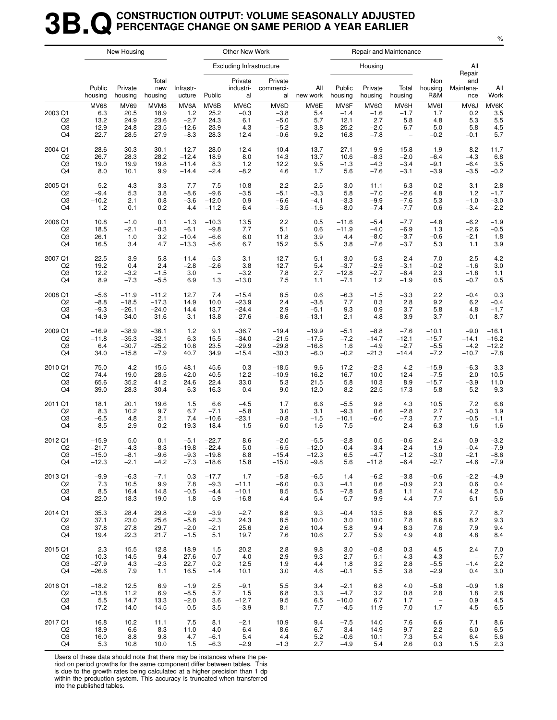### **3B.QCONSTRUCTION OUTPUT: VOLUME SEASONALLY ADJUSTED PERCENTAGE CHANGE ON SAME PERIOD A YEAR EARLIER**

|                                       |                                            | New Housing                          |                                      |                                            |                                      | Other New Work                       |                                              |                                  |                                        |                                           | Repair and Maintenance                                   |                                     |                                     |                                  |
|---------------------------------------|--------------------------------------------|--------------------------------------|--------------------------------------|--------------------------------------------|--------------------------------------|--------------------------------------|----------------------------------------------|----------------------------------|----------------------------------------|-------------------------------------------|----------------------------------------------------------|-------------------------------------|-------------------------------------|----------------------------------|
|                                       |                                            |                                      |                                      |                                            |                                      | <b>Excluding Infrastructure</b>      |                                              |                                  |                                        | Housing                                   |                                                          |                                     | All<br>Repair                       |                                  |
|                                       | Public<br>housing                          | Private<br>housing                   | Total<br>new<br>housing              | Infrastr-<br>ucture                        | Public                               | Private<br>industri-<br>al           | Private<br>commerci-<br>al                   | All<br>new work                  | Public<br>housing                      | Private<br>housing                        | Total<br>housing                                         | Non<br>housing<br>R&M               | and<br>Maintena-<br>nce             | All<br>Work                      |
| 2003 Q1<br>Q <sub>2</sub><br>Q3<br>Q4 | <b>MV68</b><br>6.3<br>13.2<br>12.9<br>22.7 | MV69<br>20.5<br>24.9<br>24.8<br>28.5 | MVM8<br>18.9<br>23.6<br>23.5<br>27.9 | MV6A<br>1.2<br>$-2.7$<br>$-12.6$<br>$-8.3$ | MV6B<br>25.2<br>24.3<br>23.9<br>28.3 | MV6C<br>$-0.3$<br>6.1<br>4.3<br>12.4 | MV6D<br>$-3.8$<br>$-5.0$<br>$-5.2$<br>$-0.6$ | MV6E<br>5.4<br>5.7<br>3.8<br>9.2 | MV6F<br>$-1.4$<br>12.1<br>25.2<br>16.8 | MV6G<br>$-1.6$<br>2.7<br>$-2.0$<br>$-7.8$ | MV6H<br>$-1.7$<br>5.8<br>6.7<br>$\overline{\phantom{a}}$ | MV6I<br>1.7<br>4.8<br>5.0<br>$-0.2$ | MV6J<br>0.2<br>5.3<br>5.8<br>$-0.1$ | MV6K<br>3.5<br>5.5<br>4.5<br>5.7 |
| 2004 Q1                               | 28.6                                       | 30.3                                 | 30.1                                 | $-12.7$                                    | 28.0                                 | 12.4                                 | 10.4                                         | 13.7                             | 27.1                                   | 9.9                                       | 15.8                                                     | 1.9                                 | 8.2                                 | 11.7                             |
| Q2                                    | 26.7                                       | 28.3                                 | 28.2                                 | $-12.4$                                    | 18.9                                 | 8.0                                  | 14.3                                         | 13.7                             | 10.6                                   | $-8.3$                                    | $-2.0$                                                   | $-6.4$                              | $-4.3$                              | 6.8                              |
| Q3                                    | 19.0                                       | 19.9                                 | 19.8                                 | $-11.4$                                    | 8.3                                  | 1.2                                  | 12.2                                         | 9.5                              | $-1.3$                                 | $-4.3$                                    | $-3.4$                                                   | $-9.1$                              | $-6.4$                              | 3.5                              |
| Q4                                    | 8.0                                        | 10.1                                 | 9.9                                  | $-14.4$                                    | $-2.4$                               | $-8.2$                               | 4.6                                          | 1.7                              | 5.6                                    | $-7.6$                                    | $-3.1$                                                   | $-3.9$                              | $-3.5$                              | $-0.2$                           |
| 2005 Q1                               | $-5.2$                                     | 4.3                                  | 3.3                                  | $-7.7$                                     | $-7.5$                               | $-10.8$                              | $-2.2$                                       | $-2.5$                           | 3.0                                    | $-11.1$                                   | $-6.3$                                                   | $-0.2$                              | $-3.1$                              | $-2.8$                           |
| Q <sub>2</sub>                        | $-9.4$                                     | 5.3                                  | 3.8                                  | $-8.6$                                     | $-9.6$                               | $-3.5$                               | $-5.1$                                       | $-3.3$                           | 5.8                                    | $-7.0$                                    | $-2.6$                                                   | 4.8                                 | $1.2$                               | $-1.7$                           |
| Q3                                    | $-10.2$                                    | 2.1                                  | 0.8                                  | $-3.6$                                     | $-12.0$                              | 0.9                                  | $-6.6$                                       | $-4.1$                           | $-3.3$                                 | $-9.9$                                    | $-7.6$                                                   | 5.3                                 | $-1.0$                              | $-3.0$                           |
| Q4                                    | 1.2                                        | 0.1                                  | 0.2                                  | 4.4                                        | $-11.2$                              | 6.4                                  | $-3.5$                                       | $-1.6$                           | $-8.0$                                 | $-7.4$                                    | $-7.7$                                                   | 0.6                                 | $-3.4$                              | $-2.2$                           |
| 2006 Q1                               | 10.8                                       | $-1.0$                               | 0.1                                  | $-1.3$                                     | $-10.3$                              | 13.5                                 | 2.2                                          | 0.5                              | $-11.6$                                | $-5.4$                                    | $-7.7$                                                   | $-4.8$                              | $-6.2$                              | $-1.9$                           |
| Q <sub>2</sub>                        | 18.5                                       | $-2.1$                               | $-0.3$                               | $-6.1$                                     | $-9.8$                               | 7.7                                  | 5.1                                          | 0.6                              | $-11.9$                                | $-4.0$                                    | $-6.9$                                                   | 1.3                                 | $-2.6$                              | $-0.5$                           |
| Q3                                    | 26.1                                       | 1.0                                  | 3.2                                  | $-10.4$                                    | $-6.6$                               | 6.0                                  | 11.8                                         | 3.9                              | 4.4                                    | $-8.0$                                    | $-3.7$                                                   | $-0.6$                              | $-2.1$                              | 1.8                              |
| Q4                                    | 16.5                                       | 3.4                                  | 4.7                                  | $-13.3$                                    | $-5.6$                               | 6.7                                  | 15.2                                         | 5.5                              | 3.8                                    | $-7.6$                                    | $-3.7$                                                   | 5.3                                 | 1.1                                 | 3.9                              |
| 2007 Q1                               | 22.5                                       | 3.9                                  | 5.8                                  | $-11.4$                                    | $-5.3$                               | 3.1                                  | 12.7                                         | 5.1                              | 3.0                                    | $-5.3$                                    | $-2.4$                                                   | 7.0                                 | 2.5                                 | 4.2                              |
| Q2                                    | 19.2                                       | 0.4                                  | 2.4                                  | $-2.8$                                     | $-2.6$                               | 3.8                                  | 12.7                                         | 5.4                              | $-3.7$                                 | $-2.9$                                    | $-3.1$                                                   | $-0.2$                              | $-1.6$                              | 3.0                              |
| Q3                                    | 12.2                                       | $-3.2$                               | $-1.5$                               | 3.0                                        | $\overline{\phantom{a}}$             | $-3.2$                               | 7.8                                          | 2.7                              | $-12.8$                                | $-2.7$                                    | $-6.4$                                                   | 2.3                                 | $-1.8$                              | 1.1                              |
| Q4                                    | 8.9                                        | $-7.3$                               | $-5.5$                               | 6.9                                        | 1.3                                  | $-13.0$                              | 7.5                                          | 1.1                              | $-7.1$                                 | $1.2$                                     | $-1.9$                                                   | 0.5                                 | $-0.7$                              | 0.5                              |
| 2008 Q1                               | $-5.6$                                     | $-11.9$                              | $-11.2$                              | 12.7                                       | 7.4                                  | $-15.4$                              | 8.5                                          | 0.6                              | $-6.3$                                 | $-1.5$                                    | $-3.3$                                                   | 2.2                                 | $-0.4$                              | 0.3                              |
| Q <sub>2</sub>                        | $-8.8$                                     | $-18.5$                              | $-17.3$                              | 14.9                                       | 10.0                                 | $-23.9$                              | 2.4                                          | $-3.8$                           | 7.7                                    | 0.3                                       | 2.8                                                      | 9.2                                 | 6.2                                 | $-0.4$                           |
| Q3                                    | $-9.3$                                     | $-26.1$                              | $-24.0$                              | 14.4                                       | 13.7                                 | $-24.4$                              | 2.9                                          | $-5.1$                           | 9.3                                    | 0.9                                       | 3.7                                                      | 5.8                                 | 4.8                                 | $-1.7$                           |
| Q4                                    | $-14.9$                                    | $-34.0$                              | $-31.6$                              | 3.1                                        | 13.8                                 | $-27.6$                              | $-8.6$                                       | $-13.1$                          | 2.1                                    | 4.8                                       | 3.9                                                      | $-3.7$                              | $-0.1$                              | $-8.7$                           |
| 2009 Q1                               | $-16.9$                                    | $-38.9$                              | $-36.1$                              | 1.2                                        | 9.1                                  | $-36.7$                              | $-19.4$                                      | $-19.9$                          | $-5.1$                                 | $-8.8$                                    | $-7.6$                                                   | $-10.1$                             | $-9.0$                              | $-16.1$                          |
| Q <sub>2</sub>                        | $-11.8$                                    | $-35.3$                              | $-32.1$                              | 6.3                                        | 15.5                                 | $-34.0$                              | $-21.5$                                      | $-17.5$                          | $-7.2$                                 | $-14.7$                                   | $-12.1$                                                  | $-15.7$                             | $-14.1$                             | $-16.2$                          |
| Q3                                    | 6.4                                        | $-30.7$                              | $-25.2$                              | 10.8                                       | 23.5                                 | $-29.9$                              | $-29.8$                                      | $-16.8$                          | 1.6                                    | $-4.9$                                    | $-2.7$                                                   | $-5.5$                              | $-4.2$                              | $-12.2$                          |
| Q4                                    | 34.0                                       | $-15.8$                              | $-7.9$                               | 40.7                                       | 34.9                                 | $-15.4$                              | $-30.3$                                      | $-6.0$                           | $-0.2$                                 | $-21.3$                                   | $-14.4$                                                  | $-7.2$                              | $-10.7$                             | $-7.8$                           |
| 2010 Q1                               | 75.0                                       | 4.2                                  | 15.5                                 | 48.1                                       | 45.6                                 | 0.3                                  | $-18.5$                                      | 9.6                              | 17.2                                   | $-2.3$                                    | 4.2                                                      | $-15.9$                             | $-6.3$                              | 3.3                              |
| Q2                                    | 74.4                                       | 19.0                                 | 28.5                                 | 42.0                                       | 40.5                                 | 12.2                                 | $-10.9$                                      | 16.2                             | 16.7                                   | 10.0                                      | 12.4                                                     | $-7.5$                              | 2.0                                 | 10.5                             |
| Q3                                    | 65.6                                       | 35.2                                 | 41.2                                 | 24.6                                       | 22.4                                 | 33.0                                 | 5.3                                          | 21.5                             | 5.8                                    | 10.3                                      | 8.9                                                      | $-15.7$                             | $-3.9$                              | 11.0                             |
| Q4                                    | 39.0                                       | 28.3                                 | 30.4                                 | $-6.3$                                     | 16.3                                 | $-0.4$                               | 9.0                                          | 12.0                             | 8.2                                    | 22.5                                      | 17.3                                                     | $-5.8$                              | 5.2                                 | 9.3                              |
| 2011 Q1                               | 18.1                                       | 20.1                                 | 19.6                                 | 1.5                                        | 6.6                                  | $-4.5$                               | 1.7                                          | 6.6                              | $-5.5$                                 | 9.8                                       | 4.3                                                      | 10.5                                | 7.2                                 | 6.8                              |
| Q <sub>2</sub>                        | 8.3                                        | 10.2                                 | 9.7                                  | 6.7                                        | $-7.1$                               | $-5.8$                               | 3.0                                          | 3.1                              | $-9.3$                                 | 0.6                                       | $-2.8$                                                   | 2.7                                 | $-0.3$                              | 1.9                              |
| Q3                                    | $-6.5$                                     | 4.8                                  | 2.1                                  | 7.4                                        | $-10.6$                              | $-23.1$                              | $-0.8$                                       | $-1.5$                           | $-10.1$                                | $-6.0$                                    | $-7.3$                                                   | 7.7                                 | $-0.5$                              | $-1.1$                           |
| Q4                                    | $-8.5$                                     | 2.9                                  | 0.2                                  | 19.3                                       | $-18.4$                              | $-1.5$                               | 6.0                                          | 1.6                              | $-7.5$                                 | $\qquad \qquad -$                         | $-2.4$                                                   | 6.3                                 | 1.6                                 | 1.6                              |
| 2012 Q1                               | $-15.9$                                    | 5.0                                  | 0.1                                  | $-5.1$                                     | $-22.7$                              | 8.6                                  | $-2.0$                                       | $-5.5$                           | $-2.8$                                 | 0.5                                       | $-0.6$                                                   | 2.4                                 | 0.9                                 | $-3.2$                           |
| Q <sub>2</sub>                        | $-21.7$                                    | $-4.3$                               | $-8.3$                               | $-19.8$                                    | $-22.4$                              | 5.0                                  | $-6.5$                                       | $-12.0$                          | $-0.4$                                 | $-3.4$                                    | $-2.4$                                                   | 1.9                                 | $-0.4$                              | $-7.9$                           |
| Q3                                    | $-15.0$                                    | -8.1                                 | $-9.6$                               | $-9.3$                                     | $-19.8$                              | 8.8                                  | -15.4                                        | $-12.3$                          | 6.5                                    | $-4.7$                                    | $-1.2$                                                   | -3.0                                | $-2.1$                              | $-8.6$                           |
| Q4                                    | $-12.3$                                    | $-2.1$                               | $-4.2$                               | $-7.3$                                     | $-18.6$                              | 15.8                                 | $-15.0$                                      | $-9.8$                           | 5.6                                    | $-11.8$                                   | $-6.4$                                                   | $-2.7$                              | $-4.6$                              | $-7.9$                           |
| 2013 Q1                               | $-9.9$                                     | $-6.3$                               | $-7.1$                               | 0.3                                        | $-17.7$                              | 1.7                                  | $-5.8$                                       | $-6.5$                           | 1.4                                    | $-6.2$                                    | $-3.8$                                                   | $-0.6$                              | $-2.2$                              | $-4.9$                           |
| Q2                                    | 7.3                                        | 10.5                                 | 9.9                                  | 7.8                                        | $-9.3$                               | $-11.1$                              | $-6.0$                                       | 0.3                              | $-4.1$                                 | 0.6                                       | $-0.9$                                                   | 2.3                                 | 0.6                                 | 0.4                              |
| Q3                                    | 8.5                                        | 16.4                                 | 14.8                                 | $-0.5$                                     | $-4.4$                               | $-10.1$                              | 8.5                                          | 5.5                              | $-7.8$                                 | 5.8                                       | 1.1                                                      | 7.4                                 | 4.2                                 | 5.0                              |
| Q4                                    | 22.0                                       | 18.3                                 | 19.0                                 | 1.8                                        | $-5.9$                               | $-16.8$                              | 4.4                                          | 5.4                              | $-5.7$                                 | 9.9                                       | 4.4                                                      | 7.7                                 | 6.1                                 | 5.6                              |
| 2014 Q1                               | 35.3                                       | 28.4                                 | 29.8                                 | $-2.9$                                     | $-3.9$                               | $-2.7$                               | 6.8                                          | 9.3                              | $-0.4$                                 | 13.5                                      | 8.8                                                      | 6.5                                 | 7.7                                 | 8.7                              |
| Q2                                    | 37.1                                       | 23.0                                 | 25.6                                 | $-5.8$                                     | $-2.3$                               | 24.3                                 | 8.5                                          | 10.0                             | 3.0                                    | 10.0                                      | 7.8                                                      | 8.6                                 | 8.2                                 | 9.3                              |
| Q3                                    | 37.8                                       | 27.8                                 | 29.7                                 | $-2.0$                                     | $-2.1$                               | 25.6                                 | 2.6                                          | 10.4                             | 5.8                                    | 9.4                                       | 8.3                                                      | 7.6                                 | 7.9                                 | 9.4                              |
| Q4                                    | 19.4                                       | 22.3                                 | 21.7                                 | $-1.5$                                     | 5.1                                  | 19.7                                 | 7.6                                          | 10.6                             | 2.7                                    | 5.9                                       | 4.9                                                      | 4.8                                 | 4.8                                 | 8.4                              |
| 2015 Q1                               | 2.3                                        | 15.5                                 | 12.8                                 | 18.9                                       | 1.5                                  | 20.2                                 | 2.8                                          | 9.8                              | 3.0                                    | $-0.8$                                    | 0.3                                                      | 4.5                                 | 2.4                                 | 7.0                              |
| Q2                                    | $-10.3$                                    | 14.5                                 | 9.4                                  | 27.6                                       | 0.7                                  | 4.0                                  | 2.9                                          | 9.3                              | 2.7                                    | 5.1                                       | 4.3                                                      | $-4.3$                              | $\sim$                              | 5.7                              |
| Q3                                    | $-27.9$                                    | 4.3                                  | $-2.3$                               | 22.7                                       | 0.2                                  | 12.5                                 | 1.9                                          | 4.4                              | 1.8                                    | 3.2                                       | 2.8                                                      | $-5.5$                              | $-1.4$                              | 2.2                              |
| Q4                                    | $-26.6$                                    | 7.9                                  | 1.1                                  | 16.5                                       | $-1.4$                               | 10.1                                 | 3.0                                          | 4.6                              | $-0.1$                                 | 5.5                                       | 3.8                                                      | $-2.9$                              | 0.4                                 | 3.0                              |
| 2016 Q1                               | $-18.2$                                    | 12.5                                 | 6.9                                  | $-1.9$                                     | 2.5                                  | $-9.1$                               | 5.5                                          | 3.4                              | $-2.1$                                 | 6.8                                       | 4.0                                                      | $-5.8$                              | $-0.9$                              | 1.8                              |
| Q2                                    | $-13.8$                                    | 11.2                                 | 6.9                                  | $-8.5$                                     | 5.7                                  | 1.5                                  | 6.8                                          | 3.3                              | $-4.7$                                 | 3.2                                       | 0.8                                                      | 2.8                                 | 1.8                                 | 2.8                              |
| Q3                                    | 5.5                                        | 14.7                                 | 13.3                                 | $-2.0$                                     | 3.6                                  | $-12.7$                              | 9.5                                          | 6.5                              | $-10.0$                                | 6.7                                       | 1.7                                                      | $\overline{\phantom{a}}$            | 0.9                                 | 4.5                              |
| Q4                                    | 17.2                                       | 14.0                                 | 14.5                                 | 0.5                                        | 3.5                                  | $-3.9$                               | 8.1                                          | 7.7                              | $-4.5$                                 | 11.9                                      | 7.0                                                      | 1.7                                 | 4.5                                 | 6.5                              |
| 2017 Q1                               | 16.8                                       | 10.2                                 | 11.1                                 | 7.5                                        | 8.1                                  | $-2.1$                               | 10.9                                         | 9.4                              | $-7.5$                                 | 14.0                                      | 7.6                                                      | 6.6                                 | 7.1                                 | 8.6                              |
| Q2                                    | 18.9                                       | 6.6                                  | 8.3                                  | 11.0                                       | $-4.0$                               | $-6.4$                               | 8.6                                          | 6.7                              | $-3.4$                                 | 14.9                                      | 9.7                                                      | 2.2                                 | 6.0                                 | 6.5                              |
| Q3                                    | 16.0                                       | 8.8                                  | 9.8                                  | 4.7                                        | $-6.1$                               | 5.4                                  | 4.4                                          | 5.2                              | $-0.6$                                 | 10.1                                      | 7.3                                                      | 5.4                                 | 6.4                                 | 5.6                              |
| Q4                                    | 5.3                                        | 10.8                                 | 10.0                                 | 1.5                                        | $-6.3$                               | $-2.9$                               | $-1.3$                                       | 2.7                              | $-4.9$                                 | 5.4                                       | 2.6                                                      | 0.3                                 | 1.5                                 | 2.3                              |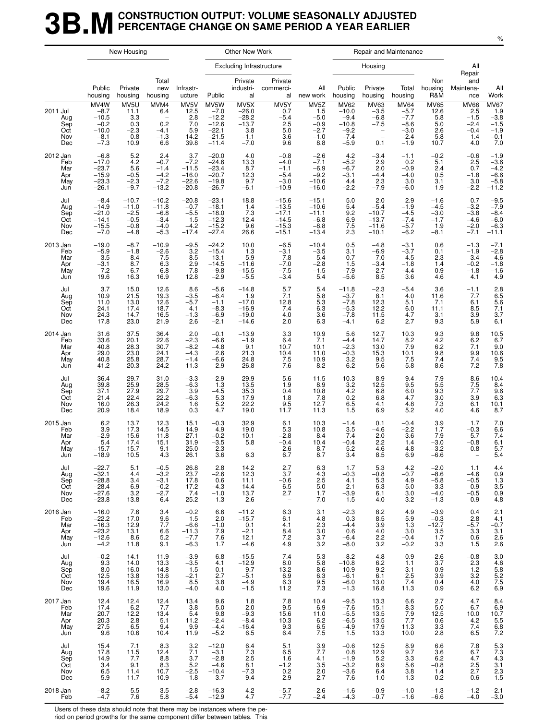#### **3B.M** CONSTRUCTION OUTPUT: VOLUME SEASONALLY ADJUSTED<br>**3B.M** PERCENTAGE CHANGE ON SAME PERIOD A YEAR EARLIER **PERCENTAGE CHANGE ON SAME PERIOD A YEAR EARLIER**

|                                             |                                                                    | New Housing                                                |                                                                           |                                                           |                                                                       | Other New Work                                                   |                                                                         |                                                                         |                                                                           |                                                                                            | Repair and Maintenance                                                  |                                                             |                                                                |                                                                              |
|---------------------------------------------|--------------------------------------------------------------------|------------------------------------------------------------|---------------------------------------------------------------------------|-----------------------------------------------------------|-----------------------------------------------------------------------|------------------------------------------------------------------|-------------------------------------------------------------------------|-------------------------------------------------------------------------|---------------------------------------------------------------------------|--------------------------------------------------------------------------------------------|-------------------------------------------------------------------------|-------------------------------------------------------------|----------------------------------------------------------------|------------------------------------------------------------------------------|
|                                             |                                                                    |                                                            |                                                                           |                                                           |                                                                       | <b>Excluding Infrastructure</b>                                  |                                                                         |                                                                         |                                                                           | Housing                                                                                    |                                                                         |                                                             | All<br>Repair                                                  |                                                                              |
|                                             | Public<br>housing                                                  | Private<br>housing                                         | Total<br>new<br>housing                                                   | Infrastr-<br>ucture                                       | Public                                                                | Private<br>industri-<br>al                                       | Private<br>commerci-<br>al                                              | All<br>new work                                                         | Public<br>housing                                                         | Private<br>housing                                                                         | Total<br>housing                                                        | Non<br>housing<br>R&M                                       | and<br>Maintena-<br>nce                                        | All<br>Work                                                                  |
| 2011 Jul<br>Aug<br>Sep<br>Oct<br>Nov<br>Dec | MV4W<br>$-8.7$<br>$-10.5$<br>$-0.2$<br>$-10.0$<br>$-8.1$<br>$-7.3$ | MV5U<br>11.1<br>3.3<br>0.3<br>$-2.3$<br>0.8<br>10.9        | MVM4<br>6.4<br>$\overline{\phantom{0}}$<br>0.2<br>$-4.1$<br>$-1.3$<br>6.6 | MV5V<br>12.5<br>2.8<br>7.0<br>5.9<br>14.2<br>39.8         | MV5W<br>$-7.0$<br>$-12.2$<br>$-12.6$<br>$-22.1$<br>$-21.5$<br>$-11.4$ | MV5X<br>$-26.0$<br>$-28.2$<br>$-13.7$<br>3.8<br>$-1.1$<br>$-7.0$ | MV5Y<br>0.7<br>$-5.4$<br>2.5<br>5.0<br>3.6<br>9.6                       | MV <sub>5</sub> Z<br>1.5<br>$-5.0$<br>$-0.9$<br>$-2.7$<br>$-1.0$<br>8.8 | <b>MV62</b><br>$-10.0$<br>$-9.4$<br>$-10.8$<br>$-9.2$<br>$-7.4$<br>$-5.9$ | MV63<br>$-3.5$<br>$-6.8$<br>$-7.5$<br>$\qquad \qquad -$<br>$\overline{\phantom{a}}$<br>0.1 | <b>MV64</b><br>$-5.7$<br>$-7.7$<br>$-8.6$<br>$-3.0$<br>$-2.4$<br>$-1.9$ | <b>MV65</b><br>12.6<br>5.8<br>$5.0\,$<br>2.6<br>5.8<br>10.7 | <b>MV66</b><br>2.5<br>$-1.5$<br>$-2.4$<br>$-0.4$<br>1.4<br>4.0 | $MVO7$<br>1.9<br>-3.8<br>-1.5<br>-1.9<br>$-0.1$<br>7.0                       |
| 2012 Jan<br>Feb<br>Mar<br>Apr<br>May<br>Jun | $-6.8$<br>$-17.0$<br>$-23.7$<br>$-15.9$<br>$-23.3$<br>$-26.1$      | 5.2<br>4.2<br>5.6<br>$-0.5$<br>$-2.3$<br>$-9.7$            | 2.4<br>$-0.7$<br>$-1.4$<br>$-4.2$<br>$-7.2$<br>$-13.2$                    | 3.7<br>$-7.2$<br>$-11.5$<br>$-16.0$<br>$-22.6$<br>$-20.8$ | $-20.0$<br>$-24.6$<br>$-23.4$<br>$-20.7$<br>$-19.8$<br>$-26.7$        | 4.0<br>$^{13.3}_{8.7}$<br>12.3<br>9.7<br>$-6.1$                  | $-0.8$<br>$-4.0$<br>$-1.1$<br>$-5.4$<br>$-3.0$<br>$-10.9$               | $-2.6$<br>$-7.1$<br>$-6.9$<br>$-9.2$<br>$-10.6$<br>$-16.0$              | 4.2<br>$-5.2$<br>$-6.7$<br>$-3.1$<br>4.4<br>$-2.2$                        | $-3.4$<br>2.9<br>2.0<br>$-4.4$<br>2.3<br>$-7.9$                                            | $-1.1$<br>0.2<br>$-0.9$<br>$-4.0$<br>3.0<br>$-6.0$                      | $-0.2$<br>5.1<br>2.4<br>0.5<br>3.1<br>1.9                   | $-0.6$<br>2.5<br>0.7<br>$-1.8$<br>3.0<br>$-2.2$                | $-1.9$<br>$-3.6$<br>$-4.2$<br>$-6.6$<br>$-5.8$<br>$-11.2$                    |
| Jul<br>Aug<br>Sep<br>Oct<br>Nov<br>Dec      | $-8.4$<br>$-14.9$<br>$-21.0$<br>$-14.1$<br>$-15.5$<br>$-7.0$       | $-10.7$<br>$-11.0$<br>$-2.5$<br>$-0.5$<br>$-0.8$<br>$-4.8$ | $-10.2$<br>$-11.8$<br>$-6.8$<br>$-3.4$<br>$-4.0$<br>$-5.3$                | $-20.8$<br>$-0.7$<br>$-5.5$<br>1.5<br>$-4.2$<br>$-17.4$   | $-23.1$<br>$-18.1$<br>$-18.0$<br>$-12.3$<br>$-15.2$<br>$-27.4$        | 18.8<br>1.4<br>7.3<br>12.4<br>9.6<br>26.6                        | $-15.6$<br>$-13.5$<br>$-17.1$<br>$-14.5$<br>$-15.3$<br>$-15.1$          | $-15.1$<br>$-10.6$<br>$-11.1$<br>$-6.8$<br>$-8.8$<br>$-13.4$            | 5.0<br>5.4<br>9.2<br>$6.9$<br>7.5<br>2.3                                  | 2.0<br>$-5.4$<br>$-10.7$<br>$-13.7$<br>$-11.6$<br>$-10.1$                                  | 2.9<br>$-1.9$<br>$-4.5$<br>$-7.4$<br>$-5.7$<br>$-6.2$                   | $-1.6$<br>$-4.5$<br>$-3.0$<br>$-1.7$<br>1.9<br>$-8.1$       | 0.7<br>$-3.2$<br>$-3.8$<br>$-4.6$<br>$-2.0$<br>$-7.1$          | $-9.5$<br>$-7.9$<br>$-8.4$<br>$-6.0$<br>$-6.3$<br>$-11.1$                    |
| 2013 Jan<br>Feb<br>Mar<br>Apr<br>May<br>Jun | $-19.0$<br>$-5.9$<br>$-3.5$<br>$-3.1$<br>7.2<br>19.6               | $-8.7$<br>$-1.8$<br>$-8.4$<br>8.7<br>6.7<br>16.3           | $-10.9$<br>$-2.6$<br>$-7.5$<br>6.3<br>6.8<br>16.9                         | $-9.5$<br>3.2<br>8.5<br>2.9<br>7.8<br>12.8                | $-24.2$<br>$-15.4$<br>$-13.1$<br>$-14.5$<br>$-9.8$<br>$-2.9$          | 10.0<br>1.3<br>$-5.9$<br>$-11.6$<br>$-15.5$<br>$-5.5$            | $-6.5$<br>$-3.1$<br>$-7.8$<br>$-7.0$<br>$-7.5$<br>$-3.4$                | $-10.4$<br>$-3.5$<br>$-5.4$<br>$-2.8$<br>$-1.5$<br>5.4                  | 0.5<br>3.1<br>0.7<br>1.5<br>$-7.9$<br>$-5.6$                              | $-4.8$<br>$-6.9$<br>$-7.0$<br>$-3.4$<br>$-2.7$<br>8.5                                      | $-3.1$<br>$-3.7$<br>$-4.5$<br>$-1.8$<br>$-4.4$<br>3.6                   | 0.6<br>0.1<br>$-2.3$<br>1.4<br>0.9<br>4.6                   | $-1.3$<br>$-1.9$<br>$-3.4$<br>$-0.2$<br>$-1.8$<br>4.1          | $-7.1$<br>$-2.8$<br>$-4.6$<br>$-1.8$<br>$-1.6$<br>4.9                        |
| Jul<br>Aug<br>Sep<br>Oct<br>Nov<br>Dec      | 3.7<br>10.9<br>11.0<br>24.1<br>24.3<br>17.8                        | 15.0<br>21.5<br>13.0<br>17.4<br>14.7<br>23.0               | 12.6<br>19.3<br>12.6<br>18.7<br>16.5<br>21.9                              | 8.6<br>$-3.5$<br>$-5.7$<br>4.1<br>$-1.3$<br>2.6           | $-5.6$<br>$-6.4$<br>$-1.1$<br>$-8.3$<br>$-6.9$<br>$-2.1$              | $-14.8$<br>1.9<br>$-17.0$<br>$-16.9$<br>$-19.0$<br>$-14.6$       | 5.7<br>7.1<br>12.8<br>7.4<br>4.0<br>2.0                                 | 5.4<br>$\frac{5.8}{5.3}$<br>6.3<br>3.6<br>6.3                           | $-11.8$<br>$-3.7 -7.8$<br>$-5.3$<br>$-7.8$<br>$-4.1$                      | $-2.3$<br>8.1<br>12.3<br>12.2<br>11.5<br>6.2                                               | $-5.4$<br>4.0<br>5.1<br>6.0<br>4.7<br>2.7                               | 3.6<br>11.6<br>7.1<br>11.1<br>3.1<br>9.3                    | $-1.1$<br>7.7<br>6.1<br>8.5<br>3.9<br>5.9                      | 2.8<br>6.5<br>6.5<br>7.1<br>3.7<br>6.1                                       |
| 2014 Jan<br>Feb<br>Mar<br>Apr<br>May<br>Jun | 31.6<br>33.6<br>40.8<br>29.0<br>40.8<br>41.2                       | 37.5<br>20.1<br>28.3<br>23.0<br>25.8<br>20.3               | 36.4<br>22.6<br>30.7<br>24.1<br>28.7<br>24.2                              | 2.0<br>$-2.3$<br>$-8.2$<br>$-4.3$<br>$-1.4$<br>$-11.3$    | $-0.1$<br>$-6.6$<br>$-4.8$<br>2.6<br>$-6.6$<br>$-2.9$                 | $-13.9$<br>$-1.9$<br>9.1<br>21.3<br>24.8<br>26.8                 | 3.3<br>6.4<br>10.7<br>$^{10.4}_{7.5}$<br>7.6                            | 10.9<br>7.1<br>10.1<br>11.0<br>10.9<br>8.2                              | 5.6<br>$-4.4$<br>$-2.3$<br>$-0.3$<br>3.2<br>6.2                           | 12.7<br>14.7<br>13.0<br>15.3<br>9.5<br>5.6                                                 | $^{10.3}_{8.2}$<br>7.9<br>10.1<br>7.5<br>5.8                            | $\frac{9.3}{4.2}$<br>6.2<br>9.8<br>7.4<br>8.6               | $^{9.8}_{6.2}$<br>7.1<br>9.9<br>7.4<br>7.2                     | $\frac{10.5}{6.7}$<br>$9.0$<br>10.6<br>9.5<br>7.8                            |
| Jul<br>Aug<br>Sep<br>Oct<br>Nov<br>Dec      | 36.4<br>39.8<br>37.1<br>21.4<br>16.0<br>20.9                       | 29.7<br>25.9<br>27.9<br>22.4<br>26.3<br>18.4               | 31.0<br>28.5<br>29.7<br>22.2<br>24.2<br>18.9                              | $-3.3$<br>$-6.3$<br>3.9<br>$-6.3$<br>1.6<br>0.3           | $-2.9$<br>1.3<br>$-4.5$<br>5.3<br>5.2<br>$4.7\,$                      | 29.9<br>13.5<br>35.3<br>17.9<br>22.2<br>19.0                     | 5.6<br>1.9<br>0.4<br>1.8<br>9.5<br>11.7                                 | 11.5<br>8.9<br>10.8<br>7.8<br>12.7<br>11.3                              | 10.3<br>3.2<br>$^{4.2}_{0.2}$<br>$6.5\,$<br>1.5                           | 8.9<br>12.5<br>6.8<br>6.8<br>4.1<br>6.9                                                    | 9.4<br>9.5<br>$6.0\,$<br>4.7<br>4.8<br>5.2                              | 7.9<br>5.5<br>9.3<br>3.0<br>7.3<br>4.0                      | 8.6<br>7.5<br>7.7<br>3.9<br>6.1<br>4.6                         | $\frac{10.4}{8.4}$<br>$\frac{9.6}{6.3}$<br>$10.1$<br>8.7                     |
| 2015 Jan<br>Feb<br>Mar<br>Apr<br>May<br>Jun | 6.2<br>$\frac{3.9}{-2.9}$<br>5.4<br>$-15.7$<br>$-18.9$             | 13.7<br>17.3<br>15.6<br>17.4<br>15.7<br>10.5               | 12.3<br>14.5<br>11.8<br>15.1<br>9.1<br>4.3                                | 15.1<br>14.9<br>27.1<br>31.9<br>25.0<br>26.1              | $-0.3$<br>4.9<br>$-0.2$<br>$-3.5$<br>2.3<br>3.6                       | 32.9<br>19.0<br>10.1<br>5.8<br>6.3                               | 6.1<br>5.3<br>$-2.8$<br>$-0.4$<br>2.6<br>6.7                            | 10.3<br>10.8<br>8.4<br>10.4<br>8.7<br>8.7                               | $-1.4$<br>3.5<br>7.4<br>$-0.4$<br>5.2<br>3.4                              | 0.1<br>-4.6<br>2.0<br>2.2<br>4.6<br>8.5                                                    | $-0.4$<br>$-2.2$<br>3.6<br>1.4<br>4.8<br>6.9                            | 3.9<br>1.7<br>7.9<br>$-3.0$<br>$-3.2$<br>$-6.6$             | 1.7<br>$-0.3$<br>5.7<br>$-0.8$<br>0.8                          | 7.0<br>6.6<br>7.4<br>6.1<br>5.7<br>5.4                                       |
| Jul<br>Aug<br>Sep<br>Oct<br>Nov<br>Dec      | $-22.7$<br>$-32.1$<br>$-28.8$<br>$-28.4$<br>$-27.6$<br>$-23.8$     | 5.1<br>4.4<br>3.4<br>6.9<br>3.2<br>13.8                    | $-0.5$<br>$-3.2$<br>$-3.1$<br>$-0.2$<br>$-2.7$<br>6.4                     | 26.8<br>23.7<br>17.8<br>17.2<br>7.4<br>25.2               | 2.8<br>$-2.6$<br>0.6<br>$-4.3$<br>$-1.0$<br>1.3                       | 14.2<br>12.3<br>11.1<br>$14.4$<br>$13.7$<br>2.6                  | $\frac{2.7}{3.7}$<br>$-0.6$<br>$6.5$<br>2.7<br>$\overline{\phantom{a}}$ | 6.3<br>4.3<br>2.5<br>$\frac{5.0}{1.7}$<br>7.0                           | 1.7<br>$-0.3$<br>4.1<br>2.1<br>$-3.9$<br>1.5                              | 5.3<br>$-0.8$<br>5.3<br>6.3<br>6.1<br>4.0                                                  | $^{4.2}_{-0.7}$<br>4.9<br>$5.0$<br>3.0<br>3.2                           | $-2.0$<br>$-8.6$<br>$-5.8$<br>$-3.3$<br>$-4.0$<br>$-1.3$    | 1.1<br>$-4.6$<br>$-0.5$<br>0.9<br>$-0.5$<br>0.9                | $4.4$<br>0.9<br>1.3<br>3.5<br>0.9<br>4.8                                     |
| 2016 Jan<br>Feb<br>Mar<br>Apr<br>May<br>Jun | $-16.0$<br>$-22.2$<br>$-16.3 -23.2$<br>$-12.6$<br>$-4.2$           | 7.6<br>17.0<br>12.9<br>13.1<br>8.6<br>11.8                 | 3.4<br>9.6<br>7.7<br>6.6<br>5.2<br>9.1                                    | $-0.2$<br>1.5<br>$-6.6$<br>$-11.3$<br>$-7.7$<br>$-6.3$    | 6.6<br>2.0<br>$-1.0$<br>7.9<br>7.6<br>1.7                             | $-11.2$<br>$-15.7$<br>$^{0.1}_{-2.1}$<br>12.1<br>$-4.6$          | 6.3<br>6.1<br>4.1<br>8.4<br>$7.2\,$<br>4.9                              | 3.1<br>4.8<br>$2.3\,$<br>3.0<br>3.7<br>3.2                              | $-2.3$<br>0.3<br>$-4.4$<br>0.6<br>$-6.4$<br>$-8.0$                        | 8.2<br>8.5<br>3.9<br>4.0<br>2.2<br>$3.2\,$                                                 | 4.9<br>5.9<br>1.3<br>3.0<br>$-0.4$<br>$-0.2$                            | $-3.9$<br>$-0.3$<br>$-12.7$<br>3.5<br>1.7<br>3.3            | 0.4<br>2.8<br>$-5.7$<br>3.3<br>0.6<br>1.5                      | 2.1<br>4.1<br>$\frac{-0.7}{3.1}$<br>2.6<br>2.6                               |
| Jul<br>Aug<br>Sep<br>Oct<br>Nov<br>Dec      | $-0.2$<br>9.3<br>8.0<br>12.5<br>19.4<br>19.6                       | 14.1<br>14.0<br>16.0<br>13.8<br>16.5<br>11.9               | 11.9<br>13.3<br>14.8<br>13.6<br>16.9<br>13.0                              | $-3.9$<br>$-3.5$<br>1.5<br>$-2.1$<br>8.5<br>$-4.0$        | 6.8<br>4.1<br>$-0.1$<br>2.7<br>3.8<br>4.0                             | $-15.5$<br>$-12.9$<br>$-9.7$<br>$-5.1$<br>$-4.9$<br>$-1.5$       | 7.4<br>8.0<br>13.2<br>6.9<br>$6.3$<br>11.2                              | 5.3<br>5.8<br>8.6<br>6.3<br>9.5<br>7.3                                  | $-8.2$<br>$-10.8$<br>$-10.9$<br>$-6.1$<br>$-6.0$<br>$-1.3$                | 4.8<br>$6.2\,$<br>9.2<br>6.1<br>13.0<br>16.8                                               | 0.9<br>1.1<br>3.1<br>2.5<br>7.4<br>11.3                                 | $-2.6$<br>3.7<br>$-0.9$<br>3.9<br>0.4<br>0.9                | $-0.8$<br>$^{2.3}_{1.2}$<br>3.2<br>4.0<br>6.2                  | 3.0<br>4.6<br>5.8<br>5.2<br>5.7<br>5.9                                       |
| 2017 Jan<br>Feb<br>Mar<br>Apr<br>May<br>Jun | 12.4<br>17.4<br>20.7<br>20.3<br>27.5<br>9.6                        | $^{12.4}_{6.2}$<br>12.2<br>2.8<br>6.5<br>10.6              | $^{12.4}_{7.7}$<br>13.4<br>5.1<br>9.4<br>10.4                             | 13.4<br>3.8<br>5.4<br>11.2<br>9.9<br>11.9                 | 9.6<br>5.0<br>9.8<br>$-2.4$<br>$-4.4$<br>$-5.2$                       | 1.8<br>2.0<br>$-9.3$<br>$-8.4$<br>$-16.4$<br>6.5                 | 7.8<br>9.5<br>15.6<br>$\frac{10.3}{9.3}$<br>6.4                         | 10.4<br>6.9<br>11.0<br>6.2<br>6.5<br>7.5                                | $-9.5$<br>$-7.6$<br>$-5.5$<br>$-6.5$<br>$-4.9$<br>1.5                     | 13.3<br>15.1<br>13.5<br>13.5<br>17.9<br>13.3                                               | $6.6 \ 8.3$<br>7.9<br>7.7<br>11.3<br>10.0                               | $^{2.7}_{5.0}$<br>12.5<br>$\frac{0.6}{3.3}$<br>2.8          | $^{4.7}_{6.7}$<br>10.0<br>4.2<br>7.4<br>6.5                    | $8.4$<br>$6.9$<br>$10.7$<br>$\frac{5.5}{6.8}$<br>7.2                         |
| Jul<br>Aug<br>Sep<br>Oct<br>Nov<br>Dec      | 15.4<br>17.8<br>14.9<br>3.4<br>6.5<br>5.9                          | 7.1<br>11.5<br>7.7<br>9.1<br>11.4<br>11.7                  | 8.3<br>12.4<br>8.8<br>8.3<br>10.7<br>10.9                                 | 3.2<br>7.1<br>3.7<br>5.2<br>$-2.5$<br>1.8                 | $-12.0$<br>$-3.1$<br>$-2.8$<br>$-4.6$<br>$-10.4$<br>$-3.7$            | 6.4<br>7.3<br>2.5<br>8.1<br>$-7.3$<br>$-9.4$                     | 5.1<br>6.5<br>1.6<br>$-1.2$<br>0.2<br>$-2.9$                            | 3.9<br>7.7<br>4.1<br>3.5<br>2.0<br>2.7                                  | $-0.6$<br>0.8<br>$-1.9$<br>$-3.2$<br>$-3.6$<br>$-7.6$                     | 12.5<br>12.9<br>5.2<br>8.9<br>6.4<br>1.0                                                   | 8.9<br>9.7<br>$3.3\,$<br>5.6<br>3.8<br>$-1.3$                           | 6.6<br>3.6<br>6.2<br>$-0.8$<br>1.4<br>0.2                   | 7.8<br>6.7<br>4.7<br>2.5<br>2.7<br>$-0.6$                      | $\begin{array}{c} 5.3 \\ 7.3 \\ 4.3 \end{array}$<br>3.1<br>$\frac{2.3}{1.5}$ |
| 2018 Jan<br>Feb                             | $-8.2$<br>$-4.7$                                                   | 5.5<br>7.6                                                 | 3.5<br>5.8                                                                | $-2.8$<br>$-5.4$                                          | $-16.3$<br>$-12.9$                                                    | 4.2<br>$4.7\,$                                                   | $-5.7$<br>$-7.7$                                                        | $-2.6$<br>$-2.4$                                                        | $-1.6$<br>$-4.3$                                                          | $-0.9$<br>$-0.7$                                                                           | $-1.0$<br>$-1.6$                                                        | $-1.3$<br>$-6.6$                                            | $-1.2$<br>$-4.0$                                               | $-2.1$<br>$-3.0$                                                             |

Users of these data should note that there may be instances where the pe-

riod on period growths for the same component differ between tables. This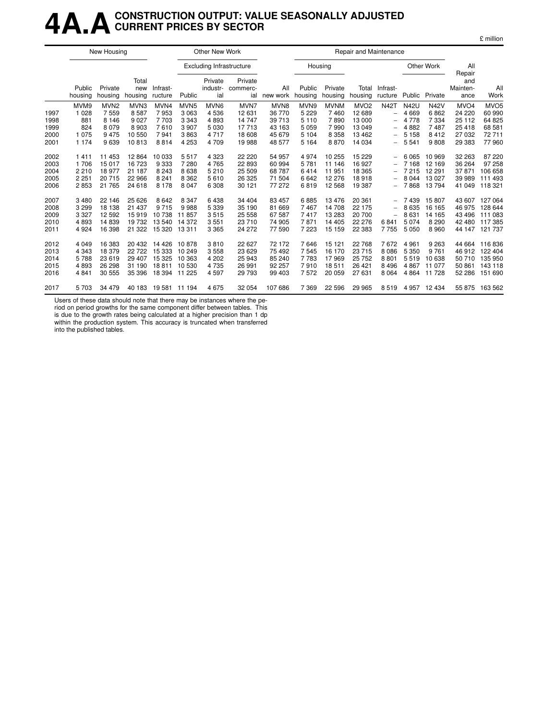### **4A.ACONSTRUCTION OUTPUT: VALUE SEASONALLY ADJUSTED CURRENT PRICES BY SECTOR**

|      |                   | New Housing        |                         |                     |                  | Other New Work                  |                            |                 |                   |                    | Repair and Maintenance |                          |             |             |                         |                  |
|------|-------------------|--------------------|-------------------------|---------------------|------------------|---------------------------------|----------------------------|-----------------|-------------------|--------------------|------------------------|--------------------------|-------------|-------------|-------------------------|------------------|
|      |                   |                    |                         |                     |                  | <b>Excluding Infrastructure</b> |                            |                 | Housing           |                    |                        |                          |             | Other Work  | All<br>Repair           |                  |
|      | Public<br>housing | Private<br>housing | Total<br>new<br>housing | Infrast-<br>ructure | Public           | Private<br>industr-<br>ial      | Private<br>commerc-<br>ial | All<br>new work | Public<br>housing | Private<br>housing | Total<br>housing       | Infrast-<br>ructure      | Public      | Private     | and<br>Mainten-<br>ance | All<br>Work      |
|      | MVM9              | MVN <sub>2</sub>   | MVN3                    | MVN4                | MVN <sub>5</sub> | MVN <sub>6</sub>                | MVN7                       | MVN8            | MVN9              | <b>MVNM</b>        | MVO <sub>2</sub>       | <b>N42T</b>              | <b>N42U</b> | <b>N42V</b> | MVO <sub>4</sub>        | MVO <sub>5</sub> |
| 1997 | 1 0 28            | 7559               | 8587                    | 7953                | 3 0 6 3          | 4536                            | 12 631                     | 36 770          | 5 2 2 9           | 7460               | 12 689                 | $\overline{\phantom{0}}$ | 4 6 6 9     | 6862        | 24 220                  | 60 990           |
| 1998 | 881               | 8 1 4 6            | 9 0 2 7                 | 7 703               | 3 3 4 3          | 4893                            | 14 747                     | 39 713          | 5 1 1 0           | 7890               | 13 000                 | $\overline{\phantom{0}}$ | 4 7 7 8     | 7 3 3 4     | 25 112                  | 64 825           |
| 1999 | 824               | 8079               | 8 9 0 3                 | 7610                | 3 9 0 7          | 5 0 3 0                         | 17713                      | 43 163          | 5 0 5 9           | 7990               | 13 049                 | -                        | 4882        | 7487        | 25 4 18                 | 68 581           |
| 2000 | 1 0 7 5           | 9475               | 10 550                  | 7941                | 3863             | 4 7 1 7                         | 18 608                     | 45 679          | 5 1 0 4           | 8 3 5 8            | 13 4 6 2               | -                        | 5 1 5 8     | 8412        | 27 032                  | 72711            |
| 2001 | 1 1 7 4           | 9639               | 10813                   | 8814                | 4 2 5 3          | 4 7 0 9                         | 19 988                     | 48 577          | 5 1 6 4           | 8870               | 14 034                 | -                        | 5 5 4 1     | 9808        | 29 383                  | 77960            |
| 2002 | 1411              | 11 453             | 12 8 64                 | 10 033              | 5517             | 4 3 2 3                         | 22 2 20                    | 54 957          | 4974              | 10 255             | 15 2 29                | $\overline{\phantom{0}}$ | 6 0 6 5     | 10 969      | 32 263                  | 87 220           |
| 2003 | 1706              | 15 017             | 16 723                  | 9 3 3 3             | 7 2 8 0          | 4765                            | 22 893                     | 60 994          | 5781              | 11 146             | 16 927                 |                          | 7 1 6 8     | 12 169      | 36 264                  | 97 258           |
| 2004 | 2 2 1 0           | 18 977             | 21 187                  | 8 2 4 3             | 8 6 3 8          | 5 2 1 0                         | 25 509                     | 68787           | 6414              | 11 951             | 18 365                 | -                        | 7 2 1 5     | 12 291      | 37871                   | 106 658          |
| 2005 | 2 2 5 1           | 20715              | 22 966                  | 8 2 4 1             | 8 3 6 2          | 5610                            | 26 325                     | 71 504          | 6642              | 12 276             | 18918                  | -                        | 8 0 4 4     | 13 0 27     | 39 989                  | 111 493          |
| 2006 | 2853              | 21 765             | 24 618                  | 8 1 7 8             | 8 0 4 7          | 6 3 0 8                         | 30 121                     | 77 272          | 6819              | 12 5 68            | 19 387                 | -                        | 7868        | 13794       | 41 049                  | 118 321          |
| 2007 | 3 4 8 0           | 22 14 6            | 25 6 26                 | 8642                | 8 3 4 7          | 6438                            | 34 404                     | 83 457          | 6885              | 13476              | 20 361                 | -                        | 7439        | 15 807      | 43 607                  | 127 064          |
| 2008 | 3 2 9 9           | 18 138             | 21 437                  | 9 7 1 5             | 9988             | 5 3 3 9                         | 35 190                     | 81 669          | 7467              | 14 708             | 22 175                 | -                        | 8 6 3 5     | 16 165      | 46 975                  | 128 644          |
| 2009 | 3 3 2 7           | 12 5 9 2           | 15919                   | 10738               | 11857            | 3515                            | 25 558                     | 67 587          | 7417              | 13 283             | 20 700                 | $\overline{\phantom{0}}$ | 8631        | 14 165      | 43 496                  | 111 083          |
| 2010 | 4893              | 14839              | 19 732                  | 13 540              | 14 372           | 3551                            | 23 710                     | 74 905          | 7871              | 14 4 05            | 22 276                 | 6841                     | 5 0 7 4     | 8 2 9 0     | 42 480                  | 117 385          |
| 2011 | 4 9 24            | 16 398             | 21 3 22                 | 15 320              | 13 311           | 3 3 6 5                         | 24 272                     | 77 590          | 7 2 2 3           | 15 159             | 22 3 8 3               | 7755                     | 5 0 5 0     | 8960        | 44 147                  | 121 737          |
| 2012 | 4 0 4 9           | 16 383             | 20 432                  | 14 4 26             | 10878            | 3810                            | 22 627                     | 72 172          | 7646              | 15 121             | 22 768                 | 7672                     | 4 9 6 1     | 9 2 6 3     | 44 664                  | 116836           |
| 2013 | 4 3 4 3           | 18 379             | 22 7 22                 | 15 3 3 3            | 10 249           | 3 5 5 8                         | 23 629                     | 75 492          | 7545              | 16 170             | 23 715                 | 8 0 8 6                  | 5 3 5 0     | 9 7 6 1     | 46 912                  | 122 404          |
| 2014 | 5788              | 23 619             | 29 407                  | 15 3 25             | 10 363           | 4 20 2                          | 25 943                     | 85 240          | 7783              | 17969              | 25 7 5 2               | 8801                     | 5519        | 10 638      | 50 710                  | 135 950          |
| 2015 | 4893              | 26 298             | 31 190                  | 18811               | 10 530           | 4735                            | 26 991                     | 92 257          | 7910              | 18511              | 26 4 21                | 8 4 9 6                  | 4867        | 11 077      | 50 861                  | 143 118          |
| 2016 | 4 8 4 1           | 30 555             | 35 396                  | 18 394 11 225       |                  | 4597                            | 29 793                     | 99 403          | 7572              | 20 059             | 27 631                 | 8 0 64                   | 4 8 6 4     | 11 728      | 52 286                  | 151 690          |
| 2017 | 5 703             | 34 479             | 40 183                  | 19 581 11 194       |                  | 4675                            | 32 054                     | 107 686         | 7 3 6 9           | 22 5 9 6           | 29 965                 | 8519                     | 4 957       | 12 434      |                         | 55 875 163 562   |

Users of these data should note that there may be instances where the pe-

riod on period growths for the same component differ between tables. This is due to the growth rates being calculated at a higher precision than 1 dp

within the production system. This accuracy is truncated when transferred into the published tables.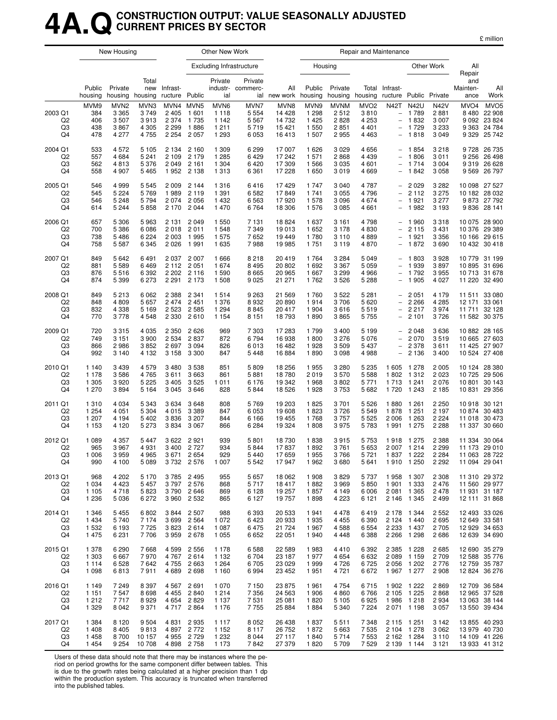### **4A.QCONSTRUCTION OUTPUT: VALUE SEASONALLY ADJUSTED CURRENT PRICES BY SECTOR**

| nıllıon |
|---------|
|         |

|                                       |                                          | New Housing                                          |                                         |                                                       |                                                        | Other New Work                                |                                               |                                               |                                              |                                             | Repair and Maintenance                                    |                                                                                          |                                                          |                                                      |                                        |                                                                           |
|---------------------------------------|------------------------------------------|------------------------------------------------------|-----------------------------------------|-------------------------------------------------------|--------------------------------------------------------|-----------------------------------------------|-----------------------------------------------|-----------------------------------------------|----------------------------------------------|---------------------------------------------|-----------------------------------------------------------|------------------------------------------------------------------------------------------|----------------------------------------------------------|------------------------------------------------------|----------------------------------------|---------------------------------------------------------------------------|
|                                       |                                          |                                                      |                                         |                                                       |                                                        | <b>Excluding Infrastructure</b>               |                                               |                                               | Housing                                      |                                             |                                                           |                                                                                          |                                                          | Other Work                                           | All                                    |                                                                           |
|                                       | Public<br>housing                        | Private<br>housing                                   | Total<br>new<br>housing                 | Infrast-<br>ructure Public                            |                                                        | Private<br>industr-<br>ial                    | Private<br>commerc-                           | All<br>ial new work housing                   | Public                                       | Private                                     | Total<br>housing housing                                  | Infrast-<br>ructure                                                                      |                                                          | Public Private                                       | Repair<br>and<br>Mainten-<br>ance      | All<br>Work                                                               |
| 2003 Q1<br>Q <sub>2</sub><br>Q3<br>Q4 | MVM9<br>384<br>406<br>438<br>478         | MVN <sub>2</sub><br>3 3 6 5<br>3507<br>3867<br>4 277 | MVN3<br>3749<br>3913<br>4 3 0 5<br>4755 | MVN4 MVN5<br>2 4 0 5<br>2 3 7 4<br>2 2 9 9<br>2 2 5 4 | 1 601<br>1 7 3 5<br>1886<br>2 0 5 7                    | MVN6<br>1 1 1 8<br>1 1 4 2<br>1211<br>1 2 9 3 | MVN7<br>5 5 5 4<br>5 5 6 7<br>5719<br>6 0 5 3 | MVN8<br>14 4 28<br>14 732<br>15 4 21<br>16413 | MVN9<br>1 2 9 8<br>1 4 2 5<br>1 550<br>1 507 | <b>MVNM</b><br>2512<br>2828<br>2851<br>2955 | MVO <sub>2</sub><br>3810<br>4 2 5 3<br>4 4 0 1<br>4 4 6 3 | <b>N42T</b><br>$\overline{\phantom{0}}$<br>$\overline{\phantom{0}}$<br>$\qquad \qquad -$ | <b>N42U</b><br>1789<br>1832<br>1729<br>1818              | <b>N42V</b><br>2881<br>3 0 0 7<br>3 2 3 3<br>3 0 4 9 | MVO <sub>4</sub><br>8 4 8 0<br>9 3 2 9 | MVO <sub>5</sub><br>22 908<br>9 0 9 2 2 3 8 2 4<br>9 363 24 784<br>25 742 |
| 2004 Q1<br>Q <sub>2</sub><br>Q3<br>Q4 | 533<br>557<br>562<br>558                 | 4572<br>4 6 8 4<br>4813<br>4 907                     | 5 1 0 5<br>5 2 4 1<br>5376<br>5465      | 2 1 3 4<br>2 1 0 9<br>2049                            | 2 1 6 0<br>2 1 7 9<br>2 1 6 1<br>1952 2138             | 1 3 0 9<br>1 2 8 5<br>1 3 0 4<br>1 3 1 3      | 6 2 9 9<br>6429<br>6420<br>6 3 6 1            | 17 007<br>17 242<br>17 309<br>17 228          | 1 6 2 6<br>1 571<br>1566<br>1 650            | 3 0 2 9<br>2868<br>3 0 3 5<br>3019          | 4656<br>4 4 3 9<br>4 601<br>4 6 6 9                       | $\qquad \qquad -$<br>$\overline{\phantom{a}}$<br>$\qquad \qquad -$                       | 1854<br>1806<br>1 7 1 4<br>1842                          | 3 2 1 8<br>3011<br>3 0 0 4<br>3 0 5 8                |                                        | 9 728 26 735<br>9 256 26 498<br>9 319 26 628<br>9 5 69 26 797             |
| 2005 Q1<br>Q <sub>2</sub><br>Q3<br>Q4 | 546<br>545<br>546<br>614                 | 4999<br>5 2 2 4<br>5 2 4 8<br>5 2 4 4                | 5 5 4 5<br>5769<br>5794<br>5858         | 2009<br>1989<br>2074<br>2 1 7 0                       | 2 1 4 4<br>2 1 1 9<br>2 0 5 6<br>2 0 4 4               | 1316<br>1 3 9 1<br>1432<br>1470               | 6416<br>6 5 8 2<br>6 5 6 3<br>6764            | 17429<br>17849<br>17920<br>18 306             | 1 747<br>1741<br>1578<br>1 576               | 3 0 4 0<br>3 0 5 5<br>3 0 9 6<br>3 0 8 5    | 4 7 8 7<br>4796<br>4674<br>4661                           | $\overline{\phantom{a}}$<br>$\overline{\phantom{a}}$<br>$\overline{\phantom{0}}$         | 2 0 2 9<br>2 1 1 2<br>1921<br>1982                       | 3 2 8 2<br>3 2 7 5<br>3 2 7 7<br>3 1 9 3             | 10 098<br>9836                         | 27 527<br>10 182 28 032<br>9 873 27 792<br>28 141                         |
| 2006 Q1<br>Q <sub>2</sub><br>Q3<br>Q4 | 657<br>700<br>738<br>758                 | 5 3 0 6<br>5 3 8 6<br>5486<br>5 5 8 7                | 5963<br>6086<br>6 2 2 4<br>6 3 4 5      | 2 1 3 1<br>2018<br>2 0 0 3<br>2026                    | 2 0 4 9<br>2011<br>1995<br>1991                        | 1 5 5 0<br>1548<br>1575<br>1635               | 7 1 3 1<br>7 3 4 9<br>7652<br>7988            | 18824<br>19013<br>19 449<br>19 985            | 1 637<br>1 6 5 2<br>1780<br>1751             | 3 1 6 1<br>3 1 7 8<br>3 1 1 0<br>3 1 1 9    | 4798<br>4830<br>4889<br>4870                              | $\overline{\phantom{a}}$<br>$\qquad \qquad -$                                            | 1960<br>2 1 1 5<br>1921<br>1872                          | 3318<br>3 4 3 1<br>3 3 5 6<br>3690                   | 10 376                                 | 10 075 28 900<br>29 389<br>10 166 29 615<br>10 432 30 418                 |
| 2007 Q1<br>Q <sub>2</sub><br>Q3<br>Q4 | 849<br>881<br>876<br>874                 | 5642<br>5589<br>5516<br>5 3 9 9                      | 6491<br>6469<br>6 3 9 2<br>6 2 7 3      | 2037<br>2 1 1 2<br>2 2 0 2                            | 2 0 0 7<br>2 0 5 1<br>2 1 1 6<br>2 2 9 1 2 1 7 3       | 1666<br>1674<br>1 5 9 0<br>1 508              | 8 2 1 8<br>8 4 9 5<br>8665<br>9 0 25          | 20 419<br>20 802<br>20 965<br>21 271          | 1764<br>1 6 9 2<br>1 667<br>1762             | 3 2 8 4<br>3 3 6 7<br>3 2 9 9<br>3 5 2 6    | 5 0 4 9<br>5 0 5 9<br>4 9 6 6<br>5 2 8 8                  | $\overline{\phantom{0}}$<br>$\overline{\phantom{a}}$<br>$\qquad \qquad -$                | 1803<br>1939<br>1792<br>1 9 0 5                          | 3928<br>3897<br>3955<br>4 0 2 7                      | 10895<br>10713                         | 10 779 31 199<br>31 696<br>31 678<br>11 220 32 490                        |
| 2008 Q1<br>Q2<br>Q3<br>Q4             | 849<br>848<br>832<br>770                 | 5213<br>4809<br>4 3 3 8<br>3778                      | 6 0 62<br>5657<br>5 1 6 9<br>4548       | 2 3 8 8<br>2474<br>2 5 2 3<br>2 3 3 0                 | 2 3 4 1<br>2 4 5 1<br>2 5 8 5<br>2610                  | 1514<br>1 3 7 6<br>1 2 9 4<br>1 1 5 4         | 9 2 6 3<br>8932<br>8845<br>8 1 5 1            | 21 5 69<br>20 890<br>20 417<br>18793          | 1760<br>1914<br>1 904<br>1890                | 3 5 2 2<br>3706<br>3616<br>3865             | 5 2 8 1<br>5 6 20<br>5519<br>5 7 5 5                      | $\overline{\phantom{0}}$<br>$\overline{\phantom{0}}$<br>$\overline{\phantom{a}}$         | 2 0 5 1<br>2 2 6 6<br>2 2 1 7<br>2 1 0 1                 | 4 1 7 9<br>4 2 8 5<br>3974<br>3726                   | 11 511<br>11 582                       | 33 080<br>12 171 33 061<br>11 711 32 128<br>30 375                        |
| 2009 Q1<br>Q2<br>Q3<br>Q4             | 720<br>749<br>866<br>992                 | 3315<br>3 1 5 1<br>2986<br>3 140                     | 4 0 3 5<br>3 9 0 0<br>3852<br>4 1 3 2   | 2 3 5 0<br>2 5 3 4<br>2697<br>3 1 5 8                 | 2626<br>2837<br>3 0 9 4<br>3 3 0 0                     | 969<br>872<br>826<br>847                      | 7 3 0 3<br>6794<br>6013<br>5448               | 17 283<br>16 938<br>16 482<br>16884           | 1799<br>1800<br>1928<br>1890                 | 3 4 0 0<br>3 2 7 6<br>3 5 0 9<br>3 0 9 8    | 5 1 9 9<br>5 0 7 6<br>5 4 3 7<br>4988                     | $\qquad \qquad -$                                                                        | 2 0 4 8<br>2 0 7 0<br>2 3 7 8<br>2 1 3 6                 | 3636<br>3519<br>3611<br>3 4 0 0                      |                                        | 10 882 28 165<br>10 665 27 603<br>11 425 27 907<br>10 524 27 408          |
| 2010 Q1<br>Q <sub>2</sub><br>Q3<br>Q4 | 1 1 4 0<br>1 1 7 8<br>1 3 0 5<br>1 270   | 3439<br>3586<br>3920<br>3894                         | 4579<br>4765<br>5 2 2 5<br>5 1 6 4      | 3480<br>3611<br>3 4 0 5<br>3 0 4 5                    | 3 5 3 8<br>3663<br>3525<br>3646                        | 851<br>861<br>1011<br>828                     | 5809<br>5881<br>6 176<br>5844                 | 18 256<br>18780<br>19 342<br>18 5 26          | 1955<br>2019<br>1968<br>1928                 | 3 2 8 0<br>3570<br>3802<br>3753             | 5 2 3 5<br>5 5 8 8<br>5 7 7 1<br>5 6 8 2                  | 1 605<br>1802<br>1713<br>1720                                                            | 1 2 7 8<br>1 3 1 2<br>1 2 4 1<br>1 2 4 3                 | 2 0 0 5<br>2 0 2 3<br>2076<br>2 1 8 5                | 10 801                                 | 10 124 28 380<br>10 725 29 506<br>30 143<br>10 831 29 356                 |
| 2011 Q1<br>Q2<br>Q3<br>Q4             | 1 3 1 0<br>1 2 5 4<br>1 207<br>1 1 5 3   | 4 0 34<br>4 0 5 1<br>4 1 9 4<br>4 1 2 0              | 5 3 4 3<br>5 3 0 4<br>5402<br>5 2 7 3   | 3634<br>4015<br>3836<br>3834                          | 3648<br>3 3 8 9<br>3 2 0 7<br>3 0 6 7                  | 808<br>847<br>844<br>866                      | 5769<br>6053<br>6 1 6 6<br>6 2 8 4            | 19 203<br>19 608<br>19 455<br>19 324          | 1825<br>1823<br>1768<br>1808                 | 3701<br>3726<br>3757<br>3975                | 5 5 2 6<br>5 5 4 9<br>5 5 2 5<br>5783                     | 1880<br>1878<br>2 0 0 6<br>1991                                                          | 1 2 6 1<br>1 2 5 1<br>1 2 6 3<br>1 2 7 5                 | 2 2 5 0<br>2 1 9 7<br>2 2 2 4<br>2 2 8 8             | 10918<br>10874<br>11 018<br>11 337     | 30 121<br>30 483<br>30 473<br>30 660                                      |
| 2012 Q1<br>Q2<br>Q3<br>Q4             | 1 0 8 9<br>965<br>1 0 0 6<br>990         | 4 3 5 7<br>3967<br>3959<br>4 100                     | 5447<br>4931<br>4965<br>5089            | 3622<br>3400                                          | 2921<br>2 727<br>3 671 2 654<br>3732 2576              | 939<br>934<br>929<br>1 0 0 7                  | 5801<br>5844<br>5440<br>5 5 4 2               | 18730<br>17837<br>17659<br>17947              | 1838<br>1892<br>1955<br>1962                 | 3915<br>3761<br>3766<br>3680                | 5 7 5 3<br>5653<br>5 721<br>5641                          | 1918                                                                                     | 1 275<br>2 007 1 214<br>1837 1222<br>1910 1250           | 2 3 8 8<br>2 2 9 9<br>2 2 8 4<br>2 2 9 2             |                                        | 11 334 30 064<br>11 173 29 010<br>11 063 28 722<br>11 094 29 041          |
| 2013 Q1<br>Q <sub>2</sub><br>Q3<br>Q4 | 968<br>1 0 3 4<br>1 1 0 5<br>1 2 3 6     | 4 202<br>4 4 2 3<br>4718<br>5036                     | 5 1 7 0<br>5 4 5 7<br>5823<br>6 2 7 2   | 3785                                                  | 2 4 9 5<br>3797 2576<br>3790 2646<br>3 960 2 532       | 955<br>868<br>869<br>865                      | 5657<br>5717<br>6 1 2 8<br>6 1 2 7            | 18 062<br>18 417<br>19 257<br>19757           | 1 908<br>1882<br>1857<br>1898                | 3829<br>3 9 6 9<br>4 1 4 9<br>4 2 2 3       | 5 7 3 7<br>5850<br>6 0 0 6<br>6 1 2 1                     | 2 0 8 1                                                                                  | 1958 1307<br>1901 1333<br>1 3 6 5<br>2 146 1 345         | 2 3 0 8<br>2 4 7 6<br>2478<br>2 4 9 9                |                                        | 11 310 29 372<br>11 560 29 977<br>11 931 31 187<br>12 111 31 868          |
| 2014 Q1<br>Q <sub>2</sub><br>Q3<br>Q4 | 1 3 4 6<br>1434<br>1 5 3 2<br>1475       | 5455<br>5740<br>6 193<br>6231                        | 6802<br>7 1 7 4<br>7725<br>7706         | 3844<br>3823                                          | 2 507<br>3 699 2 564<br>2614<br>3959 2678              | 988<br>1 0 7 2<br>1 0 8 7<br>1 0 5 5          | 6 3 9 3<br>6423<br>6475<br>6652               | 20 533<br>20 933<br>21 724<br>22 051          | 1941<br>1935<br>1967<br>1940                 | 4 4 7 8<br>4 4 5 5<br>4588<br>4 4 4 8       | 6419<br>6 3 9 0<br>6 5 5 4<br>6 3 8 8                     | 2 2 3 3                                                                                  | 2 178 1 344<br>2 124 1 440<br>1 437<br>2 2 66 1 2 98     | 2 5 5 2<br>2695<br>2 7 0 5<br>2686                   |                                        | 12 493 33 026<br>12 649 33 581<br>12 929 34 653<br>12 639 34 690          |
| 2015 Q1<br>Q <sub>2</sub><br>Q3<br>Q4 | 1 378<br>1 3 0 3<br>1 1 1 4<br>1 0 9 8   | 6290<br>6667<br>6528<br>6813                         | 7668<br>7970<br>7642<br>7911            | 4 5 9 9<br>4767<br>4 7 5 5<br>4689                    | 2 5 5 6<br>2614<br>2 6 6 3<br>2698                     | 1 1 7 8<br>1 1 3 2<br>1 2 6 4<br>1 1 6 0      | 6588<br>6704<br>6705<br>6994                  | 22 589<br>23 187<br>23 0 29<br>23 452         | 1983<br>1977<br>1999<br>1951                 | 4410<br>4 6 5 4<br>4 7 2 6<br>4 721         | 6 3 9 2<br>6632<br>6725<br>6672                           | 2 0 8 9                                                                                  | 2 385 1 228<br>1 1 5 9<br>2 0 56 1 20 2<br>1967 1277     | 2685<br>2 7 0 9<br>2 7 7 6<br>2 9 0 8                |                                        | 12 690 35 279<br>12 588 35 776<br>12 759 35 787<br>12 824 36 276          |
| 2016 Q1<br>Q <sub>2</sub><br>Q3<br>Q4 | 1 1 4 9<br>1 1 5 1<br>1 2 1 2<br>1 3 2 9 | 7249<br>7547<br>7717<br>8042                         | 8 3 9 7<br>8698<br>8929<br>9371         | 4 6 5 4                                               | 4 5 67 2 691<br>4 4 5 5 2 8 4 0<br>2829<br>4 717 2 864 | 1 0 7 0<br>1 2 1 4<br>1 1 3 7<br>1 1 7 6      | 7150<br>7 3 5 6<br>7531<br>7755               | 23 875<br>24 5 63<br>25 081<br>25 884         | 1961<br>1 906<br>1820<br>1884                | 4 7 5 4<br>4860<br>5 1 0 5<br>5 3 4 0       | 6715<br>6766<br>6925<br>7 2 2 4                           | 1986                                                                                     | 1902 1222<br>2 105 1 225<br>1 2 1 8<br>2 071 1 198       | 2869<br>2868<br>2934<br>3 0 5 7                      |                                        | 12 709 36 584<br>12 965 37 528<br>13 063 38 144<br>13 550 39 434          |
| 2017 Q1<br>Q <sub>2</sub><br>Q3<br>Q4 | 1 3 8 4<br>1408<br>1458<br>1454          | 8 1 2 0<br>8405<br>8700<br>9 2 5 4                   | 9504<br>9813<br>10 157<br>10708         | 4831                                                  | 2935<br>4897 2772<br>4 9 5 2 7 2 9<br>4898 2758        | 1 1 1 7<br>1 1 5 2<br>1 2 3 2<br>1 1 7 3      | 8 0 5 2<br>8 1 1 7<br>8044<br>7842            | 26 438<br>26 752<br>27 117<br>27 379          | 1837<br>1872<br>1840<br>1820                 | 5511<br>5 6 63<br>5714<br>5 7 0 9           | 7 3 4 8<br>7 5 3 5<br>7 5 5 3<br>7529                     |                                                                                          | 2 115 1 251<br>2 104 1 278<br>2 162 1 284<br>2 139 1 144 | 3 1 4 2<br>3 0 6 2<br>3 1 1 0<br>3 1 2 1             |                                        | 13 855 40 293<br>13 979 40 730<br>14 109 41 226<br>13 933 41 312          |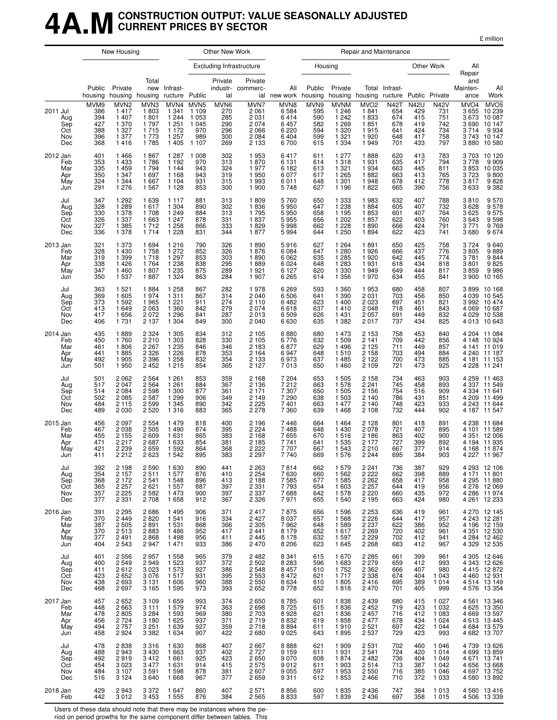### **4A.MCONSTRUCTION OUTPUT: VALUE SEASONALLY ADJUSTED CURRENT PRICES BY SECTOR**

| million |
|---------|
|---------|

|                                             |                                                | New Housing                                                              |                                                                |                                                                      |                                                                            | Other New Work                                 |                                                                                    |                                                         |                                                |                                                                           | Repair and Maintenance                                           |                                                       |                                                       |                                                             |                                               |                                                                                                              |
|---------------------------------------------|------------------------------------------------|--------------------------------------------------------------------------|----------------------------------------------------------------|----------------------------------------------------------------------|----------------------------------------------------------------------------|------------------------------------------------|------------------------------------------------------------------------------------|---------------------------------------------------------|------------------------------------------------|---------------------------------------------------------------------------|------------------------------------------------------------------|-------------------------------------------------------|-------------------------------------------------------|-------------------------------------------------------------|-----------------------------------------------|--------------------------------------------------------------------------------------------------------------|
|                                             |                                                |                                                                          |                                                                |                                                                      |                                                                            |                                                | <b>Excluding Infrastructure</b>                                                    |                                                         |                                                | Housing                                                                   |                                                                  |                                                       |                                                       | Other Work                                                  | All<br>Repair                                 |                                                                                                              |
|                                             | Public<br>housing                              | Private                                                                  | Total<br>new<br>housing housing                                | Infrast-<br>ructure Public                                           |                                                                            | Private<br>ial                                 | Private<br>industr- commerc-                                                       | All<br>ial new work housing                             | Public                                         | Private                                                                   | housing housing                                                  | Total Infrast-<br>ructure Public Private              |                                                       |                                                             | and<br>Mainten-<br>ance                       | All<br>Work                                                                                                  |
| 2011 Jul<br>Aug<br>Sep<br>Oct<br>Nov<br>Dec | MVM9<br>386<br>394<br>427<br>388<br>396<br>368 | MVN <sub>2</sub><br>1417<br>1 4 0 7<br>1 370<br>1 3 2 7<br>1 377<br>1416 | MVN3<br>1803<br>1801<br>1 7 9 7<br>1715<br>1 773<br>1785       | MVN4<br>1 3 4 1<br>1 2 4 4<br>1 2 5 1<br>1 1 7 2<br>1 257<br>1 4 0 5 | MVN <sub>5</sub><br>1 1 0 9<br>1 0 5 3<br>1 0 4 5<br>970<br>989<br>1 1 0 7 | MVN6<br>270<br>285<br>290<br>296<br>300<br>269 | MVN7<br>2 0 6 1<br>2 0 3 1<br>2 0 7 4<br>2 0 6 6<br>2 0 8 4<br>2 1 3 3             | MVN8<br>6584<br>6414<br>6457<br>6 2 2 0<br>6404<br>6700 | MVN9<br>595<br>590<br>582<br>594<br>599<br>615 | <b>MVNM</b><br>1 246<br>1 242<br>1 2 6 9<br>1 3 2 0<br>1 3 2 1<br>1 3 3 4 | MVO <sub>2</sub><br>1841<br>1833<br>1851<br>1915<br>1920<br>1949 | <b>N42T</b><br>654<br>674<br>678<br>641<br>648<br>701 | <b>N42U</b><br>429<br>415<br>419<br>424<br>417<br>433 | <b>N42V</b><br>731<br>751<br>742<br>734<br>758<br>797       | MVO <sub>4</sub>                              | MVO4 MVO5<br>3655 10239<br>3673 10087<br>3 690 10 147<br>3 714 9 934<br>3 743 10 147<br>3 880 10 580         |
| 2012 Jan<br>Feb<br>Mar<br>Apr<br>May<br>Jun | 401<br>353<br>335<br>350<br>324<br>291         | 1466<br>1433<br>1459<br>1 3 4 7<br>1 3 4 4<br>1 2 7 6                    | 1867<br>1786<br>1794<br>1 6 9 7<br>1 6 6 7<br>1 5 6 7          | 1 2 8 7<br>1 1 9 2<br>1 1 4 4<br>1 1 6 8<br>1 1 0 4<br>1 1 2 8       | 1 0 0 8<br>970<br>943<br>943<br>931<br>853                                 | 302<br>313<br>324<br>319<br>315<br>300         | 1953<br>1870<br>1977<br>1950<br>1993<br>1 900                                      | 6417<br>6 1 3 1<br>6 1 8 2<br>6077<br>6011<br>5748      | 611<br>614<br>613<br>617<br>648<br>627         | 1 277<br>1 3 1 8<br>1 3 2 1<br>1 2 6 5<br>1 3 0 1<br>1 1 9 6              | 1888<br>1931<br>1934<br>1882<br>1948<br>1822                     | 620<br>635<br>663<br>663<br>678<br>665                | 413<br>417<br>445<br>413<br>412<br>390                | 783<br>794<br>811<br>765<br>778<br>756                      | 3703<br>3778<br>3853<br>3723<br>3817<br>3633  | 10 120<br>$9909$<br>10035<br>9800<br>$9828$<br>9382                                                          |
| Jul<br>Aug<br>Sep<br>Oct<br>Nov<br>Dec      | 347<br>328<br>330<br>326<br>327<br>336         | 1 2 9 2<br>1 2 8 9<br>1 378<br>1 3 3 7<br>1 3 8 5<br>1 3 7 8             | 1 639<br>1617<br>1708<br>1 6 6 3<br>1712<br>1 7 1 4            | 1 1 1 7<br>1 304<br>1 2 4 9<br>1 2 4 7<br>1 2 5 8<br>1 2 2 8         | 881<br>890<br>884<br>878<br>866<br>831                                     | 313<br>302<br>313<br>331<br>333<br>344         | 1809<br>1836<br>1795<br>1837<br>1829<br>1877                                       | 5760<br>5950<br>5 9 5 0<br>5955<br>5998<br>5994         | 650<br>647<br>658<br>656<br>662<br>644         | 1 3 3 3<br>1 2 3 8<br>1 1 9 5<br>1 202<br>1 2 2 8<br>1 2 5 0              | 1983<br>1884<br>1853<br>1857<br>1890<br>1894                     | 632<br>605<br>601<br>622<br>666<br>622                | 407<br>407<br>407<br>403<br>424<br>423                | 788<br>732<br>764<br>760<br>791<br>741                      | 3810<br>3628<br>3625<br>3643<br>3771<br>3680  | 9 570<br>9 578<br>9 575<br>9 598<br>9 769<br>9 674                                                           |
| 2013 Jan<br>Feb<br>Mar<br>Apr<br>May<br>Jun | 321<br>328<br>319<br>338<br>347<br>350         | 1 373<br>1 4 3 0<br>1 3 9 9<br>1426<br>1460<br>1537                      | 1 6 9 4<br>1758<br>1718<br>1764<br>1807<br>1887                | 1 2 1 6<br>1 272<br>1 2 9 7<br>1 2 3 8<br>1 2 3 5<br>1 3 2 4         | 790<br>852<br>853<br>838<br>875<br>863                                     | 326<br>326<br>303<br>295<br>289<br>284         | 1890<br>1876<br>1890<br>1889<br>1921<br>1 907                                      | 5916<br>6084<br>6 0 6 2<br>6 0 24<br>6 1 2 7<br>6 2 6 5 | 627<br>647<br>635<br>648<br>620<br>614         | 1 2 6 4<br>1 2 8 0<br>1 2 8 5<br>1 2 8 3<br>1 3 3 0<br>1 3 5 6            | 1891<br>1926<br>1920<br>1931<br>1949<br>1970                     | 650<br>666<br>642<br>618<br>649<br>634                | 425<br>437<br>445<br>434<br>444<br>455                | 758<br>776<br>774<br>818<br>817<br>841                      | 3724<br>3805<br>3781<br>3801<br>3859<br>3 900 | 9640<br>9889<br>9844<br>9825<br>986<br>10 165                                                                |
| Jul<br>Aug<br>Sep<br>Oct<br>Nov<br>Dec      | 363<br>369<br>373<br>413<br>417<br>406         | 1 5 2 1<br>1 605<br>1592<br>1649<br>1656<br>1731                         | 1884<br>1974<br>1 9 6 5<br>2 0 6 3<br>2072<br>2 1 3 7          | 1 2 5 8<br>1 3 1 1<br>1 2 2 1<br>1 3 6 0<br>1 2 9 6<br>1 304         | 867<br>867<br>911<br>842<br>841<br>849                                     | 282<br>314<br>274<br>279<br>287<br>300         | 1978<br>2 0 4 0<br>2 1 1 0<br>2 0 7 4<br>2013<br>2 0 4 0                           | 6 2 6 9<br>6506<br>6482<br>6618<br>6509<br>6630         | 593<br>641<br>623<br>637<br>626<br>635         | 1 3 6 0<br>1 3 9 0<br>1 400<br>1410<br>1 4 3 1<br>1 3 8 2                 | 1953<br>2 0 3 1<br>2 0 2 3<br>2 0 4 8<br>2 0 5 7<br>2017         | 680<br>703<br>697<br>718<br>691<br>737                | 458<br>456<br>451<br>461<br>449<br>434                | 807<br>850<br>821<br>843<br>832<br>825                      | 4 0 3 9<br>4 0 2 9<br>4 0 1 3                 | 3 899 10 168<br>10 545<br>3 992 10 474<br>4 069 10 687<br>10 538<br>10 643                                   |
| 2014 Jan<br>Feb<br>Mar<br>Apr<br>May<br>Jun | 435<br>450<br>461<br>441<br>492<br>501         | 1889<br>1760<br>1806<br>1885<br>1 905<br>1950                            | 2 3 2 4<br>2 2 1 0<br>2 2 6 7<br>2 3 2 6<br>2 3 9 6<br>2 4 5 2 | 1 3 0 5<br>1 303<br>1 2 3 5<br>1 2 2 6<br>1 2 5 8<br>1 2 1 5         | 834<br>828<br>846<br>878<br>832<br>854                                     | 312<br>330<br>346<br>353<br>354<br>365         | 2 1 0 5<br>2 1 0 5<br>2 1 8 3<br>2 1 6 4<br>2 1 3 3<br>2 1 2 7                     | 6880<br>6776<br>6877<br>6947<br>6973<br>7013            | 680<br>632<br>629<br>648<br>637<br>650         | 1 473<br>1 509<br>1 4 9 6<br>1510<br>1 4 8 5<br>1 4 6 0                   | 2 1 5 3<br>2 1 4 1<br>2 1 2 5<br>2 1 5 8<br>2 1 2 2<br>2 1 0 9   | 758<br>709<br>711<br>703<br>700<br>721                | 453<br>442<br>449<br>494<br>473<br>473                | 840<br>856<br>857<br>884<br>885<br>925                      | 4 1 4 8<br>4 2 2 8                            | 4 204 11 084<br>10924<br>4 141 11 019<br>4 240 11 187<br>4 181 11 153<br>11 241                              |
| Jul<br>Aug<br>Sep<br>Oct<br>Nov<br>Dec      | 501<br>517<br>514<br>502<br>484<br>489         | 2062<br>2047<br>2084<br>2085<br>2 1 1 5<br>2 0 3 0                       | 2 5 6 4<br>2 5 6 4<br>2 5 9 8<br>2 5 8 7<br>2 5 9 9<br>2 5 2 0 | 1 2 6 1<br>1 2 6 1<br>1 300<br>1 2 9 9<br>1 3 4 5<br>1 3 1 6         | 853<br>884<br>877<br>906<br>890<br>883                                     | 359<br>367<br>361<br>349<br>342<br>365         | 2 1 6 8<br>2 1 3 6<br>2 1 7 1<br>2 1 4 9<br>2 2 2 5<br>2 2 7 8                     | 7 204<br>7212<br>7 3 0 7<br>7 2 9 0<br>7401<br>7 3 6 0  | 653<br>663<br>650<br>638<br>663<br>639         | 1 505<br>1 578<br>1 505<br>1 503<br>1 477<br>1468                         | 2 1 5 8<br>2 2 4 1<br>2 1 5 6<br>2 140<br>2 140<br>2 1 0 8       | 734<br>745<br>754<br>786<br>748<br>732                | 463<br>458<br>516<br>431<br>423<br>444                | 903<br>893<br>909<br>851<br>933<br>902                      | 4 2 5 9                                       | 11 463<br>4 337 11 549<br>4 334 11 641<br>4 209 11 499<br>4 243 11 644<br>4 187 11 547                       |
| 2015 Jan<br>Feb<br>Mar<br>Apr<br>May<br>Jun | 456<br>467<br>455<br>471<br>421<br>411         | 2 0 9 7<br>2 0 3 8<br>2 1 5 5<br>2 2 1 7<br>2 239<br>2 2 1 2             | 2 5 5 4<br>2 5 0 5<br>2609<br>2687<br>2659<br>2 623            | 1 4 7 9<br>1 4 9 0<br>1631<br>1 633<br>1 5 9 2<br>1 5 4 2            | 818<br>874<br>865<br>854<br>864<br>895                                     | 400<br>395<br>383<br>381<br>368<br>383         | 2 1 9 6<br>2 2 2 4<br>2 1 6 8<br>2 1 8 5<br>2 2 2 2<br>2 297                       | 7446<br>7488<br>7655<br>7741<br>7707<br>7740            | 664<br>648<br>670<br>641<br>667<br>669         | 1464<br>1 4 3 0<br>1516<br>1 5 3 5<br>1 5 4 3<br>1576                     | 2 1 2 8<br>2 0 7 8<br>2 1 8 6<br>2 1 7 7<br>2 2 1 0<br>2 244     | 801<br>721<br>863<br>727<br>667<br>695                | 418<br>407<br>402<br>399<br>377<br>384                | 891<br>895<br>900<br>892<br>914<br>903                      |                                               | 4 238 11 684<br>4 101 11 589<br>4 351 12 006<br>4 194 11 935<br>4 168 11 874<br>4 227 11 967                 |
| Jul<br>Aug<br>Sep<br>Oct<br>Nov<br>Dec      | 392<br>354<br>368<br>365<br>357<br>377         | 2 198<br>2 157<br>2 1 7 2<br>2 2 5 7<br>2 2 2 5<br>2 331                 | 2590<br>2511<br>2 5 4 1<br>2621<br>2 5 8 2<br>2 708            | 1 630<br>1577<br>1 548<br>1 557<br>1 473<br>1658                     | 890<br>876<br>896<br>887<br>900<br>912                                     | 441<br>410<br>413<br>397<br>397<br>367         | 2 2 6 3<br>$\overline{2}$ $\overline{254}$<br>2 1 8 8<br>2 331<br>2 337<br>2 3 2 6 | 7814<br>7630<br>7585<br>7793<br>7688<br>7971            | 662<br>660<br>677<br>654<br>642<br>655         | 1579<br>1 5 6 2<br>1 5 8 5<br>1 603<br>1578<br>1 540                      | 2 2 4 1<br>2 2 2 2<br>2 2 6 2<br>2 2 5 7<br>2 2 2 0<br>2 1 9 5   | 736<br>662<br>658<br>644<br>660<br>663                | 387<br>398<br>417<br>419<br>435<br>424                | 929<br>889<br>958<br>956<br>972<br>980                      |                                               | 4 293 12 106<br>4 171 11 801<br>4 295 11 880<br>4 276 12 069<br>4 286 11 974<br>4 261 12 233                 |
| 2016 Jan<br>Feb<br>Mar<br>Apr<br>May<br>Jun | 391<br>370<br>387<br>370<br>377<br>404         | 2 2 9 5<br>2449<br>2 5 0 5<br>2513<br>2491<br>2543                       | 2686<br>2820<br>2891<br>2883<br>2868<br>2947                   | 1 4 9 5<br>1 541<br>1 5 3 1<br>1 4 8 6<br>1498<br>1471               | 906<br>916<br>868<br>952<br>956<br>933                                     | 371<br>334<br>366<br>417<br>411<br>386         | 2417<br>2427<br>2 3 0 5<br>2 4 4 1<br>2 4 4 5<br>2470                              | 7875<br>8037<br>7962<br>8179<br>8 1 7 8<br>8 2 0 6      | 656<br>657<br>648<br>652<br>632<br>623         | 1596<br>1 5 6 8<br>1 5 8 9<br>1617<br>1 5 9 7<br>1 645                    | 2 2 5 3<br>2 2 2 6<br>2 2 3 7<br>2 2 6 9<br>2 2 2 9<br>2 2 6 8   | 636<br>644<br>622<br>720<br>702<br>683                | 419<br>417<br>386<br>402<br>412<br>412                | 961<br>957<br>952<br>961<br>941<br>967                      |                                               | 4 270 12 145<br>4 243 12 281<br>4 196 12 159<br>4 351 12 530<br>4 284 12 462<br>4 329 12 535                 |
| Jul<br>Aug<br>Sep<br>Oct<br>Nov<br>Dec      | 401<br>400<br>411<br>423<br>438<br>468         | 2556<br>2549<br>2612<br>2652<br>2693<br>2697                             | 2957<br>2949<br>3 0 2 3<br>3 0 7 6<br>3 1 3 1<br>3 1 6 5       | 1 558<br>1 523<br>1 573<br>1517<br>1 606<br>1 5 9 5                  | 965<br>937<br>927<br>931<br>960<br>973                                     | 379<br>372<br>386<br>395<br>388<br>393         | 2482<br>2 5 0 2<br>2 548<br>2 553<br>2 5 5 0<br>2652                               | 8 341<br>8 283<br>8 457<br>8 472<br>8 634<br>8 778      | 615<br>596<br>610<br>621<br>610<br>652         | 1670<br>1 683<br>1752<br>1 7 1 7<br>1805<br>1818                          | 2 2 8 5<br>2 2 7 9<br>2 3 6 2<br>2 3 3 8<br>2416<br>2 4 7 0      | 661<br>659<br>666<br>674<br>695<br>701                | 399<br>412<br>407<br>404<br>389<br>405                | 961<br>993<br>980<br>1 0 4 3<br>1 0 1 4<br>999              |                                               | 4 305 12 646<br>4 343 12 626<br>4 4 15 12 8 72<br>4 460 12 931<br>4 514 13 149<br>4 576 13 354               |
| 2017 Jan<br>Feb<br>Mar<br>Apr<br>May<br>Jun | 457<br>448<br>478<br>456<br>494<br>458         | 2 652<br>2663<br>2805<br>2724<br>2757<br>2924                            | 3 1 0 9<br>3 1 1 1<br>3 2 8 4<br>3 1 8 0<br>3 2 5 1<br>3 3 8 2 | 1659<br>1579<br>1 5 9 3<br>1 6 2 5<br>1 6 3 9<br>1 6 3 4             | 993<br>974<br>969<br>937<br>927<br>907                                     | 374<br>363<br>380<br>371<br>359<br>422         | 2 6 5 0<br>2698<br>2703<br>2719<br>2718<br>2680                                    | 8785<br>8725<br>8928<br>8832<br>8894<br>9025            | 601<br>615<br>621<br>619<br>611<br>643         | 1838<br>1836<br>1836<br>1858<br>1910<br>1895                              | 2 4 3 9<br>2 4 5 2<br>2 4 5 7<br>2 4 7 7<br>2 5 21<br>2 5 3 7    | 680<br>719<br>716<br>678<br>697<br>729                | 415<br>423<br>412<br>434<br>422<br>423                | 1 0 2 7<br>1 0 3 2<br>1 0 8 3<br>1 0 2 4<br>1 0 4 4<br>993  |                                               | 4 561 13 346<br>4 625 13 350<br>4 669 13 597<br>4 613 13 445<br>4 684 13 579<br>4 682 13 707                 |
| Jul<br>Aug<br>Sep<br>Oct<br>Nov<br>Dec      | 478<br>488<br>492<br>454<br>484<br>516         | 2838<br>2943<br>2919<br>3 0 2 3<br>3 1 0 7<br>3 1 2 4                    | 3 3 1 6<br>3 4 3 0<br>3412<br>3 4 7 7<br>3591<br>3640          | 1 6 3 0<br>1 6 6 3<br>1 661<br>1 631<br>1 5 9 8<br>1668              | 868<br>937<br>925<br>914<br>878<br>967                                     | 407<br>402<br>423<br>415<br>381<br>377         | 2 667<br>2 727<br>2650<br>2 5 7 5<br>2607<br>2 659                                 | 8888<br>9159<br>9 0 7 0<br>9012<br>9 0 5 5<br>9311      | 621<br>611<br>608<br>611<br>597<br>612         | 1 909<br>1931<br>1874<br>1 903<br>1953<br>1853                            | 2 5 3 1<br>2 5 4 1<br>2482<br>2514<br>2 5 5 0<br>2466            | 702<br>724<br>736<br>713<br>716<br>710                | 460<br>420<br>404<br>387<br>385<br>372                | 1 0 4 6<br>1014<br>1 0 4 9<br>1 0 4 2<br>1 0 4 6<br>1 0 3 3 |                                               | 4 739 13 626<br>4 699 13 859<br>4 671 13 741<br>4 656 13 668<br>4 667 19 750<br>4 697 13 752<br>4 580 13 892 |
| 2018 Jan<br>Feb                             | 429<br>442                                     | 2943<br>3012                                                             | 3 3 7 2<br>3453                                                | 1647<br>1 5 5 5                                                      | 860<br>876                                                                 | 407<br>384                                     | 2 5 7 1<br>2 5 6 5                                                                 | 8856<br>8833                                            | 600<br>597                                     | 1835<br>1839                                                              | 2 4 3 6<br>2 4 3 6                                               | 747<br>697                                            | 364<br>358                                            | 1 0 1 3<br>1 0 1 5                                          |                                               | 4 560 13 416<br>4 506 13 339                                                                                 |

Users of these data should note that there may be instances where the pe-

riod on period growths for the same component differ between tables. This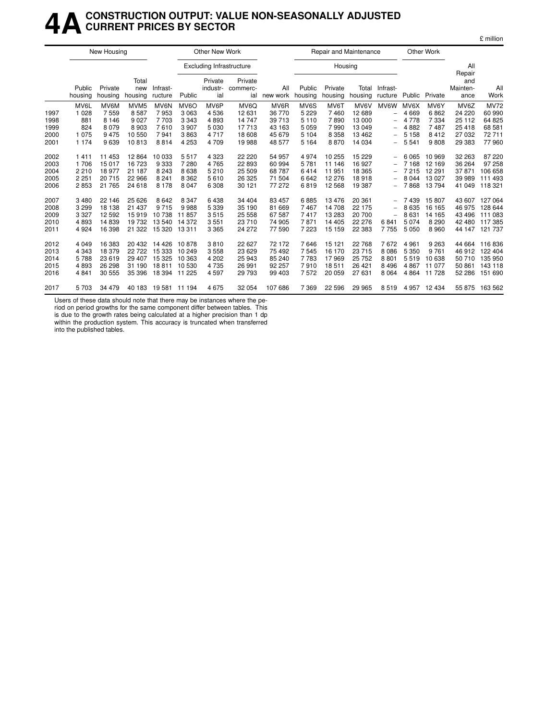#### **4ACONSTRUCTION OUTPUT: VALUE NON-SEASONALLY ADJUSTED CURRENT PRICES BY SECTOR**

|      |                   | New Housing        |                         |                      |                   | <b>Other New Work</b>           |                            |                 |                   |                    | Repair and Maintenance |                          |         | Other Work |                                   |                |
|------|-------------------|--------------------|-------------------------|----------------------|-------------------|---------------------------------|----------------------------|-----------------|-------------------|--------------------|------------------------|--------------------------|---------|------------|-----------------------------------|----------------|
|      |                   |                    |                         |                      |                   | <b>Excluding Infrastructure</b> |                            |                 |                   | Housing            |                        |                          |         |            | All                               |                |
|      | Public<br>housing | Private<br>housing | Total<br>new<br>housing | Infrast-<br>ructure  | Public            | Private<br>industr-<br>ial      | Private<br>commerc-<br>ial | All<br>new work | Public<br>housing | Private<br>housing | Total<br>housing       | Infrast-<br>ructure      | Public  | Private    | Repair<br>and<br>Mainten-<br>ance | All<br>Work    |
|      | MV6L              | MV6M               | MVM <sub>5</sub>        | MV6N                 | MV <sub>6</sub> O | MV6P                            | MV <sub>6</sub> Q          | MV6R            | MV6S              | MV6T               | MV6V                   | MV6W                     | MV6X    | MV6Y       | MV6Z                              | <b>MV72</b>    |
| 1997 | 1 0 2 8           | 7559               | 8587                    | 7953                 | 3063              | 4536                            | 12 631                     | 36 770          | 5 2 2 9           | 7460               | 12 689                 | $\overline{\phantom{0}}$ | 4669    | 6862       | 24 2 20                           | 60 990         |
| 1998 | 881               | 8 1 4 6            | 9 0 27                  | 7703                 | 3 3 4 3           | 4893                            | 14 747                     | 39 713          | 5 1 1 0           | 7890               | 13 000                 | $\qquad \qquad -$        | 4 7 7 8 | 7 3 3 4    | 25 112                            | 64 825         |
| 1999 | 824               | 8 0 7 9            | 8 9 0 3                 | 7610                 | 3907              | 5 0 3 0                         | 17713                      | 43 163          | 5 0 5 9           | 7990               | 13 049                 | -                        | 4882    | 7487       | 25 4 18                           | 68 581         |
| 2000 | 1075              | 9475               | 10 550                  | 7941                 | 3863              | 4717                            | 18 608                     | 45 679          | 5 1 0 4           | 8 3 5 8            | 13 4 62                | $\overline{\phantom{0}}$ | 5 1 5 8 | 8412       | 27 032                            | 72711          |
| 2001 | 1 1 7 4           | 9639               | 10813                   | 8814                 | 4 2 5 3           | 4709                            | 19 988                     | 48 577          | 5 1 6 4           | 8870               | 14 0 34                | -                        | 5 5 4 1 | 9808       | 29 383                            | 77 960         |
| 2002 | 1411              | 11 453             | 12 8 64                 | 10 033               | 5517              | 4 3 2 3                         | 22 2 20                    | 54 957          | 4974              | 10 255             | 15 2 29                | -                        | 6 0 6 5 | 10 969     | 32 263                            | 87 220         |
| 2003 | 1 706             | 15 017             | 16 723                  | 9333                 | 7 2 8 0           | 4765                            | 22 893                     | 60 994          | 5781              | 11 146             | 16 927                 | $\overline{\phantom{0}}$ | 7 1 6 8 | 12 169     | 36 264                            | 97 258         |
| 2004 | 2210              | 18 977             | 21 187                  | 8 2 4 3              | 8638              | 5 2 1 0                         | 25 509                     | 68 787          | 6414              | 11 951             | 18 3 65                |                          | 7 2 1 5 | 12 291     | 37871                             | 106 658        |
| 2005 | 2 2 5 1           | 20 715             | 22 966                  | 8 2 4 1              | 8 3 6 2           | 5610                            | 26 3 25                    | 71 504          | 6642              | 12 276             | 18918                  |                          | 8 0 4 4 | 13 0 27    | 39 989                            | 111 493        |
| 2006 | 2853              | 21 765             | 24 618                  | 8 1 7 8              | 8 0 4 7           | 6 308                           | 30 121                     | 77 272          | 6819              | 12 5 68            | 19 387                 | $\qquad \qquad -$        | 7868    | 13794      | 41 049                            | 118 321        |
| 2007 | 3480              | 22 146             | 25 6 26                 | 8642                 | 8 3 4 7           | 6438                            | 34 404                     | 83 457          | 6885              | 13476              | 20 361                 | -                        | 7439    | 15807      | 43 607                            | 127 064        |
| 2008 | 3 2 9 9           | 18 138             | 21 437                  | 9715                 | 9988              | 5 3 3 9                         | 35 190                     | 81 669          | 7467              | 14 708             | 22 175                 |                          | 8 6 3 5 | 16 165     | 46 975                            | 128 644        |
| 2009 | 3 3 2 7           | 12 592             | 15919                   | 10738                | 11857             | 3515                            | 25 558                     | 67 587          | 7417              | 13 283             | 20 700                 | $\overline{\phantom{0}}$ | 8631    | 14 165     | 43 496                            | 111 083        |
| 2010 | 4893              | 14 839             | 19732                   | 13 540               | 14 372            | 3551                            | 23 710                     | 74 905          | 7871              | 14 4 05            | 22 276                 | 6841                     | 5 0 7 4 | 8 2 9 0    | 42 480                            | 117385         |
| 2011 | 4924              | 16 398             | 21 3 22                 | 15 320               | 13 3 11           | 3 3 6 5                         | 24 272                     | 77 590          | 7 2 2 3           | 15 159             | 22 383                 | 7755                     | 5 0 5 0 | 8 9 6 0    | 44 147                            | 121 737        |
| 2012 | 4 0 4 9           | 16 383             | 20 432                  | 14 4 26              | 10878             | 3810                            | 22 627                     | 72 172          | 7646              | 15 121             | 22 768                 | 7672                     | 4 9 6 1 | 9 2 6 3    | 44 664                            | 116836         |
| 2013 | 4 3 4 3           | 18 379             | 22722                   | 15 3 3 3             | 10 249            | 3558                            | 23 6 29                    | 75 492          | 7545              | 16 170             | 23 715                 | 8 0 8 6                  | 5 3 5 0 | 9 7 6 1    | 46 912                            | 122 404        |
| 2014 | 5788              | 23 619             | 29 407                  | 15 3 25              | 10 363            | 4 202                           | 25 943                     | 85 240          | 7783              | 17969              | 25 752                 | 8801                     | 5519    | 10 638     | 50 710                            | 135 950        |
| 2015 | 4893              | 26 298             | 31 190                  | 18811                | 10 530            | 4735                            | 26 991                     | 92 257          | 7910              | 18511              | 26 4 21                | 8 4 9 6                  | 4867    | 11 077     | 50 861                            | 143 118        |
| 2016 | 4841              | 30 555             | 35 396                  | 18 394 11 225        |                   | 4597                            | 29 7 9 3                   | 99 403          | 7572              | 20 059             | 27 631                 | 8 0 6 4                  | 4 8 6 4 | 11 728     | 52 286                            | 151 690        |
| 2017 | 5703              | 34 479             |                         | 40 183 19 581 11 194 |                   | 4675                            | 32 054                     | 107 686         | 7 3 6 9           | 22 5 9 6           | 29 965                 | 8519                     | 4 9 5 7 | 12 434     |                                   | 55 875 163 562 |

£ million

Users of these data should note that there may be instances where the pe-

riod on period growths for the same component differ between tables. This is due to the growth rates being calculated at a higher precision than 1 dp

within the production system. This accuracy is truncated when transferred into the published tables.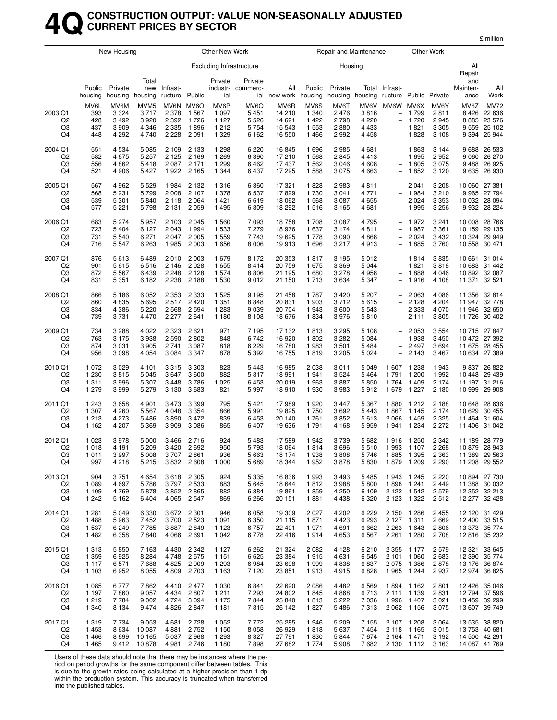### **4QCONSTRUCTION OUTPUT: VALUE NON-SEASONALLY ADJUSTED CURRENT PRICES BY SECTOR**

|                                                   |                                          | New Housing                                |                                                      |                                          |                                                | Other New Work                                   |                                                  |                                               |                                            |                                          | Repair and Maintenance                        |                                                                                                               |                                                          | Other Work                                 |                                      |                                                                  |
|---------------------------------------------------|------------------------------------------|--------------------------------------------|------------------------------------------------------|------------------------------------------|------------------------------------------------|--------------------------------------------------|--------------------------------------------------|-----------------------------------------------|--------------------------------------------|------------------------------------------|-----------------------------------------------|---------------------------------------------------------------------------------------------------------------|----------------------------------------------------------|--------------------------------------------|--------------------------------------|------------------------------------------------------------------|
|                                                   |                                          |                                            |                                                      |                                          |                                                |                                                  | <b>Excluding Infrastructure</b>                  |                                               |                                            | Housing                                  |                                               |                                                                                                               |                                                          |                                            | All<br>Repair                        |                                                                  |
|                                                   | Public<br>housing                        | Private<br>housing                         | Total<br>new<br>housing                              | Infrast-<br>ructure                      | Public                                         | Private<br>ial                                   | Private<br>industr- commerc-                     | All<br>ial new work                           | Public<br>housing                          | Private<br>housing                       | housing                                       | Total Infrast-<br>ructure Public Private                                                                      |                                                          |                                            | and<br>Mainten-<br>ance              | All<br>Work                                                      |
| 2003 Q1<br>Q <sub>2</sub><br>Q3<br>Q4             | MV6L<br>393<br>428<br>437<br>448         | MV6M<br>3 3 2 4<br>3492<br>3909<br>4 2 9 2 | MVM <sub>5</sub><br>3717<br>3920<br>4 3 4 6<br>4 740 | 2 3 7 8<br>2 3 9 2<br>2 3 3 5<br>2 2 2 8 | MV6N MV6O<br>1 5 6 7<br>1726<br>1896<br>2091   | MV6P<br>1 0 9 7<br>1 1 2 7<br>1 2 1 2<br>1 3 2 9 | MV6Q<br>5 4 5 1<br>5 5 2 6<br>5 7 5 4<br>6 1 6 2 | MV6R<br>14 210<br>14 691<br>15 5 43<br>16 550 | MV6S<br>1 3 4 0<br>1422<br>1 5 5 3<br>1466 | MV6T<br>2 4 7 6<br>2798<br>2880<br>2992  | MV6V<br>3816<br>4 2 2 0<br>4 4 3 3<br>4 4 5 8 | MV6W<br>$\qquad \qquad -$<br>$\overline{\phantom{0}}$<br>$\overline{\phantom{0}}$<br>$\overline{\phantom{0}}$ | MV6X<br>1799<br>1720<br>1821<br>1828                     | MV6Y<br>2811<br>2945<br>3 3 0 5<br>3 1 0 8 | MV6Z<br>8426<br>8885<br>9 3 9 4      | <b>MV72</b><br>22 636<br>23 576<br>9 559 25 102<br>25 944        |
| 2004 Q1<br>Q <sub>2</sub><br>Q3<br>Q4             | 551<br>582<br>556<br>521                 | 4534<br>4675<br>4862<br>4 9 0 6            | 5 0 8 5<br>5 2 5 7<br>5418<br>5 4 2 7                | 2 1 0 9<br>2 1 2 5<br>2 0 8 7<br>1922    | 2 1 3 3<br>2 1 6 9<br>2 1 7 1<br>2 1 6 5       | 1 2 9 8<br>1 2 6 9<br>1 2 9 9<br>1 3 4 4         | 6 2 2 0<br>6 3 9 0<br>6462<br>6437               | 16845<br>17210<br>17437<br>17 295             | 1696<br>1568<br>1562<br>1588               | 2985<br>2845<br>3 0 4 6<br>3 0 7 5       | 4681<br>4413<br>4608<br>4 663                 |                                                                                                               | 1863<br>1 6 9 5<br>1805<br>1852                          | 3 1 4 4<br>2952<br>3 0 7 5<br>3 1 2 0      | 9 0 6 0<br>9488                      | 9 688 26 533<br>26 270<br>26 9 25<br>9 635 26 930                |
| 2005 Q1<br>Q2<br>Q3<br>Q4                         | 567<br>568<br>539<br>577                 | 4962<br>5 2 3 1<br>5 3 0 1<br>5 2 2 1      | 5 5 2 9<br>5799<br>5840<br>5798                      | 1984<br>2 0 0 8<br>2 1 1 8<br>2 1 3 1    | 2 1 3 2<br>2 107<br>2 0 6 4<br>2059            | 1 3 1 6<br>1 3 7 8<br>1 4 2 1<br>1 4 9 5         | 6 3 6 0<br>6537<br>6619<br>6809                  | 17321<br>17829<br>18 0 62<br>18 29 2          | 1828<br>1730<br>1568<br>1516               | 2983<br>3 0 4 1<br>3 0 8 7<br>3 1 6 5    | 4811<br>4 771<br>4655<br>4681                 | $\overline{\phantom{0}}$                                                                                      | 2 0 4 1<br>1984<br>2 0 2 4<br>1 9 9 5                    | 3 2 0 8<br>3 2 1 0<br>3 3 5 3<br>3 2 5 6   | 10 060<br>10 032                     | 27 381<br>9 9 65 27 7 94<br>28 0 94<br>9 9 3 2 2 8 2 2 4         |
| 2006 Q1<br>Q <sub>2</sub><br>Q3<br>Q4             | 683<br>723<br>731<br>716                 | 5 2 7 4<br>5404<br>5540<br>5547            | 5957<br>6 1 2 7<br>6 271<br>6 2 6 3                  | 2 1 0 3<br>2 0 4 3<br>2 0 4 7<br>1985    | 2045<br>1994<br>2 0 0 5<br>2 0 0 3             | 1 560<br>1 5 3 3<br>1 5 5 9<br>1656              | 7 0 9 3<br>7 279<br>7743<br>8 0 0 6              | 18758<br>18976<br>19625<br>19913              | 1708<br>1637<br>1778<br>1696               | 3 0 8 7<br>3 1 7 4<br>3 0 9 0<br>3 2 1 7 | 4795<br>4811<br>4868<br>4913                  | $\overline{\phantom{0}}$<br>$\overline{\phantom{0}}$                                                          | 1972<br>1987<br>2 0 2 4<br>1885                          | 3 2 4 1<br>3 3 6 1<br>3 4 3 2<br>3760      | 10 008<br>10 159<br>10 324<br>10 558 | 28 766<br>29 135<br>29 949<br>30 471                             |
| 2007 Q1<br>Q <sub>2</sub><br>Q3<br>Q4             | 876<br>901<br>872<br>831                 | 5613<br>5615<br>5567<br>5 3 5 1            | 6489<br>6516<br>6439<br>6 1 8 2                      | 2010<br>2 1 4 6<br>2 2 4 8<br>2 2 3 8    | 2 0 0 3<br>2028<br>2 1 2 8<br>2 1 8 8          | 1679<br>1 655<br>1 574<br>1 5 3 0                | 8 1 7 2<br>8414<br>8806<br>9012                  | 20 353<br>20 759<br>21 195<br>21 150          | 1817<br>1675<br>1680<br>1713               | 3 1 9 5<br>3 3 6 9<br>3 2 7 8<br>3 6 3 4 | 5012<br>5 0 4 4<br>4958<br>5 3 4 7            | $\overline{a}$                                                                                                | 1814<br>1821<br>1888<br>1916                             | 3835<br>3818<br>4 0 4 6<br>4 108           | 10 661<br>10 683<br>11 371           | 31 0 14<br>31 442<br>10 892 32 087<br>32 5 21                    |
| 2008 Q1<br>Q <sub>2</sub><br>Q <sub>3</sub><br>Q4 | 866<br>860<br>834<br>739                 | 5 1 8 6<br>4835<br>4 3 8 6<br>3731         | 6 0 5 2<br>5695<br>5 2 2 0<br>4 4 7 0                | 2 3 5 3<br>2517<br>2 5 6 8<br>2 2 7 7    | 2 3 3 3<br>2420<br>2594<br>2641                | 1 5 2 5<br>1 3 5 1<br>1 2 8 3<br>1 1 8 0         | 9 1 9 5<br>8848<br>9039<br>8 1 0 8               | 21 4 5 8<br>20 831<br>20 704<br>18676         | 1787<br>1 903<br>1943<br>1834              | 3 4 2 0<br>3712<br>3600<br>3976          | 5 207<br>5615<br>5 5 4 3<br>5810              | $\qquad \qquad -$<br>$\overline{\phantom{0}}$<br>$\overline{\phantom{0}}$<br>$\qquad \qquad -$                | 2 0 6 3<br>2 1 2 8<br>2 3 3 3<br>2 1 1 1                 | 4 0 8 6<br>4 204<br>4 0 7 0<br>3805        | 11 356<br>11 947<br>11 946<br>11 726 | 32 814<br>32778<br>32 650<br>30 402                              |
| 2009 Q1<br>Q <sub>2</sub><br>Q3<br>Q4             | 734<br>763<br>874<br>956                 | 3 2 8 8<br>3 1 7 5<br>3031<br>3098         | 4 0 2 2<br>3938<br>3 9 0 5<br>4 0 5 4                | 2 3 2 3<br>2 5 9 0<br>2741<br>3 0 8 4    | 2621<br>2802<br>3 0 8 7<br>3 3 4 7             | 971<br>848<br>818<br>878                         | 7 1 9 5<br>6742<br>6 2 2 9<br>5 3 9 2            | 17 132<br>16920<br>16780<br>16 755            | 1813<br>1802<br>1983<br>1819               | 3 2 9 5<br>3 2 8 2<br>3 5 0 1<br>3 2 0 5 | 5 108<br>5 0 8 4<br>5484<br>5 0 24            | $\overline{\phantom{0}}$<br>$\overline{\phantom{0}}$                                                          | 2 0 5 3<br>1938<br>2 4 9 7<br>2 1 4 3                    | 3 5 5 4<br>3 4 5 0<br>3694<br>3 4 6 7      | 10 472<br>11 675<br>10 634           | 10 715 27 847<br>27 392<br>28 455<br>27 389                      |
| 2010 Q1<br>Q <sub>2</sub><br>Q3<br>Q4             | 1 0 7 2<br>1 2 3 0<br>1 3 1 1<br>1 2 7 9 | 3029<br>3815<br>3996<br>3999               | 4 101<br>5 0 4 5<br>5 3 0 7<br>5 2 7 9               | 3 3 1 5<br>3647<br>3 4 4 8<br>3 1 3 0    | 3 3 0 3<br>3600<br>3786<br>3683                | 823<br>882<br>1 0 2 5<br>821                     | 5 4 4 3<br>5817<br>6453<br>5997                  | 16985<br>18 991<br>20 019<br>18910            | 2 0 3 8<br>1941<br>1963<br>1930            | 3 0 1 1<br>3524<br>3887<br>3983          | 5 0 4 9<br>5464<br>5850<br>5912               | 1 607<br>1791<br>1764<br>1 679                                                                                | 1 2 3 8<br>1 200<br>1 4 0 9<br>1 2 2 7                   | 1943<br>1992<br>2 1 7 4<br>2 180           | 10 448<br>11 197                     | 9 837 26 822<br>29 439<br>31 216<br>10 999 29 908                |
| 2011 Q1<br>Q <sub>2</sub><br>Q <sub>3</sub><br>Q4 | 1 2 4 3<br>1 307<br>1 2 1 3<br>1 1 6 2   | 3658<br>4 2 6 0<br>4 2 7 3<br>4 207        | 4 9 0 1<br>5 5 6 7<br>5486<br>5 3 6 9                | 3 4 7 3<br>4 0 4 8<br>3890<br>3 9 0 9    | 3 3 9 9<br>3 3 5 4<br>3472<br>3086             | 795<br>866<br>839<br>865                         | 5 4 21<br>5991<br>6453<br>6407                   | 17989<br>19825<br>20 140<br>19636             | 1920<br>1750<br>1761<br>1791               | 3 4 4 7<br>3692<br>3852<br>4 1 6 8       | 5 3 6 7<br>5443<br>5613<br>5959               | 1880<br>1867<br>2066<br>1941                                                                                  | 1 2 1 2<br>1 1 4 5<br>1459<br>1 2 3 4                    | 2 1 8 8<br>2 1 7 4<br>2 3 2 5<br>2 2 7 2   | 10 629<br>11 4 64<br>11 406          | 10 648 28 636<br>30 455<br>31 604<br>31 042                      |
| 2012 Q1<br>Q2<br>Q3<br>Q4                         | 1 0 2 3<br>1018<br>1011<br>997           | 3978<br>4 1 9 1<br>3 997<br>4218           | 5 0 0 0<br>5 209<br>5 0 0 8<br>5215                  | 3 4 6 6<br>3 4 2 0<br>3 8 3 2            | 2716<br>2692<br>3707 2861<br>2 608             | 924<br>950<br>936<br>1 0 0 0                     | 5483<br>5793<br>5 6 6 3<br>5689                  | 17589<br>18 0 64<br>18 174<br>18 344          | 1942<br>1814<br>1938<br>1952               | 3739<br>3696<br>3808<br>3878             | 5682<br>5510<br>5 746<br>5830                 | 1916<br>1993                                                                                                  | 1 250<br>1 107<br>1885 1395<br>1879 1209                 | 2 3 4 2<br>2 2 6 8<br>2 3 6 3<br>2 2 9 0   | 11 189                               | 28 779<br>10 879 28 943<br>11 389 29 563<br>11 208 29 552        |
| 2013 Q1<br>Q <sub>2</sub><br>Q3<br>Q4             | 904<br>1 0 8 9<br>1 1 0 9<br>1 242       | 3751<br>4697<br>4769<br>5162               | 4 6 5 4<br>5786<br>5878<br>6404                      | 3797<br>3852                             | 3 618 2 305<br>2 5 3 3<br>2865<br>4 0 65 2 547 | 924<br>883<br>882<br>869                         | 5 3 3 5<br>5645<br>6 3 8 4<br>6 2 6 6            | 16836<br>18 644<br>19861<br>20 151            | 1993<br>1812<br>1859<br>1881               | 3 4 9 3<br>3988<br>4 2 5 0<br>4 4 3 8    | 5485<br>5800<br>6 109<br>6 3 2 0              | 2 1 2 2                                                                                                       | 1943 1245<br>1898 1241<br>1 542<br>2 123 1 322           | 2 2 2 0<br>2 4 4 9<br>2579<br>2512         |                                      | 10 894 27 730<br>11 388 30 032<br>12 352 32 213<br>12 277 32 428 |
| 2014 Q1<br>Q2<br>Q3<br>Q4                         | 1 2 8 1<br>1488<br>1 537<br>1482         | 5049<br>5963<br>6249<br>6 3 5 8            | 6 3 3 0<br>7452<br>7785<br>7840                      | 3672<br>3700<br>3887<br>4 0 6 6          | 2 3 0 1<br>2 5 2 3<br>2849<br>2 691            | 946<br>1 0 9 1<br>1 1 2 3<br>1 0 4 2             | 6 0 5 8<br>6 3 5 0<br>6757<br>6 778              | 19 309<br>21 1 1 5<br>22 401<br>22 4 16       | 2 0 2 7<br>1871<br>1971<br>1914            | 4 202<br>4 4 2 3<br>4 6 9 1<br>4 6 5 3   | 6229<br>6 293<br>6662<br>6 5 67               | 2 2 6 3                                                                                                       | 2 150 1 286<br>2 127 1 311<br>1 643<br>2 2 61 1 2 80     | 2 4 5 5<br>2669<br>2806<br>2 7 0 8         |                                      | 12 120 31 429<br>12 400 33 515<br>13 373 35 774<br>12 816 35 232 |
| 2015 Q1<br>Q2<br>Q3<br>Q4                         | 1 3 1 3<br>1 3 5 9<br>1 1 1 7<br>1 1 0 3 | 5850<br>6925<br>6571<br>6952               | 7 1 6 3<br>8 2 8 4<br>7688<br>8 0 5 5                | 4 4 3 0<br>4 748<br>4 8 2 5<br>4 8 0 9   | 2 3 4 2<br>2575<br>2909<br>2 7 0 3             | 1 1 2 7<br>1 1 5 1<br>1 2 9 3<br>1 1 6 3         | 6 2 6 2<br>6625<br>6984<br>7 1 2 0               | 21 3 24<br>23 3 84<br>23 6 98<br>23 851       | 2 0 8 2<br>1915<br>1999<br>1913            | 4 1 2 8<br>4 6 3 1<br>4838<br>4915       | 6210<br>6 545<br>6837<br>6828                 | 2 3 5 5<br>2 101                                                                                              | 1 177<br>1 060<br>2 075 1 386<br>1965 1244               | 2 5 7 9<br>2683<br>2878<br>2937            |                                      | 12 321 33 645<br>12 390 35 774<br>13 176 36 874<br>12 974 36 825 |
| 2016 Q1<br>Q <sub>2</sub><br>Q3<br>Q4             | 1 0 8 5<br>1 1 9 7<br>1 2 1 9<br>1 340   | 6777<br>7860<br>7 7 8 4<br>8 1 3 4         | 7862<br>9 0 5 7<br>9 0 0 2<br>9474                   | 4 4 3 4<br>4 7 2 4<br>4 8 2 6            | 4 4 10 2 4 77<br>2807<br>3 0 9 4<br>2847       | 1 0 3 0<br>1 2 1 1<br>1 1 7 5<br>1 1 8 1         | 6841<br>7 2 9 3<br>7844<br>7815                  | 22 6 20<br>24 802<br>25 840<br>26 142         | 2 0 8 6<br>1845<br>1813<br>1827            | 4 4 8 2<br>4868<br>5 2 2 2<br>5486       | 6569<br>6713<br>7036<br>7313                  | 1996                                                                                                          | 1894 1162<br>2 111 1 139<br>1 407<br>2 062 1 156         | 2 8 0 1<br>2831<br>3 0 2 1<br>3 0 7 5      |                                      | 12 426 35 046<br>12 794 37 596<br>13 459 39 299<br>13 607 39 749 |
| 2017 Q1<br>Q2<br>Q3<br>Q4                         | 1 3 1 9<br>1 4 5 3<br>1466<br>1465       | 7 734<br>8634<br>8699<br>9 412             | 9 0 5 3<br>10 087<br>10 165<br>10878                 | 4681<br>4 8 8 1<br>5 0 3 7<br>4981       | 2728<br>2752<br>2968<br>2746                   | 1 0 5 2<br>1 150<br>1 2 9 3<br>1 1 8 0           | 7772<br>8 0 5 8<br>8 3 2 7<br>7898               | 25 285<br>26 929<br>27 791<br>27 682          | 1946<br>1818<br>1830<br>1 7 7 4            | 5 2 0 9<br>5 6 3 7<br>5844<br>5 9 0 8    | 7 1 5 5<br>7454<br>7674<br>7682               |                                                                                                               | 2 107 1 208<br>2 118 1 165<br>2 164 1 471<br>2 130 1 112 | 3 0 6 4<br>3015<br>3 1 9 2<br>3 1 6 3      |                                      | 13 535 38 820<br>13 753 40 681<br>14 500 42 291<br>14 087 41 769 |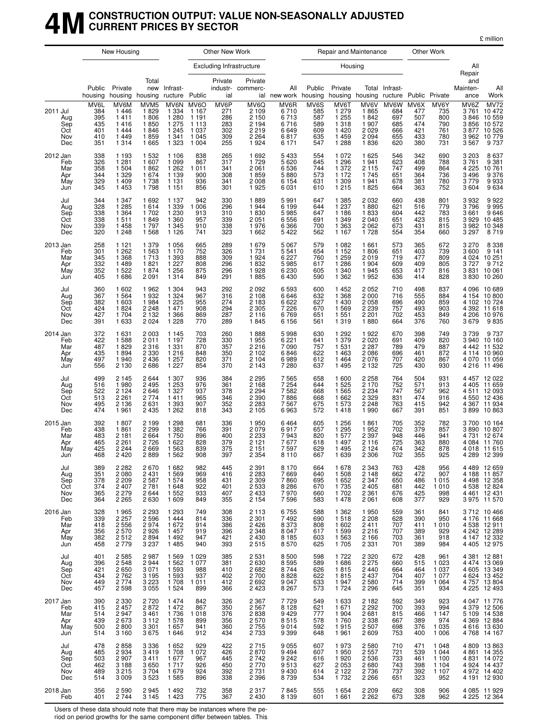### **4MCONSTRUCTION OUTPUT: VALUE NON-SEASONALLY ADJUSTED CURRENT PRICES BY SECTOR**

£ million

|                                             |                                                | New Housing                                                    |                                                                     |                                                                        |                                                                        | Other New Work                                 |                                                                        |                                                         |                                                | Repair and Maintenance                                           |                                                             |                                                |                                                | Other Work                                             |                                                        |                                                                                                          |
|---------------------------------------------|------------------------------------------------|----------------------------------------------------------------|---------------------------------------------------------------------|------------------------------------------------------------------------|------------------------------------------------------------------------|------------------------------------------------|------------------------------------------------------------------------|---------------------------------------------------------|------------------------------------------------|------------------------------------------------------------------|-------------------------------------------------------------|------------------------------------------------|------------------------------------------------|--------------------------------------------------------|--------------------------------------------------------|----------------------------------------------------------------------------------------------------------|
|                                             |                                                |                                                                |                                                                     |                                                                        |                                                                        |                                                | <b>Excluding Infrastructure</b>                                        |                                                         |                                                | Housing                                                          |                                                             |                                                |                                                |                                                        | All<br>Repair                                          |                                                                                                          |
|                                             | Public<br>housing                              | Private<br>housing                                             | Total<br>new<br>housing                                             | Infrast-<br>ructure                                                    | Public                                                                 | Private<br>ial                                 | Private<br>industr- commerc-                                           | All<br>ial new work housing                             | Public                                         | Private                                                          | housing housing ructure Public Private                      | Total Infrast-                                 |                                                |                                                        | and<br>Mainten-<br>ance                                | All<br>Work                                                                                              |
| 2011 Jul<br>Aug<br>Sep<br>Oct<br>Nov<br>Dec | MV6L<br>384<br>395<br>435<br>401<br>410<br>351 | MV6M<br>1446<br>1411<br>1416<br>1444<br>1449<br>1 3 1 4        | MVM <sub>5</sub><br>1829<br>1806<br>1850<br>1846<br>1859<br>1 6 6 5 | MV6N<br>1 3 3 4<br>1 2 8 0<br>1 2 7 5<br>1 2 4 5<br>1 3 4 1<br>1 3 2 3 | MV6O<br>1 1 6 7<br>1 1 9 1<br>1 1 1 3<br>1 0 3 7<br>1 0 4 5<br>1 0 0 4 | MV6P<br>271<br>286<br>283<br>302<br>309<br>255 | MVOQ<br>2 1 0 9<br>2 1 5 0<br>2 1 9 4<br>2 2 1 9<br>2 2 6 4<br>1 9 2 4 | MV6R<br>6710<br>6713<br>6716<br>6649<br>6817<br>6 1 7 1 | MV6S<br>585<br>587<br>589<br>609<br>635<br>547 | MV6T<br>1 2 7 9<br>1 2 5 5<br>1 3 1 8<br>1420<br>1459<br>1 2 8 8 | MV6V<br>1865<br>1842<br>1907<br>2029<br>2094<br>1836        | MV6W<br>684<br>697<br>685<br>666<br>655<br>620 | MV6X<br>477<br>507<br>474<br>421<br>433<br>380 | MV6Y<br>735<br>800<br>790<br>761<br>780<br>731         | MV6Z<br>3761<br>3846<br>3856<br>3 877<br>3 962<br>3567 | MV72<br>10472<br>10 559<br>10 572<br>10 526<br>10779<br>9737                                             |
| 2012 Jan<br>Feb<br>Mar<br>Apr<br>May<br>Jun | 338<br>326<br>358<br>344<br>329<br>345         | 1 1 9 3<br>1 281<br>1 504<br>1 3 2 9<br>1 4 0 9<br>1 4 5 3     | 1 5 3 2<br>1 607<br>1862<br>1674<br>1738<br>1798                    | 1 1 0 6<br>1 0 9 9<br>1 2 6 2<br>1 1 3 9<br>1 1 3 1<br>1 1 5 1         | 838<br>867<br>1011<br>900<br>936<br>856                                | 265<br>317<br>341<br>308<br>341<br>301         | 1692<br>1729<br>2 0 6 1<br>1859<br>2 0 0 8<br>1925                     | 5433<br>5 620<br>6 536<br>5880<br>6 1 5 4<br>6031       | 554<br>645<br>744<br>573<br>631<br>610         | 1 0 7 2<br>1 2 9 6<br>1 3 7 2<br>1 1 7 2<br>1 309<br>1215        | 1625<br>1941<br>2 1 1 5<br>1745<br>1941<br>1825             | 546<br>623<br>747<br>651<br>678<br>664         | 342<br>408<br>499<br>364<br>381<br>363         | 690<br>788<br>864<br>736<br>780<br>752                 | 3 2 0 3<br>3761<br>4 2 2 5<br>3496<br>3779<br>3604     | 8637<br>9 381<br>10 761<br>$9376$<br>$9933$<br>$9634$                                                    |
| Jul<br>Aug<br>Sep<br>Oct<br>Nov<br>Dec      | 344<br>328<br>338<br>338<br>339<br>320         | 1 3 4 7<br>1 2 8 5<br>1 3 6 4<br>1511<br>1458<br>1 2 4 8       | 1692<br>1614<br>1702<br>1849<br>1797<br>1 5 6 8                     | 1 1 3 7<br>1 3 3 9<br>1 2 3 0<br>1 3 6 0<br>1 3 4 5<br>1 1 2 6         | 942<br>1 0 0 6<br>913<br>957<br>910<br>741                             | 330<br>296<br>310<br>339<br>338<br>323         | 1889<br>1944<br>1830<br>2 0 5 1<br>1976<br>1 6 6 2                     | 5991<br>6 1 9 9<br>5985<br>6556<br>6366<br>5422         | 647<br>644<br>647<br>691<br>700<br>562         | 1 3 8 5<br>1 2 3 7<br>1 1 8 6<br>1 3 4 9<br>1 3 6 3<br>1 1 6 7   | 2 0 3 2<br>1880<br>1833<br>2 0 4 0<br>2062<br>1728          | 660<br>621<br>604<br>651<br>673<br>554         | 438<br>516<br>442<br>423<br>431<br>354         | 801<br>779<br>783<br>815<br>815<br>660                 | 3932<br>3796<br>3661<br>3929<br>3 982<br>3 297         | 9922<br>9995<br>9646<br>10485<br>10348<br>8719                                                           |
| 2013 Jan<br>Feb<br>Mar<br>Apr<br>May<br>Jun | 258<br>301<br>345<br>332<br>352<br>405         | 1 1 2 1<br>1 2 6 2<br>1 3 6 8<br>1 4 8 9<br>1 5 2 2<br>1686    | 1 3 7 9<br>1 5 6 3<br>1 7 1 3<br>1821<br>1874<br>2 0 9 1            | 1 0 5 6<br>1 1 7 0<br>1 3 9 3<br>1 2 2 7<br>1 2 5 6<br>1 3 1 4         | 665<br>752<br>888<br>808<br>875<br>849                                 | 289<br>326<br>309<br>296<br>296<br>291         | 1679<br>1 7 3 1<br>1924<br>1832<br>1928<br>1885                        | 5 0 6 7<br>5541<br>6227<br>5985<br>6 2 3 0<br>6430      | 579<br>654<br>760<br>617<br>605<br>590         | 1 0 8 2<br>1 1 5 2<br>1 2 5 9<br>1 2 8 6<br>1 340<br>1 3 6 2     | 1661<br>1806<br>2019<br>1904<br>1945<br>1952                | 573<br>651<br>719<br>609<br>653<br>636         | 365<br>403<br>477<br>409<br>417<br>414         | 672<br>739<br>809<br>805<br>816<br>828                 | 3 2 7 0<br>3600<br>4 0 24<br>3727<br>3 831<br>3830     | 8 338<br>9 141<br>10 251<br>9 712<br>10 061<br>10 260                                                    |
| Jul<br>Aug<br>Sep<br>Oct<br>Nov<br>Dec      | 360<br>367<br>382<br>424<br>427<br>391         | 1 602<br>1 5 6 4<br>1 603<br>1824<br>1 704<br>1 633            | 1962<br>1932<br>1984<br>2 2 4 8<br>2 1 3 2<br>2 0 2 4               | 1 3 0 4<br>1 324<br>1 225<br>1471<br>1 3 6 6<br>1 2 2 8                | 943<br>967<br>955<br>908<br>869<br>770                                 | 292<br>316<br>274<br>294<br>287<br>289         | 2 0 9 2<br>2 1 0 8<br>2 1 8 3<br>2 3 0 5<br>2 1 1 6<br>1845            | 6593<br>6646<br>6 6 2 2<br>7226<br>6769<br>6 1 5 6      | 600<br>632<br>627<br>670<br>651<br>561         | 1452<br>1 3 6 8<br>1430<br>1569<br>1551<br>1319                  | 2052<br>2 0 0 0<br>2058<br>2 2 3 9<br>2 2 0 1<br>1880       | 710<br>716<br>696<br>757<br>702<br>664         | 498<br>555<br>490<br>493<br>453<br>376         | 837<br>884<br>859<br>903<br>849<br>760                 | 4 3 9 2<br>4 206<br>3679                               | 4 096 10 689<br>4 154 10 800<br>4 102 10 724<br>11 618<br>10976<br>9835                                  |
| 2014 Jan<br>Feb<br>Mar<br>Apr<br>May<br>Jun | 372<br>422<br>487<br>435<br>497<br>556         | 1 631<br>1588<br>1829<br>1894<br>1940<br>2 1 3 0               | 2 0 0 3<br>2011<br>2 3 1 6<br>2 3 3 0<br>2 4 3 6<br>2686            | 1 1 4 5<br>1 1 9 7<br>1 3 3 1<br>1 2 1 6<br>1 2 5 7<br>1 2 2 7         | 703<br>728<br>870<br>848<br>820<br>854                                 | 260<br>330<br>357<br>350<br>371<br>370         | 1888<br>1955<br>2 2 1 6<br>2 1 0 2<br>2 1 0 4<br>2 1 4 3               | 5998<br>6221<br>7090<br>6846<br>6989<br>7280            | 630<br>641<br>757<br>622<br>612<br>637         | 1 2 9 2<br>1 379<br>1 5 3 1<br>1463<br>1464<br>1495              | 1922<br>2020<br>2 2 8 7<br>2086<br>2076<br>2 1 3 2          | 670<br>691<br>789<br>696<br>707<br>725         | 398<br>409<br>479<br>461<br>420<br>430         | 749<br>820<br>887<br>872<br>867<br>930                 | 4 1 1 4<br>4 070                                       | 3739 9737<br>3940 10160<br>4 442 11 532<br>10 960<br>11 059<br>4 216 11 496                              |
| Jul<br>Aug<br>Sep<br>Oct<br>Nov<br>Dec      | 499<br>516<br>522<br>513<br>495<br>474         | 2 1 4 5<br>1980<br>2 1 2 4<br>2 2 6 1<br>2 1 3 6<br>1961       | 2644<br>2 4 9 5<br>2646<br>2 7 7 4<br>2631<br>2 4 3 5               | 1 307<br>1 2 5 3<br>1 3 2 7<br>1411<br>1 3 9 3<br>1 2 6 2              | 936<br>976<br>937<br>965<br>907<br>818                                 | 384<br>361<br>378<br>346<br>352<br>343         | 2 2 9 5<br>2 1 6 8<br>2 2 9 4<br>2 3 9 0<br>2 2 8 3<br>2 1 0 5         | 7565<br>7 2 5 4<br>7582<br>7886<br>7567<br>6963         | 658<br>644<br>668<br>668<br>675<br>572         | 1600<br>1 5 2 5<br>1565<br>1662<br>1573<br>1418                  | 2 2 5 8<br>2 1 7 0<br>2 2 3 4<br>2 3 2 9<br>2 2 4 8<br>1990 | 764<br>752<br>747<br>831<br>763<br>667         | 504<br>571<br>567<br>474<br>415<br>391         | 931<br>913<br>962<br>916<br>942<br>851                 | 3899                                                   | 4 457 12 022<br>4 4 0 5 11 6 5 9<br>4 511 12 093<br>4 550 12 436<br>4 367 11 934<br>10863                |
| 2015 Jan<br>Feb<br>Mar<br>Apr<br>May<br>Jun | 392<br>438<br>483<br>465<br>425<br>468         | 1807<br>1861<br>2 1 8 1<br>2 2 6 1<br>2 2 4 4<br>2 4 2 0       | 2 1 9 9<br>2 2 9 9<br>2 6 6 4<br>2726<br>2669<br>2889               | 1 2 9 8<br>1 3 8 2<br>1750<br>1 6 2 2<br>1 5 6 3<br>1 5 6 2            | 681<br>766<br>896<br>828<br>839<br>908                                 | 336<br>391<br>400<br>379<br>375<br>397         | 1950<br>2 0 7 9<br>2 2 3 3<br>2 1 2 1<br>2 1 5 1<br>2 3 5 4            | 6464<br>6917<br>7943<br>7677<br>7597<br>8 1 1 0         | 605<br>657<br>820<br>618<br>629<br>667         | 1 2 5 6<br>1 2 9 5<br>1577<br>1497<br>1495<br>1 639              | 1861<br>1952<br>2 3 9 7<br>2 1 1 6<br>2 1 2 4<br>2 3 0 6    | 705<br>702<br>948<br>725<br>674<br>702         | 352<br>379<br>446<br>363<br>342<br>355         | 782<br>857<br>941<br>880<br>878<br>925                 | 3 700<br>3890<br>4 731                                 | 10 164<br>10807<br>12674<br>4 084 11 760<br>4 018 11 615<br>4 289 12 399                                 |
| Jul<br>Aug<br>Sep<br>Oct<br>Nov<br>Dec      | 389<br>351<br>378<br>374<br>365<br>364         | 2 2 8 2<br>2 0 8 0<br>2 2 0 9<br>2 4 0 7<br>2 2 7 9<br>2 2 6 5 | 2670<br>2 4 3 1<br>2 5 8 7<br>2 7 8 1<br>2644<br>2630               | 1682<br>1 5 6 9<br>1 574<br>1 6 4 8<br>1 5 5 2<br>1 609                | 982<br>969<br>958<br>922<br>933<br>849                                 | 445<br>416<br>431<br>401<br>407<br>355         | 2 391<br>2 283<br>2 3 0 9<br>2 5 3 3<br>2 4 3 3<br>2 1 5 4             | 8 170<br>7 669<br>7860<br>8286<br>7970<br>7596          | 664<br>640<br>695<br>670<br>660<br>583         | 1678<br>1 508<br>1652<br>1 7 3 5<br>1702<br>1478                 | 2 3 4 3<br>2 1 4 8<br>2 3 4 7<br>2 4 0 5<br>2 3 6 1<br>2061 | 763<br>662<br>650<br>681<br>676<br>608         | 428<br>472<br>486<br>442<br>425<br>377         | 956<br>907<br>1015<br>1010<br>998<br>929               |                                                        | 4 489 12 659<br>4 188 11 857<br>4 498 12 358<br>4 538 12 824<br>4 461 12 431<br>3 975 11 570             |
| 2016 Jan<br>Feb<br>Mar<br>Apr<br>May<br>Jun | 328<br>339<br>418<br>356<br>382<br>458         | 1965<br>2 2 5 7<br>2 5 5 6<br>2570<br>2512<br>2 7 7 9          | 2 2 9 3<br>2 5 9 6<br>2974<br>2926<br>2894<br>3 2 3 7               | 1 2 9 3<br>1 4 4 4<br>1 672<br>1 4 5 7<br>1492<br>1 4 8 5              | 749<br>814<br>914<br>919<br>947<br>940                                 | 308<br>336<br>386<br>396<br>421<br>393         | 2 1 1 3<br>2 3 0 1<br>2 4 2 6<br>2 3 4 8<br>2 4 3 0<br>2515            | 6 755<br>7 492<br>8373<br>8047<br>8 1 8 5<br>8570       | 588<br>690<br>808<br>617<br>603<br>625         | 1 3 6 2<br>1518<br>1 602<br>1599<br>1 5 6 3<br>1705              | 1950<br>2 2 0 8<br>2411<br>2216<br>2 1 6 6<br>2 3 3 1       | 559<br>628<br>707<br>707<br>703<br>701         | 361<br>390<br>411<br>389<br>361<br>389         | 841<br>950<br>1010<br>929<br>918<br>984                |                                                        | 3712 10466<br>4176 11668<br>4 538 12 911<br>4 242 12 289<br>4 147 12 332<br>4 4 0 5 1 2 9 7 5            |
| Jul<br>Aug<br>Sep<br>Oct<br>Nov<br>Dec      | 401<br>396<br>421<br>434<br>449<br>457         | 2 5 8 5<br>2 548<br>2 650<br>2762<br>2 7 7 4<br>2 5 9 8        | 2987<br>2944<br>3 0 7 1<br>3 1 9 5<br>3 2 2 3<br>3 0 5 5            | 1569<br>1 5 6 2<br>1 5 9 3<br>1 5 9 3<br>1708<br>1 5 2 4               | 1 0 2 9<br>1 0 7 7<br>988<br>937<br>1011<br>899                        | 385<br>381<br>410<br>402<br>412<br>366         | 2 5 3 1<br>2 6 3 0<br>2682<br>2700<br>2692<br>2423                     | 8 500<br>8 595<br>8 744<br>8828<br>9 0 4 7<br>8 2 6 7   | 598<br>589<br>626<br>622<br>633<br>573         | 1722<br>1686<br>1815<br>1815<br>1947<br>1 7 2 4                  | 2 3 2 0<br>2 2 7 5<br>2 4 4 0<br>2 4 3 7<br>2580<br>2 2 9 6 | 672<br>660<br>664<br>704<br>714<br>645         | 428<br>515<br>464<br>407<br>399<br>351         | 961<br>1 0 2 3<br>1 0 3 7<br>1 0 7 7<br>1 0 6 4<br>934 |                                                        | 4 381 12 881<br>$4\overline{474}$ 13 069<br>4 605 13 349<br>4 624 13 452<br>4 757 13 804<br>4 225 12 493 |
| 2017 Jan<br>Feb<br>Mar<br>Apr<br>May<br>Jun | 390<br>415<br>514<br>439<br>500<br>514         | 2 330<br>2 457<br>2947<br>2673<br>2800<br>3 1 6 0              | 2 720<br>2 872<br>3461<br>3 1 1 2<br>3 3 0 1<br>3675                | 1 4 7 4<br>1 472<br>1736<br>1578<br>1 657<br>1646                      | 842<br>867<br>1018<br>899<br>941<br>912                                | 326<br>350<br>376<br>356<br>360<br>434         | 2 367<br>2 567<br>2838<br>2 5 7 0<br>2 7 5 5<br>2 7 3 3                | 7729<br>8128<br>9429<br>8515<br>9014<br>9 3 9 9         | 549<br>621<br>777<br>578<br>592<br>648         | 1 633<br>1671<br>1 904<br>1760<br>1915<br>1961                   | 2 1 8 2<br>2 2 9 2<br>2681<br>2 3 3 8<br>2 5 0 7<br>2609    | 592<br>700<br>815<br>667<br>698<br>753         | 349<br>393<br>466<br>389<br>376<br>400         | 923<br>994<br>1 147<br>974<br>1 0 3 5<br>1 0 0 6       |                                                        | 4 047 11 776<br>4 379 12 506<br>5 109 14 538<br>4 369 12 884<br>4616 13630<br>4768 14167                 |
| Jul<br>Aug<br>Sep<br>Oct<br>Nov<br>Dec      | 478<br>485<br>503<br>462<br>489<br>514         | 2858<br>2934<br>2 9 0 7<br>3 1 8 8<br>3 2 1 5<br>3 0 0 9       | 3 3 3 6<br>3419<br>3411<br>3650<br>3 704<br>3523                    | 1 652<br>1708<br>1 677<br>1 7 1 7<br>1679<br>1 5 8 5                   | 929<br>1 0 7 2<br>967<br>926<br>924<br>896                             | 422<br>426<br>445<br>450<br>392<br>338         | 2715<br>2870<br>2 7 4 2<br>2 7 7 0<br>2 731<br>2 3 9 6                 | 9 0 5 5<br>$9494$<br>$9242$<br>9513<br>9430<br>8739     | 607<br>607<br>616<br>627<br>614<br>534         | 1973<br>1950<br>1920<br>2053<br>2 1 2 2<br>1732                  | 2580<br>2 5 5 7<br>2 5 3 6<br>2680<br>2736<br>2 2 6 6       | 710<br>721<br>733<br>743<br>737<br>651         | 471<br>539<br>461<br>398<br>392<br>323         | 1 0 4 8<br>1 0 4 4<br>1 100<br>1 104<br>1 107<br>952   |                                                        | 4809 13863<br>4 861 14 355<br>4 831 14 072<br>4 9 24 14 4 37<br>4 972 14 402<br>4 191 12 930             |
| 2018 Jan<br>Feb                             | 356<br>401                                     | 2 5 9 0<br>2 7 4 4                                             | 2945<br>3 1 4 5                                                     | 1492<br>1 4 2 3                                                        | 732<br>775                                                             | 358<br>367                                     | 2 3 1 7<br>2 4 3 0                                                     | 7845<br>8 1 3 9                                         | 555<br>601                                     | 1 6 5 4<br>1661                                                  | 2 2 0 9<br>2 2 6 2                                          | 662<br>673                                     | 308<br>328                                     | 906<br>962                                             |                                                        | 4 085 11 929<br>4 225 12 364                                                                             |

Users of these data should note that there may be instances where the pe-

riod on period growths for the same component differ between tables. This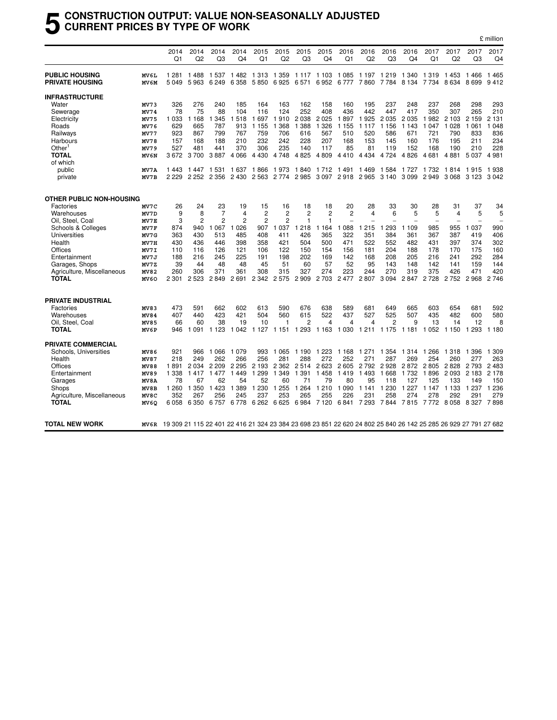#### **5 CONSTRUCTION OUTPUT: VALUE NON-SEASONALLY ADJUSTED CURRENT PRICES BY TYPE OF WORK**

|                                 |                  | 2014<br>Q <sub>1</sub> | 2014<br>Q2     | 2014<br>Q3 | 2014<br>Q4     | 2015<br>Q1     | 2015<br>Q2     | 2015<br>Q3          | 2015<br>Q4     | 2016<br>Q1        | 2016<br>Q <sub>2</sub> | 2016<br>Q3 | 2016<br>Q4                                                                                                      | 2017<br>Q1 | 2017<br>Q <sub>2</sub> | 2017<br>Q3 | 2017<br>Q <sub>4</sub> |
|---------------------------------|------------------|------------------------|----------------|------------|----------------|----------------|----------------|---------------------|----------------|-------------------|------------------------|------------|-----------------------------------------------------------------------------------------------------------------|------------|------------------------|------------|------------------------|
| <b>PUBLIC HOUSING</b>           | MV6L             | 1 2 8 1                | 1488           | 1 537      | 1482           | 1 3 1 3        | 1 3 5 9        | 1 1 1 7             | 1 1 0 3        | 1 0 8 5           | 1 1 9 7                | 1 2 1 9    | 1 340                                                                                                           | 1 3 1 9    | 1453                   | 1466       | 1465                   |
| <b>PRIVATE HOUSING</b>          | MV6M             | 5049                   | 5963           | 6 2 4 9    | 6 3 5 8        | 5850           | 6925           | 6571                | 6952           | 6777              | 7860                   | 7 7 8 4    | 8 1 3 4                                                                                                         | 7 7 3 4    | 8634                   | 8699       | 9412                   |
| <b>INFRASTRUCTURE</b>           |                  |                        |                |            |                |                |                |                     |                |                   |                        |            |                                                                                                                 |            |                        |            |                        |
| Water                           | MV73             | 326                    | 276            | 240        | 185            | 164            | 163            | 162                 | 158            | 160               | 195                    | 237        | 248                                                                                                             | 237        | 268                    | 298        | 293                    |
| Sewerage                        | MV74             | 78                     | 75             | 88         | 104            | 116            | 124            | 252                 | 408            | 436               | 442                    | 447        | 417                                                                                                             | 350        | 307                    | 265        | 210                    |
| Electricity                     | MV75             | 1 0 3 3                | 1 1 6 8        | 345<br>1   | 518            | 1697           | 910<br>1       | 2 0 3 8             | 2 0 2 5        | 1897              | 1925                   | 2 0 3 5    | 2 0 3 5                                                                                                         | 982<br>1   | 2 1 0 3                | 2 1 5 9    | 2 1 3 1                |
| Roads                           | MV76             | 629                    | 665            | 787        | 913            | 1 1 5 5        | 368<br>1       | 388<br>-1           | 1 3 2 6        | 1 1 5 5           | 1 1 1 7                | 1 1 5 6    | 1 1 4 3                                                                                                         | 1 0 4 7    | 1 0 2 8                | 1 0 6 1    | 1 0 4 8                |
| Railways                        | MV77             | 923                    | 867            | 799        | 767            | 759            | 706            | 616                 | 567            | 510               | 520                    | 586        | 671                                                                                                             | 721        | 790                    | 833        | 836                    |
| Harbours                        | MV78             | 157                    | 168            | 188        | 210            | 232            | 242            | 228                 | 207            | 168               | 153                    | 145        | 160                                                                                                             | 176        | 195                    | 211        | 234                    |
| Other <sup>1</sup>              | MV79             | 527                    | 481            | 441        | 370            | 306            | 235            | 140                 | 117            | 85                | 81                     | 119        | 152                                                                                                             | 168        | 190                    | 210        | 228                    |
| <b>TOTAL</b>                    | MV6N             | 3672                   | 3700           | 3887       | 4 0 6 6        | 4 4 3 0        | 4 7 4 8        | 4 8 2 5             | 4 8 0 9        | 4410              | 4 4 3 4                | 4 7 2 4    | 4 8 2 6                                                                                                         | 4681       | 4881                   | 5037       | 4981                   |
| of which                        |                  |                        |                |            |                |                |                |                     |                |                   |                        |            |                                                                                                                 |            |                        |            |                        |
| public                          | MV7A             | 1443                   | 1447           | 1 5 3 1    | 1 637          | 1866           | 1973           | 1840                | 1 7 1 2        | 1 491             | 1469                   | 1 5 8 4    | 1 7 2 7                                                                                                         | 1 732      | 1814                   | 1915       | 1938                   |
| private                         | MV7B             | 2 2 2 9                | 2 2 5 2        | 2 3 5 6    | 2 4 3 0        | 2 5 6 3        | 2 7 7 4        | 2985                |                | 3 097 2 918 2 965 |                        | 3 1 4 0    | 3 0 9 9                                                                                                         | 2949       | 3 0 6 8                | 3 1 2 3    | 3 0 4 2                |
|                                 |                  |                        |                |            |                |                |                |                     |                |                   |                        |            |                                                                                                                 |            |                        |            |                        |
| <b>OTHER PUBLIC NON-HOUSING</b> |                  |                        |                |            |                |                |                |                     |                |                   |                        |            |                                                                                                                 |            |                        |            |                        |
| Factories                       | MV7C             | 26                     | 24             | 23         | 19             | 15             | 16             | 18                  | 18             | 20                | 28                     | 33         | 30                                                                                                              | 28         | 31                     | 37         | 34                     |
| Warehouses                      | MV7D             | 9                      | 8              | 7          | 4              | $\overline{2}$ | 2              | $\overline{2}$      | $\overline{2}$ | $\overline{2}$    | $\overline{4}$         | 6          | 5                                                                                                               | 5          | 4                      | 5          | 5                      |
| Oil, Steel, Coal                | MV7E             | 3                      | $\overline{2}$ | 2          | $\overline{c}$ | $\overline{2}$ | $\overline{2}$ | 1                   | 1              | ÷                 |                        |            |                                                                                                                 |            |                        |            |                        |
| Schools & Colleges              | MV7F             | 874                    | 940            | 067<br>1   | 1 0 2 6        | 907            | 037<br>1       | 218<br>1            | 164<br>1.      | 088<br>1          | 215<br>-1              | 293        | 1 109                                                                                                           | 985        | 955                    | 1 0 3 7    | 990                    |
| Universities                    | MV7G             | 363                    | 430            | 513        | 485            | 408            | 411            | 426                 | 365            | 322               | 351                    | 384        | 361                                                                                                             | 367        | 387                    | 419        | 406                    |
| Health                          | MV7H             | 430                    | 436            | 446        | 398            | 358            | 421            | 504                 | 500            | 471               | 522                    | 552        | 482                                                                                                             | 431        | 397                    | 374        | 302                    |
| Offices                         | MV7I             | 110                    | 116            | 126        | 121            | 106            | 122            | 150                 | 154            | 156               | 181                    | 204        | 188                                                                                                             | 178        | 170                    | 175        | 160                    |
| Entertainment                   | MV7J             | 188                    | 216            | 245        | 225            | 191            | 198            | 202                 | 169            | 142               | 168                    | 208        | 205                                                                                                             | 216        | 241                    | 292        | 284                    |
| Garages, Shops                  | MV7Z             | 39                     | 44             | 48         | 48             | 45             | 51             | 60                  | 57             | 52                | 95                     | 143        | 148                                                                                                             | 142        | 141                    | 159        | 144                    |
| Agriculture, Miscellaneous      | MV82             | 260                    | 306            | 371        | 361            | 308            | 315            | 327                 | 274            | 223               | 244                    | 270        | 319                                                                                                             | 375        | 426                    | 471        | 420                    |
| <b>TOTAL</b>                    | MV <sub>60</sub> | 2 3 0 1                | 2 5 2 3        | 2849       | 2691           | 2 3 4 2        | 2575           | 2 9 0 9             | 2 7 0 3        | 2 4 7 7           | 2807                   | 3 0 9 4    | 2847                                                                                                            | 2728       | 2752                   | 2968       | 2746                   |
| <b>PRIVATE INDUSTRIAL</b>       |                  |                        |                |            |                |                |                |                     |                |                   |                        |            |                                                                                                                 |            |                        |            |                        |
|                                 |                  |                        |                |            |                |                |                |                     |                |                   |                        |            |                                                                                                                 |            |                        |            |                        |
| Factories                       | MV83             | 473                    | 591            | 662        | 602            | 613            | 590            | 676                 | 638            | 589               | 681                    | 649        | 665                                                                                                             | 603        | 654                    | 681        | 592                    |
| Warehouses                      | MV84             | 407                    | 440            | 423        | 421            | 504            | 560            | 615                 | 522            | 437               | 527                    | 525        | 507                                                                                                             | 435        | 482                    | 600        | 580                    |
| Oil, Steel, Coal                | MV85             | 66                     | 60             | 38         | 19             | 10             | 1              | 2                   | 4              | 4                 | 4                      | 2          | 9                                                                                                               | 13         | 14                     | 12         | 8                      |
| <b>TOTAL</b>                    | MV6P             | 946                    | 091            | 1 1 2 3    | 042<br>1       | 1 1 2 7        | 1 1 5 1        | 293<br>$\mathbf{1}$ | 1 1 6 3        | 1 0 3 0           | 1 2 1 1                | 1 1 7 5    | 1 1 8 1                                                                                                         | 052<br>1   | 1 1 5 0                | 293<br>1   | 1 1 8 0                |
| <b>PRIVATE COMMERCIAL</b>       |                  |                        |                |            |                |                |                |                     |                |                   |                        |            |                                                                                                                 |            |                        |            |                        |
| Schools, Universities           | MV86             | 921                    | 966            | 1 0 6 6    | 1 0 7 9        | 993            | 1 0 6 5        | 1 1 9 0             | 1 2 2 3        | 1 1 6 8           | 1 271                  | 354<br>1   | 1 3 1 4                                                                                                         | 266<br>1   | 1 3 1 8                | 1 3 9 6    | 1 309                  |
| Health                          | MV87             | 218                    | 249            | 262        | 266            | 256            | 281            | 288                 | 272            | 252               | 271                    | 287        | 269                                                                                                             | 254        | 260                    | 277        | 263                    |
| Offices                         | MV88             | 1891                   | 2034           | 2 2 0 9    | 2 2 9 5        | 2 1 9 3        | 2 3 6 2        | 2514                | 2623           | 2605              | 2 7 9 2                | 2928       | 2872                                                                                                            | 2805       | 2828                   | 2 7 9 3    | 2483                   |
| Entertainment                   | MV89             | 1 3 3 8                | 1417           | 1477       | 1<br>449       | 1 2 9 9        | 1 3 4 9        | 1 391               | 1458           | 1419              | 1493                   | 1668       | 1 7 3 2                                                                                                         | 1896       | 2093                   | 2 1 8 3    | 2 1 7 8                |
| Garages                         | MV8A             | 78                     | 67             | 62         | 54             | 52             | 60             | 71                  | 79             | 80                | 95                     | 118        | 127                                                                                                             | 125        | 133                    | 149        | 150                    |
| Shops                           | MV8B             | 1 2 6 0                | 1 3 5 0        | 1 4 2 3    | 1 3 8 9        | 1 2 3 0        | 255<br>1       | 1 2 6 4             | 1 2 1 0        | 1 0 9 0           | 1 1 4 1                | 1 2 3 0    | 1 2 2 7                                                                                                         | 1 1 4 7    | 1 1 3 3                | 1 2 3 7    | 1 2 3 6                |
| Agriculture, Miscellaneous      | MV8C             | 352                    | 267            | 256        | 245            | 237            | 253            | 265                 | 255            | 226               | 231                    | 258        | 274                                                                                                             | 278        | 292                    | 291        | 279                    |
| <b>TOTAL</b>                    | MV <sub>60</sub> | 6058                   | 6 3 5 0        | 6757       | 6778           | 6 2 6 2        | 6625           | 6984                | 7 1 2 0        | 6841              | 7 2 9 3                | 7844       | 7815                                                                                                            | 7772       | 8058                   | 8 3 2 7    | 7898                   |
|                                 |                  |                        |                |            |                |                |                |                     |                |                   |                        |            |                                                                                                                 |            |                        |            |                        |
| <b>TOTAL NEW WORK</b>           | MV6R             |                        |                |            |                |                |                |                     |                |                   |                        |            | 19 309 21 115 22 401 22 416 21 324 23 384 23 698 23 851 22 620 24 802 25 840 26 142 25 285 26 929 27 791 27 682 |            |                        |            |                        |

£ million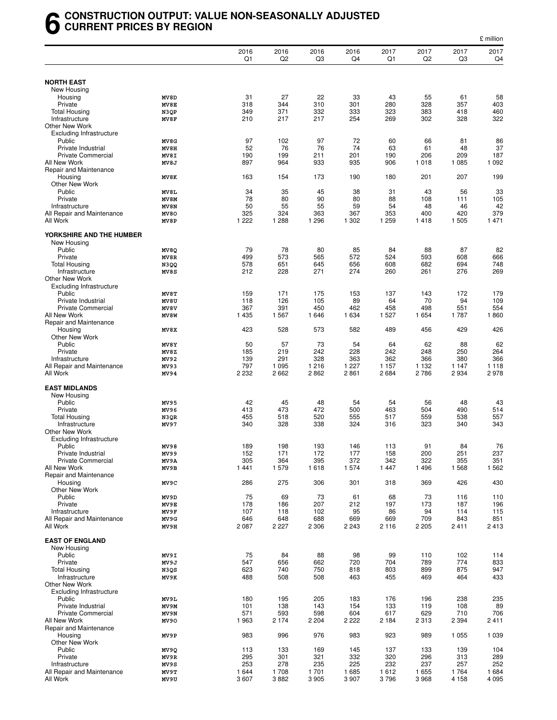#### **6 CONSTRUCTION OUTPUT: VALUE NON-SEASONALLY ADJUSTED CURRENT PRICES BY REGION**

|                                                 |               |               |              |                  |              |              |                        |                 | £ million          |
|-------------------------------------------------|---------------|---------------|--------------|------------------|--------------|--------------|------------------------|-----------------|--------------------|
|                                                 |               | 2016<br>Q1    | 2016<br>Q2   | 2016<br>Q3       | 2016<br>Q4   | 2017<br>Q1   | 2017<br>Q <sub>2</sub> | 2017<br>Q3      | 2017<br>Q4         |
|                                                 |               |               |              |                  |              |              |                        |                 |                    |
| <b>NORTH EAST</b><br>New Housing                |               |               |              |                  |              |              |                        |                 |                    |
| Housing                                         | MV8D          | 31            | 27           | 22               | 33           | 43           | 55                     | 61              | 58                 |
| Private                                         | MV8E          | 318           | 344          | 310              | 301          | 280          | 328                    | 357             | 403                |
| <b>Total Housing</b>                            | N3QP          | 349           | 371          | 332              | 333          | 323          | 383                    | 418             | 460                |
| Infrastructure                                  | MV8F          | 210           | 217          | 217              | 254          | 269          | 302                    | 328             | 322                |
| Other New Work                                  |               |               |              |                  |              |              |                        |                 |                    |
| <b>Excluding Infrastructure</b>                 |               |               |              |                  |              |              |                        |                 |                    |
| Public<br>Private Industrial                    | MV8G<br>MV8H  | 97<br>52      | 102<br>76    | 97<br>76         | 72<br>74     | 60<br>63     | 66<br>61               | 81<br>48        | 86<br>37           |
| <b>Private Commercial</b>                       | MV8I          | 190           | 199          | 211              | 201          | 190          | 206                    | 209             | 187                |
| All New Work                                    | MV8J          | 897           | 964          | 933              | 935          | 906          | 1018                   | 1 0 8 5         | 1 0 9 2            |
| Repair and Maintenance                          |               |               |              |                  |              |              |                        |                 |                    |
| Housing                                         | MV8K          | 163           | 154          | 173              | 190          | 180          | 201                    | 207             | 199                |
| Other New Work                                  |               |               |              |                  |              |              |                        |                 |                    |
| Public                                          | MV8L          | 34<br>78      | 35           | 45<br>90         | 38           | 31           | 43                     | 56              | 33<br>105          |
| Private<br>Infrastructure                       | MV8M<br>MV8N  | 50            | 80<br>55     | 55               | 80<br>59     | 88<br>54     | 108<br>48              | 111<br>46       | 42                 |
| All Repair and Maintenance                      | MV80          | 325           | 324          | 363              | 367          | 353          | 400                    | 420             | 379                |
| All Work                                        | MV8P          | 1 2 2 2       | 1 2 8 8      | 1 2 9 6          | 1 3 0 2      | 1 2 5 9      | 1418                   | 1 505           | 1 4 7 1            |
| YORKSHIRE AND THE HUMBER                        |               |               |              |                  |              |              |                        |                 |                    |
| New Housing                                     |               |               |              |                  |              |              |                        |                 |                    |
| Public                                          | MV8Q          | 79            | 78           | 80               | 85           | 84           | 88                     | 87              | 82                 |
| Private<br><b>Total Housing</b>                 | MV8R          | 499<br>578    | 573<br>651   | 565<br>645       | 572<br>656   | 524<br>608   | 593<br>682             | 608<br>694      | 666<br>748         |
| Infrastructure                                  | N3QQ<br>MV8S  | 212           | 228          | 271              | 274          | 260          | 261                    | 276             | 269                |
| Other New Work                                  |               |               |              |                  |              |              |                        |                 |                    |
| <b>Excluding Infrastructure</b>                 |               |               |              |                  |              |              |                        |                 |                    |
| Public                                          | MV8T          | 159           | 171          | 175              | 153          | 137          | 143                    | 172             | 179                |
| Private Industrial                              | MV8U          | 118           | 126          | 105              | 89           | 64           | 70                     | 94              | 109                |
| <b>Private Commercial</b>                       | MV8V          | 367           | 391          | 450              | 462          | 458          | 498                    | 551             | 554                |
| All New Work                                    | MV8W          | 1 4 3 5       | 1 5 6 7      | 1646             | 1 6 3 4      | 1 5 2 7      | 1 654                  | 1787            | 1860               |
| Repair and Maintenance<br>Housing               | MV8X          | 423           | 528          | 573              | 582          | 489          | 456                    | 429             | 426                |
| <b>Other New Work</b>                           |               |               |              |                  |              |              |                        |                 |                    |
| Public                                          | MV8Y          | 50            | 57           | 73               | 54           | 64           | 62                     | 88              | 62                 |
| Private                                         | MV8Z          | 185           | 219          | 242              | 228          | 242          | 248                    | 250             | 264                |
| Infrastructure                                  | MV92          | 139           | 291          | 328              | 363          | 362          | 366                    | 380             | 366                |
| All Repair and Maintenance                      | MV93          | 797           | 1 0 9 5      | 1 2 1 6          | 1 2 2 7      | 1 1 5 7      | 1 1 3 2                | 1 1 4 7         | 1 1 1 8            |
| All Work                                        | MV94          | 2 2 3 2       | 2 6 6 2      | 2862             | 2861         | 2684         | 2786                   | 2934            | 2978               |
| <b>EAST MIDLANDS</b><br>New Housing             |               |               |              |                  |              |              |                        |                 |                    |
| Public                                          | MV95          | 42            | 45           | 48               | 54           | 54           | 56                     | 48              | 43                 |
| Private                                         | MV96          | 413           | 473          | 472              | 500          | 463          | 504                    | 490             | 514                |
| <b>Total Housing</b>                            | N3QR          | 455           | 518          | 520              | 555          | 517          | 559                    | 538             | 557                |
| Infrastructure                                  | MV97          | 340           | 328          | 338              | 324          | 316          | 323                    | 340             | 343                |
| Other New Work                                  |               |               |              |                  |              |              |                        |                 |                    |
| <b>Excluding Infrastructure</b><br>Public       |               | 189           | 198          | 193              |              |              |                        |                 |                    |
| Private Industrial                              | MV 98<br>MV99 | 152           | 171          | 172              | 146<br>177   | 113<br>158   | 91<br>200              | 84<br>251       | 76<br>237          |
| <b>Private Commercial</b>                       | MV9A          | 305           | 364          | 395              | 372          | 342          | 322                    | 355             | 351                |
| All New Work                                    | MV9B          | 1441          | 1579         | 1618             | 1574         | 1 4 4 7      | 1496                   | 1568            | 1 5 6 2            |
| Repair and Maintenance                          |               |               |              |                  |              |              |                        |                 |                    |
| Housing                                         | MV9C          | 286           | 275          | 306              | 301          | 318          | 369                    | 426             | 430                |
| Other New Work<br>Public                        | MV9D          | 75            | 69           | 73               | 61           | 68           | 73                     | 116             | 110                |
| Private                                         | MV9E          | 178           | 186          | 207              | 212          | 197          | 173                    | 187             | 196                |
| Infrastructure                                  | MV9F          | 107           | 118          | 102              | 95           | 86           | 94                     | 114             | 115                |
| All Repair and Maintenance                      | MV9G          | 646           | 648          | 688              | 669          | 669          | 709                    | 843             | 851                |
| All Work                                        | MV9H          | 2 0 8 7       | 2 2 2 7      | 2 3 0 6          | 2 2 4 3      | 2 1 1 6      | 2 2 0 5                | 2411            | 2413               |
|                                                 |               |               |              |                  |              |              |                        |                 |                    |
| <b>EAST OF ENGLAND</b>                          |               |               |              |                  |              |              |                        |                 |                    |
| New Housing<br>Public                           | MV9I          | 75            | 84           | 88               | 98           | 99           | 110                    | 102             | 114                |
| Private                                         | MV9J          | 547           | 656          | 662              | 720          | 704          | 789                    | 774             | 833                |
| <b>Total Housing</b>                            | N3QS          | 623           | 740          | 750              | 818          | 803          | 899                    | 875             | 947                |
| Infrastructure                                  | MV9K          | 488           | 508          | 508              | 463          | 455          | 469                    | 464             | 433                |
| Other New Work                                  |               |               |              |                  |              |              |                        |                 |                    |
| <b>Excluding Infrastructure</b>                 |               |               |              |                  |              |              |                        |                 |                    |
| Public                                          | MV9L          | 180           | 195          | 205              | 183          | 176          | 196                    | 238             | 235                |
| Private Industrial<br><b>Private Commercial</b> | MV9M<br>MV9N  | 101<br>571    | 138<br>593   | 143<br>598       | 154<br>604   | 133<br>617   | 119<br>629             | 108<br>710      | 89<br>706          |
| All New Work                                    | MV90          | 1963          | 2 1 7 4      | 2 2 0 4          | 2 2 2 2      | 2 1 8 4      | 2 3 1 3                | 2 3 9 4         | 2411               |
| Repair and Maintenance                          |               |               |              |                  |              |              |                        |                 |                    |
| Housing                                         | MV9P          | 983           | 996          | 976              | 983          | 923          | 989                    | 1 0 5 5         | 1 0 3 9            |
| <b>Other New Work</b>                           |               |               |              |                  |              |              |                        |                 |                    |
| Public                                          | MV9Q          | 113           | 133          | 169              | 145          | 137          | 133                    | 139             | 104                |
| Private                                         | MV9R          | 295           | 301          | 321              | 332          | 320          | 296                    | 313             | 289                |
| Infrastructure                                  | MV9S          | 253           | 278          | 235              | 225          | 232          | 237                    | 257             | 252                |
| All Repair and Maintenance<br>All Work          | MV9T<br>MV9U  | 1 644<br>3607 | 1708<br>3882 | 1 701<br>3 9 0 5 | 1685<br>3907 | 1612<br>3796 | 1655<br>3968           | 1764<br>4 1 5 8 | 1 6 8 4<br>4 0 9 5 |
|                                                 |               |               |              |                  |              |              |                        |                 |                    |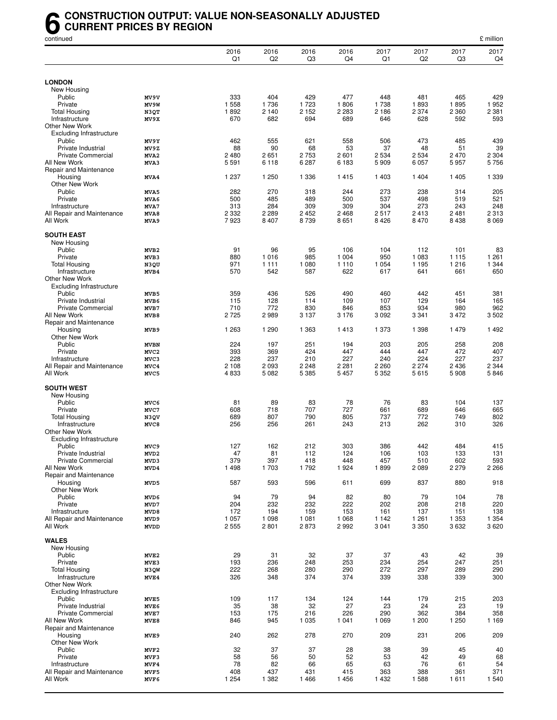#### **6** CONSTRUCTION OUTPUT: VALUE NON-SEASONALLY ADJUSTED<br>CURRENT PRICES BY REGION<br>continued **CURRENT PRICES BY REGION**

| continued                                       |                                 |                 |                        |                        |                 |                    |                        |                 | £ million       |
|-------------------------------------------------|---------------------------------|-----------------|------------------------|------------------------|-----------------|--------------------|------------------------|-----------------|-----------------|
|                                                 |                                 | 2016<br>Q1      | 2016<br>Q <sub>2</sub> | 2016<br>Q <sub>3</sub> | 2016<br>Q4      | 2017<br>Q1         | 2017<br>Q <sub>2</sub> | 2017<br>Q3      | 2017<br>Q4      |
|                                                 |                                 |                 |                        |                        |                 |                    |                        |                 |                 |
| <b>LONDON</b>                                   |                                 |                 |                        |                        |                 |                    |                        |                 |                 |
| New Housing<br>Public                           | MV9V                            | 333             | 404                    | 429                    | 477             | 448                | 481                    | 465             | 429             |
| Private                                         | MV9W                            | 1 558           | 1736                   | 1 7 2 3                | 1806            | 1738               | 1893                   | 1895            | 1952            |
| <b>Total Housing</b>                            | N3QT                            | 1892            | 2 1 4 0                | 2 1 5 2                | 2 2 8 3         | 2 186              | 2 3 7 4                | 2 3 6 0         | 2 3 8 1         |
| Infrastructure                                  | MV9X                            | 670             | 682                    | 694                    | 689             | 646                | 628                    | 592             | 593             |
| Other New Work                                  |                                 |                 |                        |                        |                 |                    |                        |                 |                 |
| <b>Excluding Infrastructure</b>                 |                                 |                 |                        |                        |                 |                    |                        |                 |                 |
| Public<br>Private Industrial                    | MV9Y                            | 462             | 555                    | 621                    | 558<br>53       | 506                | 473                    | 485             | 439             |
| <b>Private Commercial</b>                       | MV9Z<br>MVA2                    | 88<br>2480      | 90<br>2651             | 68<br>2 7 5 3          | 2 601           | 37<br>2 5 3 4      | 48<br>2 5 3 4          | 51<br>2 4 7 0   | 39<br>2 3 0 4   |
| All New Work                                    | MVA3                            | 5 5 9 1         | 6 1 1 8                | 6 2 8 7                | 6 183           | 5 9 0 9            | 6 0 5 7                | 5957            | 5756            |
| Repair and Maintenance                          |                                 |                 |                        |                        |                 |                    |                        |                 |                 |
| Housing                                         | MVA4                            | 1 2 3 7         | 1 250                  | 1 3 3 6                | 1415            | 1 4 0 3            | 1 404                  | 1 4 0 5         | 1 3 3 9         |
| Other New Work                                  |                                 |                 |                        |                        |                 |                    |                        |                 |                 |
| Public                                          | MVA5                            | 282             | 270                    | 318                    | 244             | 273                | 238                    | 314             | 205             |
| Private                                         | MVA6                            | 500             | 485<br>284             | 489                    | 500             | 537                | 498                    | 519             | 521             |
| Infrastructure<br>All Repair and Maintenance    | MVA7<br>MVA8                    | 313<br>2 3 3 2  | 2 2 8 9                | 309<br>2 4 5 2         | 309<br>2 4 6 8  | 304<br>2517        | 273<br>2413            | 243<br>2481     | 248<br>2 3 1 3  |
| All Work                                        | MVA9                            | 7923            | 8 4 0 7                | 8739                   | 8651            | 8 4 2 6            | 8 4 7 0                | 8438            | 8 0 6 9         |
|                                                 |                                 |                 |                        |                        |                 |                    |                        |                 |                 |
| <b>SOUTH EAST</b>                               |                                 |                 |                        |                        |                 |                    |                        |                 |                 |
| New Housing                                     |                                 |                 |                        |                        |                 |                    |                        |                 |                 |
| Public                                          | MVB <sub>2</sub>                | 91              | 96                     | 95                     | 106             | 104                | 112                    | 101             | 83              |
| Private                                         | MVB3                            | 880             | 1016                   | 985                    | 1 0 0 4         | 950                | 1 0 8 3                | 1 1 1 5         | 1 2 6 1         |
| <b>Total Housing</b><br>Infrastructure          | N3QU<br>MVB4                    | 971<br>570      | 1 1 1 1<br>542         | 1 0 8 0<br>587         | 1 1 1 0<br>622  | 1 0 5 4<br>617     | 1 1 9 5<br>641         | 1 2 1 6<br>661  | 1 3 4 4<br>650  |
| Other New Work                                  |                                 |                 |                        |                        |                 |                    |                        |                 |                 |
| Excluding Infrastructure                        |                                 |                 |                        |                        |                 |                    |                        |                 |                 |
| Public                                          | MVB5                            | 359             | 436                    | 526                    | 490             | 460                | 442                    | 451             | 381             |
| Private Industrial                              | MVB6                            | 115             | 128                    | 114                    | 109             | 107                | 129                    | 164             | 165             |
| <b>Private Commercial</b>                       | MVB7                            | 710             | 772                    | 830                    | 846             | 853                | 934                    | 980             | 962             |
| All New Work                                    | MVB8                            | 2725            | 2989                   | 3 1 3 7                | 3 1 7 6         | 3 0 9 2            | 3 3 4 1                | 3 4 7 2         | 3502            |
| Repair and Maintenance                          |                                 |                 |                        |                        |                 |                    |                        |                 |                 |
| Housing                                         | MVB9                            | 1 2 6 3         | 1 2 9 0                | 1 3 6 3                | 1413            | 1 373              | 1 3 9 8                | 1 4 7 9         | 1492            |
| Other New Work<br>Public                        |                                 | 224             | 197                    | 251                    | 194             | 203                | 205                    | 258             | 208             |
| Private                                         | <b>MVBN</b><br>MVC <sub>2</sub> | 393             | 369                    | 424                    | 447             | 444                | 447                    | 472             | 407             |
| Infrastructure                                  | MVC3                            | 228             | 237                    | 210                    | 227             | 240                | 224                    | 227             | 237             |
| All Repair and Maintenance                      | MVC4                            | 2 1 0 8         | 2 0 9 3                | 2 2 4 8                | 2 2 8 1         | 2 2 6 0            | 2 2 7 4                | 2 4 3 6         | 2 3 4 4         |
| All Work                                        | MVC5                            | 4833            | 5 0 8 2                | 5 3 8 5                | 5 4 5 7         | 5 3 5 2            | 5615                   | 5908            | 5846            |
|                                                 |                                 |                 |                        |                        |                 |                    |                        |                 |                 |
| <b>SOUTH WEST</b>                               |                                 |                 |                        |                        |                 |                    |                        |                 |                 |
| New Housing<br>Public                           | MVC6                            | 81              | 89                     | 83                     | 78              | 76                 | 83                     | 104             | 137             |
| Private                                         | MVC7                            | 608             | 718                    | 707                    | 727             | 661                | 689                    | 646             | 665             |
| <b>Total Housing</b>                            | N3QV                            | 689             | 807                    | 790                    | 805             | 737                | 772                    | 749             | 802             |
| Infrastructure                                  | MVC8                            | 256             | 256                    | 261                    | 243             | 213                | 262                    | 310             | 326             |
| Other New Work                                  |                                 |                 |                        |                        |                 |                    |                        |                 |                 |
| <b>Excluding Infrastructure</b>                 |                                 |                 |                        |                        |                 |                    |                        |                 |                 |
| Public                                          | MVC9                            | 127             | 162                    | 212                    | 303             | 386                | 442                    | 484             | 415             |
| Private Industrial<br><b>Private Commercial</b> | MVD <sub>2</sub>                | 47<br>379       | 81<br>397              | 112<br>418             | 124<br>448      | 106<br>457         | 103<br>510             | 133<br>602      | 131<br>593      |
| All New Work                                    | MVD3<br>MVD4                    | 1 4 9 8         | 1703                   | 1792                   | 1924            | 1899               | 2089                   | 2 2 7 9         | 2 2 6 6         |
| Repair and Maintenance                          |                                 |                 |                        |                        |                 |                    |                        |                 |                 |
| Housing                                         | MVD5                            | 587             | 593                    | 596                    | 611             | 699                | 837                    | 880             | 918             |
| Other New Work                                  |                                 |                 |                        |                        |                 |                    |                        |                 |                 |
| Public                                          | MVD6                            | 94              | 79                     | 94                     | 82              | 80                 | 79                     | 104             | 78              |
| Private                                         | MVD7                            | 204             | 232                    | 232                    | 222             | 202                | 208                    | 218             | 220             |
| Infrastructure                                  | MVD8                            | 172             | 194                    | 159                    | 153             | 161                | 137                    | 151             | 138             |
| All Repair and Maintenance<br>All Work          | MVD9<br><b>MVDD</b>             | 1 0 5 7<br>2555 | 1 0 9 8<br>2801        | 1 0 8 1<br>2873        | 1 0 6 8<br>2992 | 1 1 4 2<br>3 0 4 1 | 1 2 6 1<br>3 3 5 0     | 1 3 5 3<br>3632 | 1 3 5 4<br>3620 |
|                                                 |                                 |                 |                        |                        |                 |                    |                        |                 |                 |
| <b>WALES</b>                                    |                                 |                 |                        |                        |                 |                    |                        |                 |                 |
| New Housing                                     |                                 |                 |                        |                        |                 |                    |                        |                 |                 |
| Public                                          | MVE2                            | 29              | 31                     | 32                     | 37              | 37                 | 43                     | 42              | 39              |
| Private                                         | MVE3                            | 193             | 236                    | 248                    | 253             | 234                | 254                    | 247             | 251             |
| <b>Total Housing</b>                            | N3QW                            | 222             | 268                    | 280                    | 290             | 272                | 297                    | 289             | 290             |
| Infrastructure<br>Other New Work                | MVE4                            | 326             | 348                    | 374                    | 374             | 339                | 338                    | 339             | 300             |
| <b>Excluding Infrastructure</b>                 |                                 |                 |                        |                        |                 |                    |                        |                 |                 |
| Public                                          | MVE5                            | 109             | 117                    | 134                    | 124             | 144                | 179                    | 215             | 203             |
| Private Industrial                              | MVE6                            | 35              | 38                     | 32                     | 27              | 23                 | 24                     | 23              | 19              |
| <b>Private Commercial</b>                       | MVE7                            | 153             | 175                    | 216                    | 226             | 290                | 362                    | 384             | 358             |
| All New Work                                    | MVE8                            | 846             | 945                    | 1 0 3 5                | 1 0 4 1         | 1 0 6 9            | 1 200                  | 1 250           | 1 1 6 9         |
| Repair and Maintenance                          |                                 |                 |                        |                        |                 |                    |                        |                 |                 |
| Housing                                         | MVE9                            | 240             | 262                    | 278                    | 270             | 209                | 231                    | 206             | 209             |
| Other New Work                                  |                                 |                 |                        |                        |                 |                    |                        |                 |                 |
| Public                                          | MVF2                            | 32              | 37                     | 37                     | 28              | 38                 | 39                     | 45              | 40              |
| Private<br>Infrastructure                       | MVF3<br>MVF4                    | 58<br>78        | 56<br>82               | 50<br>66               | 52<br>65        | 53<br>63           | 42<br>76               | 49<br>61        | 68<br>54        |
| All Repair and Maintenance                      | MVF5                            | 408             | 437                    | 431                    | 415             | 363                | 388                    | 361             | 371             |
| All Work                                        | MVF6                            | 1 2 5 4         | 1 3 8 2                | 1466                   | 1456            | 1432               | 1588                   | 1611            | 1 540           |
|                                                 |                                 |                 |                        |                        |                 |                    |                        |                 |                 |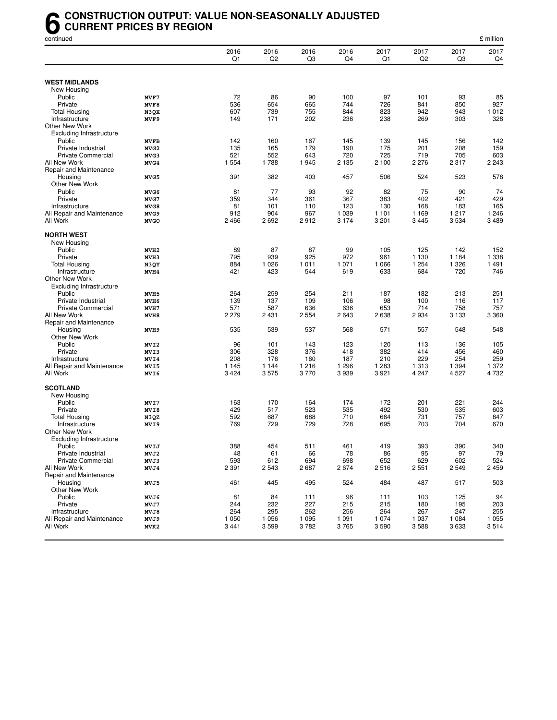#### **6** CONSTRUCTION OUTPUT: VALUE NON-SEASONALLY ADJUSTED<br>CURRENT PRICES BY REGION<br>continued **CURRENT PRICES BY REGION**

| continued                               |                  |            |                        |                        |            |            |                        |                        | £ million      |
|-----------------------------------------|------------------|------------|------------------------|------------------------|------------|------------|------------------------|------------------------|----------------|
|                                         |                  | 2016<br>Q1 | 2016<br>Q <sub>2</sub> | 2016<br>Q <sub>3</sub> | 2016<br>Q4 | 2017<br>Q1 | 2017<br>Q <sub>2</sub> | 2017<br>Q <sub>3</sub> | 2017<br>Q4     |
|                                         |                  |            |                        |                        |            |            |                        |                        |                |
| <b>WEST MIDLANDS</b>                    |                  |            |                        |                        |            |            |                        |                        |                |
| New Housing                             |                  |            |                        |                        |            |            |                        |                        |                |
| Public                                  | MVF7             | 72         | 86                     | 90                     | 100<br>744 | 97         | 101                    | 93                     | 85             |
| Private                                 | MVF8             | 536        | 654                    | 665                    |            | 726        | 841                    | 850                    | 927            |
| <b>Total Housing</b>                    | N3QX<br>MVF9     | 607<br>149 | 739<br>171             | 755<br>202             | 844<br>236 | 823<br>238 | 942<br>269             | 943<br>303             | 1 0 1 2<br>328 |
| Infrastructure<br><b>Other New Work</b> |                  |            |                        |                        |            |            |                        |                        |                |
| <b>Excluding Infrastructure</b>         |                  |            |                        |                        |            |            |                        |                        |                |
| Public                                  | <b>MVFB</b>      | 142        | 160                    | 167                    | 145        | 139        | 145                    | 156                    | 142            |
| Private Industrial                      | MVG <sub>2</sub> | 135        | 165                    | 179                    | 190        | 175        | 201                    | 208                    | 159            |
| <b>Private Commercial</b>               | MVG3             | 521        | 552                    | 643                    | 720        | 725        | 719                    | 705                    | 603            |
| All New Work                            | MVG4             | 1 5 5 4    | 1788                   | 1945                   | 2 1 3 5    | 2 100      | 2 2 7 6                | 2 3 1 7                | 2 2 4 3        |
| Repair and Maintenance                  |                  |            |                        |                        |            |            |                        |                        |                |
| Housing                                 | MVG5             | 391        | 382                    | 403                    | 457        | 506        | 524                    | 523                    | 578            |
| Other New Work                          |                  |            |                        |                        |            |            |                        |                        |                |
| Public                                  | MVG6             | 81         | 77                     | 93                     | 92         | 82         | 75                     | 90                     | 74             |
| Private                                 | MVG7             | 359        | 344                    | 361                    | 367        | 383        | 402                    | 421                    | 429            |
| Infrastructure                          | MVG8             | 81         | 101                    | 110                    | 123        | 130        | 168                    | 183                    | 165            |
| All Repair and Maintenance              | MVG9             | 912        | 904                    | 967                    | 1 0 3 9    | 1 1 0 1    | 1 1 6 9                | 1 2 1 7                | 1 2 4 6        |
| All Work                                | <b>MVGO</b>      | 2466       | 2692                   | 2912                   | 3 1 7 4    | 3 2 0 1    | 3 4 4 5                | 3 5 3 4                | 3489           |
|                                         |                  |            |                        |                        |            |            |                        |                        |                |
| <b>NORTH WEST</b>                       |                  |            |                        |                        |            |            |                        |                        |                |
| New Housing                             |                  |            |                        |                        |            |            |                        |                        |                |
| Public                                  | MVH <sub>2</sub> | 89         | 87                     | 87                     | 99         | 105        | 125                    | 142                    | 152            |
| Private                                 | MVH3             | 795        | 939                    | 925                    | 972        | 961        | 1 1 3 0                | 1 1 8 4                | 1 338          |
| Total Housing                           | N3QY             | 884        | 1 0 2 6                | 1 0 1 1                | 1 0 7 1    | 1 0 6 6    | 1 2 5 4                | 1 3 2 6                | 1 4 9 1        |
| Infrastructure                          | MVH4             | 421        | 423                    | 544                    | 619        | 633        | 684                    | 720                    | 746            |
| <b>Other New Work</b>                   |                  |            |                        |                        |            |            |                        |                        |                |
| <b>Excluding Infrastructure</b>         |                  |            |                        |                        |            |            |                        |                        |                |
| Public                                  | MVH <sub>5</sub> | 264        | 259                    | 254                    | 211        | 187        | 182                    | 213                    | 251            |
| Private Industrial                      | MVH6             | 139        | 137                    | 109                    | 106        | 98         | 100                    | 116                    | 117            |
| <b>Private Commercial</b>               | MVH7             | 571        | 587                    | 636                    | 636        | 653        | 714                    | 758                    | 757            |
| All New Work                            | MVH8             | 2 2 7 9    | 2 4 3 1                | 2 5 5 4                | 2643       | 2638       | 2934                   | 3 1 3 3                | 3 3 6 0        |
| Repair and Maintenance                  |                  |            |                        |                        |            |            |                        |                        |                |
| Housing                                 | MVH9             | 535        | 539                    | 537                    | 568        | 571        | 557                    | 548                    | 548            |
| Other New Work                          |                  |            |                        |                        |            |            |                        |                        |                |
| Public                                  | MVI2             | 96         | 101                    | 143                    | 123        | 120        | 113                    | 136                    | 105            |
| Private                                 | MVI3             | 306        | 328                    | 376                    | 418        | 382        | 414                    | 456                    | 460            |
| Infrastructure                          | MVI4             | 208        | 176                    | 160                    | 187        | 210        | 229                    | 254                    | 259            |
| All Repair and Maintenance              | MVI5             | 1 1 4 5    | 1 1 4 4                | 1 2 1 6                | 1 2 9 6    | 1 2 8 3    | 1 3 1 3                | 1 3 9 4                | 1 372          |
| All Work                                | MVI6             | 3424       | 3575                   | 3770                   | 3939       | 3921       | 4 2 4 7                | 4 5 27                 | 4 7 3 2        |
| <b>SCOTLAND</b>                         |                  |            |                        |                        |            |            |                        |                        |                |
| New Housing                             |                  |            |                        |                        |            |            |                        |                        |                |
| Public                                  | MVI7             | 163        | 170                    | 164                    | 174        | 172        | 201                    | 221                    | 244            |
| Private                                 | MVI8             | 429        | 517                    | 523                    | 535        | 492        | 530                    | 535                    | 603            |
| <b>Total Housing</b>                    | N3QZ             | 592        | 687                    | 688                    | 710        | 664        | 731                    | 757                    | 847            |
| Infrastructure                          | MVI9             | 769        | 729                    | 729                    | 728        | 695        | 703                    | 704                    | 670            |
| Other New Work                          |                  |            |                        |                        |            |            |                        |                        |                |
| <b>Excluding Infrastructure</b>         |                  |            |                        |                        |            |            |                        |                        |                |
| Public                                  | MVIJ             | 388        | 454                    | 511                    | 461        | 419        | 393                    | 390                    | 340            |
| Private Industrial                      | MVJ2             | 48         | 61                     | 66                     | 78         | 86         | 95                     | 97                     | 79             |
| <b>Private Commercial</b>               | MVJ3             | 593        | 612                    | 694                    | 698        | 652        | 629                    | 602                    | 524            |
| All New Work                            | MVJ4             | 2 3 9 1    | 2 5 4 3                | 2687                   | 2674       | 2516       | 2551                   | 2549                   | 2459           |
| Repair and Maintenance                  |                  |            |                        |                        |            |            |                        |                        |                |
| Housing                                 | MVJ5             | 461        | 445                    | 495                    | 524        | 484        | 487                    | 517                    | 503            |
| Other New Work                          |                  |            |                        |                        |            |            |                        |                        |                |
| Public                                  | MVJ6             | 81         | 84                     | 111                    | 96         | 111        | 103                    | 125                    | 94             |
| Private                                 | MVJ7             | 244        | 232                    | 227                    | 215        | 215        | 180                    | 195                    | 203            |
| Infrastructure                          | MVJ8             | 264        | 295                    | 262                    | 256        | 264        | 267                    | 247                    | 255            |
| All Repair and Maintenance              | MVJ9             | 1 0 5 0    | 1 0 5 6                | 1 0 9 5                | 1 0 9 1    | 1 0 7 4    | 1 0 3 7                | 1 0 8 4                | 1 0 5 5        |
| All Work                                | MVK2             | 3441       | 3599                   | 3782                   | 3765       | 3590       | 3588                   | 3633                   | 3514           |
|                                         |                  |            |                        |                        |            |            |                        |                        |                |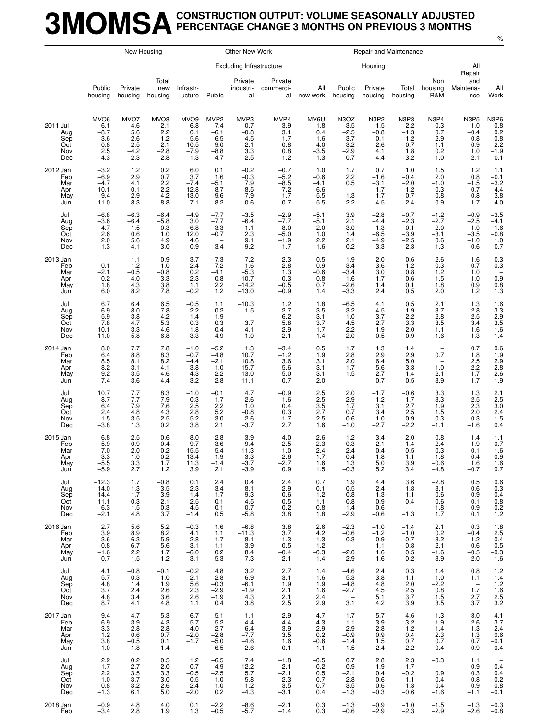#### **3MOMSACONSTRUCTION OUTPUT: VOLUME SEASONALLY ADJUSTED PERCENTAGE CHANGE 3 MONTHS ON PREVIOUS 3 MONTHS**

|                                             |                                                                           | New Housing                                             |                                                                     |                                                                         |                                                                              | Other New Work                                                           |                                                          |                                                            |                                                                                  |                                                             | Repair and Maintenance                                   |                                                          |                                                             |                                                                 |
|---------------------------------------------|---------------------------------------------------------------------------|---------------------------------------------------------|---------------------------------------------------------------------|-------------------------------------------------------------------------|------------------------------------------------------------------------------|--------------------------------------------------------------------------|----------------------------------------------------------|------------------------------------------------------------|----------------------------------------------------------------------------------|-------------------------------------------------------------|----------------------------------------------------------|----------------------------------------------------------|-------------------------------------------------------------|-----------------------------------------------------------------|
|                                             |                                                                           |                                                         |                                                                     |                                                                         |                                                                              | <b>Excluding Infrastructure</b>                                          |                                                          |                                                            |                                                                                  | Housing                                                     |                                                          |                                                          | All<br>Repair                                               |                                                                 |
|                                             | Public<br>housing                                                         | Private<br>housing                                      | Total<br>new<br>housing                                             | Infrastr-<br>ucture                                                     | Public                                                                       | Private<br>industri-<br>al                                               | Private<br>commerci-<br>al                               | All<br>new work                                            | Public<br>housing                                                                | Private<br>housing                                          | Total<br>housing                                         | Non<br>housing<br>R&M                                    | and<br>Maintena-<br>nce                                     | All<br>Work                                                     |
| 2011 Jul<br>Aug<br>Sep<br>Oct<br>Nov<br>Dec | MVO <sub>6</sub><br>$-6.1$<br>$-8.7$<br>$-3.6$<br>$-0.8$<br>2.5<br>$-4.3$ | MVO7<br>4.6<br>5.6<br>2.6<br>$-2.5$<br>$-4.2$<br>$-2.3$ | MVO <sub>8</sub><br>2.1<br>2.2<br>1.2<br>$-2.1$<br>$-2.8$<br>$-2.8$ | MVO <sub>9</sub><br>6.8<br>0.1<br>$-5.6$<br>$-10.5$<br>$-7.9$<br>$-1.3$ | MVP <sub>2</sub><br>$-7.4$<br>$-6.1$<br>$-6.5$<br>$-9.0$<br>$-8.8$<br>$-4.7$ | MVP3<br>$0.\overline{7}$<br>$-0.8$<br>$-4.5$<br>2.1<br>$\frac{3.3}{2.5}$ | MVP4<br>3.9<br>3.1<br>1.7<br>0.8<br>$^{0.8}_{1.2}$       | MV6U<br>1.8<br>0.4<br>$-1.6$<br>$-4.0$<br>$-3.5$<br>$-1.3$ | N3OZ<br>$-3.5$<br>$-2.5$<br>$-3.7$<br>$-3.2$<br>$-2.9$<br>0.7                    | <b>N3P2</b><br>$-1.5$<br>$-0.8$<br>0.1<br>2.6<br>4.1<br>4.4 | N3P3<br>$-2.2$<br>$-1.3$<br>$-1.2$<br>0.7<br>1.8<br>3.2  | N3P4<br>0.3<br>0.7<br>2.9<br>1.1<br>0.2<br>1.0           | <b>N3P5</b><br>$-1.0$<br>$-0.4$<br>0.8<br>0.9<br>1.0<br>2.1 | $N3P6$<br>0.8<br>0.2<br>0.2<br>-0.8<br>-2.2<br>$-1.9$<br>$-0.1$ |
| 2012 Jan<br>Feb<br>Mar<br>Apr<br>May<br>Jun | $-3.2$<br>$-6.9$<br>$-4.7$<br>$-10.1$<br>$-9.4$<br>$-11.0$                | 1.2<br>2.9<br>4.1<br>$-0.1$<br>$-2.9$<br>$-8.3$         | 0.2<br>0.7<br>2.2<br>$-2.2$<br>$-4.2$<br>$-8.8$                     | 6.0<br>3.7<br>$-7.4$<br>$-12.8$<br>$-13.0$<br>$-7.1$                    | 0.1<br>1.6<br>$-5.1$<br>$-8.7$<br>$-9.6$<br>$-8.2$                           | $-0.2$<br>$-0.3$<br>7.9<br>$\frac{8.5}{7.9}$<br>$-0.6$                   | $-0.7$<br>$-5.2$<br>$-8.5$<br>$-7.2$<br>$-1.7$<br>$-0.7$ | 1.0<br>$-0.6$<br>$-4.1$<br>$-6.6$<br>$-5.5$<br>$-5.5$      | 1.7<br>2.2<br>$0.5\,$<br>$\qquad \qquad -$<br>$1.3$<br>2.2                       | 0.7<br>$-1.6$<br>$-3.1$<br>$-1.7$<br>$-1.7$<br>$-4.5$       | 1.0<br>$-0.4$<br>$-2.0$<br>$-1.2$<br>$-0.7$<br>$-2.4$    | 1.5<br>2.0<br>$-1.0$<br>$-0.3$<br>$-0.8$<br>$-0.9$       | 1.2<br>0.8<br>$-1.5$<br>$-0.7$<br>$-0.8$<br>$-1.7$          | 1.1<br>$-0.1$<br>$-3.2$<br>$-4.4$<br>$-3.8$<br>$-4.0$           |
| Jul<br>Aug<br>Sep<br>Oct<br>Nov<br>Dec      | $-6.8$<br>$-3.6$<br>4.7<br>2.6<br>2.0<br>$-1.3$                           | $-6.3$<br>$-6.4$<br>$-1.5$<br>0.6<br>5.6<br>4.1         | $-6.4$<br>$-5.8$<br>$-0.3$<br>1.0<br>4.9<br>3.0                     | $-4.9$<br>3.0<br>6.8<br>12.0<br>4.6<br>0.9                              | $-7.7$<br>$-7.7$<br>$-3.3$<br>$-0.7$<br>$\overline{\phantom{0}}$<br>$-3.4$   | $-3.5$<br>$-6.4$<br>$-1.1$<br>2.3<br>9.1<br>9.2                          | $-2.9$<br>$-7.7$<br>$-8.0$<br>$-5.0$<br>$-1.9$<br>1.7    | $-5.1$<br>$-5.1$<br>$-2.0$<br>1.0<br>2.2<br>1.6            | 3.9<br>2.1<br>3.0<br>1.4<br>2.1<br>$-0.2$                                        | $-2.8$<br>$-4.4$<br>$-1.3$<br>$-6.5$<br>$-4.9$<br>$-3.3$    | $-0.7$<br>$-2.3$<br>0.1<br>$-3.9$<br>$-2.5$<br>$-2.3$    | $-1.2$<br>$-2.7$<br>$-2.0$<br>$-3.1$<br>0.6<br>1.3       | $-0.9$<br>$-2.5$<br>$-1.0$<br>$-3.5$<br>$-1.0$<br>$-0.6$    | $-3.5$<br>$-4.1$<br>$-1.6$<br>$-0.8$<br>1.0<br>0.7              |
| 2013 Jan<br>Feb<br>Mar<br>Apr<br>May<br>Jun | $-0.1$<br>$-2.1$<br>0.2<br>1.8<br>6.0                                     | 1.1<br>$-1.2$<br>$-0.5$<br>4.0<br>4.3<br>8.2            | 0.9<br>$-1.0$<br>$-0.8$<br>3.3<br>3.8<br>7.8                        | $-3.7$<br>$-2.4$<br>0.2<br>2.3<br>1.1<br>$-0.2$                         | $-7.3$<br>$-7.2$<br>$-4.1$<br>0.8<br>2.2<br>1.2                              | 7.2<br>1.6<br>$-5.3$<br>$-10.7$<br>$-14.2$<br>$-13.0$                    | 2.3<br>2.8<br>1.3<br>$-0.3$<br>$-0.5$<br>$-0.9$          | $-0.5$<br>$-0.9$<br>$-0.6$<br>0.8<br>0.7<br>1.4            | $-1.9$<br>$-3.4$<br>$-3.4$<br>$-1.6$<br>$-2.6$<br>$-3.3$                         | 2.0<br>3.6<br>3.0<br>1.7<br>1.4<br>2.4                      | 0.6<br>1.2<br>0.8<br>0.6<br>0.1<br>0.5                   | 2.6<br>0.3<br>1.2<br>1.5<br>1.8<br>2.0                   | 1.6<br>0.7<br>1.0<br>1.0<br>0.9<br>1.2                      | $0.3 - 0.3$<br>0.9<br>$0.8$<br>1.3                              |
| Jul<br>Aug<br>Sep<br>Oct<br>Nov<br>Dec      | 6.7<br>6.9<br>5.9<br>7.8<br>10.1<br>11.0                                  | 6.4<br>8.0<br>3.8<br>4.7<br>3.3<br>5.8                  | 6.5<br>7.8<br>4.2<br>5.3<br>4.6<br>6.8                              | $-0.5$<br>2.2<br>$-1.4$<br>0.3<br>$-1.8$<br>3.3                         | 1.1<br>0.2<br>1.9<br>0.3<br>$-0.4$<br>$-4.9$                                 | $-10.3$<br>$-1.5$<br>$\qquad \qquad -$<br>3.7<br>$-4.1$<br>1.0           | $^{1.2}_{2.7}$<br>$6.2\,$<br>5.8<br>2.9<br>$-2.1$        | 1.8<br>3.5<br>3.1<br>3.7<br>1.7<br>1.4                     | $-6.5$<br>$-3.2$<br>$-1.0$<br>$^{4.5}_{2.2}$<br>2.0                              | 4.1<br>4.5<br>3.7<br>2.7<br>1.9<br>0.5                      | 0.5<br>1.9<br>2.2<br>3.3<br>2.0<br>0.9                   | 2.1<br>3.7<br>2.8<br>3.5<br>1.1<br>1.6                   | $1.3$<br>2.8<br>2.5<br>3.4<br>1.6<br>1.3                    | $1.6$<br>$3.3$<br>$2.9$<br>$3.5$<br>$1.6$<br>1.4                |
| 2014 Jan<br>Feb<br>Mar<br>Apr<br>May<br>Jun | 8.0<br>6.4<br>8.5<br>8.2<br>9.2<br>7.4                                    | 7.7<br>8.8<br>8.1<br>3.1<br>3.5<br>3.6                  | 7.8<br>8.3<br>8.2<br>4.1<br>4.6<br>4.4                              | $-1.0$<br>$-0.7$<br>$-4.4$<br>$-3.8$<br>$-4.3$<br>$-3.2$                | $-5.2$<br>$-4.8$<br>$-2.1$<br>1.0<br>2.2<br>2.8                              | 1.3<br>10.7<br>10.8<br>15.7<br>13.0<br>11.1                              | $-3.4$<br>$-1.2$<br>3.6<br>5.6<br>5.0<br>0.7             | 0.5<br>1.9<br>3.1<br>3.1<br>3.1<br>2.0                     | 1.7<br>2.8<br>2.0<br>$-1.7$<br>$-1.5$<br>$\overline{\phantom{0}}$                | 1.3<br>2.9<br>6.4<br>5.6<br>2.7<br>$-0.7$                   | 1.4<br>2.9<br>5.0<br>3.3<br>1.4<br>$-0.5$                | $\qquad \qquad -$<br>0.7<br>1.0<br>2.1<br>3.9            | 0.7<br>1.8<br>2.5<br>2.2<br>1.7<br>1.7                      | $0.6$<br>$1.9$<br>$2.9$<br>$2.8$<br>2.6<br>1.9                  |
| Jul<br>Aug<br>Sep<br>Oct<br>Nov<br>Dec      | 10.7<br>8.7<br>6.4<br>2.4<br>$-1.5$<br>$-3.8$                             | 7.7<br>7.7<br>7.9<br>4.8<br>$3.5\,$<br>1.3              | 8.3<br>7.9<br>7.6<br>4.3<br>2.5<br>0.2                              | $-1.0$<br>$-0.3$<br>2.5<br>2.8<br>5.2<br>3.8                            | $-0.1$<br>1.7<br>2.2<br>5.2<br>3.0<br>2.1                                    | 4.7<br>2.6<br>1.0<br>$-0.8$<br>$-2.6$<br>$-3.7$                          | $-0.9$<br>$-1.6$<br>0.4<br>0.3<br>1.7<br>2.7             | 2.5<br>2.5<br>3.5<br>2.7<br>2.5<br>1.6                     | 2.0<br>$^{2.9}_{1.7}$<br>0.7<br>$-0.6$<br>$-1.0$                                 | $-1.7$<br>1.2<br>3.1<br>3.4<br>$-1.0$<br>$-2.7$             | $-0.6$<br>1.7<br>2.7<br>2.5<br>$-0.9$<br>$-2.2$          | 3.3<br>3.3<br>1.9<br>1.5<br>0.3<br>$-1.1$                | 1.3<br>2.5<br>2.3<br>2.0<br>$-0.3$<br>$-1.6$                | 2.1<br>$\frac{2.5}{3.0}$<br>2.4<br>$\frac{1.5}{0.4}$            |
| 2015 Jan<br>Feb<br>Mar<br>Apr<br>May<br>Jun | $-6.8$<br>$-5.9$<br>$-7.0$<br>$-3.3$<br>$-5.5$<br>$-5.9$                  | 2.5<br>0.9<br>2.0<br>1.0<br>3.3<br>2.7                  | 0.6<br>$-0.4$<br>0.2<br>$^{0.2}_{1.7}$<br>1.2                       | 8.0<br>9.7<br>15.5<br>13.4<br>11.3<br>3.9                               | $-2.8$<br>$-3.6$<br>$-5.4$<br>$-1.9$<br>$-1.4$<br>2.1                        | 3.9<br>9.4<br>11.3<br>3.3<br>$-3.7$<br>$-3.9$                            | 4.0<br>2.5<br>$-1.0$<br>$-2.6$<br>$-2.7$<br>0.9          | 2.6<br>2.3<br>2.4<br>1.7<br>1.6<br>1.5                     | 1.2<br>0.3<br>2.4<br>$-0.4$<br>1.3<br>$-0.3$                                     | $-3.4$<br>$-2.1$<br>$-0.4$<br>1.8<br>5.0<br>5.2             | $-2.0$<br>$-1.4$<br>0.5<br>1.1<br>3.9<br>3.4             | $-0.8$<br>$-2.4$<br>$-0.3$<br>$-1.8$<br>$-0.6$<br>$-4.8$ | $-1.4$<br>$-1.9$<br>0.1<br>$-0.4$<br>1.6<br>$-0.7$          | 1.1<br>0.7<br>1.6<br>0.9<br>1.6<br>0.7                          |
| Jul<br>Aug<br>Sep<br>Oct<br>Nov<br>Dec      | $-12.3$<br>$-14.0$<br>$-14.4$<br>$-11.1$<br>$-6.3$<br>$-2.1$              | 1.7<br>$-1.3$<br>$-1.7$<br>$-0.3$<br>1.5<br>4.8         | $-0.8$<br>$-3.5$<br>$-3.9$<br>$-2.1$<br>0.3<br>3.7                  | 0.1<br>$-2.3$<br>$-1.4$<br>$-2.5$<br>$-4.5$<br>$-1.4$                   | 2.4<br>3.4<br>1.7<br>0.1<br>0.1<br>0.5                                       | 0.4<br>8.1<br>9.3<br>4.5<br>$-0.7$<br>$-5.8$                             | 2.4<br>2.9<br>$-0.6$<br>$-0.5$<br>0.2<br>3.8             | 0.7<br>$-0.1$<br>$-1.2$<br>$-1.1$<br>$-0.8$<br>1.8         | 1.9<br>0.5<br>0.8<br>$-0.8$<br>$-1.4$<br>$-2.9$                                  | 4.4<br>2.4<br>1.3<br>0.9<br>0.6<br>$-0.6$                   | 3.6<br>1.8<br>1.1<br>0.4<br>$\hspace{0.1cm} -$<br>$-1.3$ | $-2.8$<br>$-3.1$<br>0.6<br>$-0.6$<br>1.8<br>1.7          | 0.5<br>$-0.6$<br>0.9<br>$-0.1$<br>0.9<br>0.1                | 0.6<br>$-0.3$<br>$-0.4$<br>$-0.8$<br>$-0.2$<br>1.2              |
| 2016 Jan<br>Feb<br>Mar<br>Apr<br>May<br>Jun | 2.7<br>3.9<br>3.6<br>$-0.8$<br>$-1.6$<br>$-0.7$                           | 5.6<br>8.9<br>6.3<br>6.7<br>2.2<br>1.5                  | 5.2<br>8.2<br>5.9<br>5.6<br>1.7<br>$1.2$                            | $-0.3$<br>4.1<br>$-2.8$<br>$-3.1$<br>$-6.0$<br>$-3.1$                   | 1.6<br>1.1<br>$-1.7$<br>$-1.1$<br>0.2<br>5.3                                 | $-6.8$<br>$-11.3$<br>$-8.1$<br>$-3.9$<br>8.4<br>7.3                      | 3.8<br>3.7<br>1.3<br>0.5<br>$-0.4$<br>2.1                | 2.6<br>4.2<br>1.3<br>1.2<br>$-0.3$<br>1.4                  | $-2.3$<br>$-0.6$<br>0.3<br>$\overline{\phantom{0}}$<br>$-2.0$<br>$-2.9$          | $-1.0$<br>$-1.2$<br>0.9<br>1.1<br>1.6<br>1.6                | $-1.4$<br>$-1.0$<br>0.7<br>0.8<br>0.5<br>0.2             | 2.1<br>0.2<br>$-3.2$<br>$-2.1$<br>$-1.6$<br>3.9          | 0.3<br>$-0.4$<br>$-1.2$<br>$-0.6$<br>$-0.5$<br>2.0          | 1.8<br>2.5<br>0.4<br>0.5<br>$-0.3$<br>1.6                       |
| Jul<br>Aug<br>Sep<br>Oct<br>Nov<br>Dec      | 4.1<br>5.7<br>4.8<br>3.7<br>4.8<br>8.7                                    | $-0.8$<br>0.3<br>1.4<br>2.4<br>3.4<br>4.1               | $-0.1$<br>1.0<br>1.9<br>$2.6\,$<br>3.6<br>4.8                       | $-0.2$<br>2.1<br>5.6<br>2.3<br>2.6<br>1.1                               | 4.8<br>2.8<br>$-0.3$<br>$-2.9$<br>$-1.9$<br>0.4                              | 3.2<br>$-6.9$<br>$-6.1$<br>$-1.9$<br>4.3<br>3.8                          | 2.7<br>3.1<br>1.9<br>2.1<br>2.1<br>2.5                   | 1.4<br>1.6<br>1.9<br>1.6<br>2.4<br>2.9                     | $-4.6$<br>$-5.3$<br>$-4.8$<br>$-2.7$<br>$\hspace{1.0cm} - \hspace{1.0cm}$<br>3.1 | 2.4<br>3.8<br>4.8<br>4.5<br>5.1<br>4.2                      | 0.3<br>1.1<br>2.0<br>2.5<br>3.7<br>3.9                   | 1.4<br>1.0<br>$-2.2$<br>0.8<br>1.5<br>3.5                | 0.8<br>1.1<br>$\hspace{0.1cm} -$<br>1.7<br>2.7<br>3.7       | $\frac{1.2}{1.4}$<br>$1.2$<br>1.6<br>$\frac{2.5}{3.2}$          |
| 2017 Jan<br>Feb<br>Mar<br>Apr<br>May<br>Jun | 9.4<br>6.9<br>3.3<br>1.2<br>3.8<br>1.0                                    | 4.7<br>3.9<br>2.8<br>0.6<br>$-0.5$<br>$-1.8$            | 5.3<br>4.3<br>2.8<br>0.7<br>0.1<br>$-1.4$                           | 6.7<br>5.7<br>4.0<br>$-2.0$<br>$-1.7$<br>$\overline{\phantom{0}}$       | 5.1<br>5.2<br>2.7<br>$-2.8$<br>$-5.0$<br>$-6.5$                              | 1.1<br>$-4.4$<br>$-6.4$<br>$-7.7$<br>$-4.6$<br>2.6                       | 2.9<br>4.4<br>3.9<br>3.5<br>1.6<br>0.1                   | 4.7<br>4.3<br>2.9<br>0.2<br>$-0.6$<br>$-1.1$               | 1.7<br>1.1<br>$-2.9$<br>$-0.9$<br>$-1.4$<br>1.5                                  | 5.7<br>3.9<br>2.8<br>0.9<br>1.5<br>2.4                      | 4.6<br>3.2<br>1.2<br>0.4<br>0.7<br>2.2                   | 1.3<br>1.9<br>1.4<br>2.3<br>0.7<br>$-0.4$                | 3.0<br>2.6<br>1.3<br>1.3<br>0.7<br>0.9                      | 4.1<br>3.7<br>2.4<br>0.6<br>$-0.1$<br>$-0.4$                    |
| Jul<br>Aug<br>Sep<br>Oct<br>Nov<br>Dec      | 2.2<br>$-1.7$<br>2.2<br>$-1.0$<br>$-0.8$<br>$-1.3$                        | 0.2<br>2.7<br>3.5<br>3.7<br>3.2<br>6.1                  | 0.5<br>2.0<br>3.3<br>3.0<br>2.6<br>5.0                              | $1.2$<br>0.7<br>$-0.5$<br>$-0.5$<br>$-2.4$<br>$-2.0$                    | $-6.5$<br>$-4.9$<br>$-2.5$<br>1.0<br>$-1.0$<br>0.2                           | 7.4<br>12.2<br>5.7<br>5.8<br>$-1.2$<br>$-4.3$                            | $-1.8$<br>$-2.1$<br>$-2.1$<br>$-2.3$<br>$-3.5$<br>$-3.1$ | $-0.5$<br>0.2<br>0.5<br>0.7<br>$-0.7$<br>0.4               | 0.7<br>0.9<br>$-2.1$<br>$-2.8$<br>$-3.5$<br>$-1.3$                               | 2.8<br>1.9<br>0.4<br>$-0.6$<br>$-0.6$<br>$-0.3$             | 2.3<br>1.7<br>$-0.2$<br>$-1.1$<br>$-1.3$<br>$-0.6$       | $-0.3$<br>0.9<br>$-0.4$<br>$-0.4$<br>$-1.6$              | 1.1<br>0.9<br>0.3<br>$-0.8$<br>$-0.9$<br>$-1.1$             | 0.4<br>0.4<br>0.2<br>$-0.8$<br>$-0.1$                           |
| 2018 Jan<br>Feb                             | $-0.9$<br>$-3.4$                                                          | 4.8<br>2.8                                              | 4.0<br>1.9                                                          | 0.1<br>1.3                                                              | $-2.2$<br>$-0.5$                                                             | $-8.6$<br>$-5.7$                                                         | $-2.1$<br>$-1.4$                                         | 0.3<br>0.3                                                 | $-1.3$<br>$-0.6$                                                                 | $-0.9$<br>$-2.9$                                            | $-1.0$<br>$-2.3$                                         | $-1.5$<br>$-2.9$                                         | $-1.3$<br>$-2.6$                                            | $-0.3$<br>$-0.8$                                                |

%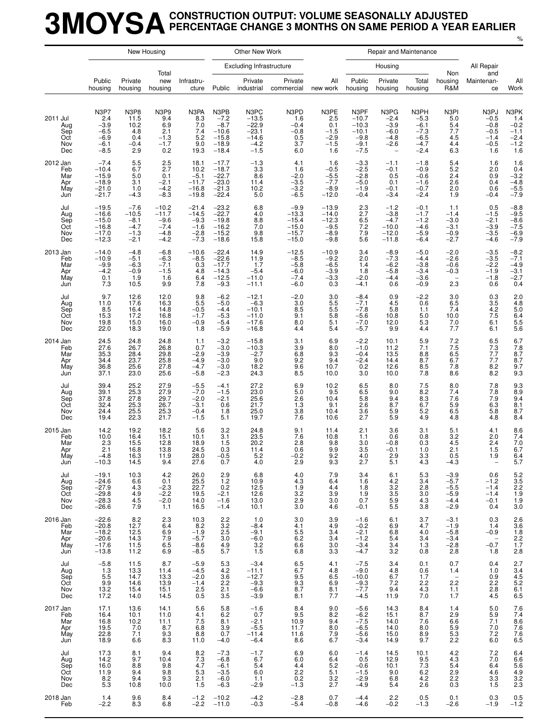### **3MOYSACONSTRUCTION OUTPUT: VOLUME SEASONALLY ADJUSTED PERCENTAGE CHANGE 3 MONTHS ON SAME PERIOD A YEAR EARLIER**

|                                             |                                                                        |                                                           | New Housing                                                |                                                                                   |                                                                      | Other New Work                                                       |                                                                              |                                                           |                                                                     | Repair and Maintenance                                                             |                                                                  |                                                          |                                                               |                                                                              |
|---------------------------------------------|------------------------------------------------------------------------|-----------------------------------------------------------|------------------------------------------------------------|-----------------------------------------------------------------------------------|----------------------------------------------------------------------|----------------------------------------------------------------------|------------------------------------------------------------------------------|-----------------------------------------------------------|---------------------------------------------------------------------|------------------------------------------------------------------------------------|------------------------------------------------------------------|----------------------------------------------------------|---------------------------------------------------------------|------------------------------------------------------------------------------|
|                                             |                                                                        |                                                           |                                                            |                                                                                   |                                                                      | <b>Excluding Infrastructure</b>                                      |                                                                              |                                                           |                                                                     | Housing                                                                            |                                                                  |                                                          | All Repair                                                    |                                                                              |
|                                             | Public<br>housing                                                      | Private<br>housing                                        | Total<br>new<br>housing                                    | Infrastru-<br>cture                                                               | Public                                                               | Private<br>industrial                                                | Private<br>commercial                                                        | All<br>new work                                           | Public<br>housing                                                   | Private<br>housing                                                                 | Total<br>housing                                                 | Non<br>housing<br>R&M                                    | and<br>Maintenan-<br>ce                                       | All<br>Work                                                                  |
| 2011 Jul<br>Aug<br>Sep<br>Oct<br>Nov<br>Dec | N3P7<br>2.4<br>$-3.9$<br>$-6.5$<br>$-6.9$<br>$-6.1$<br>$-8.5$          | N3P8<br>11.5<br>10.2<br>4.8<br>0.4<br>$-0.4$<br>2.9       | N3P9<br>9.4<br>6.9<br>2.1<br>$-1.3$<br>$-1.7$<br>0.2       | N3PA<br>8.3<br>7.0<br>7.4<br>5.2<br>9.0<br>19.3                                   | N3PB<br>$-7.2$<br>$-8.7$<br>$-10.6$<br>$-15.8$<br>$-18.9$<br>$-18.4$ | N3PC<br>$-13.5$<br>$-22.9$<br>$-23.1$<br>$-14.6$<br>$-4.2$<br>$-1.5$ | N3PD<br>1.6<br>$-0.4$<br>$-0.8$<br>0.5<br>3.7<br>6.0                         | N3PE<br>2.5<br>0.1<br>$-1.5$<br>$-2.9$<br>$-1.5$<br>1.6   | N3PF<br>$-10.7$<br>$-10.3$<br>$-10.1$<br>$-9.8$<br>$-9.1$<br>$-7.5$ | N3PG<br>$-2.4$<br>$-3.9$<br>$-6.0$<br>$-4.8$<br>$-2.6$<br>$\overline{\phantom{0}}$ | N3PH<br>$-5.3$<br>$-6.1$<br>$-7.3$<br>$-6.5$<br>$-4.7$<br>$-2.4$ | N3PI<br>5.0<br>5.4<br>7.7<br>4.5<br>4.4<br>6.3           | N3PJ<br>$-0.5$<br>$-0.8$<br>$-0.5$<br>$-1.4$<br>$-0.5$<br>1.6 | N3PK<br>1.4<br>$-0.2$<br>$-1.1$<br>$-2.4$<br>$-1.2$<br>1.6                   |
| 2012 Jan<br>Feb<br>Mar<br>Apr<br>May<br>Jun | $-7.4$<br>$-10.4$<br>$-15.9$<br>$-18.9$<br>$-21.0$<br>$-21.7$          | 5.5<br>6.7<br>5.0<br>3.1<br>1.0<br>$-4.3$                 | 2.5<br>2.7<br>0.1<br>$-2.1$<br>$-4.2$<br>$-8.3$            | 18.1<br>10.2<br>$-5.1$<br>$-11.7$<br>$-16.8$<br>$-19.8$                           | $-17.7$<br>$-18.7$<br>$-22.7$<br>$-23.0$<br>$-21.3$<br>$-22.4$       | $-1.3$<br>3.3<br>8.6<br>11.4<br>10.2<br>5.0                          | 4.1<br>1.6<br>$-2.0$<br>$-3.5$<br>$-3.2$<br>$-6.5$                           | 1.6<br>$-0.5$<br>$-5.5$<br>$-7.7$<br>$-8.9$<br>$-12.0$    | $-3.3$<br>$-2.5$<br>$-2.8$<br>$-5.0$<br>$-1.9$<br>$-0.4$            | $-1.1$<br>$-0.1$<br>0.5<br>0.1<br>$-0.1$<br>$-3.4$                                 | $-1.8$<br>$-0.9$<br>$-0.6$<br>$-1.6$<br>$-0.7$<br>$-2.4$         | 5.4<br>5.2<br>2.4<br>2.6<br>2.0<br>1.9                   | 1.6<br>2.0<br>0.9<br>0.4<br>0.6<br>$-0.4$                     | 1.6<br>0.4<br>$-3.2$<br>$-4.8$<br>$-5.5$<br>$-7.9$                           |
| Jul<br>Aug<br>Sep<br>Oct<br>Nov<br>Dec      | $-19.5$<br>$-16.6$<br>$-15.0$<br>$-16.8$<br>$-17.0$<br>$-12.3$         | $-7.6$<br>$-10.5$<br>$-8.1$<br>$-4.7$<br>$-1.3$<br>$-2.1$ | $-10.2$<br>$-11.7$<br>$-9.6$<br>$-7.4$<br>$-4.8$<br>$-4.2$ | $-21.4$<br>$-14.5$<br>$-9.3$<br>$-1.6$<br>$-2.8$<br>$-7.3$                        | $-23.2$<br>$-22.7$<br>$-19.8$<br>$-16.2$<br>$-15.2$<br>$-18.6$       | 6.8<br>4.0<br>8.8<br>7.0<br>9.8<br>15.8                              | $-9.9$<br>$-13.3$<br>$-15.4$<br>$-15.0$<br>$-15.7$<br>$-15.0$                | $-13.9$<br>$-14.0$<br>$-12.3$<br>$-9.5$<br>$-8.9$<br>-9.8 | $2.3$<br>$2.7$<br>6.5<br>7.2<br>7.9<br>5.6                          | $-1.2$<br>$-3.8$<br>$-4.7$<br>$-10.0$<br>$-12.0$<br>$-11.8$                        | $-0.1$<br>$-1.7$<br>$-1.2$<br>$-4.6$<br>$-5.9$<br>-6.4           | 1.1<br>$-1.4$<br>$-3.0$<br>$-3.1$<br>$-0.9$<br>$-2.7$    | 0.5<br>$-1.5$<br>$-2.1$<br>$-3.9$<br>$-3.5$<br>$-4.6$         | $-8.8$<br>$-9.5$<br>$-8.6$<br>$-7.5$<br>$-6.9$<br>$-7.9$                     |
| 2013 Jan<br>Feb<br>Mar<br>Apr<br>May<br>Jun | $-14.0$<br>$-10.9$<br>$-9.9$<br>$-4.2$<br>0.1<br>7.3                   | $-4.8$<br>$-5.1$<br>$-6.3$<br>$-0.9$<br>1.9<br>10.5       | $-6.8$<br>$-6.3$<br>$-7.1$<br>$-1.5$<br>1.6<br>9.9         | $-10.6$<br>$-8.5$<br>0.3<br>4.8<br>6.4<br>7.8                                     | $-22.4$<br>$-22.6$<br>$-17.7$<br>$-14.3$<br>$-12.5$<br>$-9.3$        | 14.9<br>11.9<br>1.7<br>$-5.4$<br>$-11.0$<br>$-11.1$                  | $-12.5$<br>$-8.5$<br>$-5.8$<br>$-6.0$<br>$-7.4$<br>$-6.0$                    | $-10.9$<br>$-9.2$<br>$-6.5$<br>$-3.9$<br>-3.3<br>0.3      | 3.4<br>2.0<br>1.4<br>1.8<br>$-2.0$<br>$-4.1$                        | $-8.9$<br>$-7.3$<br>$-6.2$<br>$-5.8$<br>$-4.4$<br>0.6                              | $-5.0$<br>$-4.4$<br>$-3.8$<br>$-3.4$<br>-3.6<br>$-0.9$           | $-2.0$<br>$-2.6$<br>$-0.6$<br>$-0.3$<br>2.3              | $-3.5$<br>$-3.5$<br>$-2.2$<br>$-1.9$<br>$-1.8$<br>0.6         | $-8.2$<br>$-7.1$<br>$-4.9$<br>$-3.1$<br>$-2.7$<br>0.4                        |
| Jul<br>Aug<br>Sep<br>Oct<br>Nov<br>Dec      | 9.7<br>11.0<br>8.5<br>15.3<br>19.8<br>22.0                             | 12.6<br>17.6<br>16.4<br>17.2<br>15.0<br>18.3              | 12.0<br>16.3<br>14.8<br>16.8<br>16.0<br>19.0               | 9.8<br>5.5<br>$-0.5$<br>$-1.7$<br>$-0.9$<br>1.8                                   | $-6.2$<br>$-5.0$<br>$-4.4$<br>$-5.3$<br>$-5.4$<br>$-5.9$             | $-12.1$<br>$-6.3$<br>$-10.1$<br>$-11.0$<br>$-17.6$<br>$-16.8$        | $-2.0$<br>3.0<br>8.5<br>9.1<br>8.0<br>4.4                                    | 3.0<br>5.5<br>5.5<br>5.8<br>5.1<br>5.4                    | $-8.4$<br>$-7.1$<br>$-7.8$<br>$-5.6$<br>$-7.0$<br>$-5.7$            | 0.9<br>4.5<br>5.8<br>10.8<br>12.0<br>9.9                                           | $-2.2$<br>0.6<br>1.1<br>5.0<br>5.3<br>4.4                        | 3.0<br>6.5<br>7.4<br>10.0<br>7.0<br>7.7                  | 0.3<br>3.5<br>4.2<br>7.5<br>6.1<br>6.1                        | 2.0<br>$\begin{array}{c} 4.8 \\ 5.0 \\ 6.4 \end{array}$<br>$\frac{5.5}{5.6}$ |
| 2014 Jan<br>Feb<br>Mar<br>Apr<br>May<br>Jun | 24.5<br>27.6<br>35.3<br>34.4<br>36.8<br>37.1                           | 24.8<br>26.7<br>28.4<br>23.7<br>25.6<br>23.0              | 24.8<br>26.8<br>29.8<br>25.8<br>27.8<br>25.6               | 1.1<br>0.7<br>$-2.9$<br>$-4.9$<br>$-4.7$<br>$-5.8$                                | $-3.2$<br>$-3.0$<br>$-3.9$<br>$-3.0$<br>$-3.0$<br>$-2.3$             | $-15.8$<br>$-10.3$<br>$-2.7$<br>9.0<br>18.2<br>24.3                  | 3.1<br>3.9<br>6.8<br>9.2<br>9.6<br>8.5                                       | 6.9<br>8.0<br>9.3<br>9.4<br>10.7<br>10.0                  | $-2.2$<br>$-1.0$<br>$-0.4$<br>$-2.4$<br>0.2<br>3.0                  | 10.1<br>11.2<br>13.5<br>14.4<br>12.6<br>10.0                                       | 5.9<br>7.1<br>8.8<br>8.7<br>8.5<br>7.8                           | $7.2$<br>$7.5$<br>6.5<br>6.7<br>7.8<br>8.6               | 6.5<br>7.3<br>7.7<br>8.2<br>8.2                               | $6.7$<br>$7.8$<br>$8.7$<br>$8.7$<br>9.7<br>9.3                               |
| Jul<br>Aug<br>Sep<br>Oct<br>Nov<br>Dec      | 39.4<br>39.1<br>37.8<br>32.4<br>24.4<br>19.4                           | 25.2<br>25.3<br>27.8<br>25.3<br>25.5<br>22.3              | 27.9<br>27.9<br>29.7<br>26.7<br>25.3<br>21.7               | $-5.5$<br>$-7.0$<br>$-2.0$<br>$-3.1$<br>$-0.4$<br>$-1.5$                          | $-4.1$<br>$-1.5$<br>$-2.1$<br>0.6<br>1.8<br>5.1                      | 27.2<br>23.0<br>25.6<br>21.7<br>25.0<br>19.7                         | 6.9<br>5.0<br>2.6<br>1.3<br>3.8<br>7.6                                       | 10.2<br>9.5<br>10.4<br>9.1<br>10.4<br>10.6                | 6.5<br>6.5<br>5.8<br>2.6<br>3.6<br>2.7                              | 8.0<br>9.0<br>9.4<br>8.7<br>5.9<br>5.9                                             | 7.5<br>8.2<br>8.3<br>6.7<br>5.2<br>4.9                           | 8.0<br>7.4<br>7.6<br>5.9<br>6.5<br>4.8                   | 7.8<br>7.8<br>7.9<br>6.3<br>5.8<br>4.8                        | $\frac{9.3}{8.9}$<br>9.4<br>8.1<br>8.7<br>8.4                                |
| 2015 Jan<br>Feb<br>Mar<br>Apr<br>May<br>Jun | 14.2<br>10.0<br>2.3<br>2.1<br>$-4.8$<br>$-10.3$                        | 19.2<br>16.4<br>15.5<br>16.8<br>16.3<br>14.5              | 18.2<br>15.1<br>12.8<br>13.8<br>11.9<br>9.4                | 5.6<br>10.1<br>18.9<br>24.5<br>28.0<br>27.6                                       | 3.2<br>3.1<br>1.5<br>0.3<br>$-0.5$<br>0.7                            | 24.8<br>23.5<br>20.2<br>11.4<br>5.2<br>4.0                           | 9.1<br>7.6<br>2.8<br>0.6<br>$-0.2$<br>2.9                                    | 11.4<br>10.8<br>9.8<br>9.9<br>9.2<br>9.3                  | 2.1<br>1.1<br>3.0<br>3.5<br>4.0<br>2.7                              | 3.6<br>0.6<br>$-0.8$<br>$-0.1$<br>$2.9$<br>5.1                                     | 3.1<br>0.8<br>0.3<br>1.0<br>3.3<br>4.3                           | 5.1<br>3.2<br>4.5<br>2.1<br>0.5<br>$-4.3$                | 4.1<br>2.0<br>2.4<br>1.5<br>1.9<br>$\qquad \qquad -$          | 8.6<br>7.4<br>$7.0$<br>6.7<br>$6.4$<br>5.7                                   |
| Jul<br>Aug<br>Sep<br>Oct<br>Nov<br>Dec      | $-19.1$<br>$-24.6$<br>$-27.9$<br>$-29.8$<br>$-28.3$<br>$-26.6$         | 10.3<br>6.6<br>4.3<br>4.9<br>4.5<br>7.9                   | 4.2<br>0.1<br>$-2.3$<br>$-2.2$<br>$-2.0$<br>1.1            | 26.0<br>$\frac{25.5}{22.7}$<br>19.5<br>14.0<br>16.5                               | 2.9<br>1.2<br>0.2<br>$-2.1$<br>$-1.6$<br>$-1.4$                      | 6.8<br>10.9<br>12.5<br>12.6<br>13.0<br>10.1                          | 4.0<br>$\frac{4.3}{1.9}$<br>$\begin{array}{c} 3.2 \\ 2.9 \\ 3.0 \end{array}$ | 7.9<br>6.4<br>4.4<br>3.9<br>3.0<br>4.6                    | 3.4<br>1.6<br>1.8<br>1.9<br>0.7<br>$-0.1$                           | 6.1<br>4.2<br>3.2<br>3.5<br>5.9<br>5.5                                             | 5.3<br>3.4<br>2.8<br>3.0<br>4.3<br>3.8                           | $-3.9$<br>$-5.7$<br>$-5.5$<br>$-5.9$<br>$-4.4$<br>$-2.9$ | 0.6<br>$-1.2$<br>$-1.4$<br>$-1.4$<br>$-0.1$<br>0.4            | 5.2<br>3.5<br>2.2<br>1.9<br>1.9<br>3.0                                       |
| 2016 Jan<br>Feb<br>Mar<br>Apr<br>May<br>Jun | $-22.6$<br>$-20.8$<br>$-18.2$<br>$-20.6$<br>$-17.6$<br>$-13.8$         | 8.2<br>12.7<br>12.5<br>14.3<br>11.5<br>11.2               | $^{2.3}_{6.4}$<br>6.9<br>7.9<br>6.5<br>6.9                 | 10.3<br>$8.\overline{2}$<br>$-1.9$<br>$-5.7$<br>$-8.6$<br>$-8.5$                  | $^{2.2}_{3.2}$<br>$\frac{2.5}{3.0}$<br>4.9<br>5.7                    | 1.0<br>$-8.4$<br>$-9.1$<br>$-6.0$<br>3.2<br>1.5                      | 3.0<br>4.1<br>5.5<br>6.2<br>6.6<br>6.8                                       | 3.9<br>4.9<br>3.4<br>3.4<br>3.0<br>3.3                    | $-1.6$<br>$-0.2$<br>$-2.1$<br>$-1.2$<br>$-3.4$<br>$-4.7$            | 6.1<br>6.9<br>6.8<br>5.4<br>3.4<br>3.2                                             | 3.7<br>4.7<br>4.0<br>3.4<br>1.3<br>0.8                           | $-3.1$<br>$-1.9$<br>$-5.8$<br>$-3.4$<br>$-2.8$<br>2.8    | 0.3<br>1.4<br>$-0.9$<br>$-0.\overline{7}$<br>1.8              | $2.6$<br>$3.6$<br>$1.8$<br>$2.2$<br>$1.7$<br>2.8                             |
| Jul<br>Aug<br>Sep<br>Oct<br>Nov<br>Dec      | $-5.8$<br>$\frac{1.3}{1.3}$<br>$\frac{5.5}{9.9}$<br>$\frac{9.9}{17.2}$ | 11.5<br>13.3<br>14.7<br>14.6<br>15.4<br>14.0              | 8.7<br>11.4<br>13.3<br>13.9<br>15.1<br>14.5                | $-5.9$<br>$-4.5$<br>$-2.0$<br>$-1.4$<br>$\begin{array}{c} 2.5 \\ 0.5 \end{array}$ | 5.3<br>$4.2\,$<br>3.6<br>2.2<br>2.1<br>3.5                           | $-3.4$<br>$-11.1$<br>$-12.7$<br>$-9.3$<br>$-6.6$<br>$-3.9$           | 6.5<br>6.7<br>$\frac{9.5}{9.3}$<br>8.7<br>8.1                                | 4.1<br>4.8<br>6.5<br>6.9<br>8.1<br>7.7                    | $-7.5$<br>$-9.0$<br>$-10.0$<br>$-9.3$<br>$-7.7$<br>$-4.5$           | 3.4<br>4.8<br>6.7<br>7.2<br>9.4<br>11.9                                            | 0.1<br>0.6<br>1.7<br>2.2<br>4.3<br>7.0                           | 0.7<br>1.4<br>$\hspace{0.1mm}$<br>2.2<br>1.1<br>1.7      | 0.4<br>1.0<br>$^{0.9}_{2.2}$<br>$^{2.8}_{4.5}$                | 2.7<br>$3.4$<br>$4.5$<br>$5.2$<br>$6.1$<br>6.5                               |
| 2017 Jan<br>Feb<br>Mar<br>Apr<br>May<br>Jun | 17.1<br>16.4<br>16.8<br>19.5<br>22.8<br>18.9                           | 13.6<br>10.1<br>10.2<br>7.0<br>7.1<br>6.6                 | 14.1<br>11.0<br>11.1<br>$8.7$<br>$9.3$<br>$8.3$            | 5.6<br>4.1<br>7.5<br>6.8<br>8.8<br>11.0                                           | 5.8<br>6.2<br>8.1<br>$\frac{3.9}{0.7}$<br>$-4.0$                     | $-1.6$<br>0.7<br>$-2.1$<br>$-5.5$<br>$-11.4$<br>$-6.4$               | 8.4<br>9.5<br>10.9<br>11.7<br>11.6<br>8.6                                    | 9.0<br>8.2<br>9.4<br>8.0<br>7.9<br>6.7                    | $-5.6$<br>$-6.2$<br>$-7.5$<br>$-6.5$<br>$-5.6$<br>$-3.4$            | 14.3<br>15.1<br>14.0<br>14.0<br>15.0<br>14.9                                       | 8.4<br>8.7<br>7.6<br>8.0<br>$8.9$<br>$9.7$                       | 1.4<br>2.9<br>6.6<br>$\frac{5.9}{5.3}$<br>2.2            | 5.0<br>$\frac{5.9}{7.1}$<br>$7.0$<br>$7.2$<br>$6.0$           | $7.6$<br>$7.4$<br>$8.6$<br>7.6<br>7.6<br>6.5                                 |
| Jul<br>Aug<br>Sep<br>Oct<br>Nov<br>Dec      | 17.3<br>14.2<br>16.0<br>11.9<br>$8.\overline{2}$<br>5.3                | 8.1<br>9.7<br>8.8<br>9.4<br>9.4<br>10.8                   | 9.4<br>10.4<br>9.8<br>9.8<br>9.3<br>10.0                   | $\frac{8.2}{7.3}$<br>4.7<br>5.3<br>2.1<br>1.5                                     | $-7.3$<br>$-6.8$<br>$-6.1$<br>$-3.5$<br>$-6.0$<br>$-6.3$             | $-1.7$<br>6.7<br>5.4<br>6.0<br>1.1<br>$-2.9$                         | 6.9<br>6.0<br>4.4<br>2.2<br>$\overline{0.2}$<br>$-1.3$                       | 6.0<br>6.4<br>5.2<br>5.1<br>3.2<br>2.7                    | $-1.4$<br>0.5<br>$-0.6$<br>$-1.5$<br>$-2.9$<br>$-4.9$               | 14.5<br>12.9<br>10.1<br>9.0<br>6.8<br>5.4                                          | 10.1<br>9.5<br>7.3<br>6.2<br>4.2<br>2.6                          | $^{4.2}_{4.3}$<br>5.4<br>2.9<br>$\overline{2.2}$<br>0.3  | $7.2$<br>$7.0$<br>6.4<br>$4.6\,$<br>$3.\overline{3}$<br>1.5   | 6.4<br>6.6<br>$\frac{5.6}{4.9}$<br>$\frac{3.2}{2.3}$                         |
| 2018 Jan<br>Feb                             | 1.4<br>$-2.2$                                                          | 9.6<br>8.3                                                | 8.4<br>6.8                                                 | $-1.2$<br>$-2.2$                                                                  | $-10.2$<br>$-11.0$                                                   | $-4.2$<br>$-0.3$                                                     | $-2.8$<br>$-5.4$                                                             | 0.7<br>$-0.8$                                             | $-4.4$<br>$-4.6$                                                    | 2.2<br>$-0.2$                                                                      | 0.5<br>$-1.3$                                                    | 0.1<br>$-2.6$                                            | 0.3<br>$-1.9$                                                 | $0.5 - 1.2$                                                                  |

%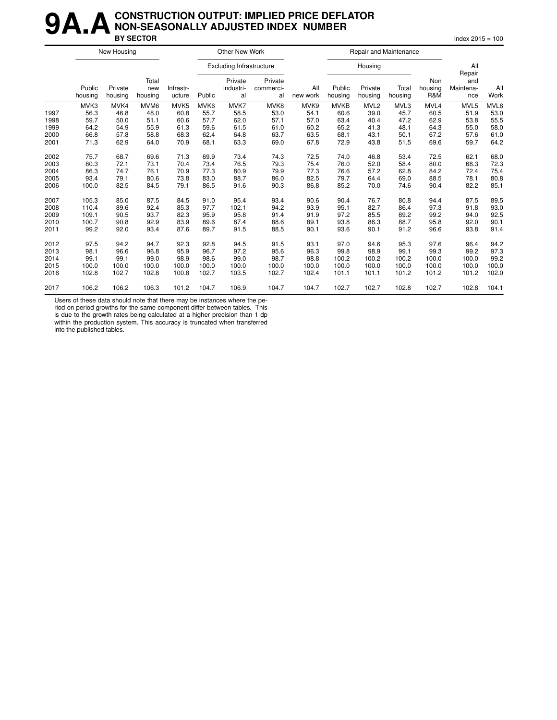#### **9A.A** CONSTRUCTION OUTPUT: IMPLIED PRICE DEFLATOR<br>BY SECTOR **NON-SEASONALLY ADJUSTED INDEX NUMBER BY SECTOR** Index 2015 = 100

|      |                   | New Housing        |                         |                     |        | Other New Work                  |                            |                 |                   | Repair and Maintenance |                  |                       |                                   |             |
|------|-------------------|--------------------|-------------------------|---------------------|--------|---------------------------------|----------------------------|-----------------|-------------------|------------------------|------------------|-----------------------|-----------------------------------|-------------|
|      |                   |                    |                         |                     |        | <b>Excluding Infrastructure</b> |                            |                 |                   | Housing                |                  |                       | All                               |             |
|      | Public<br>housing | Private<br>housing | Total<br>new<br>housing | Infrastr-<br>ucture | Public | Private<br>industri-<br>al      | Private<br>commerci-<br>al | All<br>new work | Public<br>housing | Private<br>housing     | Total<br>housing | Non<br>housing<br>R&M | Repair<br>and<br>Maintena-<br>nce | All<br>Work |
|      | MVK3              | MVK4               | MVM <sub>6</sub>        | MVK <sub>5</sub>    | MVK6   | MVK7                            | MVK8                       | MVK9            | <b>MVKB</b>       | MVL <sub>2</sub>       | MVL3             | MVL4                  | MVL5                              | MVL6        |
| 1997 | 56.3              | 46.8               | 48.0                    | 60.8                | 55.7   | 58.5                            | 53.0                       | 54.1            | 60.6              | 39.0                   | 45.7             | 60.5                  | 51.9                              | 53.0        |
| 1998 | 59.7              | 50.0               | 51.1                    | 60.6                | 57.7   | 62.0                            | 57.1                       | 57.0            | 63.4              | 40.4                   | 47.2             | 62.9                  | 53.8                              | 55.5        |
| 1999 | 64.2              | 54.9               | 55.9                    | 61.3                | 59.6   | 61.5                            | 61.0                       | 60.2            | 65.2              | 41.3                   | 48.1             | 64.3                  | 55.0                              | 58.0        |
| 2000 | 66.8              | 57.8               | 58.8                    | 68.3                | 62.4   | 64.8                            | 63.7                       | 63.5            | 68.1              | 43.1                   | 50.1             | 67.2                  | 57.6                              | 61.0        |
| 2001 | 71.3              | 62.9               | 64.0                    | 70.9                | 68.1   | 63.3                            | 69.0                       | 67.8            | 72.9              | 43.8                   | 51.5             | 69.6                  | 59.7                              | 64.2        |
| 2002 | 75.7              | 68.7               | 69.6                    | 71.3                | 69.9   | 73.4                            | 74.3                       | 72.5            | 74.0              | 46.8                   | 53.4             | 72.5                  | 62.1                              | 68.0        |
| 2003 | 80.3              | 72.1               | 73.1                    | 70.4                | 73.4   | 76.5                            | 79.3                       | 75.4            | 76.0              | 52.0                   | 58.4             | 80.0                  | 68.3                              | 72.3        |
| 2004 | 86.3              | 74.7               | 76.1                    | 70.9                | 77.3   | 80.9                            | 79.9                       | 77.3            | 76.6              | 57.2                   | 62.8             | 84.2                  | 72.4                              | 75.4        |
| 2005 | 93.4              | 79.1               | 80.6                    | 73.8                | 83.0   | 88.7                            | 86.0                       | 82.5            | 79.7              | 64.4                   | 69.0             | 88.5                  | 78.1                              | 80.8        |
| 2006 | 100.0             | 82.5               | 84.5                    | 79.1                | 86.5   | 91.6                            | 90.3                       | 86.8            | 85.2              | 70.0                   | 74.6             | 90.4                  | 82.2                              | 85.1        |
| 2007 | 105.3             | 85.0               | 87.5                    | 84.5                | 91.0   | 95.4                            | 93.4                       | 90.6            | 90.4              | 76.7                   | 80.8             | 94.4                  | 87.5                              | 89.5        |
| 2008 | 110.4             | 89.6               | 92.4                    | 85.3                | 97.7   | 102.1                           | 94.2                       | 93.9            | 95.1              | 82.7                   | 86.4             | 97.3                  | 91.8                              | 93.0        |
| 2009 | 109.1             | 90.5               | 93.7                    | 82.3                | 95.9   | 95.8                            | 91.4                       | 91.9            | 97.2              | 85.5                   | 89.2             | 99.2                  | 94.0                              | 92.5        |
| 2010 | 100.7             | 90.8               | 92.9                    | 83.9                | 89.6   | 87.4                            | 88.6                       | 89.1            | 93.8              | 86.3                   | 88.7             | 95.8                  | 92.0                              | 90.1        |
| 2011 | 99.2              | 92.0               | 93.4                    | 87.6                | 89.7   | 91.5                            | 88.5                       | 90.1            | 93.6              | 90.1                   | 91.2             | 96.6                  | 93.8                              | 91.4        |
| 2012 | 97.5              | 94.2               | 94.7                    | 92.3                | 92.8   | 94.5                            | 91.5                       | 93.1            | 97.0              | 94.6                   | 95.3             | 97.6                  | 96.4                              | 94.2        |
| 2013 | 98.1              | 96.6               | 96.8                    | 95.9                | 96.7   | 97.2                            | 95.6                       | 96.3            | 99.8              | 98.9                   | 99.1             | 99.3                  | 99.2                              | 97.3        |
| 2014 | 99.1              | 99.1               | 99.0                    | 98.9                | 98.6   | 99.0                            | 98.7                       | 98.8            | 100.2             | 100.2                  | 100.2            | 100.0                 | 100.0                             | 99.2        |
| 2015 | 100.0             | 100.0              | 100.0                   | 100.0               | 100.0  | 100.0                           | 100.0                      | 100.0           | 100.0             | 100.0                  | 100.0            | 100.0                 | 100.0                             | 100.0       |
| 2016 | 102.8             | 102.7              | 102.8                   | 100.8               | 102.7  | 103.5                           | 102.7                      | 102.4           | 101.1             | 101.1                  | 101.2            | 101.2                 | 101.2                             | 102.0       |
| 2017 | 106.2             | 106.2              | 106.3                   | 101.2               | 104.7  | 106.9                           | 104.7                      | 104.7           | 102.7             | 102.7                  | 102.8            | 102.7                 | 102.8                             | 104.1       |

Users of these data should note that there may be instances where the pe-

riod on period growths for the same component differ between tables. This is due to the growth rates being calculated at a higher precision than 1 dp

within the production system. This accuracy is truncated when transferred into the published tables.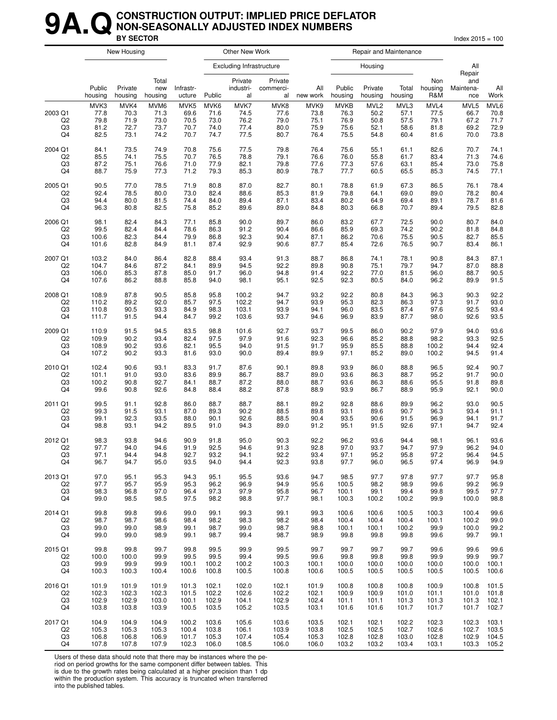#### **9A. Q** CONSTRUCTION OUTPUT: IMPLIED PRICE DEFLATOR<br>BY SECTOR **NON-SEASONALLY ADJUSTED INDEX NUMBERS BY SECTOR** Index 2015 = 100

|                     |                              | New Housing                  |                              | Other New Work               |                                 |                              |                              |                              | Repair and Maintenance              |                                          |                              |                              |                              |                              |
|---------------------|------------------------------|------------------------------|------------------------------|------------------------------|---------------------------------|------------------------------|------------------------------|------------------------------|-------------------------------------|------------------------------------------|------------------------------|------------------------------|------------------------------|------------------------------|
|                     | Public<br>housing            | Private<br>housing           | Total<br>new<br>housing      |                              | <b>Excluding Infrastructure</b> |                              |                              |                              |                                     | Housing                                  |                              |                              | All<br>Repair                |                              |
|                     |                              |                              |                              | Infrastr-<br>ucture          | Public                          | Private<br>industri-<br>al   | Private<br>commerci-<br>al   | All<br>new work              | Public<br>housing                   | Private<br>housing                       | Total<br>housing             | Non<br>housing<br>R&M        | and<br>Maintena-<br>nce      | All<br>Work                  |
| 2003 Q1<br>Q2<br>Q3 | MVK3<br>77.8<br>79.8<br>81.2 | MVK4<br>70.3<br>71.9<br>72.7 | MVM6<br>71.3<br>73.0<br>73.7 | MVK5<br>69.6<br>70.5<br>70.7 | MVK6<br>71.6<br>73.0<br>74.0    | MVK7<br>74.5<br>76.2<br>77.4 | MVK8<br>77.6<br>79.0<br>80.0 | MVK9<br>73.8<br>75.1<br>75.9 | <b>MVKB</b><br>76.3<br>76.9<br>75.6 | MVL <sub>2</sub><br>50.2<br>50.8<br>52.1 | MVL3<br>57.1<br>57.5<br>58.6 | MVL4<br>77.5<br>79.1<br>81.8 | MVL5<br>66.7<br>67.2<br>69.2 | MVL6<br>70.8<br>71.7<br>72.9 |
| Q4                  | 82.5                         | 73.1                         | 74.2                         | 70.7                         | 74.7                            | 77.5                         | 80.7                         | 76.4                         | 75.5                                | 54.8                                     | 60.4                         | 81.6                         | 70.0                         | 73.8                         |
| 2004 Q1             | 84.1                         | 73.5                         | 74.9                         | 70.8                         | 75.6                            | 77.5                         | 79.8                         | 76.4                         | 75.6                                | 55.1                                     | 61.1                         | 82.6                         | 70.7                         | 74.1                         |
| Q <sub>2</sub>      | 85.5                         | 74.1                         | 75.5                         | 70.7                         | 76.5                            | 78.8                         | 79.1                         | 76.6                         | 76.0                                | 55.8                                     | 61.7                         | 83.4                         | 71.3                         | 74.6                         |
| Q3                  | 87.2                         | 75.1                         | 76.6                         | 71.0                         | 77.9                            | 82.1                         | 79.8                         | 77.6                         | 77.3                                | 57.6                                     | 63.1                         | 85.4                         | 73.0                         | 75.8                         |
| Q4                  | 88.7                         | 75.9                         | 77.3                         | 71.2                         | 79.3                            | 85.3                         | 80.9                         | 78.7                         | 77.7                                | 60.5                                     | 65.5                         | 85.3                         | 74.5                         | 77.1                         |
| 2005 Q1             | 90.5                         | 77.0                         | 78.5                         | 71.9                         | 80.8                            | 87.0                         | 82.7                         | 80.1                         | 78.8                                | 61.9                                     | 67.3                         | 86.5                         | 76.1                         | 78.4                         |
| Q <sub>2</sub>      | 92.4                         | 78.5                         | 80.0                         | 73.0                         | 82.4                            | 88.6                         | 85.3                         | 81.9                         | 79.8                                | 64.1                                     | 69.0                         | 89.0                         | 78.2                         | 80.4                         |
| Q3                  | 94.4                         | 80.0                         | 81.5                         | 74.4                         | 84.0                            | 89.4                         | 87.1                         | 83.4                         | 80.2                                | 64.9                                     | 69.4                         | 89.1                         | 78.7                         | 81.6                         |
| Q4                  | 96.3                         | 80.8                         | 82.5                         | 75.8                         | 85.2                            | 89.6                         | 89.0                         | 84.8                         | 80.3                                | 66.8                                     | 70.7                         | 89.4                         | 79.5                         | 82.8                         |
| 2006 Q1             | 98.1                         | 82.4                         | 84.3                         | 77.1                         | 85.8                            | 90.0                         | 89.7                         | 86.0                         | 83.2                                | 67.7                                     | 72.5                         | 90.0                         | 80.7                         | 84.0                         |
| Q2                  | 99.5                         | 82.4                         | 84.4                         | 78.6                         | 86.3                            | 91.2                         | 90.4                         | 86.6                         | 85.9                                | 69.3                                     | 74.2                         | 90.2                         | 81.8                         | 84.8                         |
| Q3                  | 100.6                        | 82.3                         | 84.4                         | 79.9                         | 86.8                            | 92.3                         | 90.4                         | 87.1                         | 86.2                                | 70.6                                     | 75.5                         | 90.5                         | 82.7                         | 85.5                         |
| Q4                  | 101.6                        | 82.8                         | 84.9                         | 81.1                         | 87.4                            | 92.9                         | 90.6                         | 87.7                         | 85.4                                | 72.6                                     | 76.5                         | 90.7                         | 83.4                         | 86.1                         |
| 2007 Q1             | 103.2                        | 84.0                         | 86.4                         | 82.8                         | 88.4                            | 93.4                         | 91.3                         | 88.7                         | 86.8                                | 74.1                                     | 78.1                         | 90.8                         | 84.3                         | 87.1                         |
| Q <sub>2</sub>      | 104.7                        | 84.6                         | 87.2                         | 84.1                         | 89.9                            | 94.5                         | 92.2                         | 89.8                         | 90.8                                | 75.1                                     | 79.7                         | 94.7                         | 87.0                         | 88.8                         |
| Q3                  | 106.0                        | 85.3                         | 87.8                         | 85.0                         | 91.7                            | 96.0                         | 94.8                         | 91.4                         | 92.2                                | 77.0                                     | 81.5                         | 96.0                         | 88.7                         | 90.5                         |
| Q4                  | 107.6                        | 86.2                         | 88.8                         | 85.8                         | 94.0                            | 98.1                         | 95.1                         | 92.5                         | 92.3                                | 80.5                                     | 84.0                         | 96.2                         | 89.9                         | 91.5                         |
| 2008 Q1             | 108.9                        | 87.8                         | 90.5                         | 85.8                         | 95.8                            | 100.2                        | 94.7                         | 93.2                         | 92.2                                | 80.8                                     | 84.3                         | 96.3                         | 90.3                         | 92.2                         |
| Q <sub>2</sub>      | 110.2                        | 89.2                         | 92.0                         | 85.7                         | 97.5                            | 102.2                        | 94.7                         | 93.9                         | 95.3                                | 82.3                                     | 86.3                         | 97.3                         | 91.7                         | 93.0                         |
| Q3                  | 110.8                        | 90.5                         | 93.3                         | 84.9                         | 98.3                            | 103.1                        | 93.9                         | 94.1                         | 96.0                                | 83.5                                     | 87.4                         | 97.6                         | 92.5                         | 93.4                         |
| Q4                  | 111.7                        | 91.5                         | 94.4                         | 84.7                         | 99.2                            | 103.6                        | 93.7                         | 94.6                         | 96.9                                | 83.9                                     | 87.7                         | 98.0                         | 92.6                         | 93.5                         |
| 2009 Q1             | 110.9                        | 91.5                         | 94.5                         | 83.5                         | 98.8                            | 101.6                        | 92.7                         | 93.7                         | 99.5                                | 86.0                                     | 90.2                         | 97.9                         | 94.0                         | 93.6                         |
| Q2                  | 109.9                        | 90.2                         | 93.4                         | 82.4                         | 97.5                            | 97.9                         | 91.6                         | 92.3                         | 96.6                                | 85.2                                     | 88.8                         | 98.2                         | 93.3                         | 92.5                         |
| Q3                  | 108.9                        | 90.2                         | 93.6                         | 82.1                         | 95.5                            | 94.0                         | 91.5                         | 91.7                         | 95.9                                | 85.5                                     | 88.8                         | 100.2                        | 94.4                         | 92.4                         |
| Q4                  | 107.2                        | 90.2                         | 93.3                         | 81.6                         | 93.0                            | 90.0                         | 89.4                         | 89.9                         | 97.1                                | 85.2                                     | 89.0                         | 100.2                        | 94.5                         | 91.4                         |
| 2010 Q1             | 102.4                        | 90.6                         | 93.1                         | 83.3                         | 91.7                            | 87.6                         | 90.1                         | 89.8                         | 93.9                                | 86.0                                     | 88.8                         | 96.5                         | 92.4                         | 90.7                         |
| Q <sub>2</sub>      | 101.1                        | 91.0                         | 93.0                         | 83.6                         | 89.9                            | 86.7                         | 88.7                         | 89.0                         | 93.6                                | 86.3                                     | 88.7                         | 95.2                         | 91.7                         | 90.0                         |
| Q3                  | 100.2                        | 90.8                         | 92.7                         | 84.1                         | 88.7                            | 87.2                         | 88.0                         | 88.7                         | 93.6                                | 86.3                                     | 88.6                         | 95.5                         | 91.8                         | 89.8                         |
| Q4                  | 99.6                         | 90.8                         | 92.6                         | 84.8                         | 88.4                            | 88.2                         | 87.8                         | 88.9                         | 93.9                                | 86.7                                     | 88.9                         | 95.9                         | 92.1                         | 90.0                         |
| 2011 Q1             | 99.5                         | 91.1                         | 92.8                         | 86.0                         | 88.7                            | 88.7                         | 88.1                         | 89.2                         | 92.8                                | 88.6                                     | 89.9                         | 96.2                         | 93.0                         | 90.5                         |
| Q <sub>2</sub>      | 99.3                         | 91.5                         | 93.1                         | 87.0                         | 89.3                            | 90.2                         | 88.5                         | 89.8                         | 93.1                                | 89.6                                     | 90.7                         | 96.3                         | 93.4                         | 91.1                         |
| Q3                  | 99.1                         | 92.3                         | 93.5                         | 88.0                         | 90.1                            | 92.6                         | 88.5                         | 90.4                         | 93.5                                | 90.6                                     | 91.5                         | 96.9                         | 94.1                         | 91.7                         |
| Q4                  | 98.8                         | 93.1                         | 94.2                         | 89.5                         | 91.0                            | 94.3                         | 89.0                         | 91.2                         | 95.1                                | 91.5                                     | 92.6                         | 97.1                         | 94.7                         | 92.4                         |
| 2012 Q1             | 98.3                         | 93.8                         | 94.6                         | 90.9                         | 91.8                            | 95.0                         | 90.3                         | 92.2                         | 96.2                                | 93.6                                     | 94.4                         | 98.1                         | 96.1                         | 93.6                         |
| Q <sub>2</sub>      | 97.7                         | 94.0                         | 94.6                         | 91.9                         | 92.5                            | 94.6                         | 91.3                         | 92.8                         | 97.0                                | 93.7                                     | 94.7                         | 97.9                         | 96.2                         | 94.0                         |
| Q3                  | 97.1                         | 94.4                         | 94.8                         | 92.7                         | 93.2                            | 94.1                         | 92.2                         | 93.4                         | 97.1                                | 95.2                                     | 95.8                         | 97.2                         | 96.4                         | 94.5                         |
| Q4                  | 96.7                         | 94.7                         | 95.0                         | 93.5                         | 94.0                            | 94.4                         | 92.3                         | 93.8                         | 97.7                                | 96.0                                     | 96.5                         | 97.4                         | 96.9                         | 94.9                         |
| 2013 Q1             | 97.0                         | 95.1                         | 95.3                         | 94.3                         | 95.1                            | 95.5                         | 93.6                         | 94.7                         | 98.5                                | 97.7                                     | 97.8                         | 97.7                         | 97.7                         | 95.8                         |
| Q2                  | 97.7                         | 95.7                         | 95.9                         | 95.3                         | 96.2                            | 96.9                         | 94.9                         | 95.6                         | 100.5                               | 98.2                                     | 98.9                         | 99.6                         | 99.2                         | 96.9                         |
| Q3                  | 98.3                         | 96.8                         | 97.0                         | 96.4                         | 97.3                            | 97.9                         | 95.8                         | 96.7                         | 100.1                               | 99.1                                     | 99.4                         | 99.8                         | 99.5                         | 97.7                         |
| Q4                  | 99.0                         | 98.5                         | 98.5                         | 97.5                         | 98.2                            | 98.8                         | 97.7                         | 98.1                         | 100.3                               | 100.2                                    | 100.2                        | 99.9                         | 100.0                        | 98.8                         |
| 2014 Q1             | 99.8                         | 99.8                         | 99.6                         | 99.0                         | 99.1                            | 99.3                         | 99.1                         | 99.3                         | 100.6                               | 100.6                                    | 100.5                        | 100.3                        | 100.4                        | 99.6                         |
| Q <sub>2</sub>      | 98.7                         | 98.7                         | 98.6                         | 98.4                         | 98.2                            | 98.3                         | 98.2                         | 98.4                         | 100.4                               | 100.4                                    | 100.4                        | 100.1                        | 100.2                        | 99.0                         |
| Q3                  | 99.0                         | 99.0                         | 98.9                         | 99.1                         | 98.7                            | 99.0                         | 98.7                         | 98.8                         | 100.1                               | 100.1                                    | 100.2                        | 99.9                         | 100.0                        | 99.2                         |
| Q4                  | 99.0                         | 99.0                         | 98.9                         | 99.1                         | 98.7                            | 99.4                         | 98.7                         | 98.9                         | 99.8                                | 99.8                                     | 99.8                         | 99.6                         | 99.7                         | 99.1                         |
| 2015 Q1             | 99.8                         | 99.8                         | 99.7                         | 99.8                         | 99.5                            | 99.9                         | 99.5                         | 99.7                         | 99.7                                | 99.7                                     | 99.7                         | 99.6                         | 99.6                         | 99.6                         |
| Q2                  | 100.0                        | 100.0                        | 99.9                         | 99.5                         | 99.5                            | 99.4                         | 99.5                         | 99.6                         | 99.8                                | 99.8                                     | 99.8                         | 99.9                         | 99.9                         | 99.7                         |
| Q3                  | 99.9                         | 99.9                         | 99.9                         | 100.1                        | 100.2                           | 100.2                        | 100.3                        | 100.1                        | 100.0                               | 100.0                                    | 100.0                        | 100.0                        | 100.0                        | 100.1                        |
| Q4                  | 100.3                        | 100.3                        | 100.4                        | 100.6                        | 100.8                           | 100.5                        | 100.8                        | 100.6                        | 100.5                               | 100.5                                    | 100.5                        | 100.5                        | 100.5                        | 100.6                        |
| 2016 Q1             | 101.9                        | 101.9                        | 101.9                        | 101.3                        | 102.1                           | 102.0                        | 102.1                        | 101.9                        | 100.8                               | 100.8                                    | 100.8                        | 100.9                        | 100.8                        | 101.5                        |
| Q2                  | 102.3                        | 102.3                        | 102.3                        | 101.5                        | 102.2                           | 102.6                        | 102.2                        | 102.1                        | 100.9                               | 100.9                                    | 101.0                        | 101.1                        | 101.0                        | 101.8                        |
| Q3                  | 102.9                        | 102.9                        | 103.0                        | 100.1                        | 102.9                           | 104.1                        | 102.9                        | 102.4                        | 101.1                               | 101.1                                    | 101.3                        | 101.3                        | 101.3                        | 102.1                        |
| Q4                  | 103.8                        | 103.8                        | 103.9                        | 100.5                        | 103.5                           | 105.2                        | 103.5                        | 103.1                        | 101.6                               | 101.6                                    | 101.7                        | 101.7                        | 101.7                        | 102.7                        |
| 2017 Q1             | 104.9                        | 104.9                        | 104.9                        | 100.2                        | 103.6                           | 105.6                        | 103.6                        | 103.5                        | 102.1                               | 102.1                                    | 102.2                        | 102.3                        | 102.3                        | 103.1                        |
| Q <sub>2</sub>      | 105.3                        | 105.3                        | 105.3                        | 100.4                        | 103.8                           | 106.1                        | 103.9                        | 103.8                        | 102.5                               | 102.5                                    | 102.7                        | 102.6                        | 102.7                        | 103.5                        |
| Q3                  | 106.8                        | 106.8                        | 106.9                        | 101.7                        | 105.3                           | 107.4                        | 105.4                        | 105.3                        | 102.8                               | 102.8                                    | 103.0                        | 102.8                        | 102.9                        | 104.5                        |
| Q4                  | 107.8                        | 107.8                        | 107.9                        | 102.3                        | 106.0                           | 108.5                        | 106.0                        | 106.0                        | 103.2                               | 103.2                                    | 103.4                        | 103.1                        | 103.3                        | 105.2                        |